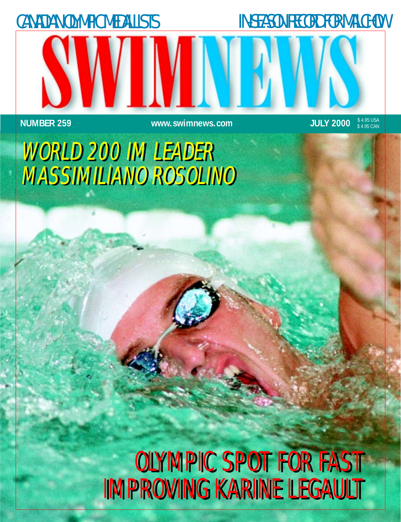

## OLYMPIC SPOT FOR FAST OLYMPIC SPOT FOR FAST IMPROVING KARINE LEGAULT IMPROVING KARINE LEGAULT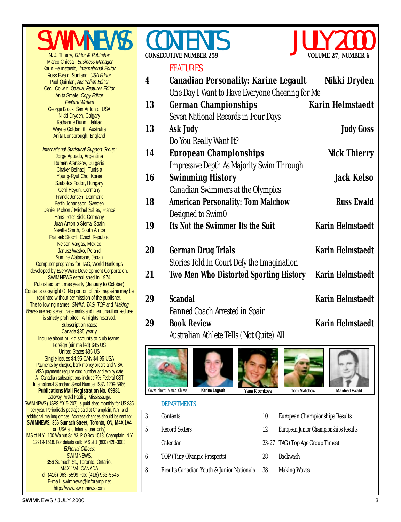



**4 [Canadian Personality: Karine Legault](#page-3-0) Nikki Dryden**



#### FEATURES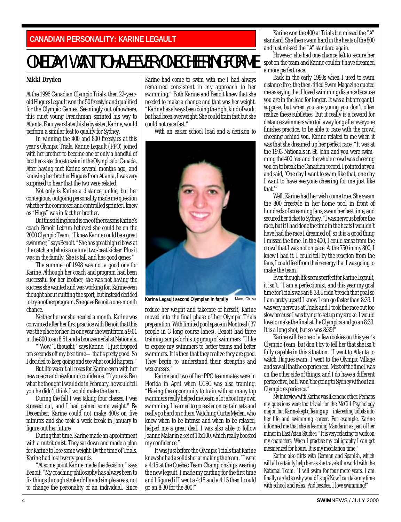### <span id="page-3-0"></span>**CANADIAN PERSONALITY: KARINE LEGAULT**

## ONE DAY I WANT TO HAVE EVERYONE CHEERING FOR ME

#### **Nikki Dryden**

At the 1996 Canadian Olympic Trials, then 22-yearold Hugues Legault won the 50 freestyle and qualified for the Olympic Games. Seemingly out ofnowhere, this quiet young Frenchman sprinted his way to Atlanta. Four years later,his baby sister, Karine, would perform a similar feat to qualify for Sydney.

In winning the 400 and 800 freestyles at this year's Olympic Trials, Karine Legault (PPO) joined with her brother to become one of only a handful of brother-sister duos to swim in the Olympics for Canada. After having met Karine several months ago, and knowing her brother Hugues from Atlanta, I was very surprised to hear that the two were related.

Not only is Karine a distance junkie, but her contagious, outgoing personality made me question whether the composed and controlled sprinter I knew as "Hugs" was in fact her brother.

But this sibling bond is one of the reasons Karine's coach Benoit Lebrun believed she could be on the 2000 Olympic Team. "I knew Karine could be a great swimmer," says Benoit. "She has great high elbows at the catch and she is a natural two-beat kicker. Plus it was in the family. She is tall and has good genes."

The summer of 1998 was not a good one for Karine. Although her coach and program had been successful for her brother, she was not having the success she wanted and was working for. Karine even thought about quitting the sport, but instead decided to try another program. She gave Benoit a one-month chance.

Neither he nor she needed a month. Karine was convinced after her first practice with Benoit that this was the place for her. In one year she went from a 9:01 in the 800 to an 8:51 and a bronze medal at Nationals.

'Wow!' I thought," says Karine. "I just dropped ten seconds off my best time—that's pretty good. So I decided to keep going and see what could happen."

But life wasn't all roses for Karine even with her new coach and newfound confidence. "If you ask Ben what he thought I would do in February, he would tell you he didn't think I would make the team.

During the fall I was taking four classes, I was stressed out, and I had gained some weight." By December, Karine could not make 400s on five minutes and she took a week break in January to figure out her future.

During that time, Karine made an appointment with a nutritionist. They sat down and made a plan for Karine to lose some weight. By the time of Trials, Karine had lost twenty pounds.

"At some point Karine made the decision," says Benoit. "My coaching philosophy has always been to fix things through stroke drills and simple areas, not to change the personality of an individual. Since

Karine had come to swim with me I had always remained consistent in my approach to her swimming." Both Karine and Benoit knew that she needed to make a change and that was her weight. "Karine has always been doing the right kind of work, but had been overweight. She could train fast but she could not race fast."

With an easier school load and a decision to



**Karine Legault second Olympian in family** Marco Chiesa

reduce her weight and takecare of herself, Karine moved into the final phase of her Olympic Trials preparation. With limited pool space in Montreal (37 people in 3 long course lanes), Benoit had three training camps for his top group of swimmers. "I like to expose my swimmers to better teams and better swimmers. It is then that they realize they are good. They begin to understand their strengths and weaknesses."

Karine and two of her PPO teammates were in Florida in April when UCSC was also training. "Having the opportunity to train with so many top swimmers really helped me learn a lot about my own swimming. I learned to go easier on certain sets and really go hard on others. Watching Curtis Myden, who knew when to be intense and when to be relaxed, helped me a great deal. I was also able to follow Joanne Malar in a set of 10x100, which really boosted my confidence."

It was just before the Olympic Trials that Karine knew she had a solid shot at making the team. "I went a 4:15 at the Quebec Team Championships wearing the new legsuit. I made my carding for the first time and I figured if I went a 4:15 and a 4:15 then I could go an 8:30 for the 800!"

Karine won the 400 at Trials but missed the "A" standard. She then swam hard in the heats of the 800 and just missed the "A" standard again.

However, she had one chance left to secure her spot on the team and Karine couldn't have dreamed a more perfect race.

Back in the early 1990s when I used to swim distance free, the then-titled Swim Magazine quoted me as saying that I loved swimming distance because you are in the lead for longer. It was a bit arrogant,I suppose, but when you are young you don't often realize these subtleties. But it really is a reward for distance swimmers who toil away long after everyone finishes practice, to be able to race with the crowd cheering behind you. Karine related to me when it was that she dreamed up her perfect race. "It was at the 1993 Nationals in St. John and you were swimming the 400 free and the whole crowd was cheering you on to break the Canadian record. I pointed at you and said, 'One day I want to swim like that, one day I want to have everyone cheering for me just like that.'"

Well, Karine had her wish come true. She swam the 800 freestyle in her home pool in front of hundreds of screaming fans, swam her best time, and secured her ticket to Sydney. "I was nervous before the race, but if I had done the time in the heats I wouldn't have had the race I dreamed of, so it is a good thing I missed the time. In the 400, I could sense from the crowd that I was not on pace. At the 750 in my 800, I knew I had it. I could tell by the reaction from the fans, I could feel from their energy that I was going to make the team."

Even though life seems perfect for Karine Legault, it isn't. "I am a perfectionist, and this year my goal time for Trials was an 8:38. I didn't reach that goal so I am pretty upset! I know I can go faster than 8:39. I was very nervous at Trials and I took the race out too slow because I was trying to set up my stroke. I would love to make the final at the Olympics and go an 8:33. It is a long shot, but so was 8:39!"

Karine will be one of a few rookies on this year's Olympic Team, but don't try to tell her that she isn't fully capable in this situation. "I went to Atlanta to watch Hugues swim. I went to the Olympic Village and saw all that he experienced. Most of the time I was on the other side of things, and I do have a different perspective, but I won't be going to Sydney without an Olympic experience."

My interview with Karine was like none other. Perhaps my questions were too trivial for the McGill Psychology major, but Karine kept offering up interesting tidbits into her life and swimming career. For example, Karine informed me that she is learning Mandarin as part of her minor in East Asian Studies. "It is very relaxing to work on my characters. When I practise my calligraphy I can get mesmerized for hours. It is my meditation time!"

Karine also flirts with German and Spanish, which will all certainly help her as she travels the world with the National Team. "I will swim for four more years. I am finally carded so why would I stop? Now I can take my time with school and relax. And besides, I love swimming!"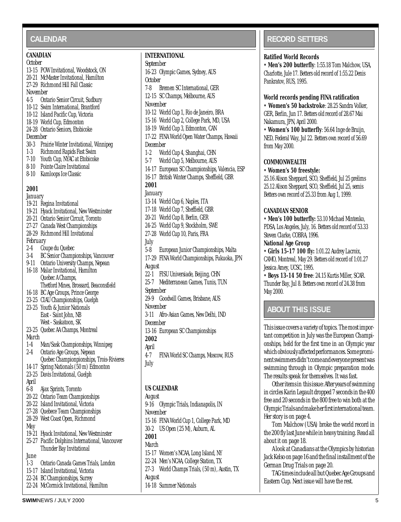#### <span id="page-4-0"></span>**CALENDAR**

#### **CANADIAN**

#### *October*

- 13-15 POW Invitational, Woodstock, ON 20-21 McMaster Invitational, Hamilton 27-29 Richmond Hill Fall Classic *November*
- 4-5 Ontario Senior Circuit, Sudbury
- 10-12 Swim International, Brantford
- 10-12 Island Pacific Cup, Victoria
- 18-19 World Cup, Edmonton
- 24-28 Ontario Seniors, Etobicoke

#### *December*

- 30-3 Prairie Winter Invitational, Winnipeg
- 1-3 Richmond Rapids Fast Swim
- 7-10 Youth Cup, NYAC at Etobicoke
- 8-10 Pointe Claire Invitational
- 8-10 Kamloops Ice Classic

#### **2001**

*January* 19-21 Regina Invitational 19-21 Hyack Invitational, New Westminster 20-21 Ontario Senior Circuit, Toronto 27-27 Canada West Championships 28-29 Richmond Hill Invitational *February* 2-4 Coupe du Quebec 3-4 BC Senior Championships, Vancouver 9-11 Ontario University Champs, Nepean 16-18 Malar Invitational, Hamilton Quebec A Champs, Thetford Mines, Brossard, Beaconsfield 16-18 BC Age Groups, Prince George 23-25 CIAU Championships, Guelph 23-25 Youth & Junior Nationals East - Saint John, NB West - Saskatoon, SK 23-25 Quebec AA Champs, Montreal *March* 1-4 Man/Sask Championships, Winnipeg 2-4 Ontario Age Groups, Nepean Quebec Championpionships, Trois-Rivieres 14-17 Spring Nationals (50 m) Edmonton 23-25 Davis Invitational, Guelph *April* 6-8 Ajax Sprints, Toronto 20-22 Ontario Team Championships 20-22 Island Invitational, Victoria 27-28 Quebece Team Championships 28-29 West Coast Open, Richmond *May* 19-21 Hyack Invitational, New Westminster 25-27 Pacific Dolphins International, Vancouver Thunder Bay Invitational *June* 1-3 Ontario Canada Games Trials, London 15-17 Island Invitational, Victoria 22-24 BC Championships, Surrey 22-24 McCormick Invitational, Hamilton

#### **INTERNATIONAL**

#### *September* 16-23 Olympic Games, Sydney, AUS *October* 7-8 Bremen SC International, GER 12-15 SC Champs, Melbourne, AUS *November* 10-12 World Cup 1, Rio de Janeiro, BRA 15-16 World Cup 2, College Park, MD, USA 18-19 World Cup 3, Edmonton, CAN 17-22 FINA World Open Water Champs, Hawaii *December* 1-2 World Cup 4, Shanghai, CHN 5-7 World Cup 5, Melbourne, AUS 14-17 European SC Championships, Valencia, ESP 16-17 British Winter Champs, Sheffield, GBR **2001** *January* 13-14 World Cup 6, Naples, ITA 17-18 World Cup 7, Sheffield, GBR 20-21 World Cup 8, Berlin, GER 24-25 World Cup 9, Stockholm, SWE 27-28 World Cup 10, Paris, FRA *July* 5-8 European Junior Championships, Malta 17-29 FINA World Championships, Fukuoka, JPN *August* 22-1 FISU Universiade, Beijing, CHN 25-7 Mediterranean Games, Tunis, TUN *September* 29-9 Goodwill Games, Brisbane, AUS *November* 3-11 Afro-Asian Games, New Delhi, IND *December* 13-16 European SC Championships **2002** *April* 4-7 FINA World SC Champs, Moscow, RUS *July*

#### **US CALENDAR**

*August* 9-16 Olympic Trials, Indianapolis, IN *November* 15-16 FINA World Cup 1, College Park, MD 30-2 US Open (25 M), Auburn, AL **2001** *March* 15-17 Women's NCAA, Long Island, NY 22-24 Men's NCAA, College Station, TX 27-3 World Champs Trials, (50 m), Austin, TX *August* 14-18 Summer Nationals

### **RECORD SETTERS**

#### **Ratified World Records**

• **Men's 200 butterfly**: 1:55.18 Tom Malchow, USA, Charlotte, Jule 17. Betters old record of 1:55.22 Denis Pankratov, RUS, 1995.

#### **World records pending FINA ratification**

• **Women's 50 backstroke**: 28.25 Sandra Volker, GER, Berlin, Jun 17. Betters old record of 28.67 Mai Nakamura, JPN, April 2000.

• **Women's 100 butterfly**: 56.64 Inge de Bruijn, NED, Federal Way, Jul 22. Betters own record of 56.69 from May 2000.

#### **COMMONWEALTH**

#### • **Women's 50 freestyle:**

25.16 Alison Sheppard, SCO, Sheffield, Jul 25 prelims 25.12 Alison Sheppard, SCO, Sheffield, Jul 25, semis Betters own record of 25.33 from Aug 1, 1999.

#### **CANADIAN SENIOR**

• **Men's 100 butterfly:** 53.10 Michael Mintenko, PDSA, Los Angeles, July, 16. Betters old record of 53.33 Steven Clarke, COBRA, 1996.

#### **National Age Group**

• **Girls 15-17 100 fly:** 1:01.22 Audrey Lacroix, CAMO, Montreal, May 29. Betters old record of 1:01.27 Jessica Amey, UCSC, 1995.

• **Boys 13-14 50 free**: 24.15 Kurtis Miller, SCAR. Thunder Bay, Jul 8. Betters own record of 24.38 from May 2000.

#### **ABOUT THIS ISSUE**

This issue covers a variety of topics. The most important competition in July was the European Championships, held for the first time in an Olympic year which obviously affected performances. Some prominent swimmers didn't come and everyone present was swimming through in Olympic preparation mode. The results speak for themselves. It was fast.

Other items in this issue: After years of swimming in circles Karin Legault dropped 7 seconds in the 400 free and 20 seconds in the 800 free to win both at the Olympic Trials and make her first international team. Her story is on page 4.

Tom Malchow (USA) broke the world record in the 200 fly last June while in heavy training. Read all about it on page 18.

A look at Canadians at the Olympics by historian Jack Kelso on page 16 and the final installment of the German Drug Trials on page 20.

TAG times include all but Quebec Age Groups and Eastern Cup. Next issue will have the rest.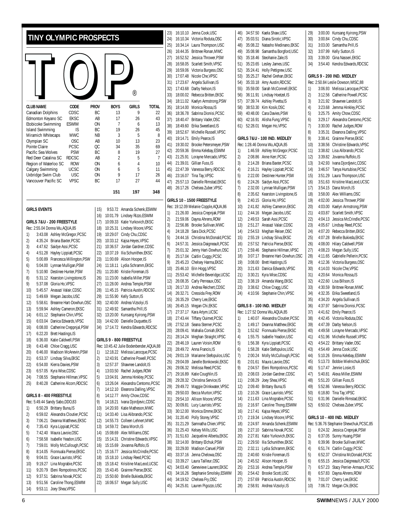<span id="page-5-0"></span>

| TINY OLYMPIC PROSPECTS                                                      |             |                |                                                                  |              | 23)<br>24)        | 16:10.10 Jenna Cook, USC<br>16:10.34 Victoria Roduta, OSC                                     |
|-----------------------------------------------------------------------------|-------------|----------------|------------------------------------------------------------------|--------------|-------------------|-----------------------------------------------------------------------------------------------|
|                                                                             |             |                |                                                                  |              | 25)<br>26)<br>27) | 16:34.14 Laura Thompson, USC<br>16:44.35 Brittnee Ronan, MWC<br>16:52.52 Jessica Thrower, PSW |
|                                                                             |             |                |                                                                  |              | 28)               | 16:58.05 Scarlett Smith.VPSC                                                                  |
|                                                                             |             |                |                                                                  |              | 29)               | 16:59.06 Victoria Burgess, OSC                                                                |
|                                                                             |             |                |                                                                  |              | 30)<br>31)        | 17:07.48 Nicole Che, VPSC<br>17:23.67 Angela Sullivan, IS                                     |
|                                                                             |             |                |                                                                  |              | 32)               | 17:43.68 Darby Nelson, IS                                                                     |
|                                                                             |             |                | $^{\circledR}$                                                   |              | 33)               | 18:00.02 Rebecca Britten, EKSC                                                                |
| <b>CLUB NAME</b><br>CODE                                                    | <b>PROV</b> | <b>BOYS</b>    | <b>GIRLS</b>                                                     | <b>TOTAL</b> | 34)               | 18:11.02 Kaelyn Armstrong, PSV                                                                |
| CDSC<br>Canadian Dolphins                                                   | ВC          | 13             | 9                                                                | 22           | 35)<br>36)        | 18:14.00 Monica Rossa, IS<br>18:36.78 Sabrina Dionisi, PCSC                                   |
| <b>EKSC</b><br>Edmonton Keyano SC                                           | AB          | 17             | 26                                                               | 43           | 37)               | 18:40.47 Brittany Vader, OSC                                                                  |
| Etobicoke Swimming<br>ESWIM<br><b>Island Swimming</b><br>IS                 | ON<br>ВC    | 7<br>19        | 6<br>26                                                          | 13<br>45     | 38)               | 18:49.60 Erika Sweetland, IS                                                                  |
| Miramich Whitecaps<br><b>MWC</b>                                            | <b>NB</b>   | 3              | 5                                                                | 8            | 39)               | 18:52.67 Michelle Russell, VPS                                                                |
| <b>OSC</b><br>Olympian SC                                                   | AB          | 10             | 13                                                               | 23           | 40)<br>41)        | 19:14.71 Emily Pearce, IS<br>19:30.02 Brooke Petersmeyer, P.                                  |
| PCSC<br>Pointe Claire<br>Pacific Sea Wolves<br><b>PSW</b>                   | QC<br>ВC    | 34<br>8        | 35<br>19                                                         | 69<br>27     | 42)               | 20:59.36 Emma Kelebay, ESWIN                                                                  |
| Red Deer Catalina SC<br><b>RDCSC</b>                                        | AB          | $\overline{2}$ | 5                                                                | 7            | 43)               | 21:25.91 Lorayne Mercado, VPS                                                                 |
| Region of Waterloo SC<br><b>ROW</b>                                         | 0N          | 6              | 4                                                                | 10           | 44)               | 21:39.01 Gillian Fuss, IS                                                                     |
| <b>UCSC</b><br>Calgary Swimming<br>Uxbridge Swim Club<br><b>USC</b>         | 0N<br>ON    | 6<br>9         | 5<br>17                                                          | 11<br>26     | 45)<br>46)        | 22:47.39 Vanessa Berry, RDCSC<br>23:16.07 Tina Tay, VPSC                                      |
| Vancouver Pacific SC<br><b>VPSC</b>                                         | ВC          | 17             | 27                                                               | 44           | 47)               | 25:57.13 Danielle Rimstad, EKS                                                                |
|                                                                             |             |                |                                                                  |              | 48)               | 26:17.26 Chelsea Zuber, VPSC                                                                  |
|                                                                             |             | 151            | 197                                                              | 348          |                   | GIRLS 10 - 1500 FREESTYLE                                                                     |
| <b>GIRLS EVENTS</b>                                                         | 15)         |                | 9:53.72 Amanda Schenk.ESWIM                                      |              |                   | Rec: 19:12.09 Melanie Copple, AQUA, 8                                                         |
|                                                                             | 16)         |                | 10:01.79 Lindsey Rizzo, ESWIM                                    |              | 1)<br>2)          | 21:26.00 Jessica Crepnjak, PSW                                                                |
| GIRLS 7&U - 200 FREESTYLE                                                   | 17)         |                | 10:09.33 Katie Yurkovich, EKSC                                   |              | 3)                | 21:59.06 Dayna Ahrens, ROW<br>22:56.86 Brooke Sullivan, MWC                                   |
| Rec: 2:55.04 Donna Wu, AQUA, 85                                             | 18)         |                | 10:25.31 Lindsey Moore, VPSC                                     |              | 4)                | 24:18.28 Sara Dick, PCSC                                                                      |
| 1)<br>3:43.08 Ashley McGregor, PCSC<br>2)<br>4:35.24 Briana Baxter, PCSC    | 19)<br>20)  |                | 10:29.07 Cindy Chu, CDSC<br>10:33.12 Kajsa Heyes, VPSC           |              | 5)                | 24:44.16 Christina McDonald, P                                                                |
| 3)<br>4:47.62 Saidye Assi, PCSC                                             | 21)         |                | 10:36.57 Jordan Gardner, CDSC                                    |              | 6)                | 24:57.31 Jessica Daigneault, PC                                                               |
| 4)<br>4:51.28 Hayley Lippiatt, PCSC                                         | 22)         |                | 10:37.19 Ilia Schunithev, EKSC                                   |              | 7)<br>8)          | 25:01.32 Jenny Hart-Dowhun, O<br>25:17.04 Caitlin Cuggy, PCSC                                 |
| 5)<br>5:00.89 Francesca Millington, PSW                                     | 23)         |                | 11:00.69 Alison Hooper, IS                                       |              | 9)                | 25:45.23 Chelsey Harma, EKSC                                                                  |
| 5:04.00 Lynnae Mulligan, PSW<br>6)<br>7)<br>5:10.90 Destinee Hunter, PSW    | 24)<br>25)  | 11:18.11       | Lydia Schramm, EKSC<br>11:20.80 Kristie Foreman, IS              |              | 10)               | 25:46.10 Erin Hogg, VPSC                                                                      |
| 8)<br>5:31.12 Kearston Livingstone, IS                                      | 26)         |                | 11:23.00 Isabella Miller, PSW                                    |              | 11)               | 25:53.42 Michelle Beveridge, UC                                                               |
| 9)<br>5:37.08 Gloria Ho, VPSC                                               | 27)         |                | 11:28.00 Andrea Temple, PSW                                      |              | 12)<br>13)        | 26:08.35 Carly Perreaux, OSC<br>26:17.33 Andrea Reichert, CDSC                                |
| 10)<br>5:45.57 Anasazi Valair, CDSC                                         | 28)         |                | 11:45.15 Patricia Austin, RDCSC                                  |              | 14)               | 26:32.71 Cressida Frey, ROW                                                                   |
| 11)<br>5:49.69 Megan Jacobs, USC<br>12)<br>5:58.61 Breanne Hart-Dowhun, OSC | 29)<br>30)  |                | 11:55.90 Kelly Sutton, IS<br>12:40.00 Andrea Vizsolyi, IS        |              | 15)               | 26:35.29 Cherry Lee, EKSC                                                                     |
| 13)<br>5:59.94 Ashley Cameron, EKSC                                         | 31)         |                | 12:49.92 Samantha Prill, IS                                      |              | 16)               | 26:45.15 Megan Chi, EKSC                                                                      |
| 6:01.12 Stephanie Chin, VPSC<br>14)                                         | 32)         |                | 13:20.00 Kunsang Kyirong, PSW                                    |              | 17)               | 27:37.17 Kara Artym, UCSC                                                                     |
| 15)<br>6:03.04 Danica Edwards, VPSC                                         | 33)         |                | 14:42.00 Danielle Duquette, IS                                   |              | 18)<br>19)        | 27:43.44 Tiffany Ouimet, PCSC<br>27:52.18 Seana Sterner, PCSC                                 |
| 16)<br>6:08.00 Catherine Creppnjal,PSW                                      | 34)         |                | 17:14.72 Kendra Edwards, RDCSC                                   |              | 20)               | 28:09.41 Mahalia Coniah, EKSC                                                                 |
| 17)<br>6:22.20 Brett Hastings, IS<br>18)<br>6:36.00 Katie Caldwell, PSW     |             |                | GIRLS 9 - 800 FREESTYLE                                          |              | 21)               | 28:14.24 Meghan Straight, VPS                                                                 |
| 19)<br>6:43.48 Chloe Cragg, USC                                             |             |                | Rec: 10:45.42 Julie Bodenbender,AQUA,88                          |              | 22)               | 28:46.19 Lauren Voisin, ROW                                                                   |
| 20)<br>6:46.00 Madison McAnevin, PSW                                        | 1)          |                | 12:18.22 Melissa Larocque, PCSC                                  |              | 23)<br>24)        | 28:49.72 Anna Francis, IS<br>29:01.19 Marianne Stefopulos, L                                  |
| 21)<br>6:53.37 Lindsay Silva, EKSC                                          | 2)          |                | 12:43.91 Catherine Powell, PCSC                                  |              | 25)               | 29:04.09 Janelle Bonkowski, EK!                                                               |
| 22)<br>6:54.00 Kierra Davies, PSW<br>23)<br>6:57.05 Kyra Wise,CDSC          | 3)<br>4)    |                | 12:57.37 Shawnee Landolt, IS                                     |              | 26)               | 29:06.32 Melissa Reed, PCSC                                                                   |
| 24)<br>7:08.55 Stephanie Hillman, VPSC                                      | 5)          |                | 13:03.50 Rachel Judges, ROW<br>13:04.91 Jemma Hinkley, PCSC      |              | 27)               | 29:16.89 Katie Coughlin, IS                                                                   |
| 25)<br>8:40.28 Catherine Alcorn, RDCSC                                      | 6)          |                | 13:26.04 Alexandra Centomo, PCSC                                 |              | 28)               | 29:28.32 Christina Service, IS                                                                |
|                                                                             | 7)          |                | 14:12.10 Eleanora Dalling, VPSC                                  |              | 29)<br>30)        | 29:49.72 Maggie Drinkwater, VP<br>29:50.03 Becca Murton, VPSC                                 |
| GIRLS 8 - 400 FREESTYLE                                                     | 8)          |                | 14:12.77 Amity Chow, CDSC                                        |              | 31)               | 29:54.10 Allison Moore, VPSC                                                                  |
| Rec: 5:49.44 Sandy Sabo, DDO, 83<br>1)<br>6:50.29 Brittany Buna, IS         | 9)<br>10)   |                | 14:18.21 Ivana Djordjevic, CDSC<br>14:20.93 Katie Matheson, MWC  |              | 32)               | 30:09.81 Lucy Lauristo, VPSC                                                                  |
| 2)<br>6:59.02 Alexandra Cloutier, PCSC                                      | 11)         |                | 14:33.40 Lisa Alibrando, PCSC                                    |              | 33)               | 30:12.00 Monica Emme, EKSC                                                                    |
| 3)<br>7:06.21 Deanna Matthews, EKSC                                         | 12)         |                | 14:55.73 Colleen Lehnert, MWC                                    |              | 34)               | 31:20.40 Polly Storey, VPSC                                                                   |
| 4)<br>7:35.43 Kyra Lippiatt, PCSC                                           | 13)         |                | 14:59.72 Dana Morch, IS                                          |              | 35)<br>36)        | 31:21.29 Samnatha Chien, VPSO<br>31:25.43 Kelsey Mills, USC                                   |
| 5)<br>7:42.40 Maura Lavoie, OSC                                             | 14)         |                | 15:08.69 Alex Williams, OSC                                      |              | 37)               | 31:51.63 Jacqueline Alberta, EKS                                                              |
| 6)<br>7:58.58 Isabelle Yeadon, USC<br>7)<br>7:59.01 Molly McCullough, PCSC  | 15)<br>16)  |                | 15:14.31 Christine Edwards, VPSC<br>15:15.69 Jovanna Ruffolo, IS |              | 38)               | 32:14.00 Brittany Elchuk, PSW                                                                 |
| 8)<br>8:14.05 Fionnuala Pierse, EKSC                                        | 17)         |                | 15:16.77 Jessica McCrindle, PCSC                                 |              | 39)               | 33:29.00 Madison Canuel, PSW                                                                  |
| 9)<br>9:04.01 Grace Lauristo, VPSC                                          | 18)         |                | 15:18.10 Lindsay Reed, PCSC                                      |              | 40)               | 33:37.16 Jenna Chelowa, OSC                                                                   |
| 10)<br>9:19.27 Lina Mograbie, PCSC                                          | 19)         |                | 15:18.42 Krisitine MacLeod, UCSC                                 |              | 41)<br>42)        | 33:39.27 Laura Tailleur, OSC<br>34:03.40 Genevieve Laurent, EKS                               |
| 11)<br>9:20.79 Eleni Rompotinos, PCSC                                       | 20)         |                | 15:43.45 Grainne Pierse, EKSC                                    |              | 43)               | 34:16.26 Stephanie Smolsky, ES                                                                |
| 12)<br>9:37.51 Sabrina Novak, PCSC<br>13)<br>9:51.56 Caroline Thong.ESWIM   | 21)<br>22)  |                | 15:50.60 Brielle Bukieda, EKSC<br>16:06.57 Megan Sully.USC       |              | 44)               | 34:19.52 Chelsea Fry,OSC                                                                      |

```
8:00.02 Rebecca Britten EKSC
       8:11.02 Kaelyn Armstrong,PSW
       35) 18:14.00 Monica Rossa,IS
       36) 18:36.78 Sabrina Dionisi,PCSC
       8:40.47 Brittany Vader, OSC
       8:49.60 Erika Sweetland.IS
       39) 18:52.67 Michelle Russell,VPSC
       9:14.71 Emily Pearce, IS
       9:30.02 Brooke Petersmeyer, PSW
       0:59.36 Emma Kelebay,ESWIM
       43) 21:25.91 Lorayne Mercado,VPSC
       21:39.01 Gillian Fuss, IS
       22:47.39 Vanessa Berry, RDCSC
       3:16.07 Tina Tay, VPSC
       47) 25:57.13 Danielle Rimstad,EKSC
       48) 26:17.26 Chelsea Zuber,VPSC
        GIRLS 10 - 1500 FREESTYLE
       9:12.09 Melanie Copple, AQUA, 86
       1) 21:26.00 Jessica Crepnjak,PSW
       21:59.06 Dayna Ahrens, ROW
       3) 22:56.86 Brooke Sullivan,MWC
       4) 24:18.28 Sara Dick,PCSC
       5) 24:44.16 Christina McDonald,PCSC
       6) 24:57.31 Jessica Daigneault,PCSC
       7) 25:01.32 Jenny Hart-Dowhun,OSC
       8) 25:17.04 Caitlin Cuggy,PCSC
       9) 25:45.23 Chelsey Harma,EKSC
       10) 25:46.10 Erin Hogg,VPSC
       5:53.42 Michelle Beveridge,UCSC
       12) 26:08.35 Carly Perreaux,OSC
       13) 26:17.33 Andrea Reichert,CDSC
       14) 26:32.71 Cressida Frey,ROW
       15) 26:35.29 Cherry Lee,EKSC
       16) 26:45.15 Megan Chi,EKSC
       7:37.17 Kara Artym, UCSC
       27:43.44 Tiffany Ouimet, PCSC
       19) 27:52.18 Seana Sterner,PCSC
       20) 28:09.41 Mahalia Coniah,EKSC
       8:14.24 Meghan Straight, VPSC
       22) 28:46.19 Lauren Voisin,ROW
       23) 28:49.72 Anna Francis,IS
       24) 29:01.19 Marianne Stefopulos,USC
       25) 29:04.09 Janelle Bonkowski,EKSC
       9:06.32 Melissa Reed, PCSC
       9:16.89 Katie Coughlin, IS
       28) 29:28.32 Christina Service,IS
       29) 29:49.72 Maggie Drinkwater,VPSC
       30) 29:50.03 Becca Murton,VPSC
       31) 29:54.10 Allison Moore,VPSC
       0:09.81 Lucy Lauristo, VPSC
       0:12.00 Monica Emme,EKSC
       1:20.40 Polly Storey, VPSC
       35) 31:21.29 Samnatha Chien,VPSC
       36) 31:25.43 Kelsey Mills,USC
       37) 31:51.63 Jacqueline Alberta,EKSC
       38) 32:14.00 Brittany Elchuk,PSW
       39) 33:29.00 Madison Canuel,PSW
       40) 33:37.16 Jenna Chelowa,OSC
       3:39.27 Laura Tailleur, OSC
       42) 34:03.40 Genevieve Laurent,EKSC
       43) 34:16.26 Stephanie Smolsky,ESWIM
       4:19.52 Chelsea Fry,OSC
45) 34:25.81 Lauren Pigozzo,USC
```

```
46) 34:57.50 Kaela Shaw,USC
47) 35:03.51 Diana Sirotic,VPSC
48) 35:08.22 Natasho Medinano,EKSC
49) 35:08.98 Samantha Borgford,USC
50) 35:18.46 Steohanie Zale,IS
51) 35:23.65 Lesley James,USC
52) 35:24.41 Holly Pettigrew,USC
53) 35:25.27 Rachel Grehan,EKSC
54) 35:33.18 Amy Austin,RDCSC
55) 35:59.00 Sarah McConnell,EKSC
56) 36:11.91 Lindsay Hoetzel,IS
57) 37:39.74 Ashley Pivetta,IS
58) 38:53.30 Kim Kosik,OSC
59) 40:48.00 Cara Davies,PSW
60) 42:16.91 Alisha Fung,VPSC
61) 52:28.01 Megan Ho,VPSC
GIRLS 7&U - 100 IND. MEDLEY
Rec: 1:28.46 Donna Wu, AOUA 85
1) 1:46.59 Ashley McGregor,PCSC
2) 2:08.86 Anne Kerr,PCSC
3) 2:14.28 Briana Baxter,PCSC
4) 2:16.21 Hayley Lippiatt,PCSC
5) 2:22.00 Destinee Hunter,PSW
6) 2:24.26 Saidye Assi,PCSC
7) 2:32.00 Lynnae Mulligan,PSW
8) 2:35.62 Kearston Livingstone.IS
9) 2:40.15 Gloria Ho,VPSC
10) 2:41.82 Ashley Cameron,EKSC
11) 2:44.16 Megan Jacobs,USC
12) 2:49.53 Sarah Assi,PCSC
13) 2:51.27 Anasazi Valair,CDSC
14) 2:54.53 Meghan Reiser,OSC
15) 2:55.19 Lindsay Silva,EKSC
16) 2:57.52 Patricia Pierse,EKSC
17) 2:59.46 Stephanie Hillman,VPSC
18) 3:07.17 Breanne Hart-Dowhun,OSC
19) 3:08.00 Brett Hastings,IS
20) 3:21.63 Danica Edwards,VPSC
21) 3:30.21 Kyra Wise,CDSC
22) 3:38.19 Amanda Wang,EKSC
23) 3:38.62 Chloe Cragg,USC
24) 4:10.56 Stephanie Chin,VPSC
GIRLS 8 - 100 IND. MEDLEY
Rec: 1:27.52 Donna Wu,AQUA,85
1) 1:40.07 Alexandra Cloutier,PCSC
2) 1:49.17 Deanna Matthew,EKSC
3) 1:52.62 Fionnuala Pierse,EKSC
4) 1:55.75 Isabelle Yeadon,USC
5) 1:56.38 Kyra Lippiatt,PCSC
6) 1:58.28 Katie Stefopulos,USC
7) 2:00.24 Molly McCullough,PCSC
8) 2:01.61 Maura Lavoie,OSC
9) 2:04.57 Eleni Rompotinos,PCSC
10) 2:08.03 Jordan Gardner,CDSC
11) 2:08.29 Joey Shea,VPSC
12) 2:09.40 Brittany Buna,IS
13) 2:10.26 Grace Lauristo,VPSC
14) 2:11.63 Lina Mograbie,PCSC
15) 2:16.97 Caroline Thong,ESWIM
16) 2:17.41 Kajsa Heyes,VPSC
17) 2:19.34 Lindsey Moore,VPSC
18) 2:24.97 Amanda Schenk FSWIM
19) 2:27.10 Sabrina Novak,PCSC
20) 2:27.81 Katie Yurkovich EKSC
21) 2:29.50 Ilia Schunithev,EKSC
22) 2:32.11 Lydia Schramm,EKSC
23) 2:40.60 Kristie Foreman,IS
24) 2:45.52 Alison Hooper,IS
25) 2:53.16 Andrea Temple PSW
26) 2:54.42 Brooke Scott,USC
27) 2:57.69 Patricia Austin,RDCSC
28) 2:58.91 Andrea Vizsolyi,IS
```
29) 3:00.00 Kunsang Kyirong,PSW 30) 3:00.84 Cindy Chu,CDSC 31) 3:03.00 Samantha Prill,IS 32) 3:07.99 Kelly Sutton,IS 33) 3:39.00 Gina Nasseri,EKSC 34) 3:54.40 Kendra Edwards,RDCSC **GIRLS 9 - 200 IND. MEDLEY** Rec: 2:50.84 Leslie Dowson,WISC,88 1) 3:06.93 Melissa Larocque,PCSC 2) 3:12.56 Catherine Powell,PCSC 3) 3:21.92 Shawnee Landolt,IS 4) 3:23.68 Jemma Hinkley,PCSC 5) 3:25.75 Amity Chow,CDSC 6) 3:29.17 Alexandra Centomo,PCSC 7) 3:30.00 Rachel Judges,ROW 8) 3:35.31 Eleanora Dalling,VPSC 9) 3:38.41 Grainne Pierse,EKSC 10) 3:38.56 Christine Edwards,VPSC 11) 3:38.82 Lisa Alibrando,PCSC 12) 3:39.82 Jovanna Ruffolo,IS 13) 3:42.93 Ivana Djordjevic,CDSC 14) 3:46.57 Tanya Hurtubise,PCSC 15) 3:51.29 Laura Thompson,USC 16) 3:51.63 Krisitine MacLeod,UCSC 17) 3:54.15 Dana Morch,IS 18) 3:58.00 Alex Williams,OSC 19) 4:02.00 Jessica Thrower,PSW 20) 4:03.00 Kaelyn Armstrong,PSW 21) 4:03.87 Scarlett Smith,VPSC 22) 4:04.13 Jessica McCrindle,PCSC 23) 4:05.67 Lindsay Reed, PCSC 24) 4:07.20 Rebecca Britten,EKSC 25) 4:07.28 Brielle Bukieda,EKSC 26) 4:08.00 Hilary Caldwell,PSW 27) 4:08.23 Megan Sully,USC 28) 4:11.65 Gabrielle Pellerin,PCSC 29) 4:12.36 Victoria Burgess,OSC 30) 4:14.03 Nicole Che,VPSC 31) 4:20.64 Monica Rossa,IS 32) 4:22.60 Lisa Billson,IS 33) 4:30.59 Brittnee Ronan,MWC 34) 4:32.35 Erika Sweetland,IS 35) 4:34.20 Angela Sullivan,IS 36) 4:37.97 Sabrina Dionisi,PCSC 37) 4:41.62 Emily Pearce,IS 38) 4:42.45 Victoria Roduta,OSC 39) 4:47.39 Darby Nelson,IS 40) 4:49.58 Lorayne Mercado,VPSC 41) 4:51.96 Michelle Russell VPSC 42) 4:54.22 Brittany Vader,OSC 43) 4:54.49 Jenna Cook,USC 44) 5:10.26 Emma Kelebay,ESWIM 45) 5:13.73 Bobbie Mielnichuk,EKSC 46) 5:17.47 Jennie Losie,IS 47) 5:40.81 Alexa Miller,ESWIM 48) 5:51.20 Gillian Fuss,IS 49) 5:52.86 Vanessa Berry,RDCSC 50) 6:18.80 Tina Tay,VPSC 51) 6:31.96 Danielle Rimstad,EKSC 52) 6:50.02 Chelsea Zuber,VPSC **GIRLS 10 - 400 IND. MEDLEY** Rec: 5:36.76 Stephanie Shewchuk,PCSC,85 1) 6:24.32 Jessica Crepnjak,PSW 2) 6:37.05 Sunny Huang,PSW 3) 6:39.96 Brooke Sullivan,MWC 4) 6:51.74 Caitlin Cuggy,PCSC 5) 6:52.37 Christina McDonald,PCSC 6) 6:55.15 Jessica Daigneault,PCSC 7) 6:57.23 Stacy Perrier-Armaos,PCSC

8) 6:57.83 Dayna Ahrens,ROW 9) 7:01.07 Cherry Lee,EKSC 10) 7:06.72 Megan Chi,EKSC

14) 9:53.11 Joey Shea,VPSC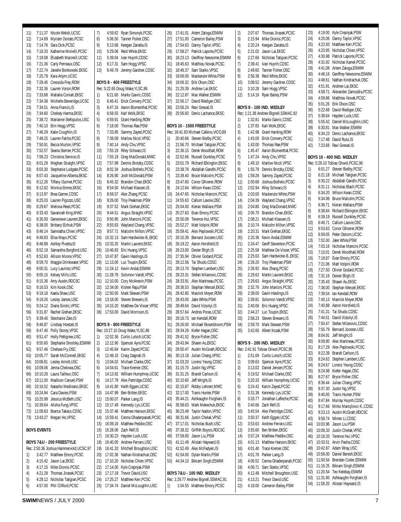11) 7:11.37 Nicole Welsh,UCSC 12) 7:14.69 Myriam Donato,PCSC 13) 7:14.76 Sara Dick,PCSC 14) 7:18.33 Katherine Morielli PCSC 15) 7:19.08 Elizabeth Macneill LICSC 16) 7:21.36 Carly Perreaux,OSC 17) 7:22.74 Janelle Bonkowski,EKSC 18) 7:25.79 Kara Artym,UCSC 19) 7:28.45 Cressida Frey,ROW 20) 7:32.36 Lauren Voisin,ROW 21) 7:33.68 Mahalia Coniah EKSC 22) 7:34.38 Michelle Beveridge,UCSC 23) 7:34.51 Anna Francis IS 24) 7:34.60 Chelsey Harma,EKSC 25) 7:38.72 Marianne Stefopulos,USC 26) 7:40.10 Erin Hogg,VPSC 27) 7:46.29 Katie Coughlin,IS 28) 7:48.25 Lauren Fairlie,PCSC 29) 7:50.91 Becca Murton, VPSC 30) 7:52.57 Seana Sterner PCSC 31) 7:58.23 Christina Service,IS 32) 8:01.29 Meghan Straight,VPSC 33) 8:03.30 Stephanie Ludgate,PCSC 34) 8:07.43 Jacqueline Alberta,EKSC 35) 8:12.26 Tiffany Ouimet,PCSC 36) 8:12.62 Monica Emme,EKSC 37) 8:13.97 Brea Garner CDSC 38) 8:25.03 Lauren Pigozzo,USC 39) 8:29.67 Melissa Reed,PCSC 40) 8:33.43 Savannah King,MWC 41) 8:35.93 Genevieve Laurent,EKSC 42) 8:38.00 Brittany Elchuk,PSW 43) 8:46.14 Samnatha Chien,VPSC 44) 8:48.83 Elise Mayo,PCSC 45) 8:48.88 Ashley Pivetta,IS 46) 8:52.19 Samantha Borgford,USC 47) 8:52.63 Allison Moore,VPSC 48) 8:59.70 Maggie Drinkwater,VPSC 49) 9:00.31 Lucy Lauristo,VPSC 50) 9:05.15 Kelsey Mills,USC 51) 9:15.36 Amy Austin,RDCSC 52) 9:16.53 Kim Kosik,OSC 53) 9:19.18 Kaela Shaw,USC 54) 9:19.26 Lesley James,USC 55) 9:24.12 Diana Sirotic,VPSC 56) 9:31.87 Rachel Grehan,EKSC 57) 9:39.40 Steohanie Zale,IS 58) 9:46.87 Lindsay Hoetzel,IS 59) 9:47.40 Polly Storey,VPSC 60) 9:51.47 Holly Pettigrew,USC 61) 9:55.60 Stephanie Smolsky,ESWIM 62) 9:57.46 Chelsea Fry,OSC 63) 10:05.77 Sarah McConnell,EKSC 64) 10:08.81 Lesley Arnott,USC 65) 10:09.06 Jenna Chelowa,OSC 66) 10:10.26 Laura Tailleur,OSC 67) 10:11.00 Madison Canuel PSW 68) 10:16.52 Natasho Medinano,EKSC 69) 10:24.94 Cara Davies,PSW 70) 10:25.99 Jessica McBeth,USC 71) 10:39.64 Alisha Fung,VPSC 72) 11:09.63 Bianca Takacs,CDSC 73) 13:43.27 Megan Ho,VPSC **BOYS EVENTS BOYS 7&U - 200 FREESTYLE** Rec: 2:50.36 Joshua Hammervold,UCSC,97 1) 3:42.77 Matthew Emory,PCSC 2) 4:15.42 Jason Lai,EKSC

7) 4:59.62 Ryan Simonyk,PCSC 8) 5:06.50 Tanner Fisher,OSC 9) 5:13.68 Keegan Zanatta, IS 10) 5:29.06 Reid White,EKSC 11) 5:39.04 Ivan Huynh,CDSC 12) 6:17.31 Sam Hogg,VPSC 13) 6:49.76 Jeremy Gardner,CDSC **BOYS 8 - 400 FREESTYLE** Rec: 5:22.65 Doug Wake,YLSC,86 1) 6:21.60 Marko Gavric,CDSC 2) 6:46.41 Frick Convery PCSC 3) 6:47.16 Aaron Blumenthal,PCSC 4) 6:58.55 Karl Wolk,EKSC 5) 6:59.91 Grant Harding,ROW 6) 7:18.00 Thomas Rae,PSW 7) 7:33.85 Sammy Zayed,PCSC 8) 7:39.09 Marlow Nicol,VPSC 9) 7:40.14 Andy Chu,VPSC 10) 7:55.19 Riley Schwarz,IS 11) 7:55.19 Greg MacDonald,MWC 12) 7:57.99 Dennis Brotzky,CDSC 13) 8:02.34 Joshua Bothelo,PCSC 14) 8:26.90 Josh McDonald,PSW 15) 8:45.32 Brandon Chan,EKSC 16) 8:54.50 Michael Klassen IS 17) 8:58.57 Alex Zhang,PCSC 18) 9:26.00 Troy Peakman,PSW 19) 9:37.52 Mark Grehan,EKSC 20) 9:44.51 Angus Straight,VPSC 21) 9:50.95 John Mancini,PCSC 22) 9:55.63 Wayland Chang,VPSC 23) 9:57.71 Malcolm Milton,VPSC 24) 10:32.13 Sam Hardwicke-B. EKSC 25) 10:33.20 Martin Laurent,EKSC 26) 10:46.83 Eric Huang,VPSC 27) 10:47.87 Gavin Hastings,IS 28) 11:13.00 Luc Toupin,EKSC 29) 11:24.12 Kevin Andal,ESWIM 30) 11:28.76 Solomon Vandt,VPSC 31) 12:10.00 Cory McAnevin,PSW 32) 12:34.00 Kishen Raja,PSW 33) 12:50.00 Mark Stewart,PSW 34) 13:18.00 Steven Brewers,IS 35) 14:15.20 Matthew De Visser,VPSC 36) 17:53.00 David Morrison,IS **BOYS 9 - 800 FREESTYLE** Rec: 10:27.10 Doug Wake,YLSC,86 1) 12:02.36 Curtis Lutsch,UCSC 2) 12:12.90 Spencer Ayre,PCSC 3) 12:45.64 Karim Zayed,PCSC 4) 12:49.15 Craig Dagnall,IS 5) 13:04.02 Michael Clarke,OSC 6) 14:04.61 Trace Kremer,OSC 7) 14:13.92 William Humphrey,UCSC 8) 14:17.79 Alex Partridge,CDSC 9) 14:41.80 Keith Eggen,UCSC 10) 14:47.99 Ben Britten,EKSC 11) 15:00.07 Parker Lang,IS 12) 15:17.49 Kennedy Lys,UCSC 13) 15:37.46 Matthew Hanson,EKSC 14) 15:59.41 Cenna Ghaderpanah,PCSC 15) 16:09.16 Matthew Peddie,OSC 16) 16:28.06 Zach Relf,IS 17) 16:30.23 Hayden Luck,USC 18) 16:40.00 Andrew Ferraro,USC 19) 16:41.33 Mitchell Broughton,USC 20) 17:02.36 Nathan Kindrachuk,OSC 21) 17:10.20 Nicholas Chien,VPSC 22) 17:14.00 Kyle Crepnjak,PSW 23) 17:17.19 Trevor David,USC 24) 17:25.27 Matthew Kerr,PCSC

25) 17:34.74 Daniel McLoughlin,USC

26) 17:41.01 Artem Zaloga,ESWIM 27) 17:51.00 Cameron Bailey,PSW 28) 17:54.63 Danny Taylor,VPSC 29) 17:58.27 Patrick Laporte,PCSC 30) 18:23.13 Geoffrey Newsome,ESWIM 31) 18:45.63 Matthieu Novak,PCSC 32) 18:46.37 Sam Starko,VPSC 33) 19:06.00 Mackenzie White PSW 34) 19:06.32 Erik Olson,OSC 35) 21:25.39 Andrew Lai,EKSC 36) 22:12.87 Max Walker FSWIM 37) 22:56.17 David Riediger,OSC 38) 23:56.24 Ravi Grewal,IS 39) 25:56.60 Denis Lachance,EKSC **BOYS 10 - 1500 FREESTYLE** Rec: 18:41.93 Michael Calkins,VICO,89 1) 20:40.66 Steven Bielby,PCSC 2) 21:56.70 Michael Tatigian,PCSC 3) 22:36.15 Derek Woodhall,ROW 4) 22:52.66 Russell Dunkley,PCSC 5) 23:01.79 Richard Elkington,EKSC 6) 23:38.78 Abdallah Gandhi,PCSC 7) 23:39.40 Bruce Malcolm,PCSC 8) 23:47.60 Conor Gfroerer.ROW 9) 24:12.64 Wilson Kwan CDSC 10) 24:47.65 Nicholas Mancini,PCSC 11) 24:55.63 Callum Lavoie,OSC 12) 25:04.00 Kieran Wallace,PSW 13) 25:27.63 Evan Emory,PCSC 14) 25:50.08 Terence Hui,VPSC 15) 25:52.27 Matt Volpini,ROW 16) 25:59.41 Alex Peplowski,PCSC 17) 26:10.39 Bernard Joosten,USC 18) 26:19.22 Aaron Horsfield,IS 19) 26:23.00 Dexter Bligh,IS 20) 27:35.94 Olivier Godard,PCSC 21) 28:12.56 Tai Shudo,CDSC 22) 28:13.70 Stephen Lambert,USC 23) 28:23.31 Stefan Milanovic,CDSC 24) 28:33.91 Alex Martineau,PCSC 25) 28:36.53 Stephan Wenzel,EKSC 26) 28:42.80 Mavrick Meyer,ROW 27) 28:43.00 Jake White,PSW 28) 28:49.64 David Vizsolyi,IS 29) 28:57.64 Andres Poras,UCSC 30) 29:16.73 Ian Kendall,ROW 31) 29:26.00 Michael Rosenbloom,PSW 32) 29:34.26 Kiefer Hagan,OSC 33) 29:41.52 Bryce Fisher,OSC 34) 29:43.94 Shawn Au,EKSC 35) 29:50.47 Austin McGrath,RDCSC 36) 30:13.18 Julian Chang,VPSC 37) 31:03.20 Lorenz Yeung,CDSC 38) 31:15.70 Justin Ng,VPSC 39) 31:31.25 Brandt Carlson,IS 40) 32:10.60 Jeff Wright,IS 41) 32:15.87 Robby Lehnert,MWC 42) 32:17.00 Travis Hunter,PSW 43) 35:44.21 Ashkaughn Forghani,IS 44) 35:58.63 Mark Mekechuk,EKSC 45) 36:23.49 Taylor Nadon,VPSC 46) 36:31.66 Justin Chelak,VPSC 47) 37:17.01 Nicholas Bush USC 48) 37:38.32 Griffith Boysis,RDCSC 49) 37:59.00 Jason Liu,PSW 50) 41:11.49 Alistair Hayward,IS 51) 41:52.49 Alex McFadyen,IS 52) 41:54.00 Dylan Martin,PSW 53) 44:34.10 Bikram Singh,ESWIM **BOYS 7&U - 100 IND. MEDLEY** Rec: 1:29.77 Andrew Bignell,SSMAC,91 1) 1:54.55 Matthew Emory,PCSC

2) 2:07.67 Thomas Jirasek,PCSC 3) 2:15.94 Mike Dionisi,PCSC 4) 2:20.24 Keegan Zanatta,IS 5) 2:21.02 Jason Lai,EKSC 6) 2:27.66 Nicholas Tatigian,PCSC 7) 2:39.41 Ivan Huynh,CDSC 8) 2:49.60 Tanner Fisher,OSC 9) 2:56.38 Reid White,EKSC 10) 3:08.52 Jeremy Gardner,CDSC 11) 3:10.28 Sam Hogg,VPSC 12) 5:14.16 Ryan Bailey,PSW **BOYS 8 - 100 IND. MEDLEY** Rec: 1:21.38 Andrew Bignell,SSMAC,92 1) 1:32.81 Marko Gavric,CDSC 2) 1:37.65 Karl Wolk,EKSC 3) 1:42.98 Grant Harding,ROW 4) 1:43.00 Erick Convery,PCSC 5) 1:43.00 Thomas Rae,PSW 6) 1:45.47 Aaron Blumenthal,PCSC 7) 1:47.24 Andy Chu,VPSC 8) 1:49.10 Marlow Nicol,VPSC 9) 1:55.79 Dennis Brotzky,CDSC 10) 1:59.26 Sammy Zayed,PCSC 11) 2:00.68 Joshua Bothelo,PCSC 12) 2:02.94 Riley Schwarz,IS 13) 2:03.00 Mackenzie White,PSW 14) 2:04.39 Wayland Chang,VPSC 15) 2:04.80 Greg MacDonald,MWC 16) 2:05.70 Brandon Chan,EKSC 17) 2:08.21 Michael Klassen,IS 18) 2:10.74 Malcolm Milton,VPSC 19) 2:20.31 Mark Grehan,EKSC 20) 2:20.36 Kevin Andal ESWIM 21) 2:24.47 Geoff Steventon,PCSC 22) 2:25.58 Matthew De Visser VPSC 23) 2:25.63 Sam Hardwicke-B.,EKSC 24) 2:26.20 Troy Peakman,PSW 25) 2:26.92 Alex Zhang,PCSC 26) 2:29.62 Martin Laurent,EKSC 27) 2:29.63 Angus Straight,VPSC 28) 2:32.76 John Mancini,PCSC 29) 2:39.00 Gavin Hastings,IS 30) 2:39.81 Solomon Vandt,VPSC 31) 2:40.06 Eric Huang,VPSC 32) 2:44.27 Luc Toupin,EKSC 33) 2:58.23 Steven Brewers,IS 34) 2:59.70 Mark Stewart,PSW 35) 3:42.60 Albert Kozak,PSW **BOYS 9 - 200 IND. MEDLEY** Rec: 2:41.91 Tobias Oriwol,PCSC,95 1) 2:51.69 Curtis Lutsch,UCSC 2) 3:09.63 Spencer Ayre,PCSC 3) 3:13.02 Daniel Jensen,PCSC 4) 3:19.52 Michael Clarke,OSC 5) 3:20.33 William Humphrey,UCSC 6) 3:24.42 Karim Zayed,PCSC 7) 3:31.38 Kennedy Lys,UCSC 8) 3:33.77 Jonathan Lafleche,PCSC 9) 3:40.66 Zach Relf,IS 10) 3:45.54 Alex Partridge,CDSC 11) 3:50.37 Keith Eggen,UCSC 12) 3:53.63 Andrew Ferraro,USC 13) 3:55.60 Ben Britten,EKSC 14) 3:57.24 Matthew Peddie OSC 15) 4:01.13 Matthew Hanson,EKSC 16) 4:01.40 Trace Kremer,OSC 17) 4:01.76 Parker Lang,IS 18) 4:06.52 Cenna Ghaderpanah,PCSC 19) 4:06.71 Sam Starko,VPSC 20) 4:12.48 Mitchell Broughton,USC 21) 4:13.21 Trevor David,USC 22) 4:18.00 Cameron Bailey,PSW 54) 11:58.20 Alistair Hayward,IS

23) 4:19.00 Kyle Crepnjak,PSW 24) 4:20.06 Danny Taylor,VPSC 25) 4:22.93 Matthew Kerr PCSC 26) 4:23.95 Nicholas Chien,VPSC 27) 4:30.98 Patrick Laporte,PCSC 28) 4:31.92 Nicholas Kamel, PCSC<br>29) 4:41.08 Artem Zaloga ESWIM 4:41.08 Artem Zaloga, ESWIM 30) 4:48.16 Geoffrey Newsome,ESWIM 31) 4:48.61 Nathan Kindrachuk,OSC 32) 4:51.91 Andrew Lai,EKSC 33) 4:58.71 Alexander Zamozdra,PCSC 34) 4:59.86 Matthieu Novak,PCSC 35) 5:01.26 Erik Olson,OSC 36) 5:22.68 David Riediger,OSC 37) 5:38.64 Hayden Luck,USC 38) 5:55.42 Daniel McLoughlin,USC 39) 6:30.81 Max Walker,ESWIM 40) 6:34.23 Denis Lachance,EKSC 41) 7:17.48 David Russ IS 42) 7:23.68 Ravi Grewal,IS **BOYS 10 - 400 IND. MEDLEY** Rec: 5:29.10 Tobias Oriwol,PCSC,96 1) 6:01.27 Steven Bielby,PCSC 2) 6:21.18 Michael Tatigian,PCSC 3) 6:30.22 Abdallah Gandhi,PCSC 4) 6:31.11 Nicholas Blach PCSC 5) 6:34.20 Wilson Kwan,CDSC 6) 6:34.98 Bruce Malcolm,PCSC 7) 6:36.71 Kieran Wallace,PSW 8) 6:38.84 Richard Elkington,EKSC 9) 6:39.19 Russell Dunkley PCSC 10) 6:46.71 Callum Lavoie,OSC 11) 6:53.63 Conor Gfroerer,ROW 12) 6:59.05 Peter Ostrom,UCSC 13) 7:02.00 Jake White,PSW 14) 7:03.16 Nicholas Mancini PCSC 15) 7:10.01 Derek Woodhall,ROW 16) 7:18.87 Evan Emory,PCSC 17) 7:21.06 Matt Volpini,ROW 18) 7:27.50 Olivier Godard,PCSC 19) 7:31.16 Dexter Bligh,IS 20) 7:35.43 Shawn Au,EKSC 21) 7:38.00 Stephan Wenzel, FKSC 22) 7:39.54 Ian Kendall,ROW 23) 7:40.13 Mavrick Meyer,ROW 24) 7:40.88 Aaron Horsfield IS 25) 7:41.31 Tai Shudo,CDSC 26) 7:44.51 David Vizsolvi IS 27) 7:50.47 Stefan Milanovic,CDSC 28) 7:55.79 Bernard Joosten,USC 29) 8:04.91 Jeff Wright,IS 30) 8:09.90 Alex Martineau,PCSC 31) 8:17.29 Alex Peplowski,PCSC 32) 8:22.39 Brandt Carlson,IS 33) 8:24.62 Stephen Lambert,USC 34) 8:24.67 Lorenz Yeung,CDSC 35) 8:24.98 Kiefer Hagan,OSC 36) 8:27.67 Bryce Fisher,OSC 37) 8:36.44 Julian Chang,VPSC 38) 8:37.30 Justin Ng,VPSC 39) 8:40.00 Travis Hunter, PSW<br>40) 8:47.84 Murray Huynh CDS 8:47.84 Murray Huynh,CDSC 41) 9:17.66 Mirko Manojlovic-K.,CDSC 42) 9:23.13 Austin McGrath,RDCSC 43) 9:58.74 Winter Li,CDSC 44) 10:03.96 Jason Liu,PSW 45) 10:08.33 Justin Chelak,VPSC 46) 10:18.33 Terence Hui,VPSC 47) 10:33.51 Arvin Pasha,CDSC 48) 10:42.87 Adam Wray,USC 49) 10:58.00 Daniel Beresh,EKSC 50) 11:00.54 Brendan Cotter,ESWIM 51) 11:16.25 Bikram Singh,ESWIM 52) 11:20.54 Teo Kelebay,ESWIM 53) 11:31.60 Ashkaughn Forghani,IS

3) 4:17.15 Mike Dionisi,PCSC 4) 4:21.28 Thomas Jirasek,PCSC 5) 4:29.12 Nicholas Tatigian,PCSC 6) 4:57.00 Phil Clifford,PCSC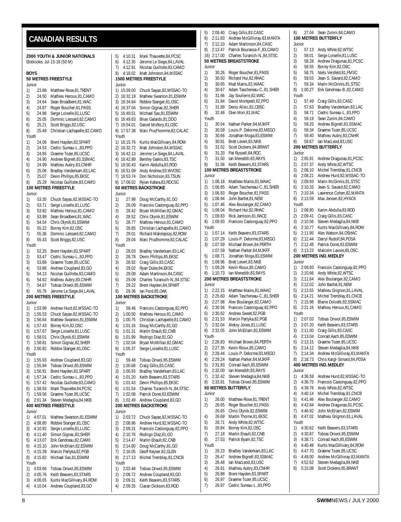#### <span id="page-7-0"></span>**2000 YOUTH & JUNIOR NATIONALS** Etobicoke, Jul 13-16 (50 M) **BOYS 50 METRES FREESTYLE** Junior 1) 23.88 Matthew Rose,81,TRENT 2) 24.50 Mathieu Heroux,81,CAMO 3) 24.64 Sean Broadbent,81,WAC 4) 24.87 Roger Boucher,81,PASS 5) 24.98 Serge Loiselle,81,LUSC 6) 25.05 Dominic Lessard,82,CAMO 6) 25.21 Scott Briggs, 82, USC<br>8) 25.49 Christian Lachapelle, 8) 25.49 Christian Lachapelle,82,CAMO Youth 1) 24.08 Brent Hayden,83,SPART 2) 24.53 Cedric Sureau-L.,83, PPO<br>3) 24.65 Graeme Tozer, 85, UCSC 3) 24.65 Graeme Tozer,85,UCSC 4) 24.90 Andrew Bignell,83,SSMAC 5) 24.99 Mathieu Aubry, 83, CNHR<br>6) 25.06 Bradley Vanderkam, 83, LA Bradley Vanderkam,83,LAC 7) 25.07 Devin Phillips,85,EKSC 8) 25.29 Nicolas Guillotte, 83, CAMO **100 METRES FREESTYLE** Junior 1) 53.35 Chuck Sayao,82,MSSAC-TO 2) 53.71 Serge Loiselle, 81, LUSC<br>3) 53.92 Mathieu Heroux, 81, CAM 3) 53.92 Mathieu Heroux,81,CAMO 4) 53.99 Sean Broadbent,81,WAC 5) 54.54 Chris Olynik,81,ESWIM 6) 55.22 Borrey Kim,82,OSC 7) 55.36 Dominic Lessard,82,CAMO 8) 55.43 Scott Briggs,82,USC Youth 1) 52.25 Brent Hayden,83,SPART 2) 53.47 Cedric Sureau-L.,83,PPO 3) 53.69 Graeme Tozer, 85, UCSC<br>4) 53.88 Andrew Coupland, 83, GC Andrew Coupland,83,GO 5) 54.13 Nicolas Guillotte,83,CAMO 6) 54.62 Mathieu Aubry, 83, CNHR<br>7) 54.67 Tobias Oriwol, 85, ESWIM 54.67 Tobias Oriwol, 85, ESWIM 8) 55.76 Jerome Le Siege,84,LAVAL **200 METRES FREESTYLE** Junior 1) 1:53.99 Andrew Hurd,82,MSSAC-TO 2) 1:55.53 Chuck Sayao,82,MSSAC-TO 3) 1:56.64 Mathew Swanton,81,ESWIM<br>4) 1:57.43 Borrey Kim,82,OSC 4) 1:57.43 Borrey Kim,82,OSC 5) 1:57.67 Serge Loiselle,81,LUSC 6) 1:58.01 Chris Olynik,81,ESWIM 7) 1:58.81 Simon Gignac,82,SHER 8) 2:00.82 Robbie Stanger,81,OSC Youth 1) 1:55.93 Andrew Coupland,83,GO 2) 1:55.94 Tobias Oriwol,85,ESWIM 3) 1:56.91 Brent Hayden,83,SPART 4) 1:57.34 Cedric Sureau-L.,83,PPO 5) 1:57.42 Nicolas Guillotte,83,CAMO 6) 1:58.93 Mark Thauvette,84,PCSC 7) 1:59.56 Graeme Tozer,85,UCSC 8) 2:01.34 Steven Medaglia,84,NKB **400 METRES FREESTYLE** Junior 1) 4:07.01 Mathew Swanton,81,ESWIM 2) 4:08.80 Robbie Stanger, 81, OSC<br>3) 4:10.92 Serge Loiselle 81 LUSC 3) 4:10.92 Serge Loiselle,81,LUSC 4) 4:11.40 Simon Gignac,82,SHER 5) 4:13.07 Erik Gendreau,82,CAM0 6) 4:15.10 John McErlain,82,ESWIM 7) 4:15.39 Marcin Partyka,82,PGB 8) 4:15.82 Michael Sax,81,ESWIM Youth 1) 4:03.66 Tobias Oriwol,85,ESWIM Junior Youth Junior Youth Junior Youth Junior Youth **CANADIAN RESULTS**

5) 4:10.31 Mark Thauvette,84,PCSC 6) 4:12.35 Jerome Le Siege,84,LAVAL 7) 4:12.91 Nicolas Guillotte,83,CAMO 8) 4:18.02 Matt Johnston,84,MSSAC **1500 METRES FREESTYLE** 1) 15:59.00 Chuck Sayao,82,MSSAC-TO 2) 16:32.19 Mathew Swanton,81,ESWIM 3) 16:34.84 Robbie Stanger,81,OSC 4) 16:37.04 Simon Gignac,82,SHER 5) 16:49.51 Michael Sax,81,ESWIM 6) 16:49.63 Brian Galardo,81,DDO 7) 16:54.01 Daniel McRory,81,OSC 8) 17:57.38 Marc Prud'homme,82,CALAC 1) 16:15.76 Kurtis MacGillivary,84,ROW 2) 16:32.72 Matt Johnston,84,MSSAC 3) 16:42.13 Jerome Le Siege,84,LAVAL 4) 16:42.89 Bentley Gaikis,83,TSC 5) 16:50.43 Karim Abdulla,83,ROD 6) 16:51.09 Andy Andrew,83,WVOSC 7) 16:53.74 Don Nicholson,83,TSUN 8) 17:06.02 Rylan Kafara,83,RDCSC **50 METRES BACKSTROKE** 1) 27.98 Doug McCarthy,81,GO 2) 28.09 Francois Castonguay, 82, PPO<br>3) 28.42 Bryan McMillan, 82, GMAC 3) 28.42 Bryan McMillan,82,GMAC 4) 28.52 Chris Olynik,81,ESWIM 5) 28.77 Mathieu Heroux,81,CAMO 6) 28.85 Christian Lachapelle, 81, CAMO<br>7) 29.01 Richard Malolenszy, 82, ROW 7) 29.01 Richard Malolepszy,82,ROW 8) 29.04 Marc Prudhomme,82,CALAC 1) 28.03 Bradley Vanderkam,83,LAC 2) 28.78 Devin Phillips,85,EKSC 3) 28.92 Craig Gillis, 83, CASC<br>4) 29.02 Ryan Dube, 84, EKSC Ryan Dube,84,EKSC 5) 29.08 Adam Martinson, 84 CASC 6) 29.09 Charles Turanuch-N., 84, STSC<br>7) 29.22 Brent Hayden, 84, SPART 29.22 Brent Hayden, 84, SPART 8) 29.36 Ian Ford,85,OAK **100 METRES BACKSTROKE** 1) 59.46 Francois Castonguay,82,PPO 2) 1:00.50 Mathieu Heroux, 81, CAMO<br>3) 1:00.75 Christian Lachapelle.81.CA 3) 1:00.75 Christian Lachapelle,81,CAMO<br>4) 1:01.16 Doug McCarthy,81,GO 4) 1:01.16 Doug McCarthy,81,GO 5) 1:01.31 Martin Enault,82,CNB 6) 1:01.99 Rodrigo Diaz,81,GO 7) 1:02.04 Bryan McMillan,82,GMAC 8) 1:05.37 Serge Loiselle,81,LUSC 1) 59.48 Tobias Oriwol,85,ESWIM 2) 1:00.68 Craig Gillis, 83, CASC<br>3) 1:00.93 Bradley Vanderkam. 83 3) 1:00.93 Bradley Vanderkam,83,LAC 4) 1:01.20 Keith Beavers,83,STARS 5) 1:01.43 Devin Phillips,85,EKSC 6) 1:01.54 Charles Turanich-N.,84,STSC 7) 1:02.08 Patrick Doret,83,ESWIM 8) 1:02.49 Andrew Coupland,83,GO **200 METRES BACKSTROKE** 1) 2:03.72 Chuck Sayao,82,MSSAC-TO<br>2) 2:08.96 Andrew Hurd.82.MSSAC-TO 2) 2:08.96 Andrew Hurd,82,MSSAC-TO<br>3) 2:09.31 Francois Castonguay 82 PPC 3) 2:09.31 Francois Castonguay,82,PPO 4) 2:10.76 Rodrigo Diaz,81,GO 2:14.47 Martin Enault,82,CNB 6) 2:14.80 Doug McCarthy,81,GO 7) 2:16.05 Geoff Keyser, 82, GLEN<br>8) 2:17.13 Michel Tremblav. 81. Cl 8) 2:17.13 Michel Tremblay,81,CNCB 1) 2:03.48 Tobias Oriwol,85,ESWIM 2) 2:08.72 Andrew Coupland,83,GO 3) 2:09.31 Keith Beavers,83,STARS

4) 2:09.35 Ciaran Dickson,83,ROD

5) 2:09.40 Craig Gillis,83,CASC 6) 2:11.83 Andrew McGillivray,83,MANTA 7) 2:12.10 Adam Martinson,84,CASC 8) 2:13.47 Patrick Bourassa-F.,83,CAMO 16) 2:17.00 Charles Turanich-N.,84,STSC **50 METRES BREASTSTROKE** Junior 1) 30.26 Roger Boucher,81,PASS 2) 30.50 Richard Hui, 82, RHAC<br>3) 30.65 Matt Mains. 82. WAAC Matt Mains,82,WAAC 4) 30.67 Adam Taschereau-C.,81,SHER 5) 31.66 Jay Soulierre, 82, WAC<br>6) 31.84 David Montpetit, 82, PP David Montpetit,82,PPO 7) 31.89 Denis Alisic,82,CBSC 8) 32.46 Glen Mori,81,MAC Youth 1) 30.54 Nathan Parker,84,MJKFF 2) 30.59 Louis-P. Delorme, 83, MEGO<br>3) 30.66 Jonathan Moga 83 ESWIM 3) 30.66 Jonathan Moga,83,ESWIM 4) 30.81 Brett Levert,83,NKB 5) 31.02 Scott Dickens, 84, BRANT<br>6) 31.33 Pat Russell, 84, ROC 6) 31.33 Pat Russell,84,ROC 31.50 Ian Meredith,83,RAYS 8) 31.56 Keith Beavers,83,STARS **100 METRES BREASTSTROKE** Junior 1) 1:06.18 Matthew Mains,81,WAAC 2) 1:06.85 Adam Taschereau-C. 81, SHER 3) 1:06.93 Roger Boucher, 81, PASS<br>4) 1:06.94 John Bartlet 81 NFW 4) 1:06.94 John Bartlet,81,NEW 5) 1:07.46 Alex Boulanger,82,CAMO 6) 1:08.04 Richard Hui,82,RHAC 7) 1:09.83 Rick Jamison,81,RACE 8) 1:09.93 Francois Castonguay,82,PPO Youth 1) 1:07.14 Keith Beavers, 83, STARS<br>2) 1:07.29 I ouis-P. Delorme. 83. MF 2) 1:07.29 Louis-P. Delorme,83,MEGO 3) 1:07.59 Michael Brown,84,PERTH 1:07.59 Nathan Parker,84,MJKFF 5) 1:08.71 Jonathan Moga,83,ESWIM 6) 1:08.96 Brett Levert,83,NKB 7) 1:09.26 Kevin Rioux,85,CAMO 8) 1:10.73 Ian Meredith,83,RAYS **200 METRES BREASTSTROKE** Junior 1) 2:22.15 Matthew Mains,81,WAAC 2) 2:25.60 Adam Taschereau-C.,81,SHER 3) 2:27.98 Alex Boulanger, 82, CAMO<br>4) 2:30.56 Francois Castonguay. 82.P 4) 2:30.56 Francois Castonguay, 82, PPO<br>5) 2:30.62 Andrew Sweet, 82, PGB 5) 2:30.62 Andrew Sweet,82,PGB 6) 2:31.53 Marcin Partyka,82,PGB 7) 2:32.04 Aleksy Jones, 81, LUSC 8) 2:32.05 John McErlain,82,ESWIM Youth 1) 2:26.83 Michael Brown,84,PERTH 2) 2:27.35 Kevin Rioux,85,CAMO 3) 2:28.44 Louis-P. Delorme,83,MEGO 4) 2:29.24 Nathan Parker,84,MJKFF 5) 2:31.83 Conrad Aach,85,ESWIM 6) 2:32.00 Ian Meredith,83,RAYS 2:32.42 Steven Medaglia,84,NKB 8) 2:33.91 Tobias Oriwol,85,ESWIM **50 METRES BUTTERFLY** Junior 1) 26.00 Matthew Rose,81,TRENT 2) 26.65 Roger Boucher,81,PASS 26.65 Chris Olynik,82,ESWIM 4) 26.69 Martin Thorne 81 FKSC 5) 26.71 Andy White,82,WTSC 6) 26.84 Borrey Kim,82,OSC 7) 27.18 Martin Enault,82,CNB 8) 27.53 Patrick Byam,82,TSC Youth<br>1) 1) 26.23 Bradley Vanderkam,83,LAC 2) 26.47 Andrew Bignell,83,SSMAC<br>3) 26.48 Ian MacLeod,83,USC 3) 26.48 Ian MacLeod,83,USC 4) 26.81 Mathieu Aubry,83,CNHR 5) 26.88 Brent Hayden,83,SPART 6) 26.97 Graeme Tozer,85,UCSC

7) 26.97 Cedric Sureau-L.,83,PPO

8) 27.04 Sean Zunini, 84 CAMO **100 METRES BUTTERFLY** Junior 57.13 Andy White,82,WTSC<br>58.01 Serge Loiselle 81 LUS 2) 58.01 Serge Loiselle,81,LUSC 3) 58.28 Andrew Dragunas,81,PCSC<br>4) 58.55 Borrey Kim.82.0SC 4) 58.55 Borrey Kim,82,OSC 5) 58.75 Niels Versfeld,81,FMSC 6) 59.03 Jean-S. Savard,82,CAMO Marin McGinnis,81,STSC 8) 1:00.27 Erik Gendreau-B.,82,CAMO Youth<br>1) 57.49 Craig Gillis,83,CASC 2) 57.63 Bradley Vanderkam,83,LAC 3) 58.71 Cedric Sureau-L.,83,PPO 4) 59.19 Sean Zunini,84,CAMO 5) 59.25 Andrew Bignell,83,SSMAC 6) 59.34 Graeme Tozer,85,UCSC 7) 59.40 Mathieu Aubry,83,CNHR 8) 59.67 Ian MacLeod,83,USC **200 METRES BUTTERFLY** Junior 1) 2:05.91 Andrew Dragunas, 81, PCSC<br>2) 2:07.37 Andy White 82 WTSC 2) 2:07.37 Andy White,82,WTSC<br>3) 2:08.10 Michel Tremblay 81.0 3) 2:08.10 Michel Tremblay,81,CNCB 4) 2:08.21 Andrew Hurd, 82, MSSAC-TO<br>5) 2:09.93 Marin McGinnis 81 STSC 5) 2:09.93 Marin McGinnis,81,STSC 6) 2:10.33 Jean-S. Savard,82,CAMO 7) 2:10.34 Lawrence Cohen,82,MANTA 2:13.59 Max Jensen,82,HYACK Youth 1) 2:08.80 Karim Abdulla,83,ROD 2) 2:09.41 Craig Gillis, 83, CASC<br>3) 2:10.56 Steven Medaglia.84.N 3) 2:10.56 Steven Medaglia,84,NKB 4) 2:10.77 Kurtis MacGillivary,84,ROW  $\begin{bmatrix} 5 \end{bmatrix}$  2:11.95 Alex Watson,84,0SHAC<br>6) 2:12.44 Darryl Rudolf 84 PDSA 6) 2:12.44 Darryl Rudolf,84,PDSA 7) 2:12.48 Patrick Doret,83,ESWIM 8) 2:13.23 Malcolm Lavoie, 85, OSC **200 METRES IND.MEDLEY** Junior 1) 2:09.93 Francois Castonguay,82,PPO 2) 2:10.66 Andy White,82,WTSC 3) 2:11.64 Alex Boulanger,82,CAMO 4) 2:12.02 John Bartlet 81 NEW 5) 2:13.55 Mathieu Grignon,81,LAVAL 6) 2:14.21 Michel Tremblay,81,CNCB 7) 2:15.98 Blaine Dolcetti,82,SSMAC 8) 2:21.16 Mathieu Heroux,81,CAMO Youth 1) 2:07.03 Tobias Oriwol,85,ESWIM 2) 2:07.20 Keith Beavers,83,STARS 3) 2:11.00 Craig Gillis,83,CASC 4) 2:13.04 Conrad Aach,85,ESWIM 5) 2:13.15 Graeme Tozer,85,UCSC 6) 2:14.12 Steven Medaglia,84,NKB 7) 2:14.34 Andrew McGillivray,83,MANTA 8) 2:18.73 Chris Kargl-Simard,84,PDSA **400 METRES IND.MEDLEY** Junior 1) 4:36.59 Andrew Hurd,82,MSSAC-TO 2) 4:36.75 Francois Castonguay,82,PPO 3) 4:39.76 Andy White,82,WTSC 4) 4:40.14 Michel Tremblay,81,CNCB 5) 4:41.46 Alex Boulanger,82,CAMO 6) 4:42.84 Andrew Dragunas,81,PCSC 7) 4:46.92 John McErlain,82,ESWIM 8) 4:47.02 Mathieu Grignon,81,LAVAL Youth 1) 4:30.62 Keith Beavers,83,STARS 2) 4:30.87 Tobias Oriwol,85,ESWIM 3) 4:38.71 Conrad Aach,85,ESWIM 4) 4:40.48 Kurtis MacGillivary,84,ROW 5) 4:47.70 Graeme Tozer, 85, UCSC<br>6) 4:49.00 Andrew McGillivray 83. 6) 4:49.00 Andrew McGillivray,83,MANTA 7) 4:52.62 Steven Medaglia,84,NKB 8) 5:15.08 Scott Dickens,85,BRANT

2) 4:05.76 Keith Beavers,83,STARS 3) 4:06.65 Kurtis MacGillivary,84,ROW 4) 4:10.04 Andrew Coupland,83,GO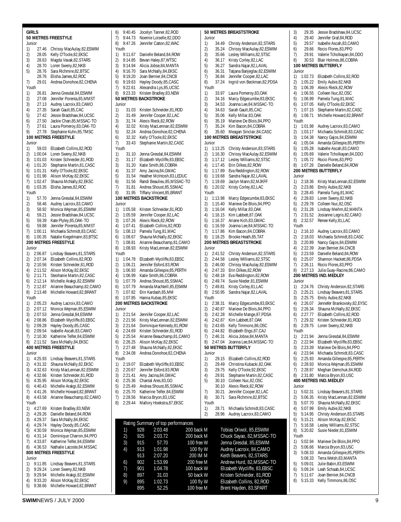**GIRLS 50 METRES FREESTYLE** Junior 27.46 Chrissy MacAulay,82,ESWIM 2) 28.05 Kelly O'Toole,82,EKSC 3) 28.63 Magda Vavak,82,STARS 4) 28.70 Loren Sweny,82,NKB 5) 28.76 Sara Richmire,82,BTSC 28.76 Elisha James,82,ROC 7) 29.01 Andrea Donohoe,82,CHENA Youth 1) 26.81 Jenna Gresdal, 84, ESWIM<br>2) 27.08 Jennifer Porenta, 85, MMS 2) 27.08 Jennifer Porenta,85,MMST<br>3) 27.13 Audrey Lacroix,83,CAMO 3) 27.13 Audrey Lacroix, 83, CAMO<br>4) 27.35 Sarah Gault. 85. CAC 4) 27.35 Sarah Gault,85,CAC 5) 27.42 Jessie Bradshaw,84,UCSC 6) 27.50 Jackie Chan,85,MSSAC-TO 7) 27.61 Laura Pomeroy, 83, OAK-TO<br>9) 27.78 Stephanie Kuhn. 85. TMSC 9) 27.78 Stephanie Kuhn,85,TMSC **100 METRES FREESTYLE** Junior 1) 59.03 Elizabeth Collins,82,ROD 2) 1:00.04 Loren Sweny,82,NKB 3) 1:01.03 Kristen Schneider,81,ROD 4) 1:01.20 Stephanie Martin,81,CASC Kelly O'Toole,82,EKSC 6) 1:01.96 Alison McKay,82,EKSC 7) 1:02.47 Shauna McNally,82,EKSC 8) 1:03.35 Elisha James,82,ROC Youth<br>1) 1) 57.70 Jenna Gresdal, 84, ESWIM<br>2) 58.46 Audrey Lacroix, 83, CAMO 2) 58.46 Audrey Lacroix,83,CAMO<br>3) 58.92 Monica Wejman,85,ESWII 3) 58.92 Monica Wejman, 85, ESWIM<br>4) 59.21 Jessie Bradshaw, 84, UCSC 4) 59.21 Jessie Bradshaw,84,UCSC 5) 59.39 Kate Plyley,85,OAK-TO 6) 59.88 Jennifer Porenta,85,MMST 7) 1:00.11 Michaela Schmidt,83,CASC 8) 1:00.35 Natalie Kiegelmann,83,BTSC **200 METRES FREESTYLE** Junior 1) 2:06.87 Lindsay Beavers,81,STARS 2) 2:07.34 Elizabeth Collins,82,ROD<br>3) 2:10.56 Kristen Schneider,81,ROD 3) 2:10.56 Kristen Schneider,81,ROD 4) 2:11.52 Alison McKay, 82, EKSC<br>5) 2:11.71 Stephanie Martin 82 CA Steohanie Martin,82,CASC 6) 2:12.14 Michelle Arakgi,82,ESWIM 7) 2:12.87 Arianne Beauchamp,82,CAMO 8) 2:13.48 Michelle Howard,82,BRANT Youth 1) 2:05.23 Audrey Lacroix,83,CAMO 2) 2:07.12 Monica Wejman,85,ESWIM 3) 2:07.53 Jenna Gresdal,84,ESWIM 4) 2:08.86 Elizabeth Wycliffe,83,EBSC<br>5) 2:09.28 Havley Doody.85.CASC 5) 2:09.28 Hayley Doody,85,CASC 6) 2:09.54 Isabelle Ascah,83,CAMO 7) 2:10.30 Katherine Telfer,84,ESWIM 8) 2:11.52 Sara McNally,84,EKSC **400 METRES FREESTYLE** Junior<br>1) 4: 1) 4:25.93 Lindsay Beavers, 81, STARS<br>2) 4:31.32 Shauna McNally 82. FKSC 2) 4:31.32 Shauna McNally,82,EKSC 3) 4:32.63 Kristy MacLennan, 82, ESWIM<br>4) 4:32.66 Kristen Schneider. 81. ROD 4) 4:32.66 Kristen Schneider,81,ROD 5) 4:35.95 Alison McKay,82,EKSC 6) 4:40.43 Michelle Arakgi,82,ESWIM 7) 4:41.26 Michelle Howard,82,BRANT 8) 4:43.58 Arianne Beauchamp,82,CAMO Youth 1) 4:27.69 Kristen Bradley,83,NEW 2) 4:29.26 Danielle Beland,84,ROW 3) 4:29.37 Sara McNally,84,EKSC 4) 4:29.74 Hayley Doody,85,CASC 5) 4:30.59 Monica Wejman,85,ESWIM 6) 4:31.14 Dominique Charron,84,PPO 7) 4:33.87 Katherine Telfer,84,ESWIM<br>8) 4:36.53 Nathalie Lacoste.84.MSSA 8) 4:36.53 Nathalie Lacoste,84,MSSAC **800 METRES FREESTYLE** Junior 1) 9:11.85 Lindsay Beavers,81,STARS 2) 9:29.24 Loren Sweny,82,NKB 3) 9:29.94 Michelle Arakgi,82,ESWIM 4) 9:33.20 Alison McKay,82,EKSC 5) 9:38.66 Michelle Howard,82,BRANT

6) 9:40.45 Jocelyn Tanner,82,ROD 7) 9:44.73 Noemie Loiselle,82,DDO 8) 9:47.26 Jennifer Catton,82,WAC Youth 1) 9:11.67 Danielle Beland,84,ROW 2) 9:14.85 Bevan Haley,87,WTSC 3) 9:14.94 Alicia Jobse,84,MANTA 4) 9:16.70 Sara McNally,84,EKSC 5) 9:19.20 Joan Bernier,84,CNCB 6) 9:19.63 Hayley Doody,85,CASC 7) 9:22.61 Alexandra Lys,85,UCSC 8) 9:23.33 Kristen Bradley,83,NEW **50 METRES BACKSTROKE** Junior 1) 31.03 Kristen Schneider,81,ROD<br>2) 31.49 Jennifer Cooper.82.LAC 2) 31.49 Jennifer Cooper,82,LAC 3) 31.74 Alexis Rieck, 82, ROW<br>4) 32.02 Kristy MacLennan.82 4) 32.02 Kristy MacLennan, 82, ESWIM<br>5) 32.24 Andrea Donohoe, 82, CHENA 5) 32.24 Andrea Donohoe,82,CHENA 6) 32.32 Kelly O'Toole, 82, EKSC<br>7) 33.43 Stephanie Martin, 82, CJ 33.43 Stephanie Martin,82,CASC Youth 1) 31.10 Jenna Gresdal,84,ESWIM 2) 31.17 Elizabeth Wycliffe,83,EBSC 3) 31.20 Katie Smith, 86, COBRA<br>4) 31.37 Amy Jacina, 84, GMAC Amy Jacina,84,GMAC 5) 31.54 Heather McIntosh, 83, LEDUC<br>6) 31.56 Randi Beaulieu, 85. MSSAC-T 6) 31.56 Randi Beaulieu,85,MSSAC-TO 7) 31.81 Andrea Shoust,85,SSMAC 8) 31.95 Tiffany Vincent,85,BRANT **100 METRES BACKSTROKE** Junior<br>1) 1 1) 1:05.58 Kristen Schneider,81,ROD 2) 1:05.59 Jennifer Cooper,82,LAC 3) 1:07.26 Alexis Rieck,82,ROW 4) 1:07.41 Elizabeth Collins,82,ROD 5) 1:08.13 Pamela Tung,81,MAC 6) 1:08.67 Shauna McNally,82,EKSC 7) 1:08.81 Arianne Beauchamp,81,CAMO 8) 1:08.93 Kristy MacLennan,82,ESWIM Youth 1) 1:04.78 Elizabeth Wycliffe,83,EBSC<br>2) 1:06.21 Jennifer Esford.83.ROW 2) 1:06.21 Jennifer Esford,83,ROW 3) 1:06.93 Amanda Gillespie, 85, PERTH<br>4) 1:06.99 Katie Smith 86 CORRA 4) 1:06.99 Katie Smith,86,COBRA 5) 1:07.79 Andrea Shoust,85,SSMAC 6) 1:07.79 Amanda MacNeill,85,ESWIM 7) 1:07.82 Erin Kardash, 85, MM<br>8) 1:07.85 Hanna Kubas 85 FKS 8) 1:07.85 Hanna Kubas,85,EKSC **200 METRES BACKSTROKE** Junior 1) 2:21.54 Jennifer Cooper,82,LAC 2) 2:21.56 Kristy MacLennan, 82, ESWIM<br>3) 2:21.64 Dominique Kennedy, 81, ROW 3) 2:21.64 Dominique Kennedy,81,ROW 4) 2:24.69 Kristen Schneider,81,ROD 5) 2:25.54 Arianne Beauchamp,81,CAMO 6) 2:26.25 Alison McKay, 82, EKSC<br>7) 2:27 48 Shauna McNally 82 EKS 7) 2:27.48 Shauna McNally,82,EKSC 8) 2:34.08 Andrea Donohoe,82,CHENA Youth<br>1) 2 2:19.07 Elizabeth Wycliffe,83,EBSC 2) 2:20.67 Jennifer Esford,83,ROW<br>3) 2:21.41 Amy Jacina.84.GMAC 3) 2:21.41 Amy Jacina,84,GMAC 4) 2:25.36 Chantal Ares,83,GO 5) 2:25.49 Andrea Shoust,85,SSMAC 6) 2:25.70 Katherine Telfer,84,ESWIM 7) 2:28.56 Marcia Bryon,83,USC 8) 2:29.44 Mallory Hoekstra,87,EKSC **50 METRES BREASTSTROKE** Rating Summary of top performances 1) 928 2:03.48 200 back M Tobias Oriwol, 85,ESWIM 4) 913 1:01.98 100 fly W Audrey Lacroix, 84,CAMO 7) 901 1:04.78 100 back W Elizabeth Wycliffe, 83,EBSC

#### Junior 1) 34.49 Christy Anderson, 82, STARS<br>2) 35.24 Chrissy MacAulay. 82. ESWIM 2) 35.24 Chrissy MacAulay,82,ESWIM 3) 35.66 Lesley Williams,82,STSC 4) 36.17 Kristy Corley,82,LAC 5) 36.27 Sandra Najar,82,LAVAL 6) 36.31 Tatjana Banjeglav,82,ESWIM 7) 36.84 Jennifer Cooper,82,LAC 8) 37.24 Ingrid von Beckman,82,PDSA Youth 1) 33.97 Laura Pomeroy, 83, OAK<br>2) 34.16 Marcy Edgecumbe. 83. FI 2) 34.16 Marcy Edgecumbe,83,EKSC 3) 34.53 Joanna Lee,84, MSSAC-TO<br>4) 34.63 Sarah Gault.85.CAC 4) 34.63 Sarah Gault, 85, CAC<br>5) 35.06 Kelly Millar, 83, OAK 5) 35.06 Kelly Millar,83,OAK 6) 35.19 Marieve De Blois,84,PPO 7) 35.24 Kim Bacon, 84, COBRA<br>8) 35.60 Meagan Sinclair, 84, CA 8) 35.60 Meagan Sinclair,84,CASC **100 METRES BREASTSTROKE** Junior 1) 1:13.25 Christy Anderson,83,STARS 2) 1:16.30 Chrissy MacAulay,82,ESWIM 3) 1:17.12 Lesley Williams,82,STSC 4) 1:17.45 Erin Dilkes,82,ROW 5) 1:17.89 Eva Reddington,82,ROW 6) 1:19.68 Sandra Najar,82,LAVAL Jaclyn Mann,82,MJKFF 8) 1:20.02 Kristy Corley,82,LAC Youth  $1$ 1) 1:13.98 Marcy Edgecumbe,83,EKSC 2) 1:15.40 Marieve De Blois,84,PPO 3) 1:16.04 Kelly Millar,83,OAK 4) 1:16.15 Kim Labbett,87,OAK 5) 1:16.37 Ariane Kich,83,GMAC 6) 1:16.59 Joanna Lee,84,MSSAC-TO 7) 1:17.86 Kim Bacon,84,COBRA 8) 1:18.25 Brooke Heath,85,TAT **200 METRES BREASTSTROKE** Junior 1) 2:41.52 Christy Anderson,82,STARS 2) 2:44.58 Lesley Williams,82,STSC<br>3) 2:46.00 Chrissy MacAulay.82.FSV 3) 2:46.00 Chrissy MacAulay,82,ESWIM<br>4) 2:47.33 Frin Dilkes.82.ROW 4) 2:47.33 Erin Dilkes,82,ROW 5) 2:48.18 Eva Reddington,82,ROW 6) 2:49.74 Susie Nieder,81,ESWIM 7) 2:49.81 Kristy Corley,81,LAC 2:50.95 Sandra Najar,82,LAVAL Youth 1) 2:38.31 Marcy Edgecumbe,83,EKSC 2) 2:40.87 Marieve De Blois,84,PPO 3) 2:42.28 Michelle Mange,87,PDSA 4) 2:42.87 Kim Labbett,87,OAK 5) 2:43.65 Kelly Timmons,86,OSC 6) 2:44.82 Elizabeth Engs,87,CAJ 7) 2:46.31 Alicia Jobse,84,MANTA 8) 2:47.04 Joanna Lee,84,MSSAC-TO **50 METRES BUTTERFLY** Junior 1) 29.15 Elizabeth Collins,82,ROD 2) 29.49 Christina Kubacki,82,OAK 3) 29.75 Kelly O'Toole, 92, EKSC<br>4) 29.91 Stephanie Martin. 82.CA 4) 29.91 Stephanie Martin,82,CASC 5) 30.10 Colleen Nuc,82,OSC 30.10 Alexis Rieck,82,ROW 7) 30.21 Jennifer Cooper,82,LAC 8) 30.71 Sara Richmire 82 BTSC Youth 1) 28.71 Michaela Schmidt,83,CASC 2) 28.96 Audrey Lacroix,83,CAMO 2) 925 2:03.72 200 back M Chuck Sayao, 82,MSSAC-TO 915 57.70 100 free W Jenna Gresdal, 85,ESWIM 913 2:07.20 200 IM M Keith Beavers, 82,STARS 6) 902 1:53.99 200 free M Andrew Hurd, 82,MSSAC-TO 8) 897 31.03 50 back W Kristen Schneider, 81,ROD 895 1:02.73 100 fly W Elizabeth Collins, 82, ROD<br>895 52.25 100 free M Brent Hayden, 83, SPART 895 52.25 100 free M Brent Hayden, 83,SPART

3) 29.35 Jessie Bradshaw,84,UCSC<br>4) 29.40 Jennifer Graf,84,ROD 4) 29.40 Jennifer Graf, 84, ROD<br>5) 29.57 Isabelle Ascah. 83. CA 5) 29.57 Isabelle Ascah,83,CAMO<br>6) 29.66 Rocio Flores,83,PPO Rocio Flores,83,PPO 7) 29.91 Valerie Tcholkayan,84,DDO 8) 30.53 Blair Holmes,86,COBRA **100 METRES BUTTERFLY** Junior 1) 1:02.73 Elizabeth Collins,82,ROD 2) 1:05.22 Emily Aubie,82,NKB 3) 1:06.39 Alexis Rieck,82,ROW 4) 1:06.55 Colleen Nuc,82,OSC 1:06.99 Pamela Tung,81,MAC<br>1:07.05 Kelly O'Toole 82 EKSC 6) 1:07.05 Kelly O'Toole,82,EKSC 7) 1:07.15 Stephanie Martin,82,CASC<br>8) 1:08.71 Michelle Howard.82.BRANI 8) 1:08.71 Michelle Howard,82,BRANT Youth 1) 1:01.98 Audrey Lacroix,83,CAMO 2) 1:03.17 Michaela Schmidt,83,CASC 3) 1:04.38 Nancy Gajos,84,ESWIM 4) 1:05.04 Amanda Gillespie,85,PERTH 5) 1:05.28 Isabelle Ascah,83,CAMO 6) 1:05.69 Valerie Tcholkayan,84,DDO 7) 1:05.72 Rocio Flores,83,PPO 8) 1:07.26 Danielle Beland,84,ROW **200 METRES BUTTERFLY Junior** 1) 2:18.36 Kristy MacLennan, 82, FSWIM 2) 2:23.86 Emily Aubie,82,NKB 3) 2:28.45 Pamela Tung,81,MAC 4) 2:28.83 Loren Sweny, 82, NKB<br>5) 2:29.78 Colleen Nuc 82.0SC 5) 2:29.78 Colleen Nuc,82,OSC 6) 2:31.28 Lindsay Meihm,82,MANTA 7) 2:31.52 Josianne Legris,82,CAMO 8) 2:32.57 Renee Kelly,81,LAC Youth 1) 2:16.10 Audrey Lacroix,83,CAMO 2) 2:18.03 Michaela Schmidt,83,CASC 3) 2:20.89 Nancy Gajos,84,ESWIM 4) 2:22.39 Joan Bernier,84,CNCB 5) 2:23.59 Danielle Beland,84,ROW 6) 2:25.07 Shannon Hackett,86,PDSA  $7)$  2:26.11 Rocio Flores, 83, PPO<br>8)  $2.2713$  Julia Guay-Racine 86 8) 2:27.13 Julia Guay-Racine,86,CAMO **200 METRES IND.MEDLEY** Junior 1) 2:24.76 Christy Anderson,82, STARS<br>2) 2:25.21 Lindsav Beavers.81. STARS 2)  $2:25.21$  Lindsay Beavers, 81, STARS<br>3)  $2:25.75$  Emily Aubie 82 NKB 2:25.75 Emily Aubie,82,NKB<br>2:26.07 Jennefer Brankovskv 4) 2:26.07 Jennefer Brankovsky,82,EYSC 5) 2:26.34 Shauna McNally,82,EKSC 6) 2:27.77 Elizabeth Collins,82,ROD 7) 2:29.32 Kristen Schneider, 81, ROD<br>8) 2:29.75 Loren Swenv. 82. NKB 2:29.75 Loren Sweny,82,NKB Youth 1) 2:21.94 Jenna Gresdal,84,ESWIM 2)  $2:22.94$  Elizabeth Wycliffe, 83, EBSC<br>3)  $2:23.39$  Marieve De Blois 84 PPO 3) 2:23.39 Marieve De Blois,84,PPO 4) 2:23.94 Michaela Schmidt,83,CASC 5) 2:25.93 Amanda Gillespie, 85, PERTH<br>6) 2:28.93 Monica Weiman. 85. FSWIM 6) 2:28.93 Monica Wejman,85,ESWIM  $7$ ) 2:28.97 Meghan Demchuk,84,ROD<br>8) 2:31.80 Marcia Brvon 83 USC 2:31.80 Marcia Bryon,83,USC **400 METRES IND.MEDLEY** Junior 1) 5:02.31 Lindsay Beavers,81,STARS 2) 5:06.35 Kristy MacLennan,82,ESWIM 3) 5:07.70 Shauna McNally,82,EKSC 4) 5:07.99 Emily Aubie,82,NKB 5) 5:14.95 Christy Anderson,83,STARS 6) 5:15.21 Alison McKay,82,EKSC 7) 5:16.58 Lesley Williams,82,STSC 8) 5:20.82 Susie Nieder,81,ESWIM Youth<br>1) 5 1) 5:02.94 Marieve De Blois,84,PPO 2) 5:06.66 Marcia Bryon,83,USC 3) 5:08.33 Amanda Gillespie,85,PERTH 5:08.33 Terra Welsh,83,MANTA 5) 5:09.01 Julie Babin,83,ESWIM 6) 5:09.24 Leah Schaab,84,UCSC 7) 5:11.67 Joan Bernier,84,CNCB 8) 5:15.33 Kelly Timmons,86,OSC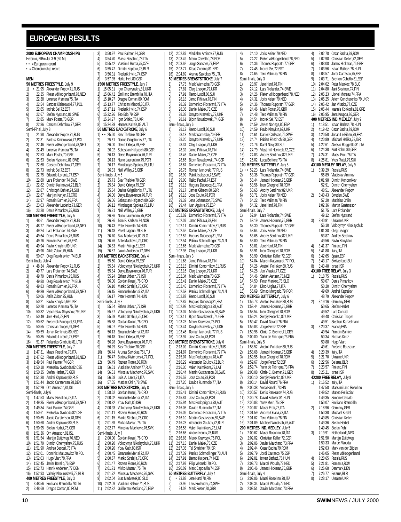## <span id="page-9-0"></span>**EUROPEAN RESULTS**

|                                                                      |                     | 2000 EUROPEAN CHAMPIONSHIPS                                                                                                                                                                                                                                                              |  |
|----------------------------------------------------------------------|---------------------|------------------------------------------------------------------------------------------------------------------------------------------------------------------------------------------------------------------------------------------------------------------------------------------|--|
| Helsinki, FIBm Jul 3-9 (50 M)<br>$\bullet \bullet$ = European record |                     |                                                                                                                                                                                                                                                                                          |  |
| $\bullet$ = Championship record                                      |                     |                                                                                                                                                                                                                                                                                          |  |
| MEN                                                                  |                     |                                                                                                                                                                                                                                                                                          |  |
| 1)                                                                   |                     | 50 METRES FREESTYLE, July 9                                                                                                                                                                                                                                                              |  |
| 2)                                                                   |                     | • 21.95 Alexander Popov, 71, RUS<br>22.35 Pieter vdHoogenband, 78, NED                                                                                                                                                                                                                   |  |
| 3)                                                                   |                     | 22.38 Lorenzo Vismara, 75, ITA                                                                                                                                                                                                                                                           |  |
| 4)                                                                   |                     | 22.54 Bartosz Kizierowski, 77, POL                                                                                                                                                                                                                                                       |  |
| 5)                                                                   |                     |                                                                                                                                                                                                                                                                                          |  |
| 6)                                                                   |                     |                                                                                                                                                                                                                                                                                          |  |
| 7)<br>8)                                                             |                     | 22.65 Indrek Sei, 72, EST<br>22.65 Indrek Sei, 72, EST<br>22.67 Stefan Nystrand, 81, SWE<br>22.85 Mark Foster, 70, GBR<br>22.86 Carsten Dehmlow, 77, GER                                                                                                                                 |  |
|                                                                      | Semi-Final, July 8  |                                                                                                                                                                                                                                                                                          |  |
| 1)                                                                   |                     | 21.98 Alexander Popov, 71, RUS                                                                                                                                                                                                                                                           |  |
| 2)                                                                   |                     | 22.31 Bartosz Kizierowski, 77, POL                                                                                                                                                                                                                                                       |  |
| 3)                                                                   |                     | 22.46 Pieter vdHoogenband, 78, NED                                                                                                                                                                                                                                                       |  |
| 4)                                                                   |                     | 22.49 Lorenzo Vismara, 75, ITA<br>22.53 Mark Foster, 70, GBR                                                                                                                                                                                                                             |  |
|                                                                      |                     |                                                                                                                                                                                                                                                                                          |  |
|                                                                      |                     |                                                                                                                                                                                                                                                                                          |  |
|                                                                      |                     |                                                                                                                                                                                                                                                                                          |  |
|                                                                      |                     |                                                                                                                                                                                                                                                                                          |  |
|                                                                      |                     |                                                                                                                                                                                                                                                                                          |  |
|                                                                      |                     |                                                                                                                                                                                                                                                                                          |  |
|                                                                      |                     |                                                                                                                                                                                                                                                                                          |  |
|                                                                      |                     |                                                                                                                                                                                                                                                                                          |  |
|                                                                      |                     | 4)<br>22.4y Lorence 2018<br>22.53 Mark Foster, 70, GBR<br>22.53 Stefan Nystrand, 81, SWE<br>7)<br>22.68 Carsten Dehmlow, 77, GER<br>22.73 Indrek Sei, 72, EST<br>9)<br>22.75 Eduardo Lorente, 71, SSP<br>22.75 Eduardo Lorente, 71, SSP<br>11)<br>2<br>23.03 Alexander Luderitz, 73, GER |  |
| 16)                                                                  |                     | 23.28 Denis Pimankov, 75, RUS                                                                                                                                                                                                                                                            |  |
|                                                                      |                     | 100 METRES FREESTYLE, July 5                                                                                                                                                                                                                                                             |  |
| 1)                                                                   |                     | 48.61 Alexander Popov,71,RUS<br>48.77 Pieter vdHoogenband,78,NED                                                                                                                                                                                                                         |  |
| 2)                                                                   |                     |                                                                                                                                                                                                                                                                                          |  |
| $\frac{3}{2}$<br>4)                                                  |                     | 49.24 Lars Frolander, 74, SWE<br>49.64 Denis Pimankov, 75, RUS                                                                                                                                                                                                                           |  |
| 5)                                                                   |                     |                                                                                                                                                                                                                                                                                          |  |
| 6)                                                                   |                     | 49.76 Romain Barnier, 76, FRA<br>49.94 Pavlo Khnykin, 69, UKR                                                                                                                                                                                                                            |  |
| 7)                                                                   |                     | 49.96 Attila Zubor, 75, HUN<br>50.07 Oleg Roukhlevitch, 74, BLR                                                                                                                                                                                                                          |  |
| 8)                                                                   |                     |                                                                                                                                                                                                                                                                                          |  |
|                                                                      | Semi-finals, July 4 |                                                                                                                                                                                                                                                                                          |  |
|                                                                      |                     | 1) • 48.34 Alexander Popov, 71, RUS<br>49.77 Lars Frolander, 74, SWE                                                                                                                                                                                                                     |  |
| 2)<br>3)                                                             |                     | 49.79 Denis Pimankov, 75, RUS                                                                                                                                                                                                                                                            |  |
| 4)                                                                   |                     | 49.80 Oleg Roukhlevitch, 74, BLR                                                                                                                                                                                                                                                         |  |
| 5)                                                                   |                     | 49.83 Romain Barnier, 76, FRA                                                                                                                                                                                                                                                            |  |
| 6)                                                                   |                     | 49.89 Pieter vdHoogenband, 78, NED<br>50.06 Attila Zubor, 75, HUN                                                                                                                                                                                                                        |  |
| 7)<br>8)                                                             |                     |                                                                                                                                                                                                                                                                                          |  |
| 9)                                                                   |                     | 50.21 Pavlo Khnykin, 69, UKR<br>50.28 Lorenzo Vismara, 75, ITA                                                                                                                                                                                                                           |  |
| 10)                                                                  |                     | 50.32 Vyacheslav Shyrshov, 79, UKR<br>50.32 Vyacheslav Shyrshov, 79, UKR<br>50.52 Frederick Bousquet, 81, FRA<br>50.55 Christian Troger, 69, GER                                                                                                                                         |  |
| 11)                                                                  |                     |                                                                                                                                                                                                                                                                                          |  |
| 12)                                                                  |                     |                                                                                                                                                                                                                                                                                          |  |
| 13)                                                                  |                     |                                                                                                                                                                                                                                                                                          |  |
|                                                                      |                     | 14) 50.59 Johan Kenkhuis, 80, NED<br>15) 50.85 Eduardo Lorente, 77, ESP<br>16) 51.37 Rolandas Gimbutis, 81, LTU                                                                                                                                                                          |  |
|                                                                      |                     |                                                                                                                                                                                                                                                                                          |  |
|                                                                      |                     | 200 METRES FREESTYLE, July 7                                                                                                                                                                                                                                                             |  |
|                                                                      |                     | 1) 1:47.31 Massi Rosolino, 78, ITA                                                                                                                                                                                                                                                       |  |
| 2)                                                                   | 1:47.62             | Pieter vdHoogenband, 78, NED                                                                                                                                                                                                                                                             |  |
| 3)                                                                   | 1:49.54<br>1:50.18  | Paul Palmer, 74, GBR<br>Kvetoslav Svoboda, 82, CZE                                                                                                                                                                                                                                       |  |
| 4)<br>5)                                                             | 1:50.35             | Stefan Herbst, 78, GER                                                                                                                                                                                                                                                                   |  |
| 6)                                                                   | 1:51.38             | Andrei Kapralov, 80, RUS                                                                                                                                                                                                                                                                 |  |
| 7)                                                                   | 1:51.44             | Jacob Carstensen, 78, DEN                                                                                                                                                                                                                                                                |  |
| 8)                                                                   | 1:52.29             | Orn Arnarson, 81, ISL                                                                                                                                                                                                                                                                    |  |
|                                                                      | Semi-finals, July 6 |                                                                                                                                                                                                                                                                                          |  |
| 1)                                                                   | 1:47.53             | Massi Rosolino, 78, ITA                                                                                                                                                                                                                                                                  |  |
| 2)<br>3)                                                             | 1:49.35<br>1:49.84  | Pieter vdHoogenband, 78, NED<br>Paul Palmer, 74, GBR                                                                                                                                                                                                                                     |  |
| 4)                                                                   | 1:50.61             | Kvetoslav Svoboda, 82, CZE                                                                                                                                                                                                                                                               |  |
| 5)                                                                   | 1:50.65             | Jacob Carstensen, 78, DEN                                                                                                                                                                                                                                                                |  |
| 6)                                                                   | 1:50.68             | Andrei Kapralov, 80, RUS                                                                                                                                                                                                                                                                 |  |
| 7)                                                                   | 1:50.95             | Stefan Herbst, 78, GER                                                                                                                                                                                                                                                                   |  |
| 8)                                                                   | 1:51.36<br>1:51.54  | Orn Arnarson, 81, ISL                                                                                                                                                                                                                                                                    |  |
| 9)<br>10)                                                            | 1:51.79             | Martijn Zuijdweg, 76, NED<br>Dimitri Chernyshev, 75, RUS                                                                                                                                                                                                                                 |  |
| 11)                                                                  | 1:51.90             | Andrea Beccari, 78, ITA                                                                                                                                                                                                                                                                  |  |
| 12)                                                                  | 1:52.01             | Dominic Matuzewicz, 78, POL                                                                                                                                                                                                                                                              |  |
| 13)                                                                  | 1:52.03             | Hugo Viart, 79, FRA                                                                                                                                                                                                                                                                      |  |
| 14)                                                                  | 1:52.45             | Javier Botello, 76, ESP                                                                                                                                                                                                                                                                  |  |
| 15)                                                                  | 1:52.73             | Henrik Andersen, 77, DEN                                                                                                                                                                                                                                                                 |  |
| 16)                                                                  | 1:52.93             | Valeriy Khouroshvili, 79, BLR<br>400 METRES FREESTYLE, July 3                                                                                                                                                                                                                            |  |
| 1)                                                                   |                     | 3:48.56 Emiliano Brembilla, 78, ITA                                                                                                                                                                                                                                                      |  |
| 2)                                                                   |                     | 3:48.69 Dragos Coman, 80, ROM                                                                                                                                                                                                                                                            |  |

| 3)         | 3:50.97             | Paul Palmer, 74, GBR                                                                  |
|------------|---------------------|---------------------------------------------------------------------------------------|
| 4)         | 3:54.70             | Massi Rosolino, 78, ITA                                                               |
| 5)         | 3:55.42             | Vlastimil Burda, 75, CZE                                                              |
|            | 3:55.47             |                                                                                       |
| 6)         |                     | Dimitri Koptour, 78, BLR                                                              |
| 7)         | 3:56.31             | Frederik Hviid, 74, ESP                                                               |
| 8)         | 3:57.35             | Heiko Hell,80,GER                                                                     |
|            |                     | 1500 METRES FREESTYLE, July 7                                                         |
| 1)         | 15:05.31            | Igor Chervynskiy,81,UKR                                                               |
| 2)         | 15:06.42            | Emiliano Brembilla, 78, ITA                                                           |
| 3)         | 15:10.97            | Dragos Coman, 80, ROM                                                                 |
| 4)         | 15:13.77            | Christian Minotti, 80, ITA                                                            |
| 5)         | 15:17.11            | Frederik Hviid, 74, ESP                                                               |
|            | 15:22.26            | Teo Edo, 79, ESP                                                                      |
| 6)<br>7)   | 15:24.27            | Igor Snitko, 78, UKR                                                                  |
| 8)         | 15:24.39            | Hannes Kalteis, 82, AUT                                                               |
|            |                     |                                                                                       |
|            |                     | <b>50 METRES BACKSTROKE</b> , July 6                                                  |
| 1)         | $\cdot$ 25.60       | Stev Theloke, 78, GER                                                                 |
| 2)         | 25.61               | Darius Grigalionis, 77, LTU                                                           |
| 3)         |                     | 26.00 David Ortega, 79, ESP                                                           |
| 4)         | 26.02               | Sebastian Halgasch, 80, GER                                                           |
| 5)         | 26.13               | Derya Buyukuncu, 76, TUR                                                              |
| 6)         | 26.13               | Nuno Laurentino, 75, POR                                                              |
| 7)         | 26.17               | Mindaugas Spokas, 75, LTU                                                             |
| 8)         | 26.33               | Neil Willey, 76, GBR                                                                  |
|            | Semi-finals, July 5 |                                                                                       |
| 1)         | 25.73               | Stev Theloke,78,GER                                                                   |
| 2)         | 25.84               | David Ortega, 79, ESP                                                                 |
| 3)         | 25.84               | Darius Grigalionis, 77, LTU                                                           |
| 4)         |                     | 26.00 Derya Buyukuncu, 76, TUR                                                        |
| 5)         | 26.06               | Sebastian Halgasch, 80, GER                                                           |
|            |                     |                                                                                       |
| 6)         | 26.12               | Mindaugas Spokas, 75, LTU                                                             |
| 7)         |                     | 26.31 Neil Willey, 76, GBR                                                            |
| 8)         | 26.36               | Nuno Laurentino, 75, POR                                                              |
| 9)         | 26.36               | Tom E. Karlsen, 74, NOR                                                               |
| 10)        |                     | 26.43 Peter Horvath, 74, HUN                                                          |
| 11)        |                     | 26.48 Pavel Lagoun, 79, BLR                                                           |
| 12)        |                     | 26.70 Blaz Medvesek, 80, SLO                                                          |
| 13)        | 26.76               | Ante Maskovic, 79, CRO                                                                |
| 14)        | 26.83               | Martin Viilep, 81, EST                                                                |
| 15)        | 26.87               | Jakob Andersen, 77, DEN                                                               |
|            |                     | 100 METRES BACKSTROKE, July 4                                                         |
| 1)         | 55.50               | David Ortega, 79, ESP                                                                 |
| 2)         | 55.64               | Volodymyr Nikolaychuk, 75, UKR                                                        |
|            |                     |                                                                                       |
|            |                     |                                                                                       |
| 3)         | 55.84               | Derya Buyukuncu, 76, TUR                                                              |
| 4)         | 55.94               | Eithan Urbach, 77, ISR                                                                |
| 5)         | 56.00               | Gordan Kozulj, 76, CRO                                                                |
| 6)         |                     | 56.10 Marko Strahija, 75, CRO                                                         |
| 7)         | 56.15               | Emanuele Merisi, 72, ITA                                                              |
| 8)         |                     | 56.17 Peter Horvath, 74, HUN                                                          |
|            | Semi-finals, July 3 |                                                                                       |
| 1)         | 55.64               | Eithan Urbach, 77, ISR                                                                |
| 2)         | 55.67               |                                                                                       |
|            |                     | Volodymyr Nikolaychuk, 75, UKR                                                        |
| 3)         |                     | 55.69 Marko Strahija, 75, CRO                                                         |
| 4)         | 55.88               | Gordan Kozulj, 76, CRO                                                                |
| 5)         | 56.07               | Peter Horvath, 74, HUN                                                                |
| 6)         | 56.13               | Emanuele Merisi, 72, ITA                                                              |
| 7)         |                     |                                                                                       |
| 8)         |                     | 56.18 David Ortega, 79, ESP<br>56.28 Derya Buyukuncu, 76,<br>Derya Buyukuncu, 76, TUR |
| 9)         | 56.29               | Stev Theloke, 78, GER                                                                 |
| 10)        | 56.44               | Arunas Savickas, 75, LTU                                                              |
| 11)        | 56.47               | Bartosz Kizierowski, 77, POL                                                          |
| 12)        | 56.49               | Razvan Florea, 80, ROM                                                                |
| 13)        | 56.61               | Vladislav Aminov, 77, RUS                                                             |
| 14)        | 56.63               | Miroslav Machovic, 76, SVK                                                            |
| 15)        | 56.68               | Luis A. Laera, 71, ITA                                                                |
| 16)        | 57.65               | Mattias Ohlin,78,SWE                                                                  |
|            |                     | 200 METRES BACKSTROKE, July 8                                                         |
| 1)         | 1:58.62             | Gordan Kozulj, 76, CRO                                                                |
| 2)         | 2:00.02             | Emanuele Merisi, 72, ITA                                                              |
| 3)         | 2:00.32             | Yoav Gath, 80, ISR                                                                    |
| 4)         | 2:00.93             | Volodymyr Nikolaychuk, 75, UKR                                                        |
|            |                     |                                                                                       |
| 5)         | 2:01.11             | Razvan Florea, 80, ROM                                                                |
| 6)         | 2:01.15             | Marko Strahija,75,CRO                                                                 |
| 7)         | 2:01.39             | Mirko Mazzari,75,ITA                                                                  |
| 8)         | 2:02.77             | Miroslav Machovic, 76, SVK                                                            |
|            | Semi-finals, July 7 |                                                                                       |
| 1)         | 2:00.00             | Gordan Kozulj,76,CRO                                                                  |
| 2)         | 2:00.20             | Volodymyr Nikolaychuk, 75, UKR                                                        |
| 3)         | 2:00.20             | Yoav Gath, 80, ISR                                                                    |
| 4)         | 2:00.45             | Emanuele Merisi, 72, ITA                                                              |
| 5)         | 2:00.67             | Marko Strahija,75,CRO                                                                 |
| 6)         | 2:01.47             | Razvan Florea,80,ROM                                                                  |
| 7)         | 2:01.71             | Mirko Mazzari, 75, ITA                                                                |
| 8)         | 2:01.72             | Miroslav Machovic, 76, SVK                                                            |
| 9)         | 2:02.04             | Blaz Medvesek, 80, SLO                                                                |
| 10)<br>11) | 2:02.09<br>2:02.32  | Vladimir Selkov, 71, RUS<br>Guillermo Mediano, 76, ESP                                |

|            |                     | 12) 2:02.87 Vladislav Aminov, 77, RUS<br>13) 2:03.49 Mario Carvalho, 78, POR<br>14) 2:03.62 Jorge Sanchez, 77, ESP<br>15) 2:04.89 Arunas Savickas, 75, LTU<br>16) 2:04.89 Arunas Savickas, 75, LTU                                           |
|------------|---------------------|----------------------------------------------------------------------------------------------------------------------------------------------------------------------------------------------------------------------------------------------|
|            |                     | 50 METRES BREASTSTROKE, July 7                                                                                                                                                                                                               |
|            |                     |                                                                                                                                                                                                                                              |
|            |                     |                                                                                                                                                                                                                                              |
|            |                     |                                                                                                                                                                                                                                              |
|            |                     |                                                                                                                                                                                                                                              |
|            |                     |                                                                                                                                                                                                                                              |
|            |                     |                                                                                                                                                                                                                                              |
|            |                     | France Software March 2007<br>27.75 Mark Warnecke, 70, GER<br>27.75 Mark Warnecke, 70, GER<br>27.91 Remo Lutolf, 80, SUI<br>28.32 Domenico Fioraward, 70, FIN<br>6) 28.36 Daniel Malek, 73, CZE<br>70 28.38 Dmytro Kraevskiy, 72, UKR<br>70  |
|            | Semi-finals, July 6 |                                                                                                                                                                                                                                              |
|            |                     |                                                                                                                                                                                                                                              |
|            |                     |                                                                                                                                                                                                                                              |
|            |                     |                                                                                                                                                                                                                                              |
|            |                     |                                                                                                                                                                                                                                              |
|            |                     |                                                                                                                                                                                                                                              |
|            |                     |                                                                                                                                                                                                                                              |
|            |                     |                                                                                                                                                                                                                                              |
|            |                     |                                                                                                                                                                                                                                              |
|            |                     |                                                                                                                                                                                                                                              |
|            |                     |                                                                                                                                                                                                                                              |
|            |                     |                                                                                                                                                                                                                                              |
|            |                     |                                                                                                                                                                                                                                              |
|            |                     | Semi-finals, July 6<br>29.12 Remo Lutolf, 80, SUI<br>29.12 Remo Lutolf, 80, SUI<br>29.23 Mark Warnecke, 70, GER<br>23.20 Dmytro Kraevskiy, 72, UKR<br>28.32 Jarno Pihlava, 78, FIN<br>28.32 Jarno Pihlava, 78, FIN<br>29.46 Daniel Malek, 73 |
|            |                     | 100 METRES BREASTSTROKE, July 4                                                                                                                                                                                                              |
|            |                     | 10 WE THE SPIERREAST STRUCK Jury<br>11 1:02.02 Domenico Fioravanti, 77, ITA<br>22 1:02.07 Jamo Pihlava, 78, FIN<br>33 1:02.52 Daniel Malek, 73, CZE<br>51 1:02.52 Hugues Dubek, 73, CZE<br>61 1:02.54 Patrick Schmollinger, 73, AUT<br>71    |
|            |                     |                                                                                                                                                                                                                                              |
|            |                     |                                                                                                                                                                                                                                              |
|            |                     |                                                                                                                                                                                                                                              |
|            |                     |                                                                                                                                                                                                                                              |
|            |                     |                                                                                                                                                                                                                                              |
|            | Semi-finals, July 3 |                                                                                                                                                                                                                                              |
|            |                     |                                                                                                                                                                                                                                              |
|            |                     |                                                                                                                                                                                                                                              |
|            |                     |                                                                                                                                                                                                                                              |
|            |                     |                                                                                                                                                                                                                                              |
|            |                     |                                                                                                                                                                                                                                              |
|            |                     |                                                                                                                                                                                                                                              |
|            |                     |                                                                                                                                                                                                                                              |
|            |                     |                                                                                                                                                                                                                                              |
|            |                     |                                                                                                                                                                                                                                              |
|            |                     |                                                                                                                                                                                                                                              |
|            |                     |                                                                                                                                                                                                                                              |
|            |                     |                                                                                                                                                                                                                                              |
|            |                     | Semi-finals, July 3<br>10 1.01.68 Jamo Pihlava, 78, FIN<br>10 1.01.68 Jamo Pihlava, 78, FIN<br>20 110.215 Dimitri Komornikov, 81, RUS<br>3 1.02.16 Oleg Lisogor, 79, UKR<br>4) 1.02.34 Mark Warnecke, 70, GER<br>5 102.41 Daniel Malek, 73   |
|            |                     | 200 METRES BREASTSTROKE, July 6                                                                                                                                                                                                              |
|            |                     | 1) 2:13.09 Dimitri Komornikov,81,RUS                                                                                                                                                                                                         |
| 2)         | 2:14.87             | Domenico Fioravanti, 77, ITA                                                                                                                                                                                                                 |
| 3)         | 2:15.07             | Max Podoprigora,78,AUT                                                                                                                                                                                                                       |
| 4)<br>5)   | 2:16.29<br>2:16.30  | Alexander Goukov, 72, BLR<br>Valeri Kalmikovs, 73, LAT                                                                                                                                                                                       |
| 6)         | 2:16.44             | Martin Gustavsson, 80, SWE                                                                                                                                                                                                                   |
| 7)         | 2:16.59             | Jose Couto, 78, POR                                                                                                                                                                                                                          |
| 8)         | 2:17.20             | Davide Rummolo, 77, ITA                                                                                                                                                                                                                      |
|            | Semi-finals, July 5 |                                                                                                                                                                                                                                              |
| 1)<br>2)   | 2:15.41<br>2:15.81  | Dimitri Komornikov, 81, RUS<br>Jose Couto, 78, POR                                                                                                                                                                                           |
| 3)         | 2:15.94             | Max Podoprigora, 78, AUT                                                                                                                                                                                                                     |
| 4)         | 2:16.06             | Davide Rummolo, 77, ITA                                                                                                                                                                                                                      |
| 5)         | 2:16.09             | Domenico Fioravanti, 77, ITA                                                                                                                                                                                                                 |
| 6)         |                     | 2:16.10 Martin Gustavsson,80,SWE                                                                                                                                                                                                             |
| 7)<br>8)   | 2:16.28<br>2:16.58  | Alexander Goukov, 72, BLR<br>Valeri Kalmikovs, 73, LAT                                                                                                                                                                                       |
| 9)         | 2:16.66             | Andrei Ivanov, 76, RUS                                                                                                                                                                                                                       |
| 10)        | 2:16.83             | Marek Krawczyk, 76, POL                                                                                                                                                                                                                      |
| 11)        | 2:17.15             | Daniel Malek, 73, CZE                                                                                                                                                                                                                        |
| 12)        | 2:17.35             | Tal Shtricker, 79, ISR                                                                                                                                                                                                                       |
| 13)<br>14) | 2:17.39<br>2:17.91  | Patrick Schmollinger, 73, AUT<br>Benno Kuipers, 74, NED                                                                                                                                                                                      |
| 15)        | 2:17.97             | Filip Wronski, 79, POL                                                                                                                                                                                                                       |
| 16)        | 2:20.09             | Marc Capdevila, 74, ESP                                                                                                                                                                                                                      |
|            |                     | 50 METRES BUTTERFLY, July 4                                                                                                                                                                                                                  |
|            |                     |                                                                                                                                                                                                                                              |
| 1)<br>2)   | •23.88<br>23.96     | Jere Hard, 78, FIN<br>Lars Frolander, 74, SWE                                                                                                                                                                                                |

| 4)  |                                | 24.10 Joris Keizer, 79, NED                                                                                                                                   |
|-----|--------------------------------|---------------------------------------------------------------------------------------------------------------------------------------------------------------|
| 5)  |                                |                                                                                                                                                               |
| 6)  |                                |                                                                                                                                                               |
| 7)  |                                | 24.22 Pieter vdHoogenband, 78, NED<br>24.36 Thomas Rupprath, 77, GER<br>24.45 Indrek Sei, 72, EST                                                             |
| 8)  | 24.65                          | Tero Valimaa, 78, FIN                                                                                                                                         |
|     | Semi-finals, July 3            |                                                                                                                                                               |
| 1)  |                                | 23.97 Jere Hard, 78, FIN                                                                                                                                      |
| 2)  |                                |                                                                                                                                                               |
| 3)  |                                | 24.12 Lars Frolander, 74, SWE<br>24.26 Pieter vdHoogenband, 78, NED                                                                                           |
| 4)  |                                | 24.31 Joris Keizer, 19, NED<br>24.36 Thomas Rupprath, 77, GER                                                                                                 |
| 5)  |                                |                                                                                                                                                               |
| 6)  |                                | 24.46 Mark Foster, 70, GBR                                                                                                                                    |
| 7)  |                                | 24.48 Tero Valimaa, 78, F<br>24.54 Indrek Sei, 72, EST<br>Tero Valimaa, 78, FIN                                                                               |
| 8)  |                                |                                                                                                                                                               |
| 9)  |                                | 24.59 Javier Noriega, 80, ESP                                                                                                                                 |
| 10) |                                | 24.59 Pavlo Khnykin, 69, UKR<br>24.61 Daniel Carlsson, 76, SWE<br>24.74 Fabian Friedrich, 80, GER<br>24.76 Karel Novy, 80, SUI                                |
| 11) |                                |                                                                                                                                                               |
| 12) |                                |                                                                                                                                                               |
| 13) |                                |                                                                                                                                                               |
| 14) | 24.79                          | Vlastimil Havlicek, 72, CZE                                                                                                                                   |
| 15) | 24.83                          | Andriy Serdinov, 82, UKR                                                                                                                                      |
| 16) |                                | 25.02 Luca Belfiore, 73, ITA                                                                                                                                  |
|     |                                | 100 METRES BUTTERFLY. July 8                                                                                                                                  |
| 1)  | $\cdots$ 52.23                 | Lars Frolander, 74, SWE                                                                                                                                       |
| 2)  | 53.38                          | Thomas Rupprath, 77, GER                                                                                                                                      |
| 3)  |                                | James Hickman, 76, GBR                                                                                                                                        |
| 4)  |                                | 53.44 James Hickman, 76, GBI<br>53.56 Ioan Gherghel, 78, ROM                                                                                                  |
| 5)  | 53.65                          | Andriy Serdinov, 82, UKR                                                                                                                                      |
| 6)  | 53.71                          | Joris Keizer,79,NED                                                                                                                                           |
| 7)  | 54.22                          | Tero Valimaa,78,FIN                                                                                                                                           |
| 8)  | 54.32                          | Jere Hard, 78, FIN                                                                                                                                            |
|     | Semi-finals. July 7            |                                                                                                                                                               |
| 1)  |                                | 52.94 Lars Frolander, 74, SWE                                                                                                                                 |
| 2)  |                                | James Hickman, 76, GBR                                                                                                                                        |
| 3)  | 53.19<br>53.30                 | Thomas Rupprath, 77, GER                                                                                                                                      |
| 4)  | 53.64                          | Joris Keizer, 79, NED                                                                                                                                         |
| 5)  | 53.65                          | Andriy Serdinov,82,UKR                                                                                                                                        |
| 6)  | 53.80                          | Tero Valimaa, 78, FIN                                                                                                                                         |
| 7)  | 53.81                          | Jere Hard, 78, FIN                                                                                                                                            |
| 8)  |                                | 53.91 Ioan Gherghel, 78, ROM                                                                                                                                  |
| 9)  |                                | 33.91 Toal Gilegier, 76, ROM<br>53.99 Christian Keller, 72, GER<br>54.04 Marcin Kaczmarek, 77, POL<br>54.26 Anatoli Poliakov, 80, RUS                         |
| 10) |                                |                                                                                                                                                               |
| 11) |                                |                                                                                                                                                               |
| 12) | 54.28                          | Jan Vitazka, 77, CZE                                                                                                                                          |
| 13) | 54.46                          | Stefan Aartsen, 75, NED                                                                                                                                       |
| 14) | 54.50                          | Peter Mankoc, 78, SLO                                                                                                                                         |
| 15) |                                | 54.84 Dino Urgias, 77, ITA                                                                                                                                    |
| 16) | 55.69                          | Simao Morgado, 79, POR                                                                                                                                        |
|     |                                | 200 METRES BUTTERFLY, July 6                                                                                                                                  |
| 1)  | 1:56.73                        | Anatoli Poliakov, 80, RUS                                                                                                                                     |
| 2)  | 1:58.44                        | James Hickman, 76, GBR                                                                                                                                        |
| 3)  | 1:58.54                        | Ioan Gherghel, 78, ROM                                                                                                                                        |
| 4)  |                                | 1:58.54 Idah Griefgrei, 78, ROI<br>1:59.24 Sergiy Fesenko, 82, UI<br>1:59.47 David Abrard, 76, FRA<br>1:59.83 Jorge Perez, 72, ESP<br>Sergiy Fesenko, 82, UKR |
| 5)  |                                |                                                                                                                                                               |
| 6)  |                                |                                                                                                                                                               |
| 7)  | 1:59.98                        | Chris-C. Bremer, 71, GER<br>Yann de Fabrique, 73, FRA                                                                                                         |
| 8)  | 2:00.00<br>Semi-finals, July 5 |                                                                                                                                                               |
| 1)  |                                | 1:58.52 Anatoli Poliakov, 80, RUS                                                                                                                             |
| 2)  | 1:58.68                        | James Hickman, 76, GBR                                                                                                                                        |
| 3)  | 1:59.55                        | Ioan Gherghel, 78, ROM                                                                                                                                        |
| 4)  | 1:59.67                        | Jorge Perez, 72, ESP                                                                                                                                          |
| 5)  | 1:59.74                        | Yann de Fabrique,73,FRA                                                                                                                                       |
| 6)  | 2:00.08                        | Chris-C. Bremer, 71, GER                                                                                                                                      |
| 7)  | 2:00.10                        | Sergiy Fesenko, 82, UKR                                                                                                                                       |
| 8)  | 2:00.14                        | David Abrard, 76, FRA                                                                                                                                         |
| 9)  | 2:00.38                        | Vesa Hanski,73,FIN                                                                                                                                            |
| 10) | 2:00.57                        | Denis Pankratov, 74, RUS                                                                                                                                      |
| 11) | 2:00.78                        | David Kolozar, 81, HUN                                                                                                                                        |
| 12) | 2:00.83                        | Yoav Meiri,75,ISR                                                                                                                                             |
| 13) | 2:00.87                        | Massi Eroli, 76, ITA                                                                                                                                          |
| 14) | 2:01.59                        | Andrea Oriana,73,ITA                                                                                                                                          |
| 15) | 2:01.62                        | Tero Valimaa, 78, FIN                                                                                                                                         |
| 16) | 2:01.89                        | Michael Windisch, 76, AUT                                                                                                                                     |
|     |                                | 200 METRES IND. MEDLEY, July 5                                                                                                                                |
| 1)  | 2:00.62                        | Massi Rosolino, 78, ITA                                                                                                                                       |
| 2)  | 2:02.02                        | Christian Keller, 72, GER                                                                                                                                     |
| 3)  | 2:02.06                        | Xavier Marchand, 73, FRA                                                                                                                                      |
| 4)  | 2:02.44                        | Cezar Badita, 79, ROM                                                                                                                                         |
| 5)  | 2:02.79                        | Jordi Carrasco, 75, ESP                                                                                                                                       |
| 6)  | 2:02.81                        | Istvan Bathazi, 78, HUN                                                                                                                                       |
| 7)  | 2:03.73                        | Marcel Wouda, 72, NED                                                                                                                                         |
| 8)  | 2:05.46                        | James Hickman, 76, GBR                                                                                                                                        |
|     | Semi-finals, July 4            |                                                                                                                                                               |
| 1)  | 2:02.06                        | Massi Rosolino, 78, ITA                                                                                                                                       |
| 2)  | 2:02.34                        | Marcel Wouda, 72, NED                                                                                                                                         |
| 3)  | 2:02.51                        | Xavier Marchand, 73, FRA                                                                                                                                      |

| 4)     | 2:02.78 | Cezar Badita, 79, ROM                                                    |
|--------|---------|--------------------------------------------------------------------------|
|        |         |                                                                          |
| 5)     | 2:02.98 | Christian Keller, 72, GER                                                |
| 6)     |         | 2:03.08 James Hickman, 76, GBR                                           |
| 7)     |         | 2:03.56 Istvan Bathazi, 78, HUN                                          |
| 8)     |         |                                                                          |
| 9)     |         | 2:03.57 Jordi Carrasco, 75, ESP<br>2:03.71 Brenton Cabello, 81, ESP      |
| 10)    |         | 2:04.02 Peter Mankoc, 78, SLO                                            |
|        |         |                                                                          |
| 11)    |         | 2:04.80 Jani Sievinen, 74, FIN                                           |
| 12)    |         | 2:05.23 Lionel Moreau, 74, FRA                                           |
| 13)    |         | 2:05.25 Artem Goncharenko, 79, UKR                                       |
| 14)    |         | 2:05.42 Jan Vitazka, 77, CZE                                             |
| 15)    |         | 2:05.44 Ioannis Kokkodis,81,GRE                                          |
| 16)    | 2:05.95 | Jens Kruppa, 76, GER                                                     |
|        |         | 400 METRES IND.MEDLEY, July 9                                            |
|        |         |                                                                          |
| 1)     | 4:18.51 | Istvan Bathazi, 78, HUN                                                  |
| 2)     | 4:19.42 | Cezar Badita, 79, ROM                                                    |
| 3)     | 4:20.50 | Johan Le Bihan, 79, FRA                                                  |
| 4)     |         | 4:20.89 Michael Halika, 78, ISR                                          |
| 5)     |         | 4:22.61 Alessio Boggiatto, 81, ITA                                       |
| 6)     |         | 4:24.30 Kurt Bohm, 80, GER                                               |
|        |         |                                                                          |
| 7)     |         | 4:24.31 Massi Eroli, 76, ITA<br>4:25.81 Yves Platel, 79, SUI             |
| 8)     |         |                                                                          |
|        |         | 4X100 MEDLEY RELAY, July 9                                               |
| 1)     |         | 3:39.29 Russia, RUS                                                      |
|        |         | 55.89 Vladislav Aminov                                                   |
|        |         | 1:01.98 Dimitri Konornikov                                               |
|        |         |                                                                          |
|        |         |                                                                          |
|        |         | 52.91 Dimitri Chernyshev<br>48.51 Alexander Popov<br>3:40.43 Sweden, SWE |
| 2)     |         | 57.20 Matthias Ohlin                                                     |
|        |         |                                                                          |
|        |         | 1:02.36 Martin Gustavsson                                                |
|        |         | 51.75 Lars Frolander                                                     |
|        |         | 49.12 Stefan Nystra<br>3:40.91 Ukraine,UKR<br>Stefan Nystrand            |
| 3)     |         |                                                                          |
|        |         | 56.10 Volodymyr Nikolaychuk                                              |
|        |         | 1:01.38 Oleg Lisogor                                                     |
|        |         |                                                                          |
|        |         | 53.87 Andrey Serdinov                                                    |
|        |         | 49.56 Pavlo Khnykhin                                                     |
| 4)     |         | 3:41.37 Finland, FIN                                                     |
| 5)     |         | 3:41.88 Italy, ITA                                                       |
| 6)     | 3:42.65 | Spain, ESP                                                               |
| $\eta$ | 3:43.17 | Switzerland, SUI                                                         |
| 8)     |         | 3:43.48 Israel, ISR                                                      |
|        |         |                                                                          |
|        |         |                                                                          |
|        |         | 4X100 FREE RELAY, July 3                                                 |
| 1)     |         |                                                                          |
|        |         | 3:18.75 Russia, RUS<br>50.07 Denis Pimankov                              |
|        |         | 50.20 Dimitri Chernyshev                                                 |
|        |         | 49.69 Andrei Kapralov                                                    |
|        |         | 48.79 Alexander Popov                                                    |
| 2)     |         | 3:19.16 Germany, GER                                                     |
|        |         |                                                                          |
|        |         |                                                                          |
|        |         | 50.65 Stefan Herbst<br>49.52 Lars Conrad                                 |
|        |         |                                                                          |
|        |         | Stephan Kunzelmann                                                       |
| 3)     |         | 49.48 Christian Troger<br>49.51 Stephan Kunzeln<br>3:20.37 France, FRA   |
|        |         | 49.54 Romain Barnier                                                     |
|        |         | 50.34 Nicolas Kintz                                                      |
|        | 50.88   | Hugo Viart                                                               |
|        |         |                                                                          |
|        | 49.61   | Frederic Bousquet                                                        |
| 4)     | 3:20.39 | Italy, ITA                                                               |
| 5)     | 3:21.70 | Ukraine, UKR                                                             |
| 6)     | 3:22.56 | Belarus, BLR                                                             |
| 7)     | 3:23.57 | Finland.FIN                                                              |
| 8)     | 3:25.21 | Israel, ISR                                                              |
|        |         | 4X200 FREE RELAY, July 8                                                 |
| 1)     | 7:16.52 | Italy, ITA                                                               |
|        | 1:47.58 | Massimiliano Rosolino                                                    |
|        | 1:49.52 | Matteo Pellicciari                                                       |
|        | 1:49.35 | Simone Cercato                                                           |
|        |         |                                                                          |
|        | 1:50.07 | Emiliano Brembilla                                                       |
| 2)     | 7:18.96 | Germany, GER                                                             |
|        | 1:50.30 | Michael Kiedel                                                           |
|        | 1:49.85 | Christian Keller                                                         |
|        | 1:49.36 | Stefan Herbst                                                            |
|        | 1:49.45 | Stefan Pohl                                                              |
| 3)     | 7:19.91 | Netherlands, NED                                                         |
|        | 1:51.50 | Martijn Zuijdweg                                                         |
|        | 1:50.33 | Marcel Wouda                                                             |
|        | 1:52.03 | Mark van der Zijden                                                      |
|        | 1:46.05 | Pieter vdHoogenband                                                      |
|        |         |                                                                          |
| 4)     |         | 7:20.65 Russia, RUS                                                      |
| 5)     |         | 7:21.81 Romania, ROM                                                     |
| 6)     |         | 7:26.68 Denmark, DEN                                                     |
| 7)     |         | 7:26.77 Belarus, BLR                                                     |
| 8)     |         | 7:28.17 Ukraine,UKR                                                      |
|        |         |                                                                          |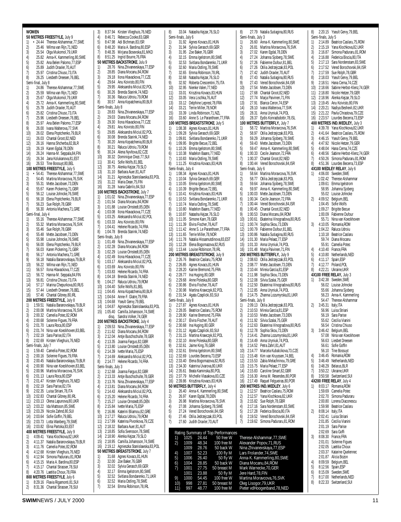**WOMEN 50 METRES FREESTYLE,** July 9 1) • 24.44 Therese Alshammar,77,SWE 2) 25.46 Wilma van Rijn,71,NED<br>3) 25.54 Olga Mukomol,79,UKR 3) 25.54 Olga Mukomol,79,UKR 4) 25.82 Anna-K. Kammerling,80,SWE<br>5) 25.82 Ana Belen Palomo,77,ESP 5) 25.82 Ana Belen Palomo, 77, ESP<br>6) 25.89 Judith Draxler, 70, AUT 6) 25.89 Judith Draxler,70,AUT<br>7) 25.97 Cristina Chiuso,73,ITA 7) 25.97 Cristina Chiuso, 73, ITA<br>8) 26.25 Liesbeth Dreesen, 76, BI 26.25 Liesbeth Dreesen,76,BEL Semi-final, July 8 1) 24.86 Therese Alshammar,77,SWE 2) 25.59 Wilma van Rijn,71,NED 3) 25.67 Olga Mukomol,79,UKR 4) 25.72 Anna-K. Kammerling,80,SWE 5) 25.78 Judith Draxler, 70, AUT<br>6) 25.82 Cristina Chiuso, 73, ITA 6) 25.82 Cristina Chiuso,73,ITA<br>7) 25.96 Liesbeth Dreesen,76,BI 7) 25.96 Liesbeth Dreesen, 76, BEL<br>8) 25.97 Ana Belen Palomo, 77, ES 8) 25.97 Ana Belen Palomo, 77, ESP<br>9) 26.00 Ivana Walterova, 77, SVK 9) 26.00 Ivana Walterova,77,SVK 26.02 Elena Poptchenko,79,BLR 11) 26.03 Chantal Groot,82,NED 12) 26.16 Hanna Shcherba,82,BLR 26.19 Karen Fodal, 78, DEN 14) 26.24 Hanna-M. Seppala,84,FIN<br>15) 26.34 Jana Kolukanova,81,EST 15) 26.34 Jana Kolukanova,81,EST 26.53 Tine Bossuyt,80,BEL **100 METRES FREESTYLE,** July 5 1) • 54.41 Therese Alshammar,77,SWE 2) 54.45 Martina Moravcova, 76, SVK<br>3) 55.31 Mette Jacobsen, 73, DEN 3) 55.31 Mette Jacobsen, 73, DEN<br>4) 55.67 Karen Pickering, 71. GBR 4) 55.67 Karen Pickering,71,GBR 5) 56.12 Louise Johncke,76,SWE<br>6) 56.18 Elena Poptchenko,79,BL 6) 56.18 Elena Poptchenko,79,BLR 7) 56.23 Sue Rolph,78,GBR 8) 56.30 Antonia Machera, 71, GRE<br>Semi-final... July 4 final, July 4 1) 55.16 Therese Alshammar, 77, SWE<br>2) 55.32 Martina Moravcova, 76, SVK  $2)$  55.32 Martina Moravcova, 76, SVK<br>3) 55.46 Sue Rolph, 78, GBR 3) 55.46 Sue Rolph,78,GBR 4) 55.48 Mette Jacobsen, 73, DEN<br>5) 55.98 Louise Johncke, 76, SWE 5) 55.98 Louise Johncke, 76, SWE<br>6) 56.00 Elena Poptchenko, 79, BL 6) 56.00 Elena Poptchenko,79,BLR 7) 56.03 Karen Pickering,71,GBR 8) 56.17 Antonia Machera, 71, GRE<br>9) 56.18 Natalia Baranovskava, 79. 9) 56.18 Natalia Baranovskaya,79,BLR<br>10) 56.22 Wilma van Rijn,71,NED 10) 56.22 Wilma van Rijn, 71, NED<br>11) 56.57 Ilona Hlavackova, 77, CZE 11) 56.57 Ilona Hlavackova,77,CZE<br>12) 56.72 Hanna-M. Seppala,84,FII 12) 56.72 Hanna-M. Seppala,84,FIN<br>13) 56.81 Cristina Chiuso,73,ITA 13) 56.81 Cristina Chiuso, 73, ITA<br>14) 57.17 Marina Chepurkova, 80, 14) 57.17 Marina Chepurkova,80,RUS<br>15) 57.44 Liesbeth Dreesen,76,BEL 15) 57.44 Liesbeth Dreesen,76,BEL<br>16) 57.46 Chantal Gibnev.80.IRI 16) 57.46 Chantal Gibney,80,IRL **200 METRES FREESTYLE,** July 8 1) 1:59.51 Natalia Baranovskaya,79,BLR 2) 2:00.08 Martina Moravcova,76,SVK 3) 2:00.32 Camelia Potec,82,ROM 4) 2:00.68 Solenne Figues,79,FRA 5) 2:01.70 Laura Roca, 80, ESP<br>6) 2:01.74 Nina van Koeckhove 6) 2:01.74 Nina van Koeckhoven,83,BEL<br>7) 2:02.19 Sara Parise,82,ITA 7) 2:02.19 Sara Parise,82,ITA 8) 2:02.69 Kirsten Vlieghuis,76,NED Semi-finals, July 7<br>1) 1:59.40 Can 1) 1:59.40 Camelia Potec,82,ROM 2) 2:00.16 Solenne Figues,79,FRA 3) 2:00.45 Natalia Baranovskaya,79,BLR 4) 2:00.90 Nina van Koeckhoven, 83, BEL<br>5) 2:00.96 Martina Moravcova 76 SVK 5) 2:00.96 Martina Moravcova,76,SVK 6) 2:01.13 Laura Roca,80,ESP<br>7) 2:01.47 Kirsten Vlieghuis.7 7) 2:01.47 Kirsten Vlieghuis,76,NED 8) 2:02.19 Sara Parise, 82, ITA<br>9) 2:02.35 Luisa Striani, 78, ITA 9) 2:02.35 Luisa Striani,78,ITA 10) 2:02.83 Chantal Gibney,80,IRL 11) 2:03.13 Olena Lapunova,80,UKR<br>12) 2:03.22 Ida Mattsson,85,SWE 2:03.22 Ida Mattsson,85,SWE 13) 2:03.29 Nicole Zahnd,80,SUI 14) 2:03.64 Sofie Goffin,79,BEL 15) 2:03.73 Lotta Wanberg,79,SWE 16) 2:03.82 Elina Partoka,83,EST **400 METRES FREESTYLE,** July 9 1) 4:09.41 Yana Klochkova,82,UKR 2) 4:11.37 Natalia Baranovskaya,79,BLR<br>3) 4:11.76 Camelia Potec,82,ROM 3) 4:11.76 Camelia Potec,82,ROM 4) 4:12.68 Kirsten Vlieghuis,76,NED 5) 4:12.94 Simona Paduraru,81,ROM 6) 4:15.15 Maria A. Bardina,80,ESP 7) 4:15.17 Chantal Strasser,78,SUI 8) 4:20.76 Laetitia Choux,78,FRA **800 METRES FREESTYLE**, July 6 1) 8:29.16 Flavia Rigamonti,81,SUI<br>2) 8:31.36 Chantal Strasser.78.SUI 2) 8:31.36 Chantal Strasser,78,SUI

3) 8:37.94 Kirsten Vlieghuis,76,NED 4) 8:46.71 Rebecca Cooke,83,GBR<br>5) 8:47.98 Adi Bichman,83,ISR<br>6) 8:48.20 Maria A. Bardina,80,ESR 5) 8:47.98 Adi Bichman,83,ISR 6) 8:48.20 Maria A. Bardina,80,ESP 7) 8:48.35 Mirjana Bosevska,81,MKD 8) 8:51.25 Ingrid Bourre,76,FRA **50 METRES BACKSTROKE**, Julu 9 1) 28.76 Nina Zhivanevskaya,77,ESP 2) 28.85 Diana Mocanu,84,ROM 3) 29.18 Ilona Hlavackova, 77, CZE<br>4) 29.64 Anu Koivisto. 80. FIN 4) 29.64 Anu Koivisto,80,FIN<br>5) 29.95 Aleksandra Miciul.8 5) 29.95 Aleksandra Miciul,82,POL 6) 30.26 Brenda Starink,74,NED 7) 30.36 Raluca Udroiu, 79, ROM<br>8) 30.57 Anna Konatchenia 80 B 8) 30.57 Anna Kopatchenia,80,BLR Semi-finals, July 8 1) 28.83 Nina Zhivanevskaya,77,ESP 2) 29.03 Diana Mocanu, 84, ROM<br>3) 29.30 Ilona Hlavackova, 77, CZ 3) 29.30 Ilona Hlavackova, 77, CZE<br>4) 29.81 Anu Koivisto, 80, FIN 4) 29.81 Anu Koivisto, 80, FIN<br>5) 29.85 Aleksandra Miciul, 82 5) 29.85 Aleksandra Miciul,82,POL 6) 30.08 Brenda Starink,74,NED 7) 30.20 Anna Kopatchenia,80,BLR 8) 30.21 Raluca Udroiu, 79, ROM<br>9) 30.24 Alena Nyvltova, 82, CZE<br>10) 30.32 Dominique Diezi, 77, SU 9) 30.24 Alena Nyvltova,82,CZE 10) 30.32 Dominique Diezi,77,SUI 11) 30.41 Sofie Wolfs,81,BEL<br>12) 30.75 Alenka Keizar.79.SI 12) 30.75 Alenka Kejzar,79,SLO 13) 31.10 Barbara Auer,81,AUT<br>14) 31.21 Agnieszka Stanislaws 14) 31.21 Agnieszka Stanislawska,83,POL 15) 31.22 Maria Dean,75,FIN 16) 31.28 Ivana Gabrilo,84,SUI **100 METRES BACKSTROKE**, July 7 1) 1:01.02 Nina Zhivanevskaya, 77, ESP<br>2) 1:01.54 Diana Mocanu.84.ROM 2) 1:01.54 Diana Mocanu,84,ROM 3) 1:01.88 Louise Ornstedt,85,DEN 4) 1:03.08 Ilona Hlavackova, 77, CZE<br>5) 1:03.25 Aleksandra Miciul 82 PO 5) 1:03.25 Aleksandra Miciul,82,POL 6) 1:03.33 Anu Koivisto,80,FIN 7) 1:04.41 Helene Ricardo,74,FRA 8) 1:04.78 Brenda Starink,74,NED<br>Semi-finals, July 8 Semi-finals, July 8<br>1) 1:01.49 Nin 1) 1:01.49 Nina Zhivanevskaya,77,ESP 2) 1:02.28 Diana Mocanu,84,ROM 3) 1:02.29 Louise Ornstedt, 85, DEN<br>4) 1:02.49 Ilona Hlavackova 77 C7E 4) 1:02.49 Ilona Hlavackova,77,CZE 5) 1:03.17 Aleksandra Miciul,82,POL 6) 1:03.69 Anu Koivisto,80,FIN 7) 1:03.83 Helene Ricardo,74,FRA 8) 1:04.18 Brenda Starink, 74, NED<br>9) 1:04.27 Raluca Udroiu, 79, ROM 9) 1:04.27 Raluca Udroiu, 79, ROM<br>10) 1:04.40 Sofie Wolfs.81.BEL 10) 1:04.40 Sofie Wolfs,81,BEL 11) 1:04.45 Anna Kopatchenia,80,BLR 12) 1:04.64 Anne-F. Glatre,79,FRA 13) 1:04.68 Yseult Gervy, 79, BEL<br>14) 1:04.87 Agnieszka Stanislaws 14) 1:04.87 Agnieszka Stanislawska,83,POL 05.40 Camilla Johansson,74,SWE<br>disg. Sandra Volker,74,GFR Sandra Volker, 74, GER **200 METRES BACKSTROKE**, July 4 1) 2:09.53 Nina Zhivanevskaya, 77, ESP 2) 2:11.62 Diana Mocanu,84,ROM 3) 2:12.04 Antje Buschschulte,78,GER 4) 2:13.35 Joanna Fargus,82,GBR 5) 2:13.80 Louise Ornstedt,85,DEN 6) 2:14.39 Ivette Maria,75,ESP 7) 2:14.69 Aleksandra Miciul,82,POL 8) 2:14.77 Helene Ricardo,74,FRA Semi-finals, July 3 1) 2:12.68 Joanna Fargus,82,GBR 2) 2:13.33 Antje Buschschulte,78,GER 3) 2:13.76 Nina Zhivanevskaya,77,ESP 4) 2:13.81 Diana Mocanu,84,ROM 5) 2:14.43 Aleksandra Miciul,82,POL 6) 2:15.20 Helene Ricardo,74,FRA 7) 2:15.27 Louise Ornstedt,85,DEN 2:15.84 Ivette Maria, 75, ESP 9) 2:16.86 Katerini Bliamou,82,GRE 10) 2:17.27 Raluca Udroiu,79,ROM 11) 2:17.99 Katerina Pivonkova,79,CZE 12) 2:18.32 Barbara Auer,81,AUT 2:18.85 Sofia Svensson,78,SWE 14) 2:18.90 Alenka Kejzar,79,SLO 15) 2:18.95 Camilla Johansson,74,SWE 16) 2:19.12 Agnieszka Stanislawska,83,POL **50 METRES BREASTSTROKE**, July 7 1) 31.68 Agnes Kovacs,81,HUN 2) 32.00 Zoe Baker, 76, GBR<br>3) 32.02 Sylvia Gerasch, 69 3) 32.02 Sylvia Gerasch,69, GER<br>4) 32.17 Emma Igelstrom, 80, SW 4) 32.17 Emma Igelstrom,80,SWE<br>5) 32.52 Svitlana Bondarenko,71, 5) 32.52 Svitlana Bondarenko, 71, UKR<br>6) 32.52 Maria Ostling, 78, SWE 32.52 Maria Ostling,78,SWE 7) 32.54 Emma Robinson,78,IRL

8) 33.04 Natasha Kejzar,76,SLO Semi-finals, July 6 1) 31.92 Agnes Kovacs,81,HUN 2) 31.94 Sylvia Gerasch,69, GER<br>3) 31.95 Zoe Baker, 76, GBR 3) 31.95 Zoe Baker, 76, GBR<br>4) 32.15 Fmma loelstrom. 80 4) 32.15 Emma Igelstrom,80,SWE<br>5) 32.53 Svitlana Bondarenko,71, 5) 32.53 Svitlana Bondarenko, 71, UKR<br>6) 32.60 Maria Ostling, 78, SWE 6) 32.60 Maria Ostling,78,SWE 7) 32.65 Emma Robinson,78,IRL 8) 32.68 Natasha Kejzar, 76, SLO<br>9) 32.92 Roberta Crescentini, 75, 9) 32.92 Roberta Crescentini,75,ITA 10) 32.95 Nienke Valen,77,NED 11) 33.01 Krisztina Kovacs,83,HUN 12) 33.05 Vera Lischka,76,AUT 13) 33.12 Delphine Leprest, 78, FRA<br>14) 33.21 Terrie Miller, 78, NOR 14) 33.21 Terrie Miller,78,NOR 15) 33.39 Linda Robinson,71,NZL<br>16) 33.60 Anne S. Le Paranthoen. 33.60 Anne S. Le Paranthoen, 77, FRA **100 METRES BREASTSTROKE**, July 5 1) 1:08.38 Agnes Kovacs,81,HUN 2) 1:09.28 Sylvia Gerasch,69,GER 3) 1:09.81 Svitlana Bondarenko,71,UKR 4) 1:09.95 Brigitte Becue,72,BEL 5) 1:10.26 Emma Igelstrom,80,SWE 6) 1:10.38 Madelon Baans,77,NED 7) 1:10.83 Maria Ostling, 78, SWE<br>8) 1:11.25 Krisztina Kovacs.83. Hl 8) 1:11.25 Krisztina Kovacs,83,HUN Semi-finals, July 4<br>1) 1:08.34 Agn 1) 1:08.34 Ågnes Kovacs, 81, HUN<br>2) 1:10.04 Sylvia Gerasch, 69, GER 2) 1:10.04 Sylvia Gerasch,69,GER<br>3) 1:10.05 Emma Igelstrom,80,SW 3) 1:10.05 Emma Igelstrom,80,SWE 4) 1:10.39 Brigitte Becue,72,BEL 5) 1:10.41 Krisztina Kovacs,83,HUN 6) 1:10.53 Svitlana Bondarenko, 71, UKR<br>7) 1:10.74 Maria Ostling. 78. SWF 7) 1:10.74 Maria Ostling,78,SWE 8) 1:10.80 Madelon Baans, 77, NED<br>9) 1:10.87 Natasha Kejzar, 76, SLO 9) 1:10.87 Natasha Kejzar, 76, SLO<br>10) 1:11.05 Simone Karn. 78. GER 10) 1:11.05 Simone Karn,78,GER 11) 1:11.39 Elvira Fischer,78,AUT 12) 1:11.42 Anne S. Le Paranthoen,77,FRA 13) 1:11.65 Terrie Miller,78,NOR 14) 1:11.78 Natalia Hissamutdinova,83,EST<br>15) 1:12.28 Elena Bogomazova 82 RUS 15) 1:12.28 Elena Bogomazova,82,RUS 16) 1:13.44 Louise Robinson,78,IRL **200 METRES BREASTSTROKE**, July 9 1) 2:26.76 Beatrice Caslaru,75,ROM 2) 2:26.85 Agnes Kovacs,81,HUN<br>3) 2:28.20 Karine Bremond.75.FRA 3) 2:28.20 Karine Bremond,75,FRA 4) 2:28.77 Ina Huging,80,GER 5) 2:29.68 Anne Poleska,80,GER 6) 2:30.86 Elvira Fischer,78,AUT 7) 2:30.98 Martina Krawczyk,82,POL 8) 2:31.54 Agata Czaplicki,83,SUI Semi-finals, July 8 1) 2:27.87 Agnes Kovacs,81,HUN 2) 2:28.05 Beatrice Caslaru,75,ROM 3) 2:28.90 Karine Bremond,75,FRA 4) 2:30.17 Elvira Fischer, 78, AUT<br>5) 2:30.68 Ina Huging, 80, GER 5) 2:30.68 Ina Huging,80,GER 6) 2:31.12 Agata Czaplicki,83,SUI 7) 2:31.15 Martina Krawczyk,82,POL 8) 2:32.10 Anne Poleska, 80, GER<br>9) 2:32.61 Jaime King, 76, GBR 9) 2:32.61 Jaime King, 76, GBR<br>10) 2:32.61 Emma lgelstrom. 80. 2:32.61 Emma Igelstrom,80,SWE 11) 2:32.69 Lourdes Becerra,73,ESP 12) 2:33.40 Elena Bogomazova,82,RUS 13) 2:34.30 Katerina Uvarova,80,UKR 14) 2:35.61 Beata Kaminska,80,POL 15) 2:37.79 Michelle Vlasakova,83,CZE 2:39.86 Krisztina Kovacs,83,HUN **50 METRES BUTTERFLY, July 4**<br>1) 26.40 Anna-K. Kammerling 26.40 Anna-K. Kammerling,80,SWE 2) 26.97 Karen Egdal, 78, DEN<br>3) 26.98 Martina Moravcova, 7 3) 26.98 Martina Moravcova, 76, SVK<br>4) 27.08 Johanna Sioberg, 78. SWF 27.08 Johanna Sjoberg,78,SWE 5) 27.24 Vered Borochovski,84,ISR<br>6) 27.46 Otilia Jedrzejczak,83,POL 6) 27.46 Otilia Jedrzejczak, 83, POL<br>7) 27.60 Judith Draxler, 70. AUT 7) 27.60 Judith Draxler,70,AUT Rating Summary of Top Performances 2) 1009 48.34 100 free M Alexander Popov, 71, RUS<br>1009 28.76 50 back W Nina Zhivanevskaya, 77, ES<br>4) 1007 52.23 100 fly M Lars Frolander, 74, SWE 4) 1007 52.23 100 fly M Lars Frolander,74,SWE 5) 1006 26.40 50 fly W Anna-K. Kammerling,80,SWE<br>6) 1004 28.85 50 back W Diana Mocanu,84,ROM<br>7) 1001 27.75 50 breast M Mark Warnecke,70,GER 6) 1004 28.85 50 back W Diana Mocanu,84,ROM 1001 27.75 50 breast M Mark Warnecke,70,GER<br>1001 23.88 50 fly M Jere Hard,78,FIN<br>1000 54.45 100 free W Martina Moravcova,76, 1001 23.88 50 fly M Jere Hard,78,FIN 9) 1000 54.45 100 free W Martina Moravcova,76,SVK<br>10) 998 27.81 50 breast M Oleg Lisogor,79,UKR<br>11) 997 48.77 100 free M Pieter vdHoogenband,78,NI 10) 998 27.81 50 breast M Oleg Lisogor,79,UKR Pieter vdHoogenband,78,NED

8) 27.79 Natalia Sutiagina,80,RUS Semi-finals, July 3 1) 26.60 Anna-K. Kammerling,80,SWE  $2)$  26.81 Martina Moravcova,  $76,$ SVK<br>3) 27.02 Karen Egdal, 78, DEN 3) 27.02 Karen Egdal,78,DEN 4) 27.24 Johanna Sjoberg, 78, SWE<br>5) 27.26 Fabienne Dufour, 81, BEL 5) 27.26 Fabienne Dufour,81,BEL<br>6) 27.26 Otilia Jedrzejczak,83,POI 6) 27.26 Otilia Jedrzejczak, 83, POL<br>7) 27.42 Judith Draxler, 70, AUT 7) 27.42 Judith Draxler, 70, AUT<br>8) 27.43 Natalia Sutiagina, 80, RI 8) 27.43 Natalia Sutiagina, 80, RUS<br>9) 27.43 Vered Borochovski, 84, ISF 9) 27.43 Vered Borochovski,84,ISR 10) 27.54 Mette Jacobsen,73,DEN 11) 27.68 Chantal Groot,82,NED 12) 27.74 Marja Paivinen,71,FIN 13) 27.91 Blanca Ceron, 74, ESP<br>14) 28.10 Ivana Walterova. 77. S' 14) 28.10 Ivana Walterova, 77, SVK<br>15) 28.31 Anna Uryniuk, 74, POL 15) 28.31 Anna Uryniuk, 74, POL<br>16) 28.37 Eydis Konradsdottir, 7 28.37 Eydis Konradsdottir,78,ISL **100 METRES BUTTERFLY,** July 7 1) 58.72 Martina Moravcova,76,SVK 2) 58.97 Otilia Jedrzejczak,83,POL 3) 59.29 Johanna Sjoberg,78,SWE 4) 59.43 Mette Jacobsen,73,DEN 5) 59.47 Anna-K. Kammerling, 80, SWE<br>6) 1:00.33 Cecile Jeanson, 72, FRA 6) 1:00.33 Cecile Jeanson,72,FRA 7) 1:00.37 Chantal Groot,82,NED<br>8) 1:00.44 Vered Borochovski.84. 8) 1:00.44 Vered Borochovski,84,ISR<br>Semi-finals, July 6 Semi-finals, July 6<br>1) 58.64 Mar 58.64 Martina Moravcova,76,SVK 2) 58.77 Otilia Jedrzejczak,83,POL<br>3) 59.64 Johanna Sjoberg,78,SWE 3) 59.64 Johanna Sjoberg, 78, SWE<br>4) 59.97 Anna-K. Kammerling 80.5 4) 59.97 Anna-K. Kammerling,80,SWE 5) 1:00.03 Mette Jacobsen,73,DEN 6) 1:00.34 Cecile Jeanson,72,FRA 7) 1:00.44 Vered Borochovski,84,ISR 8) 1:00.45 Chantal Groot, 82, NED<br>9) 1:00.53 Diana Mocanu, 84, ROM 9) 1:00.53 Diana Mocanu,84,ROM<br>10) 1:00.61 Ekaterina Vinogradova.8 10) 1:00.61 Ekaterina Vinogradova,80,RUS 11) 1:00.74 Sophia Skou,73,DEN 12) 1:00.79 Fabienne Dufour,81,BEL 13) 1:00.86 Natalia Sutiagina,80,RUS 14) 1:01.30 Maria Pelaez,77,ESP 1:01.33 Anna Uryniuk,74,POL 16) 1:01.48 Marja Paivinen,71,FIN **200 METRES BUTTERFLY,** July 9 1) 2:08.63 Otilia Jedrzejczak,83,POL 2) 2:08.77 Mette Jacobsen, 73, DEN<br>3) 2:10.44 Mireia Garcia.81.FSP 3) 2:10.44 Mireia Garcia,81,ESP 2:11.98 Sophia Skou, 73, DEN 5) 2:12.08 Silvia Szalai,75,GER 6) 2:12.50 Ekaterina Vinogradova,80,RUS 7) 2:12.85 Anna Uryniuk,74,POL 8) 2:14.75 Zhanna Lozumyrska,81,UKR Semi-finals, July 8 1) 2:09.13 Otilia Jedrzejczak,83,POL 2) 2:10.53 Mireia Garcia,81,ESP 3) 2:10.53 Mette Jacobsen,73,DEN 4) 2:11.92 Silvia Szalai,75,GER 5) 2:12.63 Ekaterina Vinogradova, 80, RUS<br>6) 2:12.78 Sophia Skou, 73, DEN 6) 2:12.78 Sophia Skou,73,DEN 7) 2:14.41 Zhanna Lozumyrska,81,UKR<br>8) 2:14.49 Anna Uryniuk,74,POL 8) 2:14.49 Anna Uryniuk,74,POL<br>9) 2:14.52 Petra Zahrl,81,AUT 9) 2:14.52 Petra Zahrl,81,AUT 2:14.77 Marcela Kubalcikova,73,CZE 11) 2:15.48 Kim van Kruyssen,74,BEL 12) 2:15.53 Zabia Melachrinou,79,GRE 13) 2:15.75 Maria Pelaez,77,ESP 14) 2:15.83 Caroline Smart,82,GBR 15) 2:16.30 Anna M. Resendes,80,POR 2:17.49 Raquel Felgueiras,80,POR **200 METRES IND.MEDLEY**, July 6<br>1) 2:12.57 Beatrice Caslaru, 75, RO 2:12.57 Beatrice Caslaru, 75, ROM 2) 2:12.57 Yana Klochkova,82,UKR 3) 2:15.82 Sue Rolph,78,GBR 2:17.16 Sara Nordenstam,83,SWE 5) 2:17.28 Federica Biscia,80,ITA<br>6) 2:19.52 Vered Borochovski,84,<br>7) 2:19.62 Simona Paduraru,81,R 2:19.52 Vered Borochovski,84,ISR 7) 2:19.62 Simona Paduraru,81,ROM 24.44 50 free W Therese Alshammar, 77, SWE<br>48.34 100 free M Alexander Popov, 71, RUS 100 fly Mina Zhivanevskaya,77,ESP<br>100 fly M Lars Frolander,74,SWE<br>50 fly W Anna-K. Kammerling,80,SW<br>50 back W Diana Mocanu,84,ROM

8) 2:20.15 Yseult Gervy,79,BEL Semi-finals, July 5<br>1) 2:14.89 Beat 1) 2:14.89 Beatrice Caslaru,75,ROM 2) 2:15.19 Yana Klochkova,82,UKR 3) 2:16.87 Simona Paduraru,81,ROM 4) 2:16.88 Federica Biscia,80,ITA 5) 2:17.13 Sara Nordenstam,83,SWE 6) 2:17.52 Vered Borochovski,84,ISR 7) 2:17.59 Sue Rolph,78,GBR 8) 2:18.03 Yseult Gervy, 79, BEL<br>9) 2:18.51 Hana Cerna, 74, CZE 2:18.51 Hana Cerna, 74, CZE 10) 2:18.66 Sabine Herbst-Klenz,74,GER 11) 2:18.80 Nicole Hetzer,79,GER 12) 2:18.96 Alenka Kejzar,79,SLO 13) 2:19.45 Anu Koivisto,80,FIN 14) 2:20.21 Nadiya Beshevli,82,UKR 15) 2:21.22 Pavla Chrastova, 79, CZE<br>16) 2:23.57 Lourdes Becerra, 73, ESP 2:23.57 Lourdes Becerra,73,ESP **400 METRES IND.MEDLEY,** July 3 1) 4:39.78 Yana Klochkova,82, UKR<br>2) 4:41.64 Beatrice Caslaru, 75, ROM 2) 4:41.64 Beatrice Caslaru,75,ROM 3) 4:46.15 Yseult Gervy,79,BEL 4) 4:47.92 Nicole Hetzer,79,GER 5) 4:48.04 Hana Cerna,74,CZE 6) 4:48.56 Sabine Herbst-Klenz,74,GER 7) 4:50.26 Simona Paduraru,81,ROM 8) 4:51.36 Lourdes Becerra,73,ESP **4X100 MEDLEY RELAY**, July 6 1) 4:06.00 Sweden,SWE 1:O2.42 Therese Alshammar 1:09.61 Emma Igelstrom 58.95 Johanna Sjoberg 55.02 Louise Johncke 2) 4:09.52 Belgium,BEL 1:04.45 Sofie Wolfs 1:09.27 Brigitte Becue 1:00.09 Fabienne Dufour 55.71 Nina van Koeckhoven 3) 4:10.05 Romania,ROM 1:04.22 Raluca Udroiu 1:10.18 Beatrice Caslaru 59.74 Diana Mocanu 55.91 Camelia Potec 4) 4:10.40 France,FRA 5) 4:10.80 Netherlands,NED 6) 4:11.17 Spain,ESP 7) 4:12.77 Poland,POL 8) 4:22.21 Ukraine,UKR **4X100 FREE RELAY,** July 3 1) 3:42.38 Sweden,SWE 56.02 Louise Johncke 55.66 Johanna Sjoberg 56.23 Anna-K. Kammerling 54.47 Therese Alshammar 2) 3:45.31 Italy,ITA 56.96 Luisa Striani 56.19 Sara Parise 55.62 Cecilia Vianini 56.54 Cristina Chiuso 3) 3:46.42 Belgium,BEL 57.08 Nina van Koeckhoven 56.63 Liesbet Dreesen 56.61 Sofie Goffin 56.10 Tine Bossuyt 4) 3:46.45 Romania,ROM 5) 3:46.49 Netherlands,NED 6) 3:48.29 Belarus,BLR 7) 3:50.22 Ukraine,UKR 8) 3:50.58 Switzerland,SUI **4X200 FREE RELAY**, July 4 1) 8:03.17 Romania,ROM 1:59.69 Camelia Potec 2:02.70 Simona Paduraru 2:00.80 Lorena Diaconescu 1:59.98 Beatrice Caslaru 2) 8:08.14 Italy,ITA 2:02.41 Luisa Striani 2:01.85 Cecilia Vianini 2:01.19 Sara Parise 2:02.69 Sara Goffi 3) 8:08.30 France,FRA 2:01.01 Solenne Figues 2:02.05 Laetitia Choux 2:03.37 Katarine Quelennec 2:01.87 Alicia Bozon 4) 8:09.59 Belgium,BEL 5) 8:12.56 Spain,ESP 6) 8:15.09 Sweden,SWE 7) 8:17.00 Netherlands, NED<br>8) 8:22.33 Switzerland, SUI 8:22.33 Switzerland, SUI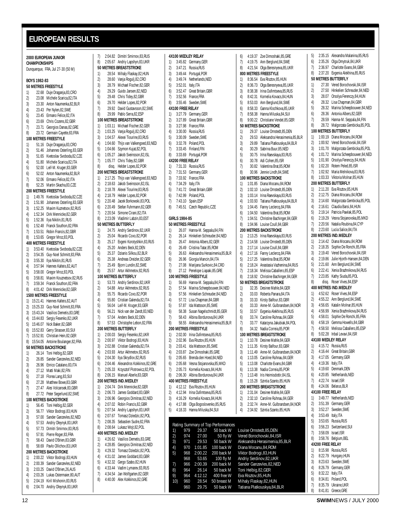## <span id="page-11-0"></span>**EUROPEAN RESULTS**

|          |                | 2000 EUROPEAN JUNIOR                                                         |
|----------|----------------|------------------------------------------------------------------------------|
|          | CHAMPIONSHIPS  | Dunquerque, FRA, Jul 27-30 (50 M)                                            |
|          |                |                                                                              |
|          | BOYS 1982-83   |                                                                              |
|          |                | 50 METRES FREESTYLE                                                          |
| 1)       |                | 22.68 Duje Draganja, 83, CRO                                                 |
| 2)       |                | 23.08 Michele Scarica, 82, ITA                                               |
| 3)       |                | 23.30 Anton Naumenka, 82, BLR<br>23.43 Per Nylen, 82, SWE                    |
| 4)       |                |                                                                              |
| 5)       |                | 23.45 Ermano Felice, 82, ITA<br>23.69 Chris Cozens, 82, GBR                  |
| 6)<br>7) |                | 23.71 Georgios Danas, 82, GRE                                                |
| 8)       |                | 23.72 Germain Cayette, 83, FRA                                               |
|          |                | 100 METRES FREESTYLE                                                         |
| 1)       |                | 51.16 Duje Draganja,83,CRO                                                   |
| 2)       |                | 51.46 Johannes Osterling, 83, GER                                            |
| 3)       |                | 51.65 Kvetoslav Svoboda, 82, CZE<br>51.80 Michele Scarica, 82, ITA           |
| 4)       |                |                                                                              |
| 5)       |                | 52.00 Leif-M. Kruger, 83, GER                                                |
| 6)       |                | 52.02 Anton Naumenka, 82, BLR                                                |
| 7)<br>8) |                | 52.06 Ermano Felice, 82, ITA<br>52.25 Martin Skacha, 83, CZE                 |
|          |                | 200 METRES FREESTYLE                                                         |
| 1)       |                | 1:49.76 Kvetoslav Svoboda, 82, CZE                                           |
| 2)       |                | 1:51.90 Johannes Osterling,83,GER                                            |
| 3)       |                |                                                                              |
| 4)       |                | 1:52.25 Maxim Kuznetsov, 82, RUS<br>1:52.34 Dirk Mennicke, 82, GER           |
| 5)       |                | 1:52.36 Ilya Nikitin,81,RUS                                                  |
| 6)       |                | 1:52.48 Franck Southon, 82, FRA                                              |
| 7)       |                | 1:53.51 Robin Francis, 82, GBR                                               |
| 8)       |                | 1:53.65 Gregor Mroz,83,POL                                                   |
| 1)       |                | <b>400 METRES FREESTYLE</b><br>3:53.40 Kvetoslav Svoboda,82,CZE              |
| 2)       |                | 3:54.35 Guy-Noel Schmitt,83,FRA                                              |
| 3)       |                | 3:55.30 Ilya Nikitin,81,RUS                                                  |
| 4)       |                | 3:57.94 Hannes Kalteis, 82, AUT                                              |
| 5)       |                | 3:58.00 Gregor Mroz, 83, POL                                                 |
| 6)       |                | 3:58.81 Maxim Kouznetsov, 82, RUS<br>3:59.34 Franck Southon, 82, FRA         |
| 7)       |                |                                                                              |
|          |                | 8) 4:01.42 Dirk Mennicke, 82, GER                                            |
|          |                | <b>1500 METRES FREESTYLE</b>                                                 |
| 1)<br>2) |                | 15:21.41 Hannes Kalteis, 82, AUT                                             |
|          |                | 15:25.33 Guy-Noel Schmitt,83,FRA                                             |
|          |                | 3) 15:43.24 Vasilios Demetis, 83, GRE<br>4) 15:44.83 Sergiy Fesenko, 82, UKR |
| 5)       |                | 15:46.07 Nick Baker, 82, GBR                                                 |
| 6)       |                | 15:52.83 Gerry Strasser, 83, SUI<br>15:52.91 Christian Hein, 82, GER         |
| 7)       |                |                                                                              |
| 8)       |                | 15:54.05 Antoine Boulanger, 82, FRA                                          |
|          |                | 50 METRES BACKSTROKE                                                         |
| 1)       |                | 26.14 Toni Helbig, 82, GER                                                   |
| 2)       | 26.85          | Sander Ganzevles, 82, NED                                                    |
| 3)<br>4) | 26.96<br>27.12 | Enrico Catalano, 83, ITA<br>Matti Maki, 82, FIN                              |
| 5)       | 27.18          | Florea Lang, 83, SUI                                                         |
| 6)       | 27.28          | Matthew Bowe, 83, GBR                                                        |
| 7)       | 27.47          | Ales Volcansek, 83, GBR                                                      |
| 8)       | 27.72          | Peter Segerlund, 82, SWE                                                     |
|          |                | 100 METRES BACKSTROKE                                                        |
| 1)       | 56.45          | Toni Helbig, 82, GER                                                         |
| 2)       | 56.77          | Viktor Bodrogi, 83, HUN                                                      |
| 3)       | 57.00          | Sander Ganzevles, 82, NED                                                    |
| 4)       | 57.53          | Andriy Oleynyk, 83, UKR<br>Dimitri Smirnov.83.RUS                            |
| 5)<br>6) | 57.73<br>57.91 | Pierre Roger, 83, FRA                                                        |
| 7)       | 58.43          | David O'Brien, 83, GBR                                                       |
| 8)       | 58.69          | Pavlo Ollichov, 83, UKR                                                      |
|          |                | 200 METRES BACKSTROKE                                                        |
| 1)       | 2:00.22        | Viktor Bodrogi, 83, HUN                                                      |
| 2)       | 2:00.39        | Sander Ganzevles, 82, NED                                                    |
| 3)       | 2:03.25        | David O'Brien, 26, AUS                                                       |
| 4)       | 2:03.26        | Lukas Ostermaier, 80, AUT                                                    |
| 5)       |                | 2:04.19 Kiril Mishonin, 83, RUS                                              |

| 7)       | 2:04.82            | Dimitri Smirnov, 83, RUS                                |
|----------|--------------------|---------------------------------------------------------|
| 8)       | 2:05.67            | Andriy Lapshyn, 83, UKR                                 |
|          |                    | 50 METRES BREASTSTROKE                                  |
| 1)       | 28.54              | Mihaly Flaskay,82,HUN                                   |
| 2)       | 28.60              | Vanja Rogulj, 82, CRO                                   |
| 3)       | 28.79<br>29.29     | Michael Fischer, 82, GER                                |
| 4)<br>5) | 29.48              | Guido Jansen, 82, NED<br>Chris Tidey, 82, GBR           |
| 6)       | 29.70              | Helder Lopes, 82, POR                                   |
| 7)       | 29.92              | David Gustavsson, 82, SWE                               |
| 8)       | 29.99              | Pablo Serra, 82, ESP                                    |
|          |                    | 100 METRES BREASTSTROKE                                 |
| 1)       | 1:03.11            | Michael Fischer, 82, GER                                |
| 2)       | 1:03.25            | Vanja Rogulj,82,CRO                                     |
| 3)       | 1:04.57<br>1:04.60 | Alexei Tiourine, 83, RUS                                |
| 4)<br>5) | 1:04.66            | Thijs van Valkengoed,83,NED<br>Szymon Kujat, 82, POL    |
| 6)       | 1:05.27            | Jakob Sveinsson, 82, ISL                                |
| 7)       | 1:05.77            | Chris Tidey, 82, GBR                                    |
| 8)       | disq.              | Helder Lopes, 82, POR                                   |
|          |                    | 200 METRES BREASTSTROKE                                 |
| 1)       | 2:17.25            | Thijs van Valkengoed,83,NED                             |
| 2)       | 2:18.63            | Jakob Sveinsson,82,ISL                                  |
| 3)<br>4) | 2:18.78<br>2:18.79 | Alexei Tiourine, 83, RUS<br>Helder Lopes, 82, POR       |
| 5)       | 2:20.48            | Jacek Borkowski, 83, POL                                |
| 6)       | 2:20.49            | Stefan Fuhrmann, 82, GER                                |
| 7)       | 2:20.54            | Simone Cirani, 82, ITA                                  |
| 8)       | 2:23.09            | Vladimir Labzin, 83, EST                                |
|          |                    | 50 METRES BUTTERFLY                                     |
| 1)       | 24.75              | Andriy Serdinov, 82, UKR                                |
| 2)       | 25.04              | Ricardo Coxo, 82, POR                                   |
| 3)<br>4) | 25.20              | 25.17 Evgeni Korotyshkin,83,RUS<br>Anders Beck, 82, DEN |
| 5)       | 25.37              | Dzianis Silkou, 82, BLR                                 |
| 6)       | 25.38              | Andreas Dreizler, 82, GER                               |
| 7)       | 25.49              | Bjorn Lundin, 82, SWE                                   |
| 8)       | 25.57              | Artur Akhmetov, 82, RUS                                 |
|          |                    | 100 METRES BUTTERFLY                                    |
| 1)       | 53.73              | Andriy Serdinov, 82, UKR                                |
| 2)<br>3) | 54.88<br>55.75     | Artur Akhmetov, 82, RUS<br>Ricardo Coxo, 82, POR        |
| 4)       | 55.80              | Cristian Galenda, 82, ITA                               |
| 5)       | 56.04              | Leif-M. Kruger, 83, GER                                 |
| 6)       | 56.21              | Nick van der Zandt,83,NED                               |
| 7)       | 57.04              | Anders Beck, 82, DEN                                    |
| 8)       | 57.53              | Christophe Lebon, 82, FRA                               |
|          |                    | 200 METRES BUTTERFLY                                    |
| 1)<br>2) | 2:00.03<br>2:00.97 | Sergiy Fesenko, 82, UKR<br>Viktor Bodrogi, 83, HUN      |
| 3)       | 2:02.88            | Cristian Galenda, 82, ITA                               |
| 4)       | 2:03.93            | Artur Akhmetov, 82, RUS                                 |
| 5)       | 2:04.30            | Ilya Skrydlov, 82, RUS                                  |
| 6)       | 2:04.46            | Alexandros Kokkinos, 82, GRE                            |
| 7)       | 2:05.33            | Krzysztof Piotrowicz, 82, POL                           |
| 8)       | 2:06.15            | Manuel Aberle,83,GER                                    |
|          |                    | 200 METRES IND.MEDLEY<br>Dirk Mennicke, 82, GER         |
| 1)<br>2) | 2:04.74<br>2:06.73 | James Goddard, 83, GBR                                  |
| 3)       | 2:06.96            | Georgios Dimitras, 82, NED                              |
| 4)       | 2:07.02            | Robin Francis, 82, GBR                                  |
| 5)       | 2:07.54            | Andriy Lapshyn, 83, UKR                                 |
| 6)       | 2:07.67            | Tomasz Dziedzic, 82, POL                                |
| 7)       | 2:08.35            | Sebastien Sudre, 82, FRA                                |
| 8)       | 2:08.64            | Lukasz Wojt,82,POL                                      |
| 1)       | 4:26.62            | 400 METRES IND.MEDLEY<br>Vasilios Demetis, 83, GRE      |
| 2)       | 4:28.85            | Georgios Dimitras, 82, NED                              |
| 3)       | 4:29.32            | Tomasz Dziedzic, 82, POL                                |
| 4)       | 4:31.02            | James Goddard, 83, GBR                                  |
| 5)       | 4:32.32            | Gergo Szabo, 82, HUN                                    |
| 6)       | 4:33.44            | Vadim Lymarev, 83, RUS                                  |
| 7)       | 4:34.54            | Jan Wolfgarten,82,GER                                   |

8) 4:40.00 Alex Kokkinos,82,GRE

|          |                    | 4X100 MEDLEY RELAY                                                                                                                                |                                    | 6)       |                      | 4:19.37 Zoe Dimoshaki, 85                                    |
|----------|--------------------|---------------------------------------------------------------------------------------------------------------------------------------------------|------------------------------------|----------|----------------------|--------------------------------------------------------------|
| 1)       |                    | 3:45.82 Germany, GER                                                                                                                              |                                    | 7)       |                      | 4:19.75 Ann Berglund, 84,                                    |
| 2)       |                    | 3:47.21 Russia, RUS                                                                                                                               |                                    | 8)       |                      | 4:21.54 Olga Beresnyeva,                                     |
| 3)       |                    | 3:49.44 Portugal, POR                                                                                                                             |                                    |          |                      | 800 METRES FREESTYLE                                         |
| 4)       |                    | 3:49.74 Netherlands, NED                                                                                                                          |                                    | 1)       |                      | 8:36.54 Eva Risztov, 85, HL                                  |
| 5)       |                    | 3:52.01 Italy, ITA                                                                                                                                |                                    | 2)       |                      | 8:36.73 Olga Beresnyeva,                                     |
| 6)       |                    | 3:52.47 Great Britain, GBR                                                                                                                        |                                    | 3)       |                      | 8:38.38 Irina Oufimtseva, 8                                  |
| 7)       |                    | 3:52.56 France, FRA                                                                                                                               |                                    | 4)       |                      | 8:42.31 Kornelia Kovacs,8                                    |
| 8)       |                    | 3:55.46 Sweden, SWE                                                                                                                               |                                    |          |                      | 5) 8:53.03 Ann Berglund, 84,                                 |
| 1)       | 4X100 FREE RELAY   | 3:27.79 Germany, GER                                                                                                                              |                                    | 6)<br>7) |                      | 8:58.33 Ganna Klochkova,<br>8:58.38 Hanna Miluska,84         |
| 2)       |                    | 3:27.89 Great Britain, GBR                                                                                                                        |                                    | 8)       |                      | 9:00.22 Christiane Vendel                                    |
| 3)       |                    | 3:27.98 France, FRA                                                                                                                               |                                    |          |                      | <b>50 METRES BACKSTROKE</b>                                  |
| 4)       |                    | 3:30.00 Russia, RUS                                                                                                                               |                                    | 1)       |                      | 29.37 Louise Ornstedt, 8                                     |
| 5)       |                    | 3:30.09 Sweden, SWE                                                                                                                               |                                    | 2)       |                      | 29.53 Aleksandra Herasi                                      |
| 6)       |                    | 3:32.78 Poland, POL                                                                                                                               |                                    | 3)       |                      | 29.89 Tatiana Platkousk                                      |
| 7)       |                    | 3:33.45 Finland, FIN                                                                                                                              |                                    | 4)       |                      | 30.29 Sabrina Buur, 85, N                                    |
| 8)       |                    | 3:33.69 Portugal, POR                                                                                                                             |                                    | 5)       |                      | 30.75 Irina Raevskaya,8:                                     |
|          | 4X200 FREE RELAY   |                                                                                                                                                   |                                    | 6)       |                      | 30.78 Adi Cohen, 85, ISR                                     |
| 1)       |                    | 7:31.33 Russia, RUS                                                                                                                               |                                    | 7)       |                      | 30.82 Valentina Brat, 85,                                    |
| 2)       |                    | 7:31.53 Germany, GER                                                                                                                              |                                    | 8)       |                      | 30.96 Jennie Lindh, 84, S                                    |
| 3)       |                    | 7:33.92 France, FRA                                                                                                                               |                                    |          |                      | <b>100 METRES BACKSTROKE</b>                                 |
| 4)       | 7:34.29 Italy, ITA |                                                                                                                                                   |                                    | 1)       |                      | 1:01.85 Diana Mocanu,84                                      |
| 5)       |                    | 7:41.72 Great Britain, GBR                                                                                                                        |                                    | 2)       |                      | 1:02.10 Louise Ornstedt, 8                                   |
| 6)       |                    | 7:42.99 Poland, POL                                                                                                                               |                                    |          |                      | 3) 1:03.14 Irina Raevskaya, 8:                               |
| 7)       |                    | 7:43.10 Spain, ESP                                                                                                                                |                                    |          |                      | 4) 1:03.93 Tatiana Platkousk                                 |
| 8)       |                    | 7:45.51 Czech Republic, CZE                                                                                                                       |                                    |          |                      | 5) 1:04.45 Fanny Leclercq, 84                                |
|          |                    |                                                                                                                                                   |                                    | 6)       |                      | 1:04.50 Valentina Brat, 85,                                  |
|          | GIRLS 1984-85      |                                                                                                                                                   |                                    | 7)       |                      | 1:04.51 Christine Baching                                    |
|          |                    | 50 METRES FREESTYLE                                                                                                                               |                                    | 8)       |                      | 1:04.96 Louise Coull, 84, G                                  |
| 1)       |                    | 26.07 Hanna-M. Seppala,84,FIN                                                                                                                     |                                    |          |                      | 200 METRES BACKSTROKE                                        |
| 2)       |                    | 26.14 Hinkelien Schreuder, 84, NED                                                                                                                |                                    | 1)       |                      | 2:13.25 Irina Raevskaya,8:                                   |
| 3)<br>4) |                    | 26.47 Antonia Albers, 82, GER<br>20.47 Provide a Tatar, 85, ROM<br>26.63 Aleksandra Herasimenia, 85, BLR<br>26.63 Aleksandra Herasimenia, 85, BLR |                                    | 2)       |                      | 2:14.58 Louise Ornstedt, 8<br>3) 2:17.14 Louise Coull, 84, G |
| 5)       |                    |                                                                                                                                                   |                                    |          |                      | 4) 2:17.16 Fanny Leclercq,84                                 |
| 6)       |                    | 26.96 Giorgia Mancin, 84, ITA                                                                                                                     |                                    | 5)       |                      | 2:17.25 Valentina Brat, 85,                                  |
| 7)       |                    | 27.08 Marijana Surkovic, 84.CRO                                                                                                                   |                                    | 6)       |                      | 2:18.24 Anastasia Vazheni                                    |
| 8)       |                    | 27.12 Penelope Liapaki, 85, GRE                                                                                                                   |                                    | 7)       |                      | 2:18.34 Melissa Caballero                                    |
|          |                    | <b>100 METRES FREESTYLE</b>                                                                                                                       |                                    | 8)       |                      | 2:18.92 Christine Baching                                    |
| 1)       |                    | 56.69 Hanna-M. Seppala, 84, FIN                                                                                                                   |                                    |          |                      | 50 METRES BREASTSTROKE                                       |
| 2)       |                    | 57.54 Marina Scheepbouwer, 84, NED                                                                                                                |                                    | 1)       |                      | 32.35 Desiree Mahle, 84                                      |
| 3)       |                    | 57.56 Hinkelien Schreuder, 84, NED                                                                                                                |                                    | 2)       |                      | 33.03 Roberta Panara, 84                                     |
| 4)       |                    | 57.72 Lisa Chapman, 84, GBR                                                                                                                       |                                    | 3)       |                      | 33.33 Kirsty Balfour, 83,                                    |
| 5)       |                    | 57.87 Ida Mattsson, 85, SWE                                                                                                                       |                                    | 4)       |                      | 33.33 Anne-M. Gulbrand                                       |
| 6)       |                    | 58.38 Susan Nagelschmidt, 85, GER                                                                                                                 |                                    | 5)       |                      | 33.57 Evgenia Alekhina,                                      |
| 7)       |                    | 58.43 Albina Bordunova, 84, UKR                                                                                                                   |                                    | 6)       |                      | 33.74 Caroline Ruhnau,                                       |
| 8)       |                    | 58.55 Aleksandra Herasimenia, 85, BLR                                                                                                             |                                    | 7)       |                      | 33.77 Katarzyna Jakubia                                      |
|          |                    | 200 METRES FREESTYLE                                                                                                                              |                                    | 8)       |                      | 34.32 Nadia Correia, 85,                                     |
| 1)       |                    | 2:02.00 Irina Oufimtseva, 85, RUS                                                                                                                 |                                    |          |                      | <b>100 METRES BREASTSTROK</b>                                |
| 2)       |                    | 2:02.96 Eva Risztov, 85, HUN                                                                                                                      |                                    | 1)       |                      | 1:10.78 Desiree Mahle,84                                     |
| 3)       |                    | 2:03.41 Ida Mattsson, 85, SWE                                                                                                                     |                                    | 2)       |                      | 1:11.35 Kirsty Balfour, 83,                                  |
| 4)       |                    | 2:03.87 Zoe Dimoshaki, 85, GRE                                                                                                                    |                                    | 3)       |                      | 1:11.49 Anne-M. Gulbrand                                     |
| 5)       | 2:05.65            | Brenda den Hoed,84,NED                                                                                                                            |                                    | 4)       | 1:13.05              | Caroline Ruhnau,                                             |
| 6)       | 2:05.68            | Vesna Stojanovska, 85, MKD<br>Kornelia Kovacs, 84, HUN                                                                                            |                                    | 5)       | 1:13.08              | Charlotte Evans, 8<br>Nadia Correia, 85,                     |
| 7)<br>8) | 2:05.73            | 2:06.30 Albina Bordunova, 84, UKR                                                                                                                 |                                    | 6)<br>7) | 1:13.38<br>1:13.48   | Iris Heimisdottir,8                                          |
|          |                    | <b>400 METRES FREESTYLE</b>                                                                                                                       |                                    | 8)       | 1:15.28              | Szintia Szanto, 85,                                          |
| 1)       | 4:12.12            | Eva Risztov, 85, HUN                                                                                                                              |                                    |          |                      | <b>200 METRES BREASTSTROK</b>                                |
| 2)       | 4:12.94            | Irina Oufimtseva, 85, RUS                                                                                                                         |                                    | 1)       | 2:31.04              | Desiree Mahle,84                                             |
| 3)       | 4:16.29            | Kornelia Kovacs, 84, HUN                                                                                                                          |                                    | 2)       | 2:32.10              | Caroline Ruhnau,                                             |
| 4)       | 4:17.88            | Olga Bogoslovenko, 85, RUS                                                                                                                        |                                    | 3)       | 2:32.74              | Anne-M. Gulbran                                              |
| 5)       | 4:18.33            | Hanna Miluska, 84, SUI                                                                                                                            |                                    | 4)       | 2:34.92              | Szintia Szanto, 85,                                          |
|          |                    |                                                                                                                                                   | Rating Summary of Top Performances |          |                      |                                                              |
| 1)       | 979                | 29.37                                                                                                                                             | 50 back W                          |          |                      | Louise Ornstedt, 85, DEN                                     |
| 2)       | 974                | 27.00                                                                                                                                             | <u>50</u> fly W                    |          |                      | Vered Borochovski, 84, ISR                                   |
| 3)       | 971                | 29.53                                                                                                                                             | 50 back W                          |          |                      | Aleksandra Herasimenia,85,                                   |
| 4)       | 970                | 1:01.85                                                                                                                                           | 100 back W                         |          |                      | Diana Mocanu, 84, ROM                                        |
| 5)       | 968                | 2:00.22                                                                                                                                           | 200 back M                         |          |                      | Viktor Bodrogi, 83, HUN                                      |
|          |                    | 968<br>53.65                                                                                                                                      | 100 fly M                          |          |                      | Andriy Serdinov, 82, UKR                                     |
|          |                    |                                                                                                                                                   |                                    |          |                      |                                                              |
| 7)       | 966                | 2:00.39                                                                                                                                           | 200 back M                         |          |                      | Sander Ganzevles, 82, NED                                    |
| 8)       | 964                | 26.14                                                                                                                                             | 50 back M                          |          | Toni Helbig, 82, GER |                                                              |
| 9)       | 964<br>10)<br>960  | 4:12.12<br>28.54                                                                                                                                  | 400 free W<br>50 breast M          |          | Eva Risztov,85,HUN   | Mihaly Flaskay,82,HUN                                        |

| <b>IUU MEULET RELAT</b>               | O)<br>4.19.31 LOB DIMIUSHERI, 60, GRE                        |
|---------------------------------------|--------------------------------------------------------------|
| 3:45.82 Germany, GER                  | 7)<br>4:19.75 Ann Berglund, 84, SWE                          |
| 3:47.21 Russia, RUS                   | 4:21.54 Olga Beresnyeva, 85, UKR<br>8)                       |
| 3:49.44 Portugal, POR                 | 800 METRES FREESTYLE                                         |
| 3:49.74 Netherlands, NED              | 8:36.54 Eva Risztov, 85, HUN<br>1)                           |
| 3:52.01 Italy, ITA                    | 2)<br>8:36.73 Olga Beresnyeva, 85, UKR                       |
| 3:52.47 Great Britain, GBR            | 8:38.38 Irina Oufimtseva, 85, RUS<br>3)                      |
| 3:52.56 France, FRA                   | 8:42.31 Kornelia Kovacs, 84, HUN<br>4)                       |
| 3:55.46 Sweden, SWE                   | 8:53.03 Ann Berglund, 84, SWE<br>5)                          |
| 100 FREE RELAY                        | 8:58.33 Ganna Klochkova,85,UKR<br>6)                         |
| 3:27.79 Germany, GER                  | 8:58.38 Hanna Miluska, 84, SUI<br>7)                         |
| 3:27.89 Great Britain, GBR            | 8)<br>9:00.22 Christiane Vendel, 85, GER                     |
| 3:27.98 France, FRA                   | <b>50 METRES BACKSTROKE</b>                                  |
| 3:30.00 Russia, RUS                   | 1)<br>29.37 Louise Ornstedt, 85, DEN                         |
| 3:30.09 Sweden, SWE                   | 2)<br>29.53 Aleksandra Herasimenia, 85, BLR                  |
| 3:32.78 Poland, POL                   | 29.89 Tatiana Platkouskya,84,BLR<br>3)                       |
| 3:33.45 Finland, FIN                  | 30.29 Sabrina Buur, 85, NED                                  |
|                                       | 4)                                                           |
| 3:33.69 Portugal, POR                 | 30.75 Irina Raevskaya,83,RUS<br>30.78 Adi Cohen,85,ISR<br>5) |
| 200 FREE RELAY                        | 6)                                                           |
| 7:31.33 Russia, RUS                   | 30.82 Valentina Brat, 85, ROM<br>7)                          |
| 7:31.53 Germany, GER                  | 30.96 Jennie Lindh, 84, SWE<br>8)                            |
| 7:33.92 France, FRA                   | 100 METRES BACKSTROKE                                        |
| 7:34.29 Italy, ITA                    | 1:01.85 Diana Mocanu, 84, ROM<br>1)                          |
| 7:41.72 Great Britain, GBR            | 1:02.10 Louise Ornstedt, 85, DEN<br>2)                       |
| 7:42.99 Poland, POL                   | 1:03.14 Irina Raevskaya,83,RUS<br>3)                         |
| 7:43.10 Spain, ESP                    | 1:03.93 Tatiana Platkouskya,84,BLR<br>4)                     |
| 7:45.51 Czech Republic, CZE           | 1:04.45 Fanny Leclercq,84,FRA<br>5)                          |
|                                       | 1:04.50 Valentina Brat, 85, ROM<br>6)                        |
| RLS 1984-85                           | 1:04.51 Christine Bachinger, 84, GER<br>7)                   |
| <b>METRES FREESTYLE</b>               | 1:04.96 Louise Coull, 84, GBR<br>8)                          |
| 26.07 Hanna-M. Seppala,84,FIN         | 200 METRES BACKSTROKE                                        |
| 26.14 Hinkelien Schreuder, 84, NED    | 1)<br>2:13.25 Irina Raevskaya, 83, RUS                       |
| 26.47 Antonia Albers, 82, GER         | 2)<br>2:14.58 Louise Ornstedt, 85, DEN                       |
| 26.49 Cristina Tatar, 85, ROM         | 3)<br>2:17.14 Louise Coull, 84, GBR                          |
| 26.63 Aleksandra Herasimenia, 85, BLR | 4)<br>2:17.16 Fanny Leclercq,84,FRA                          |
| 26.96 Giorgia Mancin, 84, ITA         | 5)<br>2:17.25 Valentina Brat, 85, ROM                        |
|                                       |                                                              |
| 27.08 Marijana Surkovic, 84.CRO       | 2:18.24 Anastasia Vazhenina, 84, RUS<br>6)                   |
| 27.12 Penelope Liapaki, 85, GRE       | 2:18.34 Melissa Caballero, 85, ESP<br>7)                     |
| <b>O METRES FREESTYLE</b>             | 2:18.92 Christine Bachinger, 84, GER<br>8)                   |
| 56.69 Hanna-M. Seppala,84,FIN         | 50 METRES BREASTSTROKE                                       |
| 57.54 Marina Scheepbouwer, 84, NED    | 1)<br>32.35 Desiree Mahle, 84, GER                           |
| 57.56 Hinkelien Schreuder,84,NED      | 2)<br>33.03 Roberta Panara, 84, ITA                          |
| 57.72 Lisa Chapman, 84, GBR           | 3)<br>33.33 Kirsty Balfour, 83, GBR                          |
| 57.87 Ida Mattsson, 85, SWE           | 33.33 Anne-M. Gulbrandsen, 84, NOR<br>4)                     |
| 58.38 Susan Nagelschmidt, 85, GER     | 33.57 Evgenia Alekhina, 85, RUS<br>5)                        |
| 58.43 Albina Bordunova, 84, UKR       | 33.74 Caroline Ruhnau, 84, GER<br>6)                         |
| 58.55 Aleksandra Herasimenia, 85, BLR | 33.77 Katarzyna Jakubiak, 84, POL<br>7)                      |
| <b>O METRES FREESTYLE</b>             | 34.32 Nadia Correia, 85, POR<br>8)                           |
| 2:02.00 Irina Oufimtseva, 85, RUS     | 100 METRES BREASTSTROKE                                      |
| 2:02.96 Eva Risztov, 85, HUN          | 1:10.78 Desiree Mahle, 84, GER<br>1)                         |
| 2:03.41 Ida Mattsson, 85, SWE         | 1:11.35 Kirsty Balfour, 83, GBR<br>2)                        |
| 2:03.87 Zoe Dimoshaki, 85, GRE        | 1:11.49 Anne-M. Gulbrandsen,84,NOR<br>3)                     |
| 2:05.65 Brenda den Hoed.84.NED        | 4) 1:13.05 Caroline Ruhnau, 84, GER                          |
| 2:05.68 Vesna Stojanovska, 85, MKD    | 1:13.08 Charlotte Evans, 84, GBR<br>5)                       |
| 2:05.73 Kornelia Kovacs, 84, HUN      | 1:13.38 Nadia Correia, 85, POR<br>6)                         |
| 2:06.30 Albina Bordunova, 84, UKR     | Iris Heimisdottir, 84, ISL<br>1:13.48                        |
|                                       | 7)                                                           |
| O METRES FREESTYLE                    | 1:15.28 Szintia Szanto, 85, HUN<br>8)                        |
| 4:12.12 Eva Risztov, 85, HUN          | 200 METRES BREASTSTROKE                                      |
| 4:12.94 Irina Oufimtseva, 85, RUS     | 2:31.04 Desiree Mahle, 84, GER<br>1)                         |
| 4:16.29 Kornelia Kovacs, 84, HUN      | 2)<br>2:32.10 Caroline Ruhnau, 84, GER                       |
| 4:17.88 Olga Bogoslovenko, 85, RUS    | 2:32.74 Anne-M. Gulbrandsen, 84, NOR<br>3)                   |
| 4:18.33 Hanna Miluska, 84, SUI        | 2:34.92 Szintia Szanto, 85, HUN<br>4)                        |
| Rating Summary of Top Performances    |                                                              |
| 979<br>1)<br>29.37<br>50 back W       | Louise Ornstedt, 85, DEN                                     |
| 2)<br>974<br>27.00<br>50 fly W        | Vered Borochovski,84,ISR                                     |
| 3)<br>971<br>29.53<br>50 back W       | Aleksandra Herasimenia,85,BLR                                |
| 4)<br>970<br>1:01.85<br>100 back W    | Diana Mocanu, 84, ROM                                        |
| 5)<br>968<br>2:00.22<br>200 back M    | Viktor Bodrogi, 83, HUN                                      |
|                                       |                                                              |
| 968<br>53.65<br>100 fly M             | Andriy Serdinov, 82, UKR                                     |
| 7)<br>966<br>2:00.39<br>200 back M    | Sander Ganzevles, 82, NED                                    |
| 8)<br>964<br>26.14<br>50 back M       | Toni Helbig, 82, GER                                         |
| 964<br>9)<br>4:12.12<br>400 free W    | Eva Risztov,85,HUN                                           |
| 960<br>28.54<br>10)<br>50 breast M    | Mihaly Flaskav.82.HUN                                        |

 $\frac{1}{1}$   $\frac{1}{1}$   $\frac{1}{10.37}$   $\frac{7}{10}$  Dimoshaki, 85, GBE

5) 2:35.15 Alexandra Malanina,85,RUS 6) 2:35.26 Olga Dmytruk,84,UKR 7) 2:36.97 Charlotte Evans,84,GBR 8) 2:37.20 Evgenia Alekhina,85,RUS **50 METRES BUTTERFLY** 1) 27.30 Vered Borochovski,84,ISR 2) 27.50 Hinkelien Schreuder,84,NED 3) 28.07 Orsolya Ferenczy,84,HUN 4) 28.32 Lisa Chapman,84,GBR 5) 28.32 Marina Scheepbouwer,84,NED 6) 28.36 Antonia Albers,82,GER 7) 28.59 Hanna-M. Seppala,84,FIN 8) 28.72 Malgorzata Gembicka,85,POL **100 METRES BUTTERFLY** 1) 1:00.19 Diana Mocanu,84,ROM 2) 1:00.92 Vered Borochovski,84,ISR 3) 1:01.70 Malgorzata Gembicka,85,POL 4) 1:01.72 Marina Scheepbouwer,84,NED 5) 1:01.90 Orsolya Ferenczy,84,HUN 6) 1:02.20 Rotem Peled,85,ISR 7) 1:02.92 Maria Melnikova,83,RUS 8) 1:03.33 Viktoria Molnar,85,HUN **200 METRES BUTTERFLY** 1) 2:11.20 Eva Risztov,85,HUN 2) 2:12.75 Diana Mocanu,84,ROM 3) 2:14.60 Malgorzata Gembicka,85,POL 4) 2:16.61 Claudia Barsi,84,HUN 5) 2:19.14 Patricia Pawlak,85,POL 6) 2:19.29 Vesna Stojanovska,85,MKD 7) 2:20.56 Natalia Roubina,84,CYP 8) 2:23.60 Lucia Salice,84,ITA **200 METRES IND.MEDLEY** 1) 2:14.42 Diana Mocanu,84,ROM 2) 2:18.35 Sophie De Ronchi,85,FRA 3) 2:19.40 Vered Borochovski,84,ISR 4) 2:19.86 Julie Hjorth-Hansen,84,DEN 5) 2:21.60 Ann Berglund,84,SWE 6) 2:22.41 Xenia Brazhnikova,84,RUS 7) 2:23.85 Kathy Siuda,85,POL 8) disq. Roser Vives, 84, ESP **400 METRES IND.MEDLEY** 1) 4:52.62 Roser Vives,84,ESP 2) 4:55.22 Ann Berglund,84,SWE 3) 4:56.65 Katalin Molnar,85,HUN 4) 4:56.99 Xenia Brazhnikova,84,RUS 5) 4:58.01 Sophie De Ronchi,85,FRA 6) 4:58.19 Gemma Howells,84,GBR 7) 4:58.50 Melissa Caballero,85,ESP 8) 5:02.28 Inbal Levavi,84,ISR **4X100 MEDLEY RELAY** 1) 4:15.72 Russia,RUS 2) 4:16.44 Great Britain,GBR 3) 4:17.05 Germany,GER 4) 4:19.36 Italy,ITA 5) 4:19.60 Denmark,DEN 6) 4:20.85 Netherlands,NED 7) 4:22.74 Israel,ISR 8) 4:24.06 Belarus,BLR **4X100 FREE RELAY** 1) 3:49.77 Netherlands,NED 2) 3:51.39 Germany,GER 3) 3:52.27 Sweden,SWE 4) 3:53.49 Italy,ITA 5) 3:53.65 Russia,RUS 6) 3:56.23 Switzerland,SUI 7) 3:58.09 Israel,ISR 8) 3:58.76 Belgium,BEL **4X200 FREE RELAY** 1) 8:15.98 Russia,RUS 2) 8:22.79 Hungary,HUN 3) 8:23.63 Sweden,SWE 4) 8:26.79 Germany,GER 5) 8:32.22 Italy,ITA 6) 8:34.81 Poland,POL 7) 8:35.79 Ukraine,UKR 8) 8:41.81 Greece,GRE

6) 2:04.70 Andriy Oleynyk,83,UKR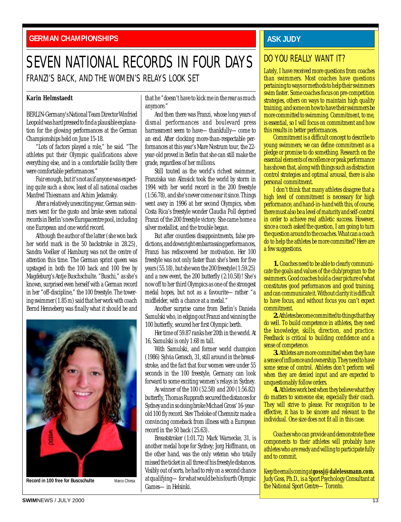<span id="page-12-0"></span>**GERMAN CHAMPIONSHIPS**

## SEVEN NATIONAL RECORDS IN FOUR DAYS FRANZI'S BACK, AND THE WOMEN'S RELAYS LOOK SET

#### **Karin Helmstaedt**

BERLIN-Germany's National Team Director Winfried Leopold was hard pressed to find a plausible explanation for the glowing performances at the German Championships held on June 15-18.

"Lots of factors played a role," he said. "The athletes put their Olympic qualifications above everything else, and in a comfortable facility there were comfortable performances."

Fair enough, but it's not as if anyone was expecting quite such a show, least of all national coaches Manfred Thiesmann and Achim Jedamsky.

After a relatively unexciting year, German swimmers went for the gusto and broke seven national records in Berlin's new Europacentre pool, including one European and one world record.

Although the author of the latter (she won back her world mark in the 50 backstroke in 28.25), Sandra Voelker of Hamburg was not the centre of attention this time. The German sprint queen was upstaged in both the 100 back and 100 free by Magdeburg's Antje Buschschulte. "Buschi," as she's known, surprised even herself with a German record in her "off-discipline," the 100 freestyle. The towering swimmer (1.85 m) said that her work with coach Bernd Henneberg was finally what it should be and



that he "doesn't have to kick me in the rear as much anymore."

And then there was Franzi, whose long years of dismal performances and boulevard press harrassment seem to have—thankfully—come to an end. After clocking more-than-respectable performances at this year's Mare Nostrum tour, the 22 year-old proved in Berlin that she can still make the grade, regardless of her millions.

Still touted as the world's richest swimmer, Franziska van Almsick took the world by storm in 1994 with her world record in the 200 freestyle (1:56.78), and she's never come near it since. Things went awry in 1996 at her second Olympics, when Costa Rica's freestyle wonder Claudia Poll deprived Franzi of the 200 freestyle victory. She came home a silver medallist, and the trouble began.

But after countless disappointments, false predictions, and downright embarrassing performances, Franzi has rediscovered her motivation. Her 100 freestyle was not only faster than she's been for five years (55.18), but she won the 200 freestyle (1:59.25) and a new event, the 200 butterfly (2:10.58)! She's now off to her third Olympics as one of the strongest medal hopes, but not as a favourite—rather "a midfielder, with a chance at a medal."

Another surprise came from Berlin's Daniela Samulski who, in edging out Franzi and winning the 100 butterfly, secured her first Olympic berth.

Her time of 59.87 ranks her 20th in the world. At 16, Samulski is only 1.68 m tall.

With Samulski, and former world champion (1986) Sylvia Gerasch, 31, still around in the breaststroke, and the fact that four women were under 55 seconds in the 100 freestyle, Germany can look forward to some exciting women's relays in Sydney.

As winner of the 100 (52.58) and 200 (1:56.82) butterfly, Thomas Rupprath secured the distances for Sydney and in so doing broke Michael Gross' 16-yearold 100 fly record. Stev Theloke of Chemnitz made a convincing comeback from illness with a European record in the 50 back (25.63).

Breaststroker (1:01.72) Mark Warnecke, 31, is another medal hope for Sydney; Jorg Hoffmann, on the other hand, was the only veteran who totally missed the ticket in all three of his freestyle distances. Visibly out of sorts, he had to rely on a second chance at qualifying—for what would be his fourth Olympic Games—in Helsinki.

### **ASK JUDY**

### DO YOU REALLY WANT IT?

Lately, I have received more questions from coaches than swimmers. Most coaches have questions pertaining to ways or methods to help their swimmers swim faster. Some coaches focus on pre-competition strategies, others on ways to maintain high quality training, and some on how to have their swimmers be more committed to swimming. Commitment, to me, is essential, so I will focus on commitment and how this results in better performances.

Commitment is a difficult concept to describe to young swimmers; we can define commitment as a pledge or promise to do something. Research on the essential elements of excellence or peak performance has shown that, along with things such as distraction control strategies and optimal arousal, there is also personal commitment.

I don't think that many athletes disagree that a high level of commitment is necessary for high performance, and hand-in-hand with this, of course, there must also be a level of maturity and self-control in order to achieve real athletic success. However, since a coach asked the question, I am going to turn the question around to the coaches. What can a coach do to help the athletes be more committed? Here are a few suggestions.

**1.** Coaches need to be able to clearly communicate the goals and values of the club/program to the swimmers. Good coaches hold a clear picture of what constitutes good performances and good training, and can communicate it. Without clarity it is difficult to have focus, and without focus you can't expect commitment.

**2.**Athletes become committed to things that they do well. To build competence in athletes, they need the knowledge, skills, direction, and practice. Feedback is critical to building confidence and a sense of competence.

**3.** Athletes are more committed when they have a sense of influence and ownership. They need to have some sense of control. Athletes don't perform well when they are denied input and are expected to unquestionably follow orders.

**4.** Athletes work best when they believe what they do matters to someone else, especially their coach. They will strive to please. For recognition to be effective, it has to be sincere and relevant to the individual. One size does not fit all in this case.

Coaches who can provide and demonstrate these components to their athletes will probably have athletes who are ready and willing to participate fully and to commit.

Keep the emails coming at **gossj@dalelessmann.com.** Judy Goss, Ph.D., is a Sport Psychology Consultant at the National Sport Centre—Toronto.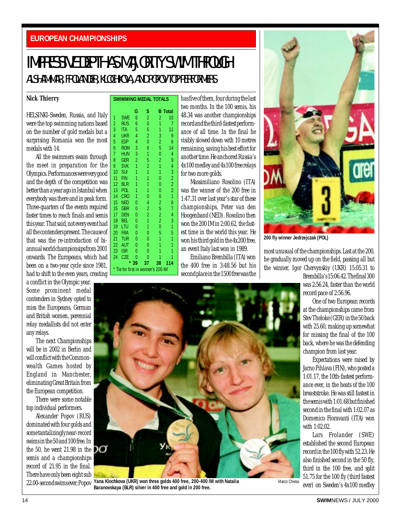#### <span id="page-13-0"></span>**EUROPEAN CHAMPIONSHIPS**

## IMPRESSIVE DEPTH AS MAJORITY SWIM THROUGH ALSHAMMAR, FROLANDER, KLOCHKOVA, AND POPOV TOP PERFORMERS

**SWIMMING MEDAL TOTALS**

#### **Nick Thierry**

HELSINKI-Sweden, Russia, and Italy were the top swimming nations based on the number of gold medals but a surprising Romania won the most medals with 14.

All the swimmers swam through the meet in preparation for the Olympics. Performances were very good and the depth of the competition was better than a year ago in Istanbul when everybody was there and in peak form. Three-quarters of the events required faster times to reach finals and semis this year. That said, not every event had all the contenders present. The cause of that was the re-introduction of biannual world championsips from 2001 onwards. The Europeans, which had been on a two-year cycle since 1981, had to shift to the even years, creating

a conflict in the Olympic year. Some prominent medal contenders in Sydney opted to miss the Europeans. German and British women, perennial relay medallists did not enter any relays.

The next Championships will be in 2002 in Berlin and will conflict with the Commonwealth Games hosted by England in Manchester, eliminating Great Britain from the European competition.

There were some notable top individual performers.

Alexander Popov (RUS) dominated with four golds and some tantalizingly near-record swims in the 50 and 100 free. In the 50, he went 21.98 in the  $\Box$ semis and a championships record of 21.95 in the final. There have only been eight sub 22.00-second swims ever; Popov

\* Tie for first in women's 200 IM

has five of them, four during the last two months. In the 100 semis, his 48.34 was another championships record and the third-fastest performance of all time. In the final he visibly slowed down with 10 metres remaining, saving his best effort for another time. He anchored Russia's 4x100 medley and 4x100 free relays for two more golds.

Massimiliano Rosolino (ITA) was the winner of the 200 free in 1:47.31 over last year's star of these championships, Peter van den Hoogenband (NED). Rosolino then won the 200 IM in 2:00.62, the fastest time in the world this year. He won his third gold in the 4x200 free, an event Italy last won in 1989.

Emiliano Brembilla (ITA) won the 400 free in 3:48.56 but his second place in the 1500 free was the



**200 fly winner Jedrzejczak (POL)**

most unusual of the championships. Last at the 200, he gradually moved up on the field, passing all but the winner, Igor Chervynskiy (UKR) 15:05.31 to

Brembilla's 15:06.42. The final 300 was 2:56.24, faster than the world record pace of 2:56.96.

One of two European records at the championships came from Stev Theloke (GER) in the 50 back with 25.60, making up somewhat for missing the final of the 100 back, where he was the defending champion from last year.

Expectations were raised by Jarno Pihlava (FIN), who posted a 1:01.17, the 10th-fastest performance ever, in the heats of the 100 breaststroke. He was still fastest in the semis with 1:01.68 but finished second in the final with 1:02.07 as Domenico Fioravanti (ITA) won with 1:02.02.

Lars Frolander (SWE) established the second European record in the 100 fly with 52.23. He also finished second in the 50 fly, third in the 100 free, and split 51.75 for the 100 fly (third fastest ever) on Sweden's 4x100 medley



**Yana Klochkova (UKR) won three golds 400 free, 200-400 IM with Natalia Baranovskaya (BLR) silver in 400 free and gold in 200 free.**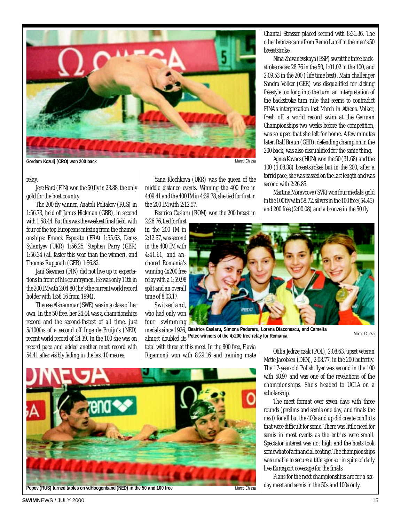

**Gordam Kozulj (CRO) won 200 back**

#### relay.

Jere Hard (FIN) won the 50 fly in 23.88, the only gold for the host country.

The 200 fly winner, Anatoli Poliakov (RUS) in 1:56.73, held off James Hickman (GBR), in second with 1:58.44. But this was the weakest final field, with four of the top Europeans missing from the championships: Franck Esposito (FRA) 1:55.63, Denys Sylantyev (UKR) 1:56.25, Stephen Parry (GBR) 1:56.34 (all faster this year than the winner), and Thomas Rupprath (GER) 1:56.82.

Jani Sievinen (FIN) did not live up to expectations in front of his countrymen. He was only 11th in the 200 IM with 2:04.80 (he's the current world record holder with 1:58.16 from 1994).

Therese Alshammar (SWE) was in a class of her own. In the 50 free, her 24.44 was a championships record and the second-fastest of all time, just 5/100ths of a second off Inge de Bruijn's (NED) recent world record of 24.39. In the 100 she was on record pace and added another meet record with 54.41 after visibly fading in the last 10 metres.

Yana Klochkova (UKR) was the queen of the middle distance events. Winning the 400 free in 4:09.41 and the 400 IM in 4:39.78, she tied for first in the 200 IM with 2:12.57.

Beatrica Caslaru (ROM) won the 200 breast in

2:26.76, tied for first in the 200 IM in 2:12.57, was second in the 400 IM with 4:41.61, and anchored Romania's winning 4x200 free relay with a 1:59.98 split and an overall time of 8:03.17.

Switzerland, who had only won four swimming

medals since 1926, **Beatrice Caslaru, Simona Paduraru, Lorena Diaconescu, and Camelia** almost doubled its **Potec winners of the 4x200 free relay for Romania**

total with three at this meet. In the 800 free, Flavia Rigamonti won with 8:29.16 and training mate



**Popov (RUS) turned tables on vdHoogenband (NED) in the 50 and 100 free**

Marco Chiesa

Chantal Strasser placed second with 8:31.36. The other bronze came from Remo Lutolf in the men's 50 breaststroke.

Nina Zhivanevskaya (ESP) swept the three backstroke races: 28.76 in the 50, 1:01.02 in the 100, and 2:09.53 in the 200 ( life time best). Main challenger Sandra Volker (GER) was disqualified for kicking freestyle too long into the turn, an interpretation of the backstroke turn rule that seems to contradict FINA's interpretation last March in Athens. Volker, fresh off a world record swim at the German Championships two weeks before the competition, was so upset that she left for home. A few minutes later, Ralf Braun (GER), defending champion in the 200 back, was also disqualified for the same thing.

Agnes Kovacs (HUN) won the 50 (31.68) and the 100 (1:08.38) breaststrokes but in the 200, after a torrid pace, she was passed on the last length and was second with 2:26.85.

Martina Moravcova (SVK) won four medals: gold in the 100 fly with 58.72, silvers in the 100 free (54.45) and 200 free (2:00.08) and a bronze in the 50 fly.



**SWIM**NEWS / JULY 2000 15

Mette Jacobsen (DEN), 2:08.77, in the 200 butterfly. The 17-year-old Polish flyer was second in the 100 with 58.97 and was one of the revelations of the championships. She's headed to UCLA on a scholarship. The meet format over seven days with three

Otilia Jedrzejczak (POL), 2:08.63, upset veteran

Marco Chiesa

rounds (prelims and semis one day, and finals the next) for all but the 400s and up did create conflicts that were difficult for some. There was little need for semis in most events as the entries were small. Spectator interest was not high and the hosts took somewhat of a financial beating. The championships was unable to secure a title sponsor in spite of daily live Eurosport coverage for the finals.

Plans for the next championships are for a sixday meet and semis in the 50s and 100s only.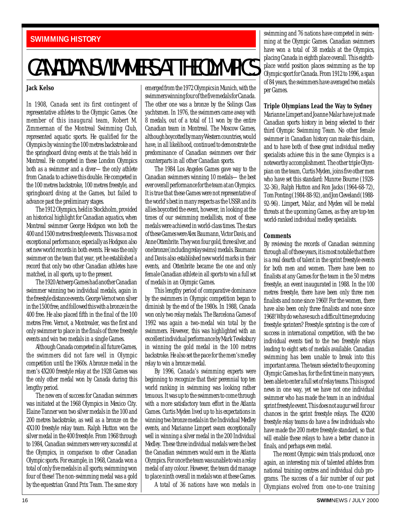### <span id="page-15-0"></span>**SWIMMING HISTORY**

## CANADIAN SWIMMERS AT THE OLYMPICS

#### **Jack Kelso**

In 1908, Canada sent its first contingent of representative athletes to the Olympic Games. One member of this inaugural team, Robert M. Zimmerman of the Montreal Swimming Club, represented aquatic sports. He qualified for the Olympics by winning the 100 metres backstroke and the springboard diving events at the trials held in Montreal. He competed in these London Olympics both as a swimmer and a diver—the only athlete from Canada to achieve this double. He competed in the 100 metres backstroke, 100 metres freestyle, and springboard diving at the Games, but failed to advance past the preliminary stages.

The 1912 Olympics, held in Stockholm, provided an historical highlight for Canadian aquatics, when Montreal swimmer George Hodgson won both the 400 and 1500 metres freestyle events. This was a most exceptional performance, especially as Hodgson also set new world records in both events. He was the only swimmer on the team that year, yet he established a record that only two other Canadian athletes have matched, in all sports, up to the present.

The 1920 Antwerp Games had another Canadian swimmer winning two individual medals, again in the freestyle distance events. George Vernot won silver in the 1500 free, and followed this with a bronze in the 400 free. He also placed fifth in the final of the 100 metres Free. Vernot, a Montrealer, was the first and only swimmer to place in the finals of three freestyle events and win two medals in a single Games.

Although Canada competed in all future Games, the swimmers did not fare well in Olympic competition until the 1960s. A bronze medal in the men's 4X200 freestyle relay at the 1928 Games was the only other medal won by Canada during this lengthy period.

The new era of success for Canadian swimmers was initiated at the 1968 Olympics in Mexico City. Elaine Tanner won two silver medals in the 100 and 200 metres backstroke, as well as a bronze on the 4X100 freestyle relay team. Ralph Hutton won the silver medal in the 400 freestyle. From 1968 through to 1984, Canadian swimmers were very successful at the Olympics, in comparison to other Canadian Olympic sports. For example, in 1968, Canada won a total of only five medals in all sports; swimming won four of these! The non-swimming medal was a gold by the equestrian Grand Prix Team. The same story

emerged from the 1972 Olympics in Munich, with the swimmers winning four of the five medals for Canada. The other one was a bronze by the Solings Class yachtsmen. In 1976, the swimmers came away with 8 medals, out of a total of 11 won by the entire Canadian team in Montreal. The Moscow Games, although boycotted by many Western countries, would have, in all likelihood, continued to demonstrate the predominance of Canadian swimmers over their counterparts in all other Canadian sports.

The 1984 Los Angeles Games gave way to the Canadian swimmers winning 10 medals—the best ever overall performance for the team at an Olympics. It is true that these Games were not representative of the world's best in many respects as the USSR and its allies boycotted the event, however, in looking at the times of our swimming medallists, most of these medals were achieved in world-class times. The stars of these Games were Alex Baumann, Victor Davis, and Anne Ottenbrite. They won four gold, three silver, and one bronze (including relay swims) medals. Baumann and Davis also established new world marks in their events, and Ottenbrite became the one and only female Canadian athlete in all sports to win a full set of medals in an Olympic Games.

This lengthy period of comparative dominance by the swimmers in Olympic competition began to diminish by the end of the 1980s. In 1988, Canada won only two relay medals. The Barcelona Games of 1992 was again a two-medal win total by the swimmers. However, this was highlighted with an excellent individual performance by Mark Tewksbury in winning the gold medal in the 100 metres backstroke. He also set the pace for the men's medley relay to win a bronze medal.

By 1996, Canada's swimming experts were beginning to recognize that their perennial top ten world ranking in swimming was looking rather tenuous. It was up to the swimmers to come through with a more satisfactory team effort in the Atlanta Games. Curtis Myden lived up to his expectations in winning two bronze medals in the Individual Medley events, and Marianne Limpert swam exceptionally well in winning a silver medal in the 200 Individual Medley. These three individual medals were the best the Canadian swimmers would earn in the Atlanta Olympics. For once the team was unable to win a relay medal of any colour. However, the team did manage to place ninth overall in medals won at these Games.

A total of 36 nations have won medals in

swimming and 76 nations have competed in swimming at the Olympic Games. Canadian swimmers have won a total of 38 medals at the Olympics, placing Canada in eighth place overall. This eighthplace world position places swimming as the top Olympic sport for Canada. From 1912 to 1996, a span of 84 years, the swimmers have averaged two medals per Games.

#### **Triple Olympians Lead the Way to Sydney**

Marianne Limpert and Joanne Malar have just made Canadian sports history in being selected to their third Olympic Swimming Team. No other female swimmer in Canadian history can make this claim, and to have both of these great individual medley specialists achieve this in the same Olympics is a noteworthy accomplishment. The other triple Olympian on the team, Curtis Myden, joins five other men who have set this standard: Munroe Bourne (1928- 32-36), Ralph Hutton and Ron Jacks (1964-68-72), Tom Ponting (1984-88-92), and Jon Cleveland (1988- 92-96). Limpert, Malar, and Myden will be medal threats at the upcoming Games, as they are top-ten world-ranked individual medley specialists.

#### **Comments**

By reviewing the records of Canadian swimming through all of these years, it is most notable that there is a real dearth of talent in the sprint freestyle events for both men and women. There have been no finalists at any Games for the team in the 50 metres freestyle, an event inaugurated in 1988. In the 100 metres freestyle, there have been only three men finalists and none since 1960! For the women, there have also been only three finalists and none since 1968! Why do we have such a difficult time producing freestyle sprinters? Freestyle sprinting is the core of success in international competition, with the two individual events tied to the two freestyle relays leading to eight sets of medals available. Canadian swimming has been unable to break into this important arena. The team selected to the upcoming Olympic Games has, for the first time in many years, been able to enter a full set of relay teams. This is good news in one way, yet we have not one individual swimmer who has made the team in an individual sprint freestyle event. This does not augur well for our chances in the sprint freestyle relays. The 4X200 freestyle relay teams do have a few individuals who have made the 200 metre freestyle standard, so that will enable these relays to have a better chance in finals, and perhaps even medal.

The recent Olympic swim trials produced, once again, an interesting mix of talented athletes from national training centres and individual club programs. The success of a fair number of our past Olympians evolved from one-to-one training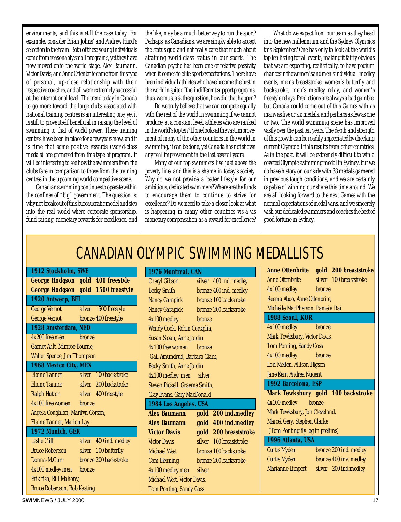environments, and this is still the case today. For example, consider Brian Johns' and Andrew Hurd's selection to the team. Both of these young individuals come from reasonably small programs, yet they have now moved onto the world stage. Alex Baumann, Victor Davis, and Anne Ottenbrite came from this type of personal, up-close relationship with their respective coaches, and all were extremely successful at the international level. The trend today in Canada to go more toward the large clubs associated with national training centres is an interesting one, yet it is still to prove itself beneficial in raising the level of swimming to that of world power. These training centres have been in place for a few years now, and it is time that some positive rewards (world-class medals) are garnered from this type of program. It will be interesting to see how the swimmers from the clubs fare in comparison to those from the training centres in the upcoming world competitive scene.

Canadian swimming continues to operate within the confines of "big" government. The question is: why not break out of this bureaucratic model and step into the real world where corporate sponsorship, fund-raising, monetary rewards for excellence, and

the like, may be a much better way to run the sport? Perhaps, as Canadians, we are simply able to accept the status quo and not really care that much about attaining world-class status in our sports. The Canadian psyche has been one of relative passivity when it comes to elite sport expectations. There have been individual athletes who have become the best in the world in spite of the indifferent support programs; thus, we must ask the question, how did that happen?

Do we truly believe that we can compete equally with the rest of the world in swimming if we cannot produce, at a constant level, athletes who are ranked in the world's top ten? If one looks at the vast improvement of many of the other countries in the world in swimming, it can be done, yet Canada has not shown any real improvement in the last several years.

Many of our top swimmers live just above the poverty line, and this is a shame in today's society. Why do we not provide a better lifestyle for our ambitious, dedicated swimmers? Where are the funds to encourage them to continue to strive for excellence? Do we need to take a closer look at what is happening in many other countries vis-à-vis monetary compensation as a reward for excellence?

What do we expect from our team as they head into the new millennium and the Sydney Olympics this September? One has only to look at the world's top ten listing for all events, making it fairly obvious that we are expecting, realistically, to have podium chances in the women's and men's individual medley events, men's breaststroke, women's butterfly and backstroke, men's medley relay, and women's freestyle relays. Predictions are always a bad gamble, but Canada could come out of this Games with as many as five or six medals, and perhaps as few as one or two. The world swimming scene has improved vastly over the past ten years. The depth and strength of this growth can be readily appreciated by checking current Olympic Trials results from other countries. As in the past, it will be extremely difficult to win a coveted Olympic swimming medal in Sydney, but we do have history on our side with 38 medals garnered in previous tough conditions, and we are certainly capable of winning our share this time around. We are all looking forward to the next Games with the normal expectations of medal wins, and we sincerely wish our dedicated swimmers and coaches the best of good fortune in Sydney.

## CANADIAN OLYMPIC SWIMMING MEDALLISTS

| 1912 Stockholm, SWE                            | 1976 Montreal, CAN                             | Anne Ottenbrite gold 200 breaststroke             |
|------------------------------------------------|------------------------------------------------|---------------------------------------------------|
| <b>George Hodgson gold 400 freestyle</b>       | silver 400 ind. medley<br><b>Cheryl Gibson</b> | <b>Anne Ottenbrite</b><br>silver 100 breaststroke |
| George Hodgson gold 1500 freestyle             | bronze 400 ind. medley<br><b>Becky Smith</b>   | 4x100 medley<br>bronze                            |
| 1920 Antwerp, BEL                              | bronze 100 backstroke<br><b>Nancy Garapick</b> | Reema Abdo, Anne Ottenbrite,                      |
| <b>George Vernot</b><br>silver 1500 freestyle  | <b>Nancy Garapick</b><br>bronze 200 backstroke | Michelle MacPherson, Pamela Rai                   |
| bronze 400 freestyle<br><b>George Vernot</b>   | 4x100 medley<br>bronze                         | 1988 Seoul, KOR                                   |
| 1928 Amsterdam, NED                            | Wendy Cook, Robin Corsiglia,                   | 4x100 medley<br>bronze                            |
| 4x200 free men<br><b>bronze</b>                | Susan Sloan, Anne Jardin                       | Mark Tewksbury, Victor Davis,                     |
| Garnet Ault, Munroe Bourne,                    | 4x100 free women<br><b>bronze</b>              | <b>Tom Ponting, Sandy Goss</b>                    |
| <b>Walter Spence, Jim Thompson</b>             | Gail Amundrud, Barbara Clark,                  | 4x100 medley<br><b>bronze</b>                     |
| 1968 Mexico City, MEX                          | Becky Smith, Anne Jardin                       | Lori Melien, Allison Higson                       |
| silver 100 backstroke<br><b>Elaine Tanner</b>  | 4x100 medley men silver                        | Jane Kerr, Andrea Nugent                          |
| <b>Elaine Tanner</b><br>silver 200 backstroke  | <b>Steven Pickell, Graeme Smith,</b>           | 1992 Barcelona, ESP                               |
| <b>Ralph Hutton</b><br>silver 400 freestyle    | Clay Evans, Gary MacDonald                     | Mark Tewksbury gold 100 backstroke                |
| 4x100 free women<br><b>bronze</b>              | 1984 Los Angeles, USA                          | 4x100 medley<br>bronze                            |
| Angela Coughlan, Marilyn Corson,               | gold 200 ind.medley<br><b>Alex Baumann</b>     | Mark Tewksbury, Jon Cleveland,                    |
| Elaine Tanner, Marion Lay                      | gold 400 ind.medley<br><b>Alex Baumann</b>     | Marcel Gery, Stephen Clarke                       |
| 1972 Munich, GER                               | gold 200 breaststroke<br><b>Victor Davis</b>   | (Tom Ponting fly leg in prelims)                  |
| silver 400 ind. medley<br>Leslie Cliff         | silver 100 breaststroke<br><b>Victor Davis</b> | 1996 Atlanta, USA                                 |
| silver 100 butterfly<br><b>Bruce Robertson</b> | <b>Michael West</b><br>bronze 100 backstroke   | Curtis Myden<br>bronze 200 ind. medley            |
| bronze 200 backstroke<br>Donna-M.Gurr          | bronze 200 backstroke<br><b>Cam Henning</b>    | bronze 400 inv. medley<br><b>Curtis Myden</b>     |
| 4x100 medley men<br><b>bronze</b>              | 4x100 medley men<br>silver                     | silver 200 ind.medley<br>Marianne Limpert         |
| Erik fish, Bill Mahony,                        | Michael West, Victor Davis,                    |                                                   |
| <b>Bruce Robertson, Bob Kasting</b>            | <b>Tom Ponting, Sandy Goss</b>                 |                                                   |
| <b>SWIMNEWS / JULY 2000</b>                    |                                                | 17                                                |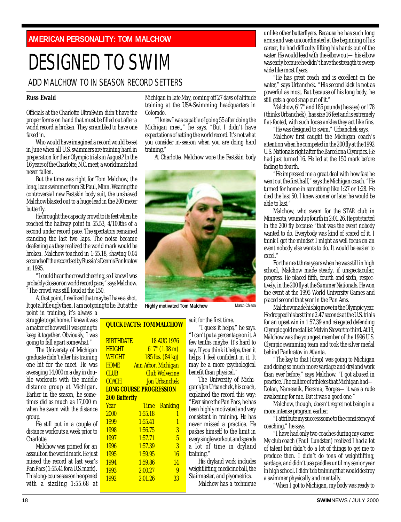<span id="page-17-0"></span>**AMERICAN PERSONALITY: TOM MALCHOW**

## DESIGNED TO SWIM

## ADD MALCHOW TO IN SEASON RECORD SETTERS

#### **Russ Ewald**

Officials at the Charlotte UltraSwim didn't have the proper forms on hand that must be filled out after a world record is broken. They scrambled to have one faxed in.

Who would have imagined a record would be set in June when all U.S. swimmers are training hard in preparation for their Olympic trials in August? In the 16 years of the Charlotte, N.C. meet, a world mark had never fallen.

But the time was right for Tom Malchow, the long, lean swimmer from St.Paul, Minn. Wearing the controversial new Fastskin body suit, the unshaved Malchow blasted out to a huge lead in the 200 meter butterfly.

He brought the capacity crowd to its feet when he reached the halfway point in 55.53, 4/100ths of a second under record pace. The spectators remained standing the last two laps. The noise became deafening as they realized the world mark would be broken. Malchow touched in 1:55.18, shaving 0.04 seconds off the record set by Russia's Dennis Pankratov in 1995.

"I could hear the crowd cheering, so I knew I was probably close or on world record pace," says Malchow. "The crowd was still loud at the 150.

At that point, I realized that maybe I have a shot. It got a little ugly then. I am not going to lie. But at the

point in training, it's always a struggle to get home. I knew it was a matter of how well I was going to keep it together. Obviously, I was going to fall apart somewhat."

The University of Michigan graduate didn't alter his training one bit for the meet. He was averaging 14,000 m a day in double workouts with the middle distance group at Michigan. Earlier in the season, he sometimes did as much as 17,000 m when he swam with the distance group.

He still put in a couple of distance workouts a week prior to Charlotte.

Malchow was primed for an assault on the world mark. He just missed the record at last year's Pan Pacs (1:55.41 for a U.S. mark). This long-course season he opened with  $\overline{a}$  sizzling 1:55.68 at Michigan in late May, coming off 27 days of altitude training at the USA-Swimming headquarters in Colorado.

"I knew I was capable of going 55 after doing the Michigan meet," he says. "But I didn't have expectations of setting the world record. It's not what you consider in-season when you are doing hard training."

At Charlotte, Malchow wore the Fastskin body



**Highly motivated Tom Malchow Marco Chiesa** 

suit for the first time.

**QUICK FACTS: TOMMALCHOW** 

| <b>BIRTHDATE</b><br><b>HEIGHT</b><br>WEIGHT<br><b>HOME</b> | <b>Ann Arbor, Michigan</b> | <b>18 AUG 1976</b><br>6'7'' (1.98 m)<br>185 lbs. (84 kg) |
|------------------------------------------------------------|----------------------------|----------------------------------------------------------|
| <b>CLUB</b><br><b>COACH</b>                                |                            | <b>Club Wolverine</b><br><b>Jon Urbanchek</b>            |
| <b>LONG COURSE PROGRESSION</b>                             |                            |                                                          |
| <b>200 Butterfly</b>                                       |                            |                                                          |
| Year                                                       | <b>Time</b>                | Ranking                                                  |
| 2000                                                       | 1:55.18                    | 1                                                        |
| 1999                                                       | 1:55.41                    | $\overline{1}$                                           |
| 1998                                                       | 1:56.75                    | 3                                                        |
| 1997                                                       | 1:57.71                    | 5                                                        |
| 1996                                                       | 1:57.39                    | 3                                                        |
| 1995                                                       | 1:59.95                    | 16                                                       |
| 1994                                                       | 1:59.86                    | 14                                                       |
| 1993                                                       | 2:00.27                    | 9                                                        |
| 1992                                                       | 2:01.26                    | 33                                                       |
|                                                            |                            |                                                          |

## "I guess it helps," he says.

"I can't put a percentage on it. A few tenths maybe. It's hard to say. If you think it helps, then it helps. I feel confident in it. It may be a more psychological benefit than physical."

The University of Michigan's Jon Urbanchek, his coach, explained the record this way: "Ever since the Pan Pacs, he has been highly motivated and very consistent in training. He has never missed a practice. He pushes himself to the limit in every single workout and spends a lot of time in dryland training."

His dryland work includes weightlifting, medicine ball, the Stairmaster, and plyometrics.

Malchow has a technique

unlike other butterflyers. Because he has such long arms and was uncoordinated at the beginning of his career, he had difficulty lifting his hands out of the water. He would lead with the elbow out—his elbow was early because he didn't have the strength to sweep wide like most flyers.

"He has great reach and is excellent on the water," says Urbanchek. "His second kick is not as powerful as most. But because of his long body, he still gets a good snap out of it."

Malchow, 6' 7" and 185 pounds (he says) or 178 (thinks Urbanchek), has size 16 feet and is extremely flat-footed, with such loose ankles they act like fins.

"He was designed to swim," Urbanchek says.

Malchow first caught the Michigan coach's attention when he competed in the 200 fly at the 1992 U.S. Nationals right after the Barcelona Olympics. He had just turned 16. He led at the 150 mark before fading to fourth.

"He impressed me a great deal with how fast he went out the first half," says the Michigan coach. "He turned for home in something like 1:27 or 1:28. He died the last 50. I knew sooner or later he would be able to last."

Malchow, who swam for the STAR club in Minnesota, wound up fourth in 2:01.26. He got started in the 200 fly because "that was the event nobody wanted to do. Everybody was kind of scared of it. I think I got the mindset I might as well focus on an event nobody else wants to do. It would be easier to excel."

For the next three years when he was still in high school, Malchow made steady, if unspectacular, progress. He placed fifth, fourth and sixth, respectively, in the 200 fly at the Summer Nationals. He won the event at the 1995 World University Games and placed second that year in the Pan Ams.

Malchow made his big move in the Olympic year. He dropped his best time 2.47 seconds at the U.S. trials for an upset win in 1:57.39 and relegated defending Olympic gold medallist Melvin Stewart to third. At 19, Malchow was the youngest member of the 1996 U.S. Olympic swimming team and took the silver medal behind Pankratov in Atlanta.

"The key to that (drop) was going to Michigan and doing so much more yardage and dryland work than ever before," says Malchow. "I got abused in practice. The calibre of athletes that Michigan had— Dolan, Namesnik, Piersma, Borges—it was a rude awakening for me. But it was a good one."

Malchow, though, doesn't regret not being in a more intense program earlier.

"I attribute my success some to the consistency of coaching," he says.

"I have had only two coaches during my career. My club coach (Paul Lundsten) realized I had a lot of talent but didn't do a lot of things to get me to produce then. I didn't do tons of weightlifting, yardage, and didn't use paddles until my senior year in high school. I didn't do training that would destroy a swimmer physically and mentally.

"When I got to Michigan, my body was ready to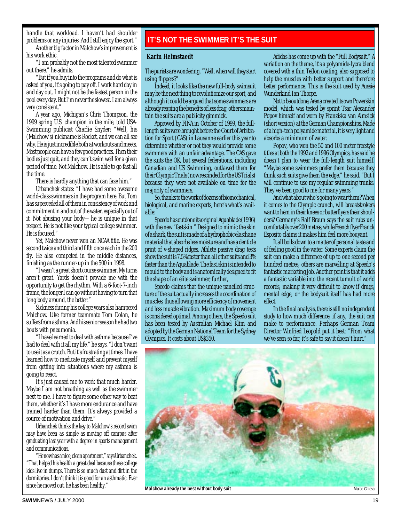<span id="page-18-0"></span>handle that workload. I haven't had shoulder problems or any injuries. And I still enjoy the sport."

Another big factor in Malchow's improvement is his work ethic.

"I am probably not the most talented swimmer out there," he admits.

"But if you buy into the programs and do what is asked of you, it's going to pay off. I work hard day in and day out. I might not be the fastest person in the pool every day. But I'm never the slowest. I am always very consistent."

A year ago, Michigan's Chris Thompson, the 1999 spring U.S. champion in the mile, told USA-Swimming publicist Charlie Snyder: "Well, his (Malchow's) nickname is Rocket, and we can all see why. He is just incredible both at workouts and meets. Most people can have a few good practices. Then their bodies just quit, and they can't swim well for a given period of time. Not Malchow. He is able to go fast all the time.

There is hardly anything that can faze him."

Urbanchek states: "I have had some awesome world-class swimmers in the program here. But Tom has superceded all of them in consistency of work and commitment in and out of the water, especially out of it. Not abusing your body—he is unique in that respect. He is not like your typical college swimmer. He is focused."

Yet, Malchow never won an NCAA title. He was second twice and third and fifth once each in the 200 fly. He also competed in the middle distances, finishing as the runner-up in the 500 in 1998.

"I wasn't a great short course swimmer. My turns aren't great. Yards doesn't provide me with the opportunity to get the rhythm. With a 6-foot-7-inch frame, the longer I can go without having to turn that long body around, the better."

Sickness during his college years also hampered Malchow. Like former teammate Tom Dolan, he suffers from asthma. And his senior season he had two bouts with pneumonia.

"I have learned to deal with asthma because I've had to deal with it all my life," he says. "I don't want to use it as a crutch. But it's frustrating at times. I have learned how to medicate myself and prevent myself from getting into situations where my asthma is going to react.

It's just caused me to work that much harder. Maybe I am not breathing as well as the swimmer next to me. I have to figure some other way to beat them, whether it's I have more endurance and have trained harder than them. It's always provided a source of motivation and drive."

Urbanchek thinks the key to Malchow's record swim may have been as simple as moving off campus after graduating last year with a degree in sports management and communications.

"He now has a nice, clean apartment," says Urbanchek. "That helped his health a great deal because these college kids live in dumps. There is so much dust and dirt in the dormitories. I don't think it is good for an asthmatic. Ever since he moved out, he has been healthy."

## **IT'S NOT THE SWIMMER IT'S THE SUIT**

#### **Karin Helmstaedt**

The purists are wondering, "Well, when will they start using flippers?"

Indeed, it looks like the new full-body swimsuit may be the next thing to revolutionize our sport, and although it could be argued that some swimmers are already reaping the benefits of less drag, others maintain the suits are a publicity gimmick.

Approved by FINA in October of 1999, the fulllength suits were brought before the Court of Arbitration for Sport (CAS) in Lausanne earlier this year to determine whether or not they would provide some swimmers with an unfair advantage. The CAS gave the suits the OK, but several federations, including Canadian and US Swimming, outlawed them for their Olympic Trials (now rescinded for the US Trials) because they were not available on time for the majority of swimmers.

So, thanks to the work of dozens of biomechanical, biological, and marine experts, here's what's available:

Speedo has outdone its original Aquablade (1996) with the new "fastskin." Designed to mimic the skin of a shark, the suit is made of a hydrophobic elasthane material that absorbs less moisture and has a denticle print of v-shaped ridges. Athlete passive drag tests show the suit is 7.5% faster than all other suits and 3% faster than the Aquablade. The fast.skin is intended to mould to the body and is anatomically designed to fit the shape of an elite swimmer; further,

Speedo claims that the unique panelled structure of the suit actually increases the coordination of muscles, thus allowing more efficiency of movement and less muscle vibration. Maximum body coverage is considered optimal. Among others, the Speedo suit has been tested by Australian Michael Klim and adopted by the German National Team for the Sydney Olympics. It costs about US\$350.

Adidas has come up with the "Full Bodysuit." / variation on the theme, it's a polyamide-lycra blend covered with a thin Teflon coating, also supposed to help the muscles with better support and therefore better performance. This is the suit used by Aussie Wunderkind Ian Thorpe.

Not to be outdone, Arena created its own Powerskin model, which was tested by sprint Tsar Alexander Popov himself and worn by Franziska van Almsick (short version) at the German Championships. Made of a high-tech polyamide material, it is very light and absorbs a minimum of water.

Popov, who won the 50 and 100 meter freestyle titles at both the 1992 and 1996 Olympics, has said he doesn't plan to wear the full-length suit himself. "Maybe some swimmers prefer them because they think such suits give them the edge," he said. "But I will continue to use my regular swimming trunks. They've been good to me for many years."

And what about who's going to wear them? When it comes to the Olympic crunch, will breaststrokers want to hem in their knees or butterflyers their shoulders? Germany's Ralf Braun says the suit rubs uncomfortably over 200 metres, while French flyer Franck Esposito claims it makes him feel more bouyant.

It all boils down to a matter of personal taste and of feeling good in the water. Some experts claim the suit can make a difference of up to one second per hundred metres; others are marvelling at Speedo's fantastic marketing job. Another point is that it adds a fantastic variable into the recent tumult of world records, making it very difficult to know if drugs, mental edge, or the bodysuit itself has had more effect.

In the final analysis, there is still no independent study to how much difference, if any, the suit can make to performance. Perhaps German Team Director Winfried Leopold put it best: "From what we've seen so far, it's safe to say it doesn't hurt."

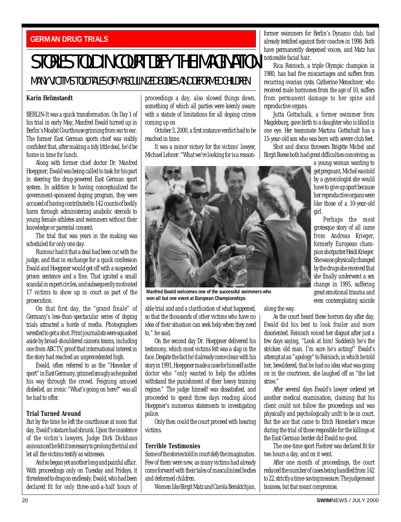### <span id="page-19-0"></span>**GERMAN DRUG TRIALS**

## STORIES TOLD IN COURT DEFY THE IMAGINATION

## MANY VICTIMS TOLD TALES OF MASCULINIZED BODIES AND DEFORMED CHILDREN

#### **Karin Helmstaedt**

BERLIN-It was a quick transformation. On Day 1 of his trial in early May, Manfred Ewald turned up in Berlin's Moabit Courthouse grinning from ear to ear. The former East German sports chief was visibly confident that, after making a tidy little deal, he'd be home in time for lunch.

Along with former chief doctor Dr. Manfred Hoeppner, Ewald was being called to task for his part in steering the drug-powered East German sport system. In addition to having conceptualized the government-sponsored doping program, they were accused of having contributed to 142 counts of bodily harm through administering anabolic steroids to young female athletes and swimmers without their knowledge or parental consent.

The trial that was years in the making was scheduled for only one day.

Rumour had it that a deal had been cut with the judge, and that in exchange for a quick confession Ewald and Hoeppner would get off with a suspended prison sentence and a fine. That ignited a small scandal in expert circles, and subsequently motivated 17 victims to show up in court as part of the prosecution.

On that first day, the "grand finale" of Germany's less-than-spectacular series of doping trials attracted a horde of media. Photographers wrestled to get a shot. Print journalists were squashed aside by broad-shouldered camera teams, including one from ABC TV, proof that international interest in the story had reached an unprecedented high.

Ewald, often referred to as the "Honecker of sport" in East Germany, grinned smugly as he pushed his way through the crowd. Feigning amused disbelief, an ironic "What's going on here?" was all he had to offer.

#### **Trial Turned Around**

But by the time he left the courthouse at noon that day, Ewald's stature had shrunk. Upon the insistence of the victim's lawyers, Judge Dirk Dickhaus announced he felt it necessary to prolong the trial and let all the victims testify as witnesses.

And so began yet another long and painful affair. With proceedings only on Tuesday and Fridays, it threatened to drag on endlessly. Ewald, who had been declared fit for only three-and-a-half hours of

proceedings a day, also slowed things down, something of which all parties were keenly aware: with a statute of limitations for all doping crimes coming up on

October 3, 2000, a first instance verdict had to be reached in time.

It was a minor victory for the victims' lawyer, Michael Lehner. "What we're looking for is a reason-

**Manfred Ewald welcomes one of the successful swimmers who won all but one event at European Championships**

able trial and and a clarification of what happened, so that the thousands of other victims who have no idea of their situation can seek help when they need to," he said.

On the second day Dr. Hoeppner delivered his testimony, which most victims felt was a slap in the face. Despite the fact he'd already come clean with his story in 1991, Hoeppner made a case for himself as the doctor who "only wanted to help the athletes withstand the punishment of their heavy training regime." The judge himself was dissatisfied, and proceeded to spend three days reading aloud Hoeppner's numerous statements to investigating police.

Only then could the court proceed with hearing victims.

#### **Terrible Testimonies**

Some of the stories told in court defy the imagination. Few of them were new, as many victims had already come forward with their tales of masculinized bodies and deformed children.

Women like Birgit Matz and Carola Beraktchjan,

former swimmers for Berlin's Dynamo club, had already testified against their coaches in 1998. Both have permanently deepened voices, and Matz has noticeable facial hair.

Rica Reinisch, a triple Olympic champion in 1980, has had five miscarriages and suffers from recurring ovarian cysts. Catherine Menschner, who received male hormones from the age of 10, suffers from permanent damage to her spine and reproductive organs.

Jutta Gottschalk, a former swimmer from Magdeburg, gave birth to a daughter who is blind in one eye. Her teammate Martina Gottschalt has a 15-year-old son who was born with severe club feet.

Shot and discus throwers Brigitte Michel and Birgit Boese both had great difficulties conceiving; as

girl.

a young woman wanting to get pregnant, Michel was told by a gynecologist she would have to give up sport because her reproductive organs were like those of a 10-year-old

Perhaps the most grotesque story of all came from Andreas Krieger, formerly European champion shotputter Heidi Krieger. She was so physically changed by the drugs she received that she finally underwent a sex change in 1995, suffering great emotional trauma and even contemplating suicide

along the way.

As the court heard these horrors day after day, Ewald did his best to look frailer and more disoriented. Reinisch voiced her disgust after just a few days saying, "Look at him! Suddenly he's the stricken old man. I'm sure he's acting!" Ewald's attempt at an "apology" to Reinisch, in which he told her, bewildered, that he had no idea what was going on in the courtroom, she laughed off as "the last straw."

After several days Ewald's lawyer ordered yet another medical examination, claiming that his client could not follow the proceedings and was physically and psychologically unfit to be in court. But the ace that came to Erich Honecker's rescue during the trial of those resposible for the killings at the East German border did Ewald no good.

The one-time sport Fuehrer was declared fit for two hours a day, and on it went.

After one month of proceedings, the court reduced the number of cases being handled from 142 to 22, strictly a time-saving measure. The judge meant business, but that meant compromise.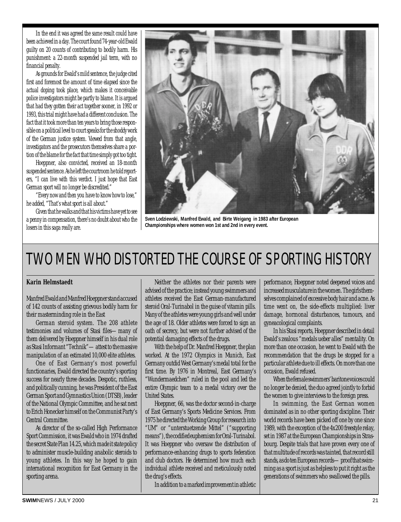<span id="page-20-0"></span>In the end it was agreed the same result could have been achieved in a day. The court found 74-year-old Ewald guilty on 20 counts of contributing to bodily harm. His punishment: a 22-month suspended jail term, with no financial penalty.

As grounds for Ewald's mild sentence, the judge cited first and foremost the amount of time elapsed since the actual doping took place, which makes it conceivable police investigators might be partly to blame. It is argued that had they gotten their act together sooner, in 1992 or 1993, this trial might have had a different conclusion. The fact that it took more than ten years to bring those responsible on a political level to court speaks for the shoddy work of the German justice system. Viewed from that angle, investigators and the prosecutors themselves share a portion of the blame for the fact that time simply got too tight.

Hoeppner, also convicted, received an 18-month suspended sentence. As he left the courtroom he told reporters, "I can live with this verdict. I just hope that East German sport will no longer be discredited."

"Every now and then you have to know how to lose," he added, "That's what sport is all about."

Given that he walks and that his victims have yet to see a penny in compensation, there's no doubt about who the losers in this saga really are.



**Sven Lodziewski, Manfred Ewald, and Birte Weigang in 1983 after European Championships where women won 1st and 2nd in every event.**

## TWO MEN WHO DISTORTED THE COURSE OF SPORTING HISTORY

#### **Karin Helmstaedt**

Manfred Ewald and Manfred Hoeppner stand accused of 142 counts of assisting grievous bodily harm for their masterminding role in the East

German steroid system. The 208 athlete testimonies and volumes of Stasi files—many of them delivered by Hoeppner himself in his dual role as Stasi Informant "Technik"—attest to the massive manipulation of an estimated 10,000 elite athletes.

One of East Germany's most powerful functionaries, Ewald directed the country's sporting success for nearly three decades. Despotic, ruthless, and politically cunning, he was President of the East German Sport and Gymnastics Union (DTSB), leader of the National Olympic Committee, and he sat next to Erich Honecker himself on the Communist Party's Central Committee.

As director of the so-called High Performance Sport Commission, it was Ewald who in 1974 drafted the secret State Plan 14.25, which made it state policy to administer muscle-building anabolic steroids to young athletes. In this way he hoped to gain international recognition for East Germany in the sporting arena.

Neither the athletes nor their parents were advised of the practice; instead young swimmers and athletes received the East German-manufactured steroid Oral-Turinabol in the guise of vitamin pills. Many of the athletes were young girls and well under the age of 18. Older athletes were forced to sign an oath of secrecy, but were not further advised of the potential damaging effects of the drugs.

With the help of Dr. Manfred Hoeppner, the plan worked. At the 1972 Olympics in Munich, East Germany outdid West Germany's medal total for the first time. By 1976 in Montreal, East Germany's "Wundermaedchen" ruled in the pool and led the entire Olympic team to a medal victory over the United States.

Hoeppner, 66, was the doctor second-in-charge of East Germany's Sports Medicine Services. From 1975 he directed the Working Group for research into "UM" or "unterstuetzende Mittel" ("supporting means"), the codified euphemism for Oral-Turinabol. It was Hoeppner who oversaw the distribution of performance-enhancing drugs to sports federation and club doctors. He determined how much each individual athlete received and meticulously noted the drug's effects.

In addition to a marked improvement in athletic

performance, Hoeppner noted deepened voices and increased musculature in the women. The girls themselves complained of excessive body hair and acne. As time went on, the side-effects multiplied: liver damage, hormonal disturbances, tumours, and gyneacological complaints.

In his Stasi reports, Hoeppner described in detail Ewald's zealous "medals ueber alles" mentality. On more than one occasion, he went to Ewald with the recommendation that the drugs be stopped for a particular athlete due to ill effects. On more than one occasion, Ewald refused.

When the female swimmers' baritone voices could no longer be denied, the duo agreed jointly to forbid the women to give interviews to the foreign press.

In swimming, the East German women dominated as in no other sporting discipline. Their world records have been picked off one by one since 1989, with the exception of the 4x200 freestyle relay, set in 1987 at the European Championships in Strasbourg. Despite trials that have proven every one of that multitude of records was tainted, that record still stands, as do ten European records—proof that swimming as a sport is just as helpless to put it right as the generations of swimmers who swallowed the pills.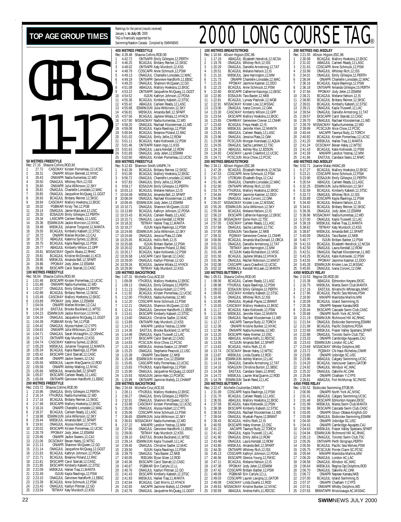## GIRLS 11-12 **50 METRES FREESTYLE** Rec: 27.16 Shauna Collins, ROD, 90<br>1 27.72 CASCMAY Kirsten 27.72 CASCMAY Kirsten Pomerleau, 12, UCSC<br>28.31 CINIAPR Allison Rennett 12 NYAC 2 28.31 ONIAPR Allison Bennett,12,NYAC 3 28.43 ONIIIAPR Nadia Kumentas,12,WD

4 28.50 ONAGJUL Whitney Rich,12,ISS<br>5 28.80 ONIIIAPR Julia Wilkinson,12,SKY<br>6 28.81 ONAGJUL Chantelle Lonsdale,12,WAC<br>7 28.85 ONAGJUL Jacqueline McQuaig,11,GGST 8893 BOAGUIL Britany Reimer, 12.SKSC<br>
28.94 CASCMAY Mallory Hoekstra, 12.EKSC<br>
29.02 PGBMAR Kirsty Teit, 12.PGB<br>
29.74 OMAGUIL Jamie MacLeod, 12.USC<br>
29.20 EOSAJUN Emily Gillespie, 12.PERTH<br>
13. 29.34 LASCAPR Carleen Ready 15 29.48 MBSKJUL Julianne Toogood,12,MANTA 16 29.55 BCAGJUL Kimberly Kabesh,12,STSC 17 29.72 ONIAPR Marlee Morden,12,CAJ 18 29.72 ABAGJUL Katerina Symes,12,EKSC 19 29.75 BCAGJUL Kayla Rawlings,12,PSW 20 29.77 ABAGJUL Kimberly Wilson,12,GPP 21 29.81 MSSACMAY Ogechi Abara,12,RHAC<br>22 29.81 BCAGJUL Kristine McDonald,11,KCS<br>23 29.85 MBSKJUL Amanda Bell,12,SPART 24 29.86 PPOMAY Jody Jelen,12,ESWIM 25 29.86 EKSCAPR Carol Starratt,12,CASC **100 METRES FREESTYLE** Rec: 58.04 Shauna Collins,ROD,90 1 1:01.46 EKSCAPR Kirsten Pomerleau,12,UCSC 2 1:01.88 ONIIIAPR Nadia Kumentas,12,WD 2 1:02.07 ONAGJUL Emily Gillespie, 12, PERTH<br>4 1:02.88 BCAGJUL Brittany Reimer, 12, SKSC 4 1:02.88 BCAGJUL Brittany Reimer,12,SKSC 5 1:03.49 CASCMAY Mallory Hoekstra,12,EKSC 6 1:03.89 PPOMAY Jody Jelen,12,ESWIM 7 1:04.04 ONIAPR Marlee Morden,12,CAJ 8 1:04.18 EASTJUL Brooke Buckland,11,WTSC 9 1:04.23 ESWIMJUN Jackie Morrison,12,NYAC 10 1:04.34 ONAGJUL Jacqueline McQuaig,11,GGST 11 1:04.39 PGBMAR Kirsty Teit,12, PGB<br>12 1:04.42 ONAGJUL Alyssa Hubert,12, 13 1:04.63 ONIIIAPR Julia Wilkinson.12 12 1:04.42 ONAGJUL Alyssa Hubert,12,CYPS<br>13 1:04.63 ONIIIAPR Julia Wilkinson,12,SKY<br>14 1:04.71 ONAGJUL Sarah Mclaughlin,12,OSHAC<br>15 1:04.72 ONTIIAPR Katy Murdoch,12,KSS 16 1:04.74 CASCMAY Katerina Symes,12,EKSC 17 1:05.29 MBSKJUL Julianne Toogood,12,MANTA 18 1:05.34 BCAGJUL Kayla Rawlings,12,PSW 19 1:05.42 EKSCAPR Carol Starratt,12,CASC 20 1:05.48 ONIAPR Jackie Sweers,12,CAJ 21 1:05.56 MBSKJUL Lauren MacQuarrie,12,ROD 22 1:05.58 ONIAPR Ashley Watling,12,NYAC 23 1:05.66 MBSKJUL Amanda Bell,12,SPART 24 1:05.67 EKSCAPR Carleen Ready, 12, LASC 25 1:05.69 ONTIIAPR Genvieve Handforth,11,EBSC **200 METRES FREESTYLE**<br>Rec: 2:03.72 Shauna Collin<br>1 2:15.96 ONAGJUL Rec: 2:03.72 Shauna Collins,ROD,90 1 2:15.96 ONAGJUL Emily Gillespie,12,PERTH 2 2:16.14 YTHJRJUL Nadia Kumentas,12,WD 3 2:17.16 BCAGJUL Brittany Reimer,12,SKSC 4 2:17.48 EKSCAPR Mallory Hoekstra,12,EKSC 5 2:18.24 ONIAPR Chantelle Lonsdale, 12, WAC<br>6 2:18.37 BCAGJUL Carleen Ready, 12, LASC<br>7 2:19.09 ESMIMATURE Julia Milkinson 12, SKY 6 2:18.37 BCAGJUL Carleen Ready,12,LASC 7 2:18.98 ESWIMJUN Julia Wilkinson,12,SKY 8 2:19.44 MBSKJUL Amanda Bell,12,SPART 9 2:19.91 ONAGJUL Alyssa Hubert,12,CYPS 10 2:20.02 EKSCAPR Kirsten Pomerleau,12,UCSC 11 2:20.79 PPOMAY Jody Jelen,12,ESWIM 12 2:20.96 ONIAPR Jackie Sweers,12,CAJ 13 2:21.06 DCSCMAY Bevan Haley,12,WTSC 14 2:21.13 ONIAPR Shannon McQueen,12,GO<br>15 2:21.14 ONAGJUL Jacqueline McQuaig,12,GGST<br>16 2:21.63 BCAGJUL Kathryn Johnson,12,PDSA<br>17 2:21.71 BCAGJUL Breanne Poland,12,RAC<br>18 2:21.81 EKSCAPR Carol Starratt,12,CASC 19 2:21.85 EKSCAPR Kimberly Kabesh,12,STSC 20 2:22.09 MBSKJUL Hailee Traa,11,MANTA 21 2:22.49 ISJUN Kayla Rawlings,12,PSW<br>22 2:23.15 ONAGJUL Genvieve Handforth,11,EBSC<br>23 2:23.39 BCAGJUL Anne Schmuck,12,PSW 21 2:22.49 ISJUN Kayla Rawlings, 12, PS2 2:23.15 ONAGJUL Genviewe Handforth, 11<br>23 2:23.33 PCAGJUL Anne Schmuck, 12, PSV<br>24 2:23.43 ONAGJUL Kaitlyn Pittman, 12, GO<br>25 2:23.44 IRTMAY Katv Murdoch 12, KSS Rec: Rec

25 2:23.54 TBTMAY Katy Murdoch,12,KSS

|                                            |                         | TAG is financially supported by                 | Swimming/Natation Canada. Compiled by SWIMNEWS                                                                                                                                                                                               |
|--------------------------------------------|-------------------------|-------------------------------------------------|----------------------------------------------------------------------------------------------------------------------------------------------------------------------------------------------------------------------------------------------|
|                                            |                         |                                                 |                                                                                                                                                                                                                                              |
|                                            | Rec: 4:28.48            | 400 METRES FREESTYLE<br>Shauna Collins, ROD, 90 |                                                                                                                                                                                                                                              |
| 1                                          | 4:42.72<br>4:46.25      |                                                 | ONTIIAPR Emily Gillespie,12,PERTH                                                                                                                                                                                                            |
| $\frac{2}{3}$                              | 4:48.02                 |                                                 | BCAGJUL Brittány Reimer, 12, SKSC<br>ONTIIAPR Katy Murdoch, 12, KSS                                                                                                                                                                          |
| 4<br>5                                     | 4:48.79<br>4:49.13      |                                                 | CDSCAPR Anne Schmuck,12,PSW                                                                                                                                                                                                                  |
| 6                                          | 4:49.19                 |                                                 | ONAGJUL Chantelle Lonsdale, 12, WAC<br>ONTIIAPR Genvieve Handforth, 11, EBSC                                                                                                                                                                 |
| 7<br>8                                     | 4:49.25<br>4:51.08      |                                                 | ONAGJUL Shannon McQueen, 12, GO<br>ABAGJUL Mallory Hoekstra, 12, EKSC                                                                                                                                                                        |
| 9                                          | 4:53.22                 |                                                 | ONTIIAPR Jacqueline McQuaig, 11, GGST                                                                                                                                                                                                        |
| 10<br>11                                   | 4:54.52<br>4:55.36      |                                                 | ISJUN Kathryn Johnson, 12, PDSA<br>BCAGJUL Kimberly Kabesh, 12, STSC                                                                                                                                                                         |
| 12<br>13                                   | 4:55.42                 |                                                 | ABAGJUL Carleen Ready,12,LASC<br>ESWIMJUN Julia Wilkinson, 12, SKY                                                                                                                                                                           |
| 14                                         | 4:55.68<br>4:56.81      |                                                 | MBSKJUL Amanda Bell, 12, SPART                                                                                                                                                                                                               |
| 15<br>16                                   | 4:57.56<br>4:57.90      |                                                 | BCAGJUL Jaylene Witala,12,HYACK<br>MSSACMAY Nadia Kumentas, 12, WD                                                                                                                                                                           |
| 17                                         | 4:58.20                 |                                                 | ONAGJUL Rachael Kloosterman, 11, WD                                                                                                                                                                                                          |
| 18<br>19                                   | 4:59.08<br>5:00.94      |                                                 | BCAGJUL Kayla Rawlings, 12, PSW<br>BCAGJUL Breanne Poland, 12, RAC                                                                                                                                                                           |
| 20                                         | 5:01.02                 |                                                 | ONAGJUL Emily Jellie, 12, ROW                                                                                                                                                                                                                |
| 21<br>22                                   | 5:01.11<br>5:01.46      |                                                 | BCAGJUL Katie Kotlowski, 12, PSW<br>ONTIIAPR Karen Ingo, 11, KSS                                                                                                                                                                             |
| 23                                         | 5:01.63                 |                                                 | ONAGJUL Laura Kendall, 12, ROW<br>ONAGJUL Jody Jelen, 12, ESWIM<br>ABAGJUL Kirsten Pomerleau, 12, UCSC                                                                                                                                       |
| 24<br>25                                   | 5:01.69<br>5:02.60      |                                                 |                                                                                                                                                                                                                                              |
|                                            |                         | 800 METRES FREESTYLE                            |                                                                                                                                                                                                                                              |
|                                            | Rec: 9:12.83<br>9:42.39 | Shannon Smith, VANPK, 74                        |                                                                                                                                                                                                                                              |
| $\begin{array}{c} 1 \\ 2 \\ 3 \end{array}$ | 9:51.06<br>9:56.72      |                                                 | <b>BCAGJUL Brittany Reimer, 12, SKSC<br/>BCAGJUL Mallory Hoekstra, 12, EKSC<br/>ONAGJUL Chantelle Lonsdale, 12, WAC<br/>ONAGJUL Emily Jellie, 12, ROW<br/>EOSAJUN Emily Gillespie, 12, PERTH</b>                                             |
| 4                                          | 9:57.83                 |                                                 |                                                                                                                                                                                                                                              |
| 5                                          | 9:59.17<br>10:03.13     |                                                 |                                                                                                                                                                                                                                              |
| 6<br>7                                     | 10:04.49                |                                                 | BCAGJUL Melanie Nelson, 12, IS<br>MBSKJUL Amanda Bell, 12, SPART                                                                                                                                                                             |
| 8<br>9                                     | 10:08.04<br>10:09.45    |                                                 | ONAGJUL Rachael Kloosterman, 11, WD<br>ESWIMJUN Jody Jelen, 12, ESWIM                                                                                                                                                                        |
| 10                                         | 10:10.71                |                                                 | ONAGJUL Shannon McQueen, 13, GO<br>BCAGJUL Kathryn Johnson, 12, PDSA                                                                                                                                                                         |
| 11<br>12                                   | 10:13.89<br>10:15.43    |                                                 | BCAGJUL Carleen Ready, 12, LASC                                                                                                                                                                                                              |
| 13                                         | 10:15.71                |                                                 | ONAGJUL Laura Kendali, 12, ROW                                                                                                                                                                                                               |
| 14<br>15                                   | 10:18.32<br>10:19.27    |                                                 | TBTMAY Hailee Traa, 11, MANTA<br>ISJUN Kayla Rawlings, 12, PSW                                                                                                                                                                               |
| 16<br>17                                   | 10:24.66<br>10:24.66    |                                                 | ESWIMJUN Julia Wilkinson, 12, SKY                                                                                                                                                                                                            |
| 18                                         | 10:25.05                |                                                 | ONAGJUL Jessica Plata,12,0AK<br>BCAGJUL Hollis Roth, 12, IS                                                                                                                                                                                  |
| 19                                         | 10:25.68<br>20 10:26.02 |                                                 | ISJUN Brittani Barber, 12, PSW<br>BCAGJUL Breanne Poland, 12, RAC                                                                                                                                                                            |
| 21                                         | 10:26.17                |                                                 | BCAGJUL Katie Kotlowski, 12, PSW                                                                                                                                                                                                             |
| 22<br>23                                   | 10:26.58<br>10:29.00    |                                                 | LASCAPR Carol Starratt, 12, CASC<br>ONAGJUL Kaitlyn Pittman, 12, GO                                                                                                                                                                          |
|                                            |                         |                                                 |                                                                                                                                                                                                                                              |
| 24                                         | 10:29.34                | BCAGJUL                                         | Jaylene Witala, 12, HYACK                                                                                                                                                                                                                    |
| 25                                         | 10:29.90                |                                                 | TBTMAY Katy Murdoch, 12, KSS                                                                                                                                                                                                                 |
|                                            |                         | 100 METRES BACKSTROKE<br>Michelle Cruz, ACE, 93 |                                                                                                                                                                                                                                              |
|                                            | 1:09.13                 |                                                 |                                                                                                                                                                                                                                              |
| $\frac{2}{3}$                              | 1:11.13                 |                                                 |                                                                                                                                                                                                                                              |
| 4<br>5                                     | 1:11.92<br>1:12.00      |                                                 |                                                                                                                                                                                                                                              |
| 6                                          | 1:12.20                 |                                                 | ETHE CHARGETS<br>VTHJRJUL Mallory Hoekstra, 12, EKSC<br>ONAGJUL Emily Gillespie, 12, PERTH<br>ONAGJUL Alyssa Hubert, 12, CYPS<br>BCAGJUL Kirsten Pomerleau, 12, UCSC<br>CIDSCAPR Anne Schmuck, 12, PSW<br>CIDSCAPR Anne Schmuck, 12, PSW<br> |
| 7<br>8                                     | 1:12.21<br>1:12.41      |                                                 | ONAGJUL Shannon McQueen, 12, GO<br>ONAGJUL Genvieve Handforth, 11, EBSC                                                                                                                                                                      |
| 9<br>10                                    | 1:13.41                 |                                                 | EKSCAPR Kimberly Kabesh, 12, STSC                                                                                                                                                                                                            |
| 11                                         | 1:13.60<br>1:13.89      |                                                 | ONAGJUL Christine Sadler, 12, MAC<br>ONTIIAPR Katy Murdoch, 12, KSS                                                                                                                                                                          |
| 12<br>13                                   | 1:14.23<br>1:14.36      |                                                 | MMAPR Landice Yestrau, 12, MM<br>EASTJUL Brooke Buckland, 11, WTSC                                                                                                                                                                           |
| 14                                         | 1:14.48                 |                                                 | ONAGJUL Kayla Truswell, 12, LAC                                                                                                                                                                                                              |
| 15<br>16                                   | 1:14.57<br>1:14.83      |                                                 | EKSCAPR Carol Starratt, 12, CASC<br>PCSCJUN Alice Chow, 12, PCSC                                                                                                                                                                             |
| 17                                         | 1:15.13                 |                                                 | MBSKJUL Andrea Seaton, 12, SPART                                                                                                                                                                                                             |
| 18<br>19                                   | 1:15.25<br>1:15.38      |                                                 | ONAGJUL Stephanie Peacock, 12, USC<br>ONIAPR Tara Baxter, 12, NKB                                                                                                                                                                            |
| 20<br>21                                   | 1:15.49<br>1:15.65      |                                                 | ESWIMJUN Kristen Cox, 12, ESWIM                                                                                                                                                                                                              |
| 22                                         | 1:15.83                 |                                                 | CASCAPR Kelly Pomerleau, 12, UCSC<br>YTHJRJUL Kayla Rawlings,12,PSW                                                                                                                                                                          |
| 23<br>24                                   | 1:15.90<br>1:15.93      |                                                 | ONAGJUL Jacqueline McQuaig, 12, GGST<br>NSAGJUN Jamie Hale, 12, PCMSC                                                                                                                                                                        |
| 25                                         | 1:15.99                 |                                                 | ONTIIAPR Jasmine Mahdy, 12, CHAMP                                                                                                                                                                                                            |
|                                            | Rec: 2:24.64            | 200 METRES BACKSTROKE<br>Michelle Cruz, ACE, 93 |                                                                                                                                                                                                                                              |
| 1                                          | 2:28.11                 |                                                 |                                                                                                                                                                                                                                              |
| $\overline{c}$<br>3                        | 2:30.27<br>2:32.91      |                                                 | YTHJRJUL Mallory Hoekstra, 12, EKSC<br>ONAGJUL Emily Gillespie, 12, PERTH<br>ONAGJUL Shannon McQueen, 12, GO                                                                                                                                 |
| 4<br>5                                     | 2:33.98<br>2:35.05      |                                                 | CASCMAY Kirsten Pomerleau, 12, UCSC                                                                                                                                                                                                          |
| 6                                          | 2:35.06                 |                                                 | ONAGJUL Alyssa Hubert, 12, CYPS<br>CDSCAPR Anne Schmuck, 12, PSW                                                                                                                                                                             |
| 7<br>8                                     | 2:36.65<br>2:36.81      | ESWIMJUN                                        | Julia Wilkinson, 12, SKY<br>MSSACMAY Nadia Kumentas, 12, WD                                                                                                                                                                                  |
| 9                                          | 2:37.22                 |                                                 | MMAPR Landice Yestrau, 12, MM                                                                                                                                                                                                                |
| 10<br>11                                   | 2:37.66<br>2:39.00      |                                                 |                                                                                                                                                                                                                                              |
| 12                                         | 2:39.10                 |                                                 | ONAGJUL Genvieve Handforth, 11, EBSC<br>TBTMAY Katy Murdoch, 12, KSS<br>EASTJUL Brooke Buckland, 11, WTSC                                                                                                                                    |
| 13<br>14                                   | 2:39.14<br>2:39.45      |                                                 | ESWIMJUN Kayla Truswell, 12, LAC<br>ONAGJUL Christine Sadler, 12, MAC                                                                                                                                                                        |
| 15<br>16                                   | 2:39.50<br>2:39.79      |                                                 | ISJUN Kayla Rawlings, 12, PSW<br>ONAGJUL Tara Baxter, 12, NKB                                                                                                                                                                                |
| 17                                         | 2:40.05                 |                                                 | RODJAN Elyse Silzer, 12, ROD                                                                                                                                                                                                                 |
| 18<br>19                                   | 2:40.36<br>2:40.67      |                                                 | EKSCAPR Carol Starratt, 12, CASC<br>PGBMAR Erin Carlyle, 12, LL                                                                                                                                                                              |
| 20                                         | 2:40.76                 |                                                 | ONAGJUL Kaitlyn Pittman, 12, GO                                                                                                                                                                                                              |
| 21<br>$^{22}$                              | 2:41.43<br>2:41.93      |                                                 | EKSCAPR Kimberly Kabesh, 12, STSC<br>MBSKJUL Hailee Traa, 11, MANTA                                                                                                                                                                          |
| 23<br>24                                   | 2:42.64<br>2:42.65      |                                                 | BCAGJUL Caitl Morris, 12, HYACK<br>AACAPR Jasmine Mahdy, 12, CHAMP                                                                                                                                                                           |

Rankings for the period (results received) January 1, **to July 30**, 2000

**400**<br>Rec

**800** METRES FREESTHERES FREESTHERES

## <span id="page-21-0"></span>TOP AGE GROUP TIMES **FROM A SUBSTAND A 2000** 2000 LONG COURSE TAG

|          |                    | <b>100 METRES BREASTSTROKE</b> |                                                                                                                                                                                                                                                                                       |  |
|----------|--------------------|--------------------------------|---------------------------------------------------------------------------------------------------------------------------------------------------------------------------------------------------------------------------------------------------------------------------------------|--|
|          | Rec: 1:10.94       | Allison Higson, ESC, 86        |                                                                                                                                                                                                                                                                                       |  |
| 1        | 1:17.19            |                                | ABAGJUL Elizabeth Hendrick, 12, NCSA                                                                                                                                                                                                                                                  |  |
| 2        | 1:19.78            |                                | ONAGJUL Whitney Rich, 12, ISS                                                                                                                                                                                                                                                         |  |
| 3        | 1:20.29            |                                | ONAGJUL Danielle Armstrong, 12, TAT                                                                                                                                                                                                                                                   |  |
| 4        | 1:20.51            |                                | BCAGJUL Melanie Nelson, 12<br>,IS                                                                                                                                                                                                                                                     |  |
| 5        | 1:21.10            | MBSKJUL                        | Jane Harrington, 12, MM                                                                                                                                                                                                                                                               |  |
| 6        | 1:21.73            |                                | ONIAPR Chantelle Lonsdale, 12, WAC                                                                                                                                                                                                                                                    |  |
| 7        | 1:21.91<br>1:22.23 | ВC                             | PPOMAY Jasmine Kastner, 12, DDO<br>BCAGJUL Anne Schmuck, 12, PSW                                                                                                                                                                                                                      |  |
| 8<br>9   | 1:22.60            |                                | EKSCAPR Catherine Kasongo, 12, EKSC                                                                                                                                                                                                                                                   |  |
| 10       | 1:22.80            |                                | EKSCAPIN Canterne reasons (2011)<br>ECASUUN Tara Baxter, 12, NKB<br>BCAGUUL Lynsey Pasloski, 12, WGB<br>MSSACMAY Kristen Low, 12, MSSAC<br>ONAGUUL Ivana Corovic, 12, OAK<br>CASCMAY Kintobry Wilson, 12, GPP<br>SCCAPI Mediany Makstra, 1                                            |  |
| 11       | 1:22.81            |                                |                                                                                                                                                                                                                                                                                       |  |
| 12       |                    |                                |                                                                                                                                                                                                                                                                                       |  |
| 13       | 1:22.91<br>1:23.06 |                                |                                                                                                                                                                                                                                                                                       |  |
| 14       | 1:23.30            |                                |                                                                                                                                                                                                                                                                                       |  |
| 15       | 1:23.54            |                                | EKSCAPR Mallory Hoekstra, 12, EKSC                                                                                                                                                                                                                                                    |  |
| 16       | 1:23.65            |                                | CNHRMAY Genevieve Crevier, 12, CNHR<br>BCAGJUL Freya Heath, 12, IS                                                                                                                                                                                                                    |  |
| 17       | 1:23.83            |                                |                                                                                                                                                                                                                                                                                       |  |
| 18       | 1:23.90            |                                | MBSKJUL Jennifer Klein, 12, MANTA                                                                                                                                                                                                                                                     |  |
| 19       | 1:23.91            |                                | ABAGJUL Carleen Ready, 12, LASC                                                                                                                                                                                                                                                       |  |
| 20       | 1:23.96            |                                | ONAGJUL Jessica Plata, 12, OAK                                                                                                                                                                                                                                                        |  |
| 21       | 1:23.99<br>1:24.05 |                                | PCSCJUN Morgan Kierstead, 12, AQUA                                                                                                                                                                                                                                                    |  |
| 22<br>23 | 1:24.15            |                                | ONAGJUL Sacha Lambert, 12, TSC<br>ABAGJUL Ashley Roy, 12, EDSON                                                                                                                                                                                                                       |  |
| 24       | 1:24.65            |                                | CASCMAY Lauren Crawford, 12, UCSC                                                                                                                                                                                                                                                     |  |
| 25       | 1:24.71            |                                | PCSCJUN Alice Chow, 12, PCSC                                                                                                                                                                                                                                                          |  |
|          |                    | <b>200 METRES BREASTSTROKE</b> |                                                                                                                                                                                                                                                                                       |  |
|          | Rec: 2:34.11       | Allison Higson, ESC, 86        |                                                                                                                                                                                                                                                                                       |  |
| 1        | 2:47.26            |                                | BCAGJUL Elizabeth Hendrick, 12, NCSA                                                                                                                                                                                                                                                  |  |
| 2        | 2:47.53            |                                | CDSCAPR Anne Schmuck, 12, PSW                                                                                                                                                                                                                                                         |  |
| 3        | 2:51.37            |                                | UTORJAN Elizabeth Engs, 12, CAJ                                                                                                                                                                                                                                                       |  |
| 4        | 2:51.46            |                                | ONAGJUL Chantelle Lonsdale, 12, WAC                                                                                                                                                                                                                                                   |  |
| 5        | 2:52.90            |                                | ONTIIAPR Whitney Rich, 12, ISS                                                                                                                                                                                                                                                        |  |
| 6        | 2:53.75            |                                |                                                                                                                                                                                                                                                                                       |  |
| 7        | 2:54.84            |                                | YTHJRJUL Mallory Hoekstra, 12, EKSC<br>PPOMAY Jasmine Kastner, 12, DDO<br>ONAGJUL Ivana Corovic, 12, OAK                                                                                                                                                                              |  |
| 8<br>9   | 2:54.86<br>2:55.07 |                                | MSSACMAY Kristen Low, 12, MSSAC                                                                                                                                                                                                                                                       |  |
| 10       | 2:55.26            |                                |                                                                                                                                                                                                                                                                                       |  |
| 11       | 2:55.94            |                                | ESWIMJUN Julia Wilkinson, 12, SKY<br>BCAGJUL Melanie Nelson, 12, IS                                                                                                                                                                                                                   |  |
| 12       | 2:56.23            |                                | EKSCAPR Catherine Kasongo, 12, EKSC                                                                                                                                                                                                                                                   |  |
| 13       | 2:56.33            |                                | MSSACMAY Esme Hom, 12, TSC                                                                                                                                                                                                                                                            |  |
| 14       | 2:57.05            |                                | CASCMAY Carleen Ready, 12, LASC<br>CASCMAY Carleen Ready, 12, LASC<br>EOSAUUL Sacha Lambert, 12, TSC<br>FOSAUUL Amanda MacDonald, 12, CRC<br>BCAGUUL Amanda MacDonald, 12, DRCA<br>SCAGUUL Amanda MacDonald, 12, DRCA                                                                 |  |
| 15       | 2:57.68            |                                |                                                                                                                                                                                                                                                                                       |  |
| 16       | 2:57.85            |                                |                                                                                                                                                                                                                                                                                       |  |
| 17       | 2:59.32            |                                |                                                                                                                                                                                                                                                                                       |  |
| 18       | 3:00.80            |                                |                                                                                                                                                                                                                                                                                       |  |
| 19       | 3:01.01            |                                | ONAGJUL Danielle Armstrong, 12, TAT                                                                                                                                                                                                                                                   |  |
| 20       | 3:01.03            |                                | TBTMAY Jane Harrington, 11, MM                                                                                                                                                                                                                                                        |  |
| 21<br>22 | 3:01.49<br>3:01.50 |                                | KCSJUN Kaela Richardson, 12, VKSC<br>BCAGJUL Jaylene Witala, 12, HYACK                                                                                                                                                                                                                |  |
| 23       | 3:01.96            |                                | ONAGJUL Rachel Robinson, 12, MMST                                                                                                                                                                                                                                                     |  |
| 24       | 3:02.08            |                                | CASCAPR Laura Crawford, 12, UCSC                                                                                                                                                                                                                                                      |  |
| 25       | 3:02.32            |                                | MBSKJUL Kendall McLean,12,MANTA                                                                                                                                                                                                                                                       |  |
|          |                    | <b>100 METRES BUTTERFLY</b>    |                                                                                                                                                                                                                                                                                       |  |
|          | Rec: 1:05.51       | Shauna Collins, ROD, 90        |                                                                                                                                                                                                                                                                                       |  |
| 1        | 1:08.06            |                                | BCAGJUL Carleen Ready, 12, LASC                                                                                                                                                                                                                                                       |  |
| 2        | 1:08.98            |                                | YTHJRJUL Kayla Rawlings,12,PSW                                                                                                                                                                                                                                                        |  |
| 3        |                    |                                |                                                                                                                                                                                                                                                                                       |  |
|          | 1:09.03            |                                | EOSAJUN Emily Gillespie, 12, PERTH                                                                                                                                                                                                                                                    |  |
| 4        | 1:09.65            |                                | CASCMAY Kimberly Kabesh, 12, STSC                                                                                                                                                                                                                                                     |  |
| 5        | 1:10.45            |                                | ONAGJUL Whitney Rich, 12, ISS                                                                                                                                                                                                                                                         |  |
| 6        | 1:10.85            |                                | ONAGJUL Myekah Payne, 12, BRANT                                                                                                                                                                                                                                                       |  |
| 7        | 1:10.93            |                                | CASCMAY Mallory Hoekstra, 12, EKSC                                                                                                                                                                                                                                                    |  |
| 8<br>9   | 1:11.17            |                                | BCAGJUL Katie Kotlowski, 12, PSW                                                                                                                                                                                                                                                      |  |
| 10       | 1:11.50            |                                | MBSKJUL Jennifer Klein, 12, MANTA<br>ONAGJUL Rachael Kloosterman, 11, WD                                                                                                                                                                                                              |  |
| 11       | 1:11.59            |                                |                                                                                                                                                                                                                                                                                       |  |
| 12       | 1:12.17<br>1:12.36 |                                | AACAPR Tawnya Rudy, 12, TORCH<br>ONIAPR Kristine Bunker, 12, NYAC                                                                                                                                                                                                                     |  |
| 13       | 1:12.96            |                                | ONIIIAPR Nadia Kumentas, 12, WD                                                                                                                                                                                                                                                       |  |
| 14       | 1:13.20            |                                |                                                                                                                                                                                                                                                                                       |  |
| 15       | 1:13.26            |                                |                                                                                                                                                                                                                                                                                       |  |
| 16       | 1:13.55            |                                | EKSCAPR Haley Kremer, 12,0SC<br>ABAGJUL Andrea Kells, 11, RDCSC<br>KCSJUN Amanda Bell, 12, SPART                                                                                                                                                                                      |  |
| 17       | 1:13.63            | <b>BCAGJUL</b>                 | Hollis Roth, 12, I<br>╮                                                                                                                                                                                                                                                               |  |
| 18<br>19 | 1:13.74            |                                |                                                                                                                                                                                                                                                                                       |  |
| 20       | 1:13.87<br>1:13.94 |                                |                                                                                                                                                                                                                                                                                       |  |
| 21       | 1:14.11            |                                | DCSCMAY Bevan Haley, 12, INTSC<br>MBSKJUL Linda Duarte, 12, ROD<br>ESWIMJUN Ashley Marion, 12, LAC<br>ONAGJUL Danielle Armstrong, 12, TAT                                                                                                                                             |  |
| 22       | 1:14.16            |                                | NSAGJUN Christina Burton, 12, SBSC                                                                                                                                                                                                                                                    |  |
| 23       | 1:14.39            |                                | EASTJUL Candace Sears, 12, MWC                                                                                                                                                                                                                                                        |  |
| 24       | 1:14.72            |                                | MBSKJUL Lauren MacQuarrie, 12, ROD                                                                                                                                                                                                                                                    |  |
| 25       | 1:14.78            |                                | ESWIMJUN Sarah Reed, 12, LAC                                                                                                                                                                                                                                                          |  |
|          |                    | <b>200 METRES BUTTERFLY</b>    |                                                                                                                                                                                                                                                                                       |  |
|          | Rec: 2:22.47       |                                | Michelle Coulombe, CNMN, 77                                                                                                                                                                                                                                                           |  |
| 1<br>2   | 2:31.09<br>2:31.70 |                                | CDSCAPR Kayla Rawlings,12,PSW                                                                                                                                                                                                                                                         |  |
| 3        | 2:36.55            |                                | BCAGJUL Carleen Ready, 12, LASC<br>ABAGJUL Mallory Hoekstra, 12, EKSC                                                                                                                                                                                                                 |  |
| 4        | 2:37.59            |                                | BCAGJUL Katie Kotlowski, 12, PSW                                                                                                                                                                                                                                                      |  |
| 5        | 2:38.38            |                                | EKSCAPR Kimberly Kabesh, 12, STSC                                                                                                                                                                                                                                                     |  |
| 6        | 2:38.53            |                                | ONAGJUL Rachael Kloosterman,11,WD                                                                                                                                                                                                                                                     |  |
| 7        | 2:39.04            |                                | ONAGJUL Myekah Payne,12,BRANT                                                                                                                                                                                                                                                         |  |
| 8        | 2:39.43            |                                | BCAGJUL Hollis Roth, 12, IS                                                                                                                                                                                                                                                           |  |
| 9        | 2:40.55            |                                | EKSCAPR Haley Kremer, 12, OSC                                                                                                                                                                                                                                                         |  |
| 10       | 2:41.22            |                                |                                                                                                                                                                                                                                                                                       |  |
| 11       | 2:41.42            |                                | AACAPR Tawnya Rudy, 12, TORCH<br>ONAGJUL Kayla Truswell, 12, LAC                                                                                                                                                                                                                      |  |
| 12       | 2:41.90            |                                |                                                                                                                                                                                                                                                                                       |  |
| 13<br>14 | 2:43.48<br>2:43.80 |                                | ONAGJUL Emily Jellie, 12, ROW<br>ONAGJUL Laura Kendall, 12, ROW                                                                                                                                                                                                                       |  |
| 15       | 2:44.30            |                                | MBSKJUL Amanda Bell, 12, SPART<br>ONTIIAPR Whitney Rich, 12, ISS                                                                                                                                                                                                                      |  |
| 16       | 2:45.13            |                                | CDSCAPR Kathryn Johnson, 12, PDSA                                                                                                                                                                                                                                                     |  |
| 17       | 2:46.56            |                                |                                                                                                                                                                                                                                                                                       |  |
| 18       | 2:47.11            |                                |                                                                                                                                                                                                                                                                                       |  |
| 19       | 2:47.38            |                                |                                                                                                                                                                                                                                                                                       |  |
| 20       | 2:47.42            |                                |                                                                                                                                                                                                                                                                                       |  |
| 21       | 2:48.08            |                                |                                                                                                                                                                                                                                                                                       |  |
| 22       | 2:49.03            |                                |                                                                                                                                                                                                                                                                                       |  |
| 23<br>24 | 2:49.09<br>2:49.63 |                                | CUSSCAPR Glenna Younisori, 12, PDSAC<br>EKSCAPR Glenna Young, 12, FMSC<br>BCAGUIL Melanie Nelson, 12, IS<br>PPOMAY Jody Jelen, 12, FSWM<br>CDSCAPR Brittani Barber, 12, PSW<br>CDSCAPR Lauren Lavigna, 11, GATOR<br>CDSCAPR Lauren Lavigna, 11,<br>MSSACMAY Kristine Bunker, 12, NYAC |  |

|                              |                                      |                         | ®                                                                                                                                  |
|------------------------------|--------------------------------------|-------------------------|------------------------------------------------------------------------------------------------------------------------------------|
|                              |                                      | 200 METRES IND.MEDLEY   |                                                                                                                                    |
| 1                            | Rec: 2:21.55<br>2:30.08              | Allison Higson, ESC, 86 | BCAGJUL Mallory Hoekstra,12,EKSC                                                                                                   |
| $\overline{\mathbf{c}}$<br>3 | 2:31.02<br>2:31.63                   |                         | ABAGJUL Carleen Ready, 12, LASC<br>CDSCAPR Anne Schmuck, 12, PSW                                                                   |
| 4                            | 2:33.99                              |                         | ONAGJUL Whitney Rich, 12, ISS<br>ONAGJUL Emily Gillespie, 12, PERTH                                                                |
| 5<br>6                       | 2:34.01<br>2:36.04                   |                         | ONIAPR Chantelle Lonsdale,12,WAC                                                                                                   |
| 7<br>8                       | 2:36.16<br>2:36.18                   |                         | BCAGJUL Kayla Rawlings,12,PSW<br>ONTIIAPR Amanda Gillespie,15,PERTH                                                                |
| 9                            | 2:37.84                              |                         | PPOMAY Jody Jelen,12,ESWIM                                                                                                         |
| 10<br>11                     | 2:38.21<br>2:38.80                   |                         | BCAGJUL Melanie Nelson, 12, IS<br>BCAGJUL Brittany Reimer,12,SKSC                                                                  |
| 12<br>13                     | 2:39.01<br>2:39.21                   |                         | BCAGJUL Kimberly Kabesh, 12, STSC<br>ONAGJUL Kayla Truswell,12,LAC                                                                 |
| 14                           | 2:39.54                              |                         | ONAGJUL Danielle Armstrong, 12, TAT                                                                                                |
| 15<br>16                     | 2:39.57<br>2:39.70                   |                         | EKSCAPR Carol Starratt, 12, CASC<br>ONAGJUL Rachael Kloosterman, 11, WD                                                            |
| 17<br>18                     | 2:39.76<br>2:39.99                   |                         | MSSACMAY Nadia Kumentas, 12, WD<br>PCSCJUN Alice Chow, 12, PCSC                                                                    |
| 19                           | 2:40.44<br>2:40.92                   |                         | AACAPR Tawnya Rudy, 12, TORCH<br>BCAGJUL Kirsten Pomerleau, 12, UCSC                                                               |
| 20<br>21                     | 2:41.20                              |                         | MBSKJUL Hailee Traa, 11, MANTA                                                                                                     |
| 22<br>23                     | 2:41.24<br>2:41.43                   |                         | DCSCMAY Bevan Haley, 12, WTSC<br>BCAGJUL Katie Kotlowski, 12, PSW                                                                  |
| 24<br>25                     | 2:41.59                              | EASTJUL                 | MMAPR Landice Yestrau, 12, MM<br>Candace Sears, 12, MWC                                                                            |
|                              | 2:41.66                              | 400 METRES IND.MEDLEY   |                                                                                                                                    |
| 1                            | Rec: 5:02.71<br>5:17.27              | Joanne Malar, HWAC, 88  |                                                                                                                                    |
| $\overline{2}$<br>3          | 5:23.21                              |                         | BCAGJUL Mallory Hoekstra, 12, EKSC<br>CDSCAPR Anne Schmuck, 12, PSW                                                                |
| 4                            | 5:23.90<br>5:26.54                   |                         | EOSAJUN Emily Gillespie,12,PERTH<br>ABAGJUL Carleen Ready, 12, LASC                                                                |
| 5<br>6                       | 5:32.25<br>5:32.59                   |                         | ESWIMJUN Julia Wilkinson, 12, SKY<br>BCAGJUL Kimberly Kabesh, 12, STSC                                                             |
| 7                            | 5:33.72                              |                         | ONAGJUL Whitney Rich, 12, ISS                                                                                                      |
| 8<br>9                       | 5:33.89<br>5:34.40                   |                         | CDSCAPR Kayla Rawlings, 12, PSW<br>BCAGJUL Melanie Nelson, 12, IS                                                                  |
| 10<br>11                     | 5:34.61<br>5:36.36                   | ONAGJUL                 | BCAGJUL Brittany Reimer, 12, SKSC<br>Jody Jelen, 12, ESWIM                                                                         |
| 12<br>13                     | 5:36.96<br>5:37.00                   |                         | MSSACMAY Nadia Kumentas, 12, WD                                                                                                    |
| 14                           | 5:38.18                              |                         | ONAGJUL Kayla Truswell, 12, LAC<br>MBSKJUL Hailee Traa,11,MANTA                                                                    |
| 15<br>16                     | 5:38.62<br>5:38.87                   |                         | TBTMAY Katy Murdoch, 12, KSS<br>MBSKJUL Amanda Bell, 12, SPART                                                                     |
| 17<br>18                     | 5:40.09<br>5:40.77                   | ONAGJUL                 | Tara Baxter, 12, NKB<br>ISJUN Brittani Barber, 12, PSW                                                                             |
| 19                           | 5:41.53                              |                         | BCAGJUL Elizabeth Hendrick, 12, NCSA                                                                                               |
| 20<br>21                     | 5:42.50<br>5:42.51                   |                         | ONAGJUL Laura Kendall, 12, ROW                                                                                                     |
| 22<br>23                     | 5:43.25<br>5:43.55                   |                         | ONAGJUL Rachael Kloosterman, 11, WD<br>BCAGJUL Katie Kotlowski, 12, PSW                                                            |
|                              |                                      |                         |                                                                                                                                    |
| 24                           | 5:45.28                              |                         | PPOMAY Jasmine Kastner, 12, DDO<br>ESWIMJUN Kristen Low, 12, MSSAC                                                                 |
| 25                           | 5:45.65<br>4X50 MEDLEY RELAY         |                         | ONAGJUL Ivana Corovic, 12,0AK                                                                                                      |
|                              |                                      | Regina OD,ROD,90        |                                                                                                                                    |
|                              | Rec: 2:10.53<br>1 2:15.38<br>2:16.75 |                         | ABAGJUL Edmonton Keyano,EKSC<br>MBSKJUL Manta Swim Club, MANTA                                                                     |
| $\frac{2}{3}$<br>4           | 2:17.16<br>2:17.96                   |                         |                                                                                                                                    |
| 5                            | 2:19.90                              |                         | EASTJUL Miramichi Whitecaps, MWC<br>BCAGJUL Pacific Sea Wolves, PSW<br>MMAPR Manitoba Marlins, MM                                  |
| 6<br>7                       | 2:20.09<br>2:20.38                   |                         | BCAGJUL Island Swimming, IS<br>ONIAPR Nepean Kanata, NKB                                                                           |
| 8<br>9                       | 2:20.44<br>2:20.68                   |                         | EKSCAPR Cascade Swim Club,CASC<br>ONIAPR North York AC, NYAC                                                                       |
| 10                           | 2:21.19                              |                         | ESWIMJUN Richmond Hill AC, RHAC                                                                                                    |
| 11<br>12                     | 2:21.54<br>2:21.99                   |                         | ONAGJUL Etobicoke Swimming,ESWIM<br>BCAGJUL Pacific Dolphins, PDSA                                                                 |
| 13<br>14                     | 2:22.68<br>2:22.88                   |                         | MBSKJUL Fraser Valley Spartans, SPART<br>ONAGJUL Toronto Swim Club,TSC                                                             |
| 15<br>16                     | 2:23.33<br>2:23.43                   |                         | ONIAPR Cambridge Aquajets, CAJ<br>ESWIMJUN London ÁC,LÁC                                                                           |
| 17                           | 2:23.69                              |                         | MSSACMAY Whitby Dolphins, WD                                                                                                       |
| 18<br>19                     | 2:23.72<br>2:23.85                   |                         | PQ3MAY CN Haut-Richelieu, CNHR<br>ONIAPR Uxbridge SC,USC                                                                           |
| 20<br>21                     | 2:23.96<br>2:24.20                   |                         | ABAGJUL Calgary Swimming,UCSC<br>BCAGJUL Vancouver Gators, GATOR                                                                   |
| 22                           | 2:24.92                              |                         | ONAGJUL Windsor AC, WAC                                                                                                            |
| 23<br>24                     | 2:25.32<br>2:25.94                   |                         | ONAGJUL Oakville AC, OAK<br>ONIAPR Chatham Y, CYPS                                                                                 |
| 25                           | 2:26.61<br><b>4X50 FREE RELAY</b>    |                         | ABAGJUL Fort McMurray SC, FMSC                                                                                                     |
|                              | Rec: 1:55.52                         |                         | Etobicoke Swimming, ETOB, 95                                                                                                       |
| 1<br>2                       | 2:00.96<br>2:01.41                   |                         | ONIAPR North York AC, NYAC<br>ABAGJUL Calgary Swimming, UCSC                                                                       |
| 3<br>4                       | 2:01.48<br>2:01.99                   |                         | EKSCAPR Edmonton Keyano, EKSC<br>MBSKJUL Manta Swim Club, MANTA                                                                    |
| 5<br>6                       | 2:02.96<br>2:03.05                   |                         | EKSCAPR Cascade Swim Club, CASC                                                                                                    |
| 7                            | 2:03.88                              |                         |                                                                                                                                    |
| 8<br>9                       | 2:04.00<br>2:04.43                   |                         | ONIAPR Glouc-Ottawa Kingfish, GO<br>ONAGJUL Etobicoke Swimming, ESWIM<br>ONIAPR Uxbridge SC, USC<br>ONIAPR Cambridge Aquajets, CAJ |
| 10<br>11                     | 2:04.63<br>2:04.94                   |                         | MBSKJUL Fraser Valley Spartans, SPART<br>ESWIMJUN Richmond Hill AC, RHAC                                                           |
| 12                           | 2:05.13                              |                         | ONAGJUL Toronto Swim Club, TSC                                                                                                     |
| 13<br>14                     | 2:05.35<br>2:05.50                   |                         | ONTIIAPR Perth Stingrays, PERTH<br>BCAGJUL Pacific Sea Wolves, PSW                                                                 |
| 15<br>16                     | 2:05.75<br>2:05.94                   |                         | PCSCJUN Pointe Claire SC, PCSC<br>MMAPR Manitoba Marlins, MM                                                                       |
| 17                           | 2:06.20                              |                         | ONAGJUL London AC,LAC                                                                                                              |
| 18<br>19                     | 2:06.58<br>2:06.64                   |                         | ONAGJUL Windsor AC, WAC<br>MBSKJUL Regina Opt.Dolphins,ROD                                                                         |
| 20<br>21                     | 2:06.70<br>2:06.72                   |                         | ONAGJUL Oakville AC, OAK<br>ONIAPR Nepean Kanata, NKB                                                                              |
| 22<br>23                     | 2:07.00<br>2:07.37<br>2:07.61        |                         | BCAGJUL Island Swimming, IS<br>ONIAPR Chatham Y, CYPS<br>ONIIIAPR Whitby Dolphins, WD                                              |

22 **SWIM**NEWS JULY 2000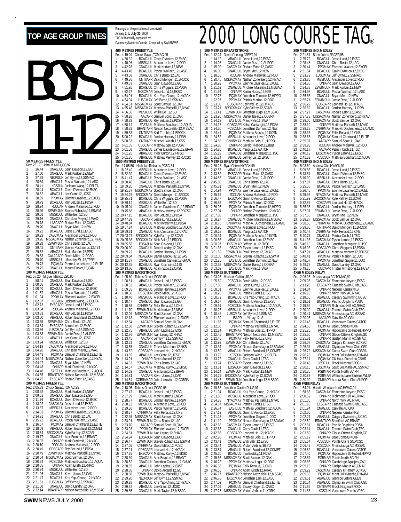## TOP AGE GROUP TIMES **FOR A SAN AGE SO TO A COLLEC** CONTROL COURS **TAG**® Rankings for the period (results received) BOYS 11-12 **50 METRES FREESTYLE** Rec: 26.17 John M.Mills, GO, 92<br>1 26.44 ONAGJUL Sear 26.44 ONAGJUL Sean Dawson, 12, GO<br>27.00 ONAGJUL Mark Kurtzer, 12, NEV<br>27.39 NEORJUN Jeff Byrne, 12, SSMA 2 27.00 ONAGJUL Mark Kurtzer,12,NEW 3 27.39 NEORJUN Jeff Byrne,12,SSMAC 28.39 ABAGJUL Pascal Wollach, 12, LASC<br>28.41 KCS JUN Jackson Wang 12 DELTA 5 28.41 KCSJUN Jackson Wang,12,DELTA 6 28.44 BCAGJUL Gavin D'Amico,12,EKSC 28.52 ABAGJUL Lee Grant,12,UCSC<br>28.69 PPOMAY Etienne Lavallee,12, 8 28.69 PPOMAY Etienne Lavallee,12,EXCEL 9 28.79 BCAGJUL Ray Betuzzi,12,PDSA 10 28.94 RODJAN Andrew Malawski,12,ROD 11 28.99 ESWIMJUN Steven Rubacha,12,ESWIM 12 29.01 MBSKJUL Willie Bell,12,SD 13 29.16 ONAGJUL Christian Meyer,12,WAC 14 29.18 LASCAPR Rodale Estor,12,CASC 15 29.20 ONAGJUL Bryan Mell,12,NEW 16 29.22 BCAGJUL Jesse Lund,12,EKSC 17 29.23 CASCMAY Alexander Love,12,ROD 18 29.26 MSSACMAY Nathan Zonenberg,12,NYAC 19 29.28 ESWIMJUN Chris Bento,12,LAC 20 29.42 ONTIIAPR Steven Posthumus,12,TBT 22 20 2000 2000 2000 2000 2012<br>
29.26 MSSACMAY Nathan Zonenberg, 1<br>
29.28 ESWIMJUN Chris Bento, 12,LAC<br>
20 29.42 DNTIIAPR Steven Posthumus, 1<br>
22 29.53 CALACAPR David Milot, 12,PCS 21 29.52 Marchael Martin Hartist, 12, 13<br>22 29.53 CALACAPR David Milot, 12, PCSC<br>23 29.70 MBSK JUL Moselev-W. 12. TPRI 23 29.70 MBSKJUL Moseley-W.,12,TPRR 24 29.73 PQ3MAY Pierre-Luc Leblanc,12,ELITE 25 29.75 ONAGJUL Mauro Parker,12,OAK **100 METRES FREESTYLE**<br>
Rec: 57.20 Miguel Munoz, E<br>
1 58.41 ONAGJUL Rec: 57.20 Miguel Munoz,ESC,86 1 58.41 ONAGJUL Sean Dawson,12,GO 2 1:00.05 ONAGJUL Mark Kurtzer,12,NEW 1:00.40 BCAGJUL Gavin D'Amico,12,EKSC<br>1:01.57 ABAGJUL Pascal Wollach,12,LASC 4 1:01.57 ABAGJUL Pascal Wollach,12,LASC 5 1:01.94 PPOMAY Etienne Lavallee,12,EXCEL 6 1:02.07 KCSJUN Jackson Wang,12,DELTA 7 1:02.73 EKSCAPR Jesse Lund,12,EKSC 8 1:03.04 RODJAN Andrew Malawski,12,ROD 9 1:03.33 BCAGJUL Ray Betuzzi,12,PDSA 10 1:03.50 ABAGJUL Robert Buckland,12,COMET 11 1:03.65 ESWIMJUN Chris Bento,12,LAC 12 1:03.84 EKSCAPR Aaron Loh,12,EKSC 13 1:03.86 LUSCMAY Jeff Byrne,12,SSMAC 14 1:03.88 ESWIMJUN Jamie Ross,12,AUROR 15 1:03.91 ABAGJUL Lee Grant,12,UCSC 16 1:03.94 MBSKJUL Willie Bell,12,SD 17 1:04.19 CASCMAY Alexander Love,12,ROD 18 1:04.26 ONAGJUL Christian Meyer, 12, WAC<br>19 1:04.43 PO3MAY Samuel Chartrand, 12, EL<br>20 1:04.44 MSSACMAY Nathan Zonenberg, 12, N 19 1:04.43 PQ3MAY Samuel Chartrand,12,ELITE 20 1:04.44 MSSACMAY Nathan Zonenberg,12,NYAC 21 1:04.47 ONAGJUL Bryan Mell,12,NEW<br>22 1:04.48 ONIAPR Mark Dimitroff,12,NYAC<br>23 1:04.48 EASTJUL Mathieu Bouchard,12,AQUA<br>24 1:04.65 BRANTAPR Nelson Nedzielski,12,MSSAC 25 1:04.75 EKSCAPR Rodale Estor,12,CASC **200 METRES FREESTYLE**<br>Rec: 2:05.83 Chuck Sayao,<sup>1</sup><br>1 2:08.92 ONAGJUL Rec: 2:05.83 Chuck Sayao,TOMAC,95 1 2:08.92 ONAGJUL Mark Kurtzer,12,NEW 2:09.61 ONAGJUL Sean Dawson,12,GO<br>2:11.76 BCAGJUL Gavin D'Amico,12,EK<br>2:13.02 CASCMAY Jesse Lund,12,EKSC 3 2:11.76 BCAGJUL Gavin D'Amico,12,EKSC 4 2:13.02 CASCMAY Jesse Lund,12,EKSC 5 2:13.87 MBSKJUL Alexander Love,12,ROD 2:14.33 PPOMAY Etienne Lavallee, 12, EXCEL<br>2:14.91 ONAGJUL Chris Bento, 12, LAC 2:14.91 ONAGJUL Chris Bento, 12, LAC<br>2:15.72 BCAGJUL Pascal Wollach. 12.1 8 2:15.72 BCAGJUL Pascal Wollach,12,LASC 9 2:16.67 PQ3MAY Samuel Chartrand,12,ELITE 10 2:18.09 ABAGJUL Robert Buckland,12,COMET 11 2:18.54 BROCKMAY Kyle Palfrey,12,SCAR 12 2:19.77 ONAGJUL Alex Brunton,12,BRANT 13 2:20.07 ONIAPR Mark Dimitroff,12,NYAC 14 2:20.10 RODJAN Andrew Malawski,12,ROD 15 2:20.49 CDSCAPR Ray Betuzzi,12,PDSA 16 2:20.49 ESWIMJUN Matthew Pariselli,12,NYAC<br>17 2:20.54 MSSACMAY Scott Samuel,12,0AK<br>18 2:20.54 PCSCJUN Mathieu Bouchard,12,AQU 17 2:20.54 MSSACMAY Scott Samuel,12,OAK 18 2:20.54 PCSCJUN Mathieu Bouchard,12,AQUA

January 1, **to July 30**, 2000 TAG is financially supported by Swimming/Natation Canada. Compiled by SWIMNEWS **400 METRES FREESTYLE** Rec: 4:19.04 Chuck Sayao,TOMAC,95<br>1 4:38.32 BCAGJUL Gavin D'Amico,12,EKSC<br>2 4:40.96 MBSKJUL Alexander Love,12,ROD<br>3 4:42.28 ONAGJUL Mark Kurtzer,12,NEW 4 4:43.46 BCAGJUL Pascal Wollach,12,LASC 5 4:43.68 ONAGJUL Chris Bento,12,LAC 6 4:49.36 ONTIIAPR David Mongeri,11,BROCK 7 4:49.83 ONAGJUL Sean Dawson,12,GO 8 4:51.95 BCAGJUL Chris Wiggans,12,PDSA 9 4:52.77 EKSCMAR Jesse Lund,12,EKSC 10 4:54.01 BCAGJUL Kris Yap-Chung,12,HYACK 11 4:54.04 LUSCMAY Jeff Byrne,12,SSMAC 12 4:54.51 MSSACMAY Scott Samuel,12,OAK 13 4:55.46 MSSACMAY Matthew Pariselli,12,NYAC<br>14 4:56.56 MSSACMAY Matthew Pariselli,12,NYAC 14 4:56.56 MBSKJUL Willie Bell,12,SD 15 4:58.28 AACAPR Samuel Scott,11,OAK 16 4:58.29 BCAGJUL Ray Betuzzi,12,PDSA 17 4:58.74 EASTJUL Mathieu Bouchard,12,AQUA 18 4:58.82 BRANTAPR Nelson Nedzielski,12,MSSAC 19 4:59.53 ONTIIAPR Karl Trimble,11,BROCK 20 5:00.22 BCAGJUL Jordan Hartney,11,PSW 21 5:00.33 ONTIIAPR Mitchell Walsh,12,KSS 22 5:01.05 CDSCAPR Matthew Sze, 12, PDSA<br>23 5:01.08 ONAG III James Davidson-G 12 23 5:01.08 ONAGJUL James Davidson-G.,12,BRANT 24 5:01.25 ABAGJUL Tyler Burton,12,FMSC 25 5:01.35 ABAGJUL Matthew Verwey,12,RDCSC **1500 METRES FREESTYLE** Rec: 17:05.50 Nicholas Richards,PCSC,84 1 18:22.49 MBSKJUL Alexander Love,12,ROD 2 18:32.39 BCAGJUL Gavin D'Amico,12,EKSC 3 18:41.47 ABAGJUL Pascal Wollach,12,LASC 4 18:50.46 ONAGJUL Chris Bento,12,LAC 5 18:59.26 ONAGJUL Matthew Pariselli,12,NYAC 6 19:21.37 MSSACMAY Scott Samuel,12,OAK 6 19:21.37 MSSACMAY Scott Samuel, 12, OAK<br>7 19:24.76 BROCKMAY David Mongeri, 11, BROCK<br>8 19:25.71 BCAGJUL Chris Wiggans, 12, PDSA 8 19:25.71 BCAGJUL Chris Wiggans,12,PDSA 9 19:39.14 MBSKJUL Willie Bell,12,SD 10 19:45.04 ONAGJUL James Davidson-G.,12,BRANT<br>11 19:45.88 ABAGJUL Matthew Verwey,12,RDCSC<br>12 19:47.15 BCAGJUL Ray Betuzzi,12,PDSA<br>13 19:47.89 BCAGJUL Max Inverarity,12,PDSA<br>14 19:48.84 BCAGJU 15 19:57.84 EASTJUL Mathieu Bouchard,12,AQUA 16 19:59.61 ONAGJUL Alex Cambareri,12,CPAC 17 20:03.27 BROCKMAY Kyle Palfrey,12,SCAR 18 20:05.36 BROCKMAY Nick Bake,12,BROCK 19 20:05.56 EOSAJUN Sean Dawson,12,GO 20 20:06.90 ONAGJUL David Landry,12,0AK<br>21 20:09.22 BCAGJUL Jordan Hartney,11,PS<br>22 20:09.84 NSAGJUN Daniel MacAulay,12,E 21 20:09.22 BCAGJUL Jordan Hartney,11,PSW 22 20:09.84 NSAGJUN Daniel MacAulay,12,EAST 23 20:11.37 ONAGJUL Jonathan Carkner,12,GMAC 24 20:12.35 BCAGJUL Ryan Cochrane,11,IS 25 20:11:57 6000002 Sonatian Sandro", 23<br>24 20:12.35 BCAGJUL Ryan Cochrane, 11, IS<br>25 20:13.06 ABAGJUL Adam Szoo.12.CASC **100 METRES BACKSTROKE**<br>Rec: 1:05.60 Tobias Oriwol, P 1:05.60 Tobias Oriwol, PCSC, 98<br>1:08.61 ABAGJUL Jesse Lun 1:08.61 ABAGJUL Jesse Lund, 12, EKSC<br>1:08.83 ARAGJUL Pascal Wollach 12 Li 2 1:08.83 ABAGJUL Pascal Wollach,12,LASC 3 1:09.35 BCAGJUL Jordan Hartney,11,PSW 4 1:10.36 PCSCJUN David Milot, 12, PCSC<br>5 1:10.40 MBSKJUL Alexander Love, 12, RC 5 1:10.40 MBSKJUL Alexander Love,12,ROD 6 1:10.47 ONAGJUL Sean Dawson,12,GO 7 1:10.88 CNHRMAY Felix Renaud,12,CNB 8 1:11.70 ESWIMJUN Mark Kurtzer,12,NEW 9 1:12.09 MSSACMAY Scott Samuel,12,OAK 10 1:12.13 PPOMAY Etienne Lavallee, 12, EXCEL<br>11 1:12.64 AACAPR Samuel Scott, 10, OAK 11 1:12.64 AACAPR Samuel Scott, 10, OAK<br>12 1:12.68 FSWIMJUN Steven Rubacha.12.FS 12 1:12.68 ESWIMJUN Steven Rubacha,12,ESWIN<br>13 1:12.75 ABAGJUL John Lapins,12,EXST 13 1:12.75 ABAGJUL John Lapins,12,EXST<br>14 1:12.76 ESWIMJUN Ivan Leung,12,RSMAC<br>15 1:13.45 AACAPR Jeff Byrne,12,SSMAC<br>16 1:13.52 ONAGJUL Jonathan Carkner,12,GMAC<br>17 1:13.55 ONAGJUL Trevor Morrison,12,NKB 18 1:13.62 CDSCAPR Leonard Ho,12,HYACK 19 1:13.85 ABAGJUL Lee Grant, 12, UCSC<br>20 1:13.91 ONIAPR David Arcand. 12, GO 20 1:13.91 ONIAPR David Arcand,12,GO<br>21 1:14.33 ESWIMJUN Chris Bento,12,LAC<br>22 1:14.57 CASCMAY Matthew Kunyk,12,EI 21 1:14.33 ESWIMJUN Chris Bento,12,LAC 22 1:14.57 CASCMAY Matthew Kunyk,12,EKSC 23 1:14.69 ONAGJUL Alex Brunton,12,BRANT 24 1:14.81 AACAPR Kevin Jones,12,OAK 25 1:14.84 COBRAMAR John Lukovich,12,COBRA **200 METRES BACKSTROKE**<br>Rec: 2:18.05 Tobias Oriwol, P<br>1 2:27.47 BCAGJUL Je Rec: 2:18.05 Tobias Oriwol,PCSC,98 1 2:27.47 BCAGJUL Jesse Lund,12,EKSC 2 2:27.99 ONAGJUL Mark Kurtzer,12,NEW 3 2:28.77 BCAGJUL Jordan Hartney,11,PSW 4 2:28.92 MBSKJUL Alexander Love,12,ROD 5 2:29.36 BCAGJUL Pascal Wollach, 12, LASC<br>6 2:30.37 CNHRMAY Felix Renaud, 12, CNB 2:30.37 CNHRMAY Felix Renaud, 12, CNB<br>2:30.37 CNHRMAY Felix Renaud, 12, CNB<br>2:32.35 MSSACMAY Scott Samuel. 12. OAK 2:32.35 MSSACMAY Scott Samuel, 12, OAK<br>2:33.01 ESWIMJUN Chris Bento, 12, LAC<br>2:33.70 AACAPR Samuel Scott, 10, OAK 8 2:33.01 ESWIMJUN Chris Bento,12,LAC 9 2:33.70 AACAPR Samuel Scott,10,OAK 10 2:33.93 PPOMAY Etienne Lavallee, 12, EXCEL<br>11 2:34.81 ESWIMJUN Ivan Leung, 12, RHAC<br>12 2:34.94 EOSAJUN Sean Dawson, 12, GO 11 2:34.81 ESWIMJUN Ivan Leung,12,RHAC 12 2:34.94 EOSAJUN Sean Dawson,12,GO 13 2:36.47 ESWIMJUN Steven Rubacha,12,ESWIM<br>14 2:37.05 CNHRMAY David Milot,12,PCSC 14 2:37.05 CNHRMAY David Milot,12,PCSC<br>15 2:37.05 CNHRMAY David Milot,12,PCSC<br>15 2:37.21 CDSCAPR Leonard Ho.12.HYAC 15 2:37.21 CDSCAPR Leonard Ho, 12, HYACK<br>16 2:37.35 EKSCAPR Matthew Kunyk, 12, EKS<br>17 2:38.39 ONAGJUL Alex Brunton, 12, BRAN 16 2:37.35 EKSCAPR Matthew Kunyk,12,EKSC 17 2:38.39 ONAGJUL Alex Brunton,12,BRANT 18 2:38.52 ONAGJUL Jonathan Carkner, 12, GMAC<br>19 2:38.55 ABAGJUL John Lapins, 12, EXST<br>20 2:38.86 ONIAPR David Arcand, 12, GO 19 2:38.55 ABAGJUL John Lapins,12,EXST 20 2:38.86 ONIAPR David Arcand,12,GO 21 2:38.88 ESWIMJUN Matthew Pariselli, 12, NYAC<br>22 2:39.20 NEORJUN Jeff Byrne, 12, SSMAC<br>23 2:39.28 BCAGJUL Kris Yap-Chung, 12, HYAC NEORJUN Jeff Byrne,12,SSMAC 23 2:39.28 BCAGJUL Kris Yap-Chung, 12, HYACK<br>24 2:39.52 ABAGJUL Lee Grant, 12, UCSC<br>25 2:39.85 ONAGJUL Mark Taylor. 12. MSSAC 2:39.52 ABAGJUL Lee Grant, 12, UCSC<br>2:39.85 ONAGJUL Mark Taylor, 12, MS 25 2:39.85 ONAGJUL Mark Taylor,12,MSSAC

#### **100 METRES BREASTSTROKE**<br>Rec: 1:12.24 David Cheung,CREST,94<br>1 1:14.12 ABAGJUL Jesse Lund,12,EKSC<br>2 1:14.93 ONAGJUL Jamie Ross,12,AUROR 3 1:15.02 CASCMAY Rodale Estor, 12, CASC<br>4 1:16.00 ONAG JUL Brvan Mell 12 NEW ONAGJUL Bryan Mell,12,NEW 5 1:18.55 RODJAN Andrew Malawski,12,ROD<br>5 1:28.46 RSOCJAN Andrew Malawski,12,ROD<br>7 1:20.02 DDOMAN Nathana Lovelles 1.3 EXCEL 6 1:20.46 MSSACMAY Nathan Zonenberg,12,NYAC 7 1:20.92 PPOMAY Etienne Lavallee,12,EXCEL 8 1:21.62 ONAGJUL Michael Materski,12,MSSAC 9 1:21.94 ONIAPR Karim Hosny,12,NKB 10 1:22.78 PQ3MAY Jonathan Turcotte,12,HIPPO 11 1:22.97 PPOMAY Patrick Marion,12,DDO 12 1:23.08 CDSCAPR Leonard Ho, 12, HYACK<br>13 1:23.21 BROCKMAY Kyle Palfrey, 12, SCAR<br>14 1:23.41 ESWIMJUN Jonathan Lugo, 12, MSS 1:23.30<br>1:23.21 BROCKMAY Kyle Palfrey, 12, SCAR<br>1:23.41 ESWIMJUN Jonathan Lugo, 12, MS 14 1:23.41 ESWIMJUN Jonathan Lugo,12,MSSAC 15 1:23.96 MSSACMAY Daniel Baier,12,COBRA 16 1:24.13 EASTJUL Marc Pyle,11,SWAT 17 1:24.17 CDSCAPR Kelso Cartwright,12,PDSA 18 1:24.30 PCSCJUN Jonathan Dumont,12,NES 19 1:24.41 PQ3MAY Mathieu Brochu,12,KOTN 20 1:24.52 MBSKJUL Alexander Love,12,ROD 21 1:24.68 CNHRMAY Mathieu Bois,11,HIPPO 22 1:24.80 ONIIIAPR Gerald Nieboer, 12, BBB<br>23 1:24.80 BCAGJUL Yang Li, 12, GATOR<br>24 1:25.19 ONAGJUL Jonathan Marquez, 11, 1 23 1:24.80 BCAGJUL Yang Li,12,GATOR 24 1:25.19 ONAGJUL Jonathan Marquez,11,TSC 25 1:25.24 ABAGJUL Jeffrey Lai,12,EKSC **200 METRES BREASTSTROKE** Rec: 2:36.28 Ryan Chiew,HYACK,99 1 2:42.85 ABAGJUL Jesse Lund, 12, EXSC<br>2 2:43.82 EKSCAPR Rodale Estor, 12, CASC<br>3 2:44.86 ONAGJUL Jamie Ross, 12, AUROR<br>4 2:45.80 ONAGJUL Chris Bento, 12, LAC<br>5 2:54.94 PPOMAY Etienne Lavallee, 12, EXCEL<br>6 2:54.94 PPOMAY E 7 2:55.55 RODJAN Andrew Malawski,12,ROD 8 2:56.47 EKSCAPR Gavin D'Amico,12,EKSC 9 2:56.58 PPOMAY Patrick Marion,12,DDO 10 2:56.96 PQ3MAY Jonathan Turcotte,12,HIPPO 11 2:57.04 ONIAPR Nathan Zonenberg,12,NYAC 12 2:57.88 ONIAPR Jonathan Marquez,11,TSC 13 2:58.27 ONAGJUL Michael Materski,12,MSSAC 14 2:58.75 CNHRMAY Marc-A. Duchesneau,12,CAMO 15 2:58.90 CASCMAY Alexander Love, 12, ROD<br>16 2:59.28 BCAGJUL Yang Li, 12, GATOR<br>17 3:00.34 PQ3MAY Mathieu Brochu, 12, KOT 2:59.28 BCAGJUL Yang Li,12,GATOR<br>3:00.34 PO3MAY Mathieu Brochu.12 17 3:00.34 PO3MAY Mathieu Brochu,12,KOTN<br>18 3:00.56 ABAGJUL Jonathan Lam,12,EKSC<br>19 3:00.97 EKSCMAR Jeffrey Lai,12,EKSC 18 3:00.56 ABAGJUL Jonathan Lam,12,EKSC 19 3:00.97 EKSCMAR Jeffrey Lai,12,EKSC 20 3:01.36 OSCAPR Tyson Larone,12,EKSC 21 3:01.52 ESWIMJUN Paul Hazlett,12,GMAC 22 3:02.06 MSSACMAY Steven Rubacha,12,ESWIM 23 3:02.26 EASTJUL Jonathan Dumont,12,NES 24 3:02.58 MSSACMAY Daniel Baier,12,COBRA 25 3:03.02 EASTJUL Marc Pyle,11,SWAT **100 METRES BUTTERFLY**<br>Rec: 1:03.26 Michael Calki Rec: 1:03.26 Michael Calkins,IS,90 1 1:05.69 PCSCJUN David Milot,12,PCSC 2 1:07.80 ABAGJUL Jesse Lund,12,EKSC 3 1:08.01 PPOMAY Etienne Lavallee,12,EXCEL 4 1:08.20 ONAGJUL Patrick Cuch, 11, TSC<br>5 1:08.79 BCAGJUL Kris Yap-Chung, 12, H 5 1:08.79 BCAGJUL Kris Yap-Chung,12,HYACK 6 1:09.67 ABAGJUL Gavin D'Amico,12,EKSC 7 1:09.91 PCSCJUN Mathieu Bouchard,12,AQUA 8 1:10.26 MBSKJUL Alexander Love,12,ROD 9 1:10.46 LUSCMAY Jeff Byrne,12,SSMAC 10 1:11.39 ISAPR Lu Yi Lay,12,IS 11 1:11.66 PQ3MAY Samuel Chartrand,12,ELITE 12 1:12.06 ONIAPR Matthew Pariselli, 12, NYAC<br>13 1:12.24 PO3MAY Mathieu Bois, 11, HIPPO<br>14 1:12.45 BRANTAPR Nelson Nedzielski, 12, MSS. 13 1:12.24 PQ3MAY Mathieu Bois,11,HIPPO 14 1:12.45 BRANTAPR Nelson Nedzielski,12,MSSAC 15 1:12.46 PO3MAY Felix Renaud,12,CNB<br>16 1:12.99 ESWIMJUN Chris Bento,12,LAC<br>17 1:13.34 PPOMAY Nicolas Sanschagrin,1 16 1:12.99 ESWIMJUN Chris Bento,12,LAC 17 1:13.34 PPOMAY Nicolas Sanschagrin,12,SAMAK 18 1:13.59 ABAGJUL Robert Buckland,12,COMET 19 1:13.72 KCSJUN Jackson Wang,12,DELTA 20 1:13.72 ONAGJUL Cody Gault,11,TSC 21 1:13.74 EKSCAPR Tyson Larone,12,EKSC 22 1:13.81 EOSAJUN Sean Dawson,12,GO 23 1:14.14 ESWIMJUN Mark Kurtzer,12,NEW 24 1:14.29 BROCKMAY Kyle Palfrey,12,SCAR 25 1:14.47 ESWIMJUN Jonathan Lugo,12,MSSAC **200 METRES BUTTERFLY** Rec: 2:19.88 Jonathan Cantin,PLUS,91<br>1 2:31.94 BCAGJUL Kris Yap-Chung,12,HYACK<br>2 2:33.88 MYACMAY Matthew Pariselli,12,NYAC<br>3 2:34.38 NYACMAY Matthew Pariselli,12,NYAC 4 2:34.87 MSSACMAY Patrick Cuch,11,TSC 5 2:36.74 EASTJUL Mathieu Bouchard,12,AQUA 6 2:37.12 ABAGJUL Gavin D'Amico,12,EKSC 7 2:41.12 PPOMAY Jonathan Gagne,11,DDO<br>8 2:41.19 PPOMAY Nicolas Sanschagrin,12,SAMAK<br>9 2:42.68 CASCMAY Tyson Larone,12,EKSC<br>10 2:42.68 ONAGJUL Cody Gault,11,TSC<br>11 2:42.86 PO3MAY Mathieu Bois,11,HIPPO<br>12 2:42.98 PO3MAY Mat 13 2:43.41 ONAGJUL Endi Babi,12,EYSC 14 2:43.44 ONAGJUL Victor Verblac,36,YU 15 2:43.54 ABAGJUL Robert Buckland,12,COMET<br>16 2:45.20 BCAGJUL IIya Brotzky,11,PDSA<br>17 2:45.65 MSSACMAY Scott Samuel,12,0AK 16 2:45.20 BCAGJUL Ilya Brotzky,11,PDSA 17 2:45.65 MSSACMAY Scott Samuel,12,OAK 18 2:46.22 PPOMAY Matthew Leger,12,DDO 19 2:46.36 PQ3MAY Felix Renaud,12,CNB 20 2:46.55 ONIAPR Adam Eilath,12,RHAC 21 2:46.77 BRANTAPR Nelson Nedzielski,12,MSSAC<br>22 2:46.78 EKSCMAR Jonathan Lam,12,EKSC<br>23 2:47.09 PQ3MAY Samuel Chartrand,12,ELITE 2:46.78 EKSCMAR Jonathan Lam, 12, EKSC<br>2:47.09 PQ3MAY Samuel Chartrand, 12, E 23 2:47.09 PO3MAY Samuel Chartrand,12,ELITE<br>
24 2:47.09 ABAGJUL Zacary Odger,11,CASC<br>
25 2:47.25 MSSACMAY Viktor Verblac.11.YORK 24 2:47.09 ABAGJUL Zacary Odger,11,CASC 25 2:47.25 MSSACMAY Viktor Verblac,11,YORK

#### **200 METRES IND.MEDLEY** Rec: 2:21.81 Brian Johns, RACER, 95<br>1 2:25.72 RCAC JUL Jacca Lu 1 2:25.72 BCAGJUL Jesse Lund,12,EKSC 2 2:28.48 ONAGJUL Chris Bento,12,LAC 3 2:30.44 PPOMAY Etienne Lavallee, 12, EXCEL<br>4 2:31.54 BCAG IIII, Gavin D'Amico 12 EKSC 4 2:31.54 BCAGJUL Gavin D'Amico,12,EKSC 5 2:33.72 LUSCMAY Jeff Byrne,12,SSMAC 6 2:33.85 MBSKJUL Alexander Love,12,ROD 7 2:34.30 ONIAPR Sean Dawson,12,GO 8 2:34.38 ESWIMJUN Mark Kurtzer,12,NEW 9 2:34.98 BCAGJUL Pascal Wollach,12,LASC<br>10 2:35.68 ONAGJUL Bryan Mell,12,NEW<br>11 2:35.71 ESWIMJUN Jamie Ross,12,AUROR 12 2:36.22 CDSCAPR Leonard Ho,12,HYACK<br>13 2:36.82 BCAGJUL Jordan Hartney,11,PSW<br>14 2:37.27 CASCMAY Rodale Estor,12,CASC<br>15 2:37.73 MSSACMAY Nathan Zonenberg,12,NYAC<br>16 2:38.00 MSSACMAY Scott Samuel,12,OAK 17 2:38.10 ONIAPR Matthew Pariselli,12,NYAC 18 2:38.28 CNHRMAY Marc-A. Duchesneau,12,CAMO 19 2:38.38 PQ3MAY Felix Renaud,12,CNB 20 2:38.65 PQ3MAY Samuel Chartrand,12,ELITE 21 2:39.37 AACAPR Samuel Scott,11,OAK 22 2:39.93 RODJAN Andrew Malawski,12,ROD 23 2:40.17 AACAPR Patrick Cuch,11,TSC 24 2:40.19 EKSCMAR Tyson Larone,12,EKSC 25 2:41.32 PCSCJUN Mathieu Bouchard,12,AQUA **400 METRES IND.MEDLEY** Rec: 5:03.60 Andrew Cho,HYACK,91 1 5:09.86 BCAGJUL Jesse Lund,12,EKSC 2 5:13.84 BCAGJUL Gavin D'Amico,12,EKSC 3 5:16.90 MBSKJUL Alexander Love,12,ROD 4 5:17.87 ONAGJUL Chris Bento,12,LAC 5 5:25.50 BCAGJUL Pascal Wollach,12,LASC 6 5:26.45 PPOMAY Etienne Lavallee,12,EXCEL 7 5:29.95 NYACMAY Matthew Pariselli,12,NYAC 8 5:31.99 BROCKMAY Kyle Palfrey,12,SCAR 9 5:32.86 CDSCAPR Leonard Ho,12,HYACK 10 5:35.35 BCAGJUL Jordan Hartney,11,PSW 11 5:37.07 ESWIMJUN Jamie Ross,12,AUROR 12 5:37.56 ONAGJUL Bryan Mell,12,NEW<br>13 5:38.27 MSSACMAY Scott Samuel,12,0AK<br>14 5:38.60 CNHRMAY Marc-A. Duchesneau,12,CAMO<br>15 5:39.60 ONTIIAPR David Mongeri,11,BROCK 16 5:40.47 CNHRMAY Felix Renaud,12,CNB<br>17 5:40.71 ONAGJUL Patrick Cuch,11,TSC 17 5:40.71 MAGJUL Patrick Cuch, 11, TSC<br>18 5:41.36 CASCMAY Tyson Larone, 12, EKSC<br>19 5:46.10 ONAGJUL Jonathan Marquez, 11, TSC<br>20 5:46.93 CDSCAPR Chris Wiggans, 12, PDSA<br>21 5:47.91 PPOMAY Patrick Marion, 12, DDCSC<br>22 5:48. 23 5:48.57 PPOMAY Jonathan Gagne,11,DDO 24 5:48.72 ONAGJUL David Landry,12,OAK 25 5:49.26 OSCAPR Tristan Armstrong,12,NCSA **4X50 MEDLEY RELAY**<br>Rec: 2:06.96 Mississau Rec: 2:06.96 Mississauga AC,TOMAC,92<br>1 - 2:09.96 - CASCMAY Edmonton Keyano,EKSC<br>2 - 2:13.20 - EKSCAPR Cascade Swim Club,CASC<br>3 - 2:14.04 - ONIAPR Nepean Kanata,NKB 4 2:16.18 ONIAPR North York AC,NYAC 5 2:18.56 ABAGJUL Calgary Swimming,UCSC 6 2:18.61 BCAGJUL Pacific Dolphins,PDSA 7 2:19.52 – ONIAPR Richmond Hill AC, RHAC<br>8 2:20.09 – ONAGJUL Toronto Swim Club, TSC<br>9 2:20.41 MSSACMAY Mississauga AC, MSSAC<br>10 2:20.95 – AACAPR Oakville AC, OAK<br>11 2:23.45 – PO3MAY Baie Corneau, KOTN<br>12 2:24.60 – PO3MAY 13 2:25.25 PO3MAY Hippocame St-Hubert, HIPPO<br>14 2:25.50 ONIAPR Glouc-Ottawa Kingfish, GO<br>15 2:25.81 ONIAPR Guelph Marlin AC GMAC<br>16 2:26.34 ABAGUIL Olympian Swim CIub, OSCS<br>18 2:26.72 MSSACMAY Cobra Swim CIub, COBRA 19 2:26.78 PQ3MAY Mont Joli+Matane,DYNAM<br>20 2:26.78 PQ3MAY Mont Joli+Matane,DYNAM 20 2:27.11 PO3MAY CN Haut-Richelieu,CNHR<br>21 2:28.43 LESDJUL Brock Niagara,BROCK<br>22 2:30.15 LUSCMAY Sault Ste.Marie AC,SSMA 21 2:28.43 LESDJUL Brock Niagara,BROCK 22 2:30.15 LUSCMAY Sault Ste.Marie AC,SSMAC 23 2:30.35 PGBMAR Points North SC, PN<br>24 2:30.83 PGBMAR Williams Lake Bluefi 24 2:30.83 PGBMAR Williams Lake Bluefins,WLBF 25 2:30.90 ONIIIAPR Aurora Swim Club,AUROR **4X50 FREE RELAY**<br>**Rec: 1:54.21 Hamil**<br>**1 1:58.68 CAS** Rec: 1:54.21 Hamilt-Wentworth AC,HWAC,91 1:58.68 CASCMAY Edmonton Keyano, EKSC<br>2:00.52 ONIAPR Richmond Hill AC RHAC 2:00.52 ONIAPR Richmond Hill AC, RHAC<br>2:01.06 ONIAPR North York AC. NYAC 2:01.06 ONIAPR North York AC, NYAC<br>2:01.93 EKSCAPR Cascade Swim Club. 4 2:01.93 EKSCAPR Cascade Swim Club,CASC 2:01.94 ONAGJUL Oakville AC, OAK<br>2:02.00 ONIAPR Nepean Kanata, N 2:02.00 ONIAPR Nepean Kanata,NKB<br>2:02.00 ONIAPR Nepean Kanata,NKB<br>2:02.21 ABAGJUL Calgary Swimming.L 7 2:02.21 ABAGJUL Calgary Swimming,UCSC 8 2:02.59 BRANTAPR Brantford AC,BRANT 9 2:02.61 BCAGJUL Pacific Dolphins,PDSA 10 2:03.14 ONAGJUL Toronto Swim Club,TSC 11 2:03.50 ONIAPR Glouc-Ottawa Kingfish,GO 12 2:05.12 PQ3MAY Baie Comeau,KOTN 10 2:03.50 ONIAPR Glouc-Ottawa Kingfish,<br>12 2:05.12 PO3MAY Baie Comeau, KOTN<br>13 2:05.64 PCSCJUN Pointe Claire SC, PCSC<br>14 2:06.49 PCSCJUN Mississauga AC, MSSA 14 2:06.49 PCSCJUN Mississauga AC, MSSAC<br>15 2:06.82 BCAGJUL Vancouver Gators.GATO 15 2:06.82 BCAGJUL Vancouver Gators,GATOR<br>16 2:07.40 PQ3MAY Hippocame St-Hubert,HIPPO<br>17 2:08.67 PGBMAR Points North SC,PN 18 2:08.86 ONIAPR Cambridge Aquajets,CAJ 19 2:09.16 ONIAPR Guelph Marlin AC,GMAC 20 2:09.29 CASCMAY Calgary Killarney SC,KSC 21 2:09.33 PQ3MAY Mont Joli+Matane,DYNAM 22 2:09.51 ABAGJUL Glencoe Gators, GLEN<br>23 2:10.54 ABAGJUL Olympian Swim Club, 23 2:10.54 ABAGJUL Olympian Swim Club,OSC<br>24 2:11.69 ONTIIAPR Brock Niagara,BROCK<br>25 2:11.88 KCSJUN Vancouver Pacific,VPSC 2:11.69 ONTIIAPR Brock Niagara, BROCK<br>2:11.88 KCSJUN Vancouver Pacific, VPS 25 2:11.88 KCSJUN Vancouver Pacific,VPSC

**SWIM**NEWS JULY 2000 23

19 2:20.55 ONIAPR Adam Eilath,12,RHAC 20 2:20.94 MBSKJUL Willie Bell, 12, SD<br>21 2:21.26 ONAGJUL Kevin Jones. 12.0 21 2:21.26 ONAGJUL Kevin Jones,12,0AK<br>22 2:21.47 BCAGJUL Kris Yap-Chung,12,1<br>23 2:21.51 LUSCMAY Jeff Byrne,12,SSMA 22 2:21.47 BCAGJUL Kris Yap-Chung,12,HYACK 23 2:21.51 LUSCMAY Jeff Byrne,12,SSMAC 24 2:21.58 ONAGJUL David Landry,12,OAK 25 2:22.14 BRANTAPR Nelson Nedzielski,12,MSSAC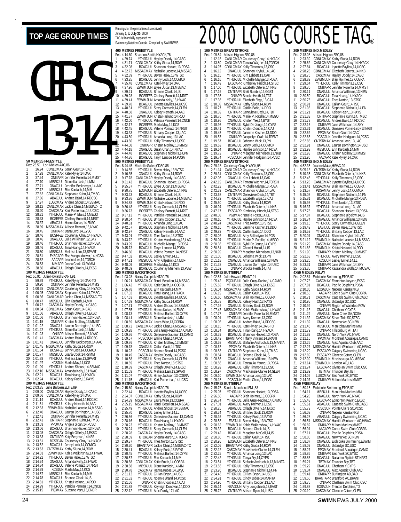# TOP AGE GROUP TIMES  $\frac{\text{Rankings for the period (results received)}}{\text{Rachom of the following support by supported by a group of the DING-CONO.} }$ GIRLS 13-14

Rankings for the period (results received) January 1, **to July 30**, 2000

## **100 METRES BREASTSTROKE** Rec: 1:09.84 Allison Higson,ESC,86 1 1:12.18 CANLCMAR Courtenay Chuy,14,HYACK 2 1:13.80 CANLCMAR Tamara Wagner,14,TORCH 3 1:14.97 CDNLCMAY Kelly Timmons,13,OSC 4 1:16.12 ONAGJUL Shannon Kryhul,14,LAC 5 1:16.15 YTHJRJUL Kim Labbett,13,OAK 6 1:16.16 YTHJRJUL Michelle Mange,13,PDSA 7 1:16.49 EKSCAPR Kimberley Hirsch,14,STSC 8 1:17.00 YTHJRJUL Elizabeth Osterer,14,NKB 8 1:17.00 YTHJRJUL Elizabeth Osterer, 14, N<br>9 1:17.16 ONTIIAPR Brett Rumble, 14, GGST<br>10 1:17.36 ONIAPR Brooke Heath, 14, TAT 10 1:17.36 ONIAPR Brooke Heath,14,TAT<br>11 1:17.36 YTHJRUL Elizabeth Engs,13,CAJ<br>12 1:18.08 MSSACMAY Kathy Siuda,14,ROW<br>13 1:18.39 ONTIIAPR Genevieve Dack,14,TBT<br>15 1:18.76 YTHJRJUL Mari 16 1:18.76 **THURJUL Marie-P. Ratelle, 14, 16**<br>16 1:18.96 **ONAGJUL Kristen Yee, 14, BYST**<br>17 1:18.96 **YTHJRJUL Sybil De Jonge, 14**, C 17 1:18.96 YTHJRJUL Sybil De Jonge,14,CYPS 18 1:19.41 YTHJRJUL Kristin Cloutier,14,CAJ 19 1:19.45 YTHJRJUL Jasmine Kastner,13,DDO 20 1:19.57 ONIIIAPR Jacquelyn Craft,14,TRENT 21 1:19.57 BCAGJUL Johanna Wick,13,PN 22 1:19.62 BCAGJUL Jenny Lock,14,COMOX 23 1:19.64 BCAGJUL Haylee Johnson,14,PDSA 24 1:19.72 ONIAPR Meaghan Nicholson,13,NKB 25 1:19.74 PCSCJUN Jennifer Hodgson, 14, PCS **200 METRES BREASTSTROKE** Rec: 2:29.18 Courtenay Chuy,HYACK,98 1 2:31.14 CANLCMAR Courtenay Chuy,14,HYACK 2 2:39.31 CDNLCMAY Kelly Timmons,13,OSC 3 2:42.06 ONAGJUL Kim Labbett,13,OAK 4 2:42.19 CANLCMAR Tamara Wagner,14,TORCH 5 2:42.23 BCAGJUL Michelle Mange,13,PDSA 6 2:42.39 CANLCMAR Shannon Kryhul,14,LAC 7 2:43.68 ONTIIAPR Genevieve Dack,14,TBT 8 2:44.82 YTHJRJUL Elizabeth Engs,13,CAJ 9 2:45.50 ONAGJUL Kathy Siuda,14,ROW 10 2:46.94 YTHJRJUL Elizabeth Osterer,14,NKB 11 2:47.17 EKSCAPR Kimberley Hirsch,14,STSC 12 2:48.08 PGBMAR Natalie Foster,14,LL 13 2:48.10 YTHJRJUL Haylee Johnson,14,PDSA 14 2:48.24 CASCMAY Thea Norton,13,STSC 15 2:49.16 YTHJRJUL Jasmine Kastner,13,DDO<br>16 2:49.83 YTHJRJUL Caitlin Babb,14,DDO<br>17 2:50.02 BCAGJUL Amy Ballantyne,14,PGB 2:49.83 YTHJRJUL Caitlin Babb,14,DDO<br>2:50.02 BCAGJUL Amy Ballantyne.14.P0 17 2:50.02 BCAGJUL Amy Ballantyne,14,PGB<br>18 2:50.04 YTHJRJUL Marie-P. Ratelle,14,MEGO<br>19 2:50.81 BCAGJUL Chantal Huard,14,IS<br>20 2:50.81 BCAGJUL Chantal Huard,14,IS 21 2:50.99 ONIAPR Meaghan Nicholson,13,NKB 22 2:51.05 BCAGJUL Johanna Wick,13,PN 23 2:51.18 ONAGJUL Amanda Williams,13,NEW 24 2:51.38 ONAGJUL Lauren Dorrington,14,USC 25 2:51.52 ONIAPR Brooke Heath,14,TAT **100 METRES BUTTERFLY** Rec: 1:02.87 Julie Howard,BRANT,91 1 1:02.87 Julie Howard, BRANT, 91<br>
1 1:05.42 PQCUPJUL Julia Guay-Racine, 14, CAM<br>
2 1:05.42 YTH IR JULI Orlagh O'Kelly 14 EKSC 2 1:05.82 YTHJRJUL Orlagh O'Kelly,14,EKSC 3 1:06.04 MSSACMAY Kathy Siuda,14,ROW 4 1:06.19 ONAGUL Callán Gault, 14, TSC<br>5 1:06.60 MSSACMAY Blair Holmes, 13, COBRA<br>6 1:06.78 BCAGUL Kelsey Rush, 13, RAYS<br>7 1:07.16 ONAGUL Brittney Scott, 13, ROW<br>8 1:07.47 ONIIIAPR Jennifer Porenta, 14, MMST<br>9 1:07.77 ONII 10 1:08.01 YTHJRJUL Avery Kremer,13,OSC 11 1:08.05 ABAGJUL Andrea Baird,14,RDCSC 12 1:08.15 YTHJRJUL Kate Plyley,14,0AK-TO<br>13 1:08.34 BCAGJUL Tina Hoang,14,HYACK<br>14 1:08.39 BCAGJUL Shannon Hackett,13,PDSA<br>15 1:08.59 MBSKJUL Stefane Andruchuk,13,MANTA<br>16 1:08.58 MBSKJUL Stefane Andruchuk,13,MANTA<br>17 1:0 18 1:08.83 ONTIIAPR Stephanie Kuhn, 14, TMSC<br>19 1:08.84 BCAGJUL Brianne Cloak, 14, IS 19 1:08.84 BCAGJUL Brianne Cloak,14, IS<br>20 1:08.86 ONAGJUL Amanda Williams.13 20 1:08.86 ONAGJUL Amanda Williams,13,NEW<br>21 1:08.86 BCAGJUL Teresa Au Yeung,13,PDSA<br>22 1:08.97 CASCMAY MacKenzie Clarke,14,GLEN<br>23 1:08.97 CASCMAY MacKenzie Clarke,14,GLEN 24 1:09.10 ESWIMJUN Amanda Long,13,LAC 25 1:09.18 PCSCJUN Emilie Chan,14,PCSC **200 METRES BUTTERFLY** 2:15.76 Sandra Marchand, ENL, 88<br>2:25.07 YTHJRJUL Shannon H 1 2:25.07 YTHJRJUL Shannon Hackett, 13, PDSA<br>2 2:26.50 AACAPR Blair Holmes 13 COBRA 2 2:26.50 AACAPR Blair Holmes,13,COBRA 3 2:26.74 YTHJRJUL Julia Guay-Racine,14,CAMO 4 2:27.01 ABAGJUL Avery Kremer,13,OSC 5 2:28.25 ABAGJUL Orlagh O'Kelly,14,EKSC 6 2:28.34 YTHJRJUL Brittney Scott,13,ROW 7 2:28.36 YTHJRJUL Kelsey Rush,13,RAYS 8 2:28.58 EASTJUL Bevan Haley,13,WTSC 9 2:28.62 ESWIMJUN Kahla Walkinshaw,14,HWAC 10 2:29.32 BCAGJUL Brianne Cloak,14,IS 11 2:29.42 BCAGJUL Meaghan McColl,14,IS 12 2:30.80 YTHJRJUL Callan Gault,14,TSC 13 2:30.95 EOSAJUN Elizabeth Osterer,14,NKB 14 2:32.05 BRANTAPR Kathy Siuda,14,ROW 15 2:32.12 CASCMAY MacKenzie Clarke,14,GLEN 16 2:32.25 YTHJRJUL Amanda Long,13,LAC 17 2:32.42 YTHJRJUL Tanya Fry,14,CYPS 18 2:33.51 YTHJRJUL Stefanie Andruchuk,13,MANTA 19 2:33.55 YTHJRJUL Kelly Timmons,13,OSC 20 2:33.96 BCAGJUL Stephanie Nicholls,14,PN 21 2:34.43 YTHJRJUL Gillian Bryon,14,USC 22 2:34.91 YTHJRJUL Cindy Jobse, 14, MANTA<br>23 2:34.96 YTHJRJUL Brittany Cooper, 13, LAC 23 2:34.96 YTHJRJUL Brittany Cooper, 13, LAC<br>24 2:35.14 NSAGJUN Amy Longobardi, 13, EA<br>25 2:35.72 ONTIIAPR Allison Rvan. 14. LUSC 24 2:35.14 NSAGJUN Amy Longobardi,13,EAST 25 2:35.72 ONTIIAPR Allison Ryan,14,LUSC

|                                                                                                        | Shannon Smith, HYACK, 76<br>Rec:<br>4:14.60<br>YTHJRJUL Hayley Doody, 14, CASC<br>4:29.74<br>CDNLCMAY Kathy Siuda, 14, ROW<br>$\overline{2}$<br>4:31.71 | Rec: 1:09.84 Allison Higson,ESC,86<br>CANLCMAR Courtenay Chuy, 14, HYACK<br>1:12.18<br>CANLCMAR Tamara Wagner, 14, TORCH<br>$\overline{2}$<br>1:13.80 | Allison Higson, ESC, 88<br>Rec: 2:18.08<br>CDNLCMAY Kathy Siuda, 14, ROW<br>2:23.39<br>CANLCMAR Courtenay Chuy, 14, HYACK<br>2<br>2:25.62 |
|--------------------------------------------------------------------------------------------------------|---------------------------------------------------------------------------------------------------------------------------------------------------------|-------------------------------------------------------------------------------------------------------------------------------------------------------|-------------------------------------------------------------------------------------------------------------------------------------------|
| GIRLS                                                                                                  | 3                                                                                                                                                       | CDNLCMAY Kelly Timmons, 13, OSC                                                                                                                       | 3                                                                                                                                         |
|                                                                                                        | BCAGJUL Shannon Hackett, 13, PDSA                                                                                                                       | 3                                                                                                                                                     | 2:27.84                                                                                                                                   |
|                                                                                                        | 4:32.08                                                                                                                                                 | 1:14.97                                                                                                                                               | BCAGJUL Lynette Bayliss, 14, UCSC<br>CDNLCMAY Elizabeth Osterer, 14, NKB                                                                  |
|                                                                                                        | 4:32.72<br>4<br>MSSACMAY Nathalie Lacoste, 14, MSSAC<br>5<br>4:32.89<br>YTHJRJUL Bevan Haley, 13, WTSC                                                  | ONAGJUL Shannon Kryhul, 14, LAC<br>$\overline{4}$<br>1:16.12<br>1:16.15<br>YTHJRJUL Kim Labbett, 13, OAK<br>.5                                        | 2:28.28<br>$\overline{4}$<br>5<br>2:28.76<br>CASCMAY Hayley Doody, 14, CASC<br>ESWIMJUN Blair Holmes, 13, COBRA                           |
|                                                                                                        | 6<br>4:33.25<br>BCAGJUL Jenny Lock, 14, COMOX<br>$\overline{7}$<br>4:35.48<br>CDNLCMAY Kate Plyley, 14, OAK                                             | 1:16.16<br>YTHJRJUL Michelle Mange, 13, PDSA<br>6<br>1:16.49<br>EKSCAPR Kimberley Hirsch, 14, STSC<br>7                                               | 2:28.82<br>6<br>2:29.64<br>YTHJRJUL Kelly Timmons, 13, OSC<br>7                                                                           |
|                                                                                                        | 8                                                                                                                                                       | 8                                                                                                                                                     | 8                                                                                                                                         |
|                                                                                                        | 4:37.96                                                                                                                                                 | 1:17.00                                                                                                                                               | 2:29.70                                                                                                                                   |
|                                                                                                        | ESWIMJUN Elyse Dudar, 13, MSSAC                                                                                                                         | YTHJRJUL Elizabeth Osterer, 14, NKB                                                                                                                   | ONIIIAPR Jennifer Porenta, 14, MMST                                                                                                       |
|                                                                                                        | 9                                                                                                                                                       | $\mathsf{Q}$                                                                                                                                          | 9                                                                                                                                         |
|                                                                                                        | 4:39.21                                                                                                                                                 | ONTIIAPR Brett Rumble, 14, GGST                                                                                                                       | 2:30.11                                                                                                                                   |
|                                                                                                        | BCAGJUL Brianne Cloak, 14, IS                                                                                                                           | 1:17.16                                                                                                                                               | ONAGJUL Amanda Williams, 13, NEW                                                                                                          |
|                                                                                                        | 10                                                                                                                                                      | 10                                                                                                                                                    | 10                                                                                                                                        |
|                                                                                                        | 4:39.28                                                                                                                                                 | ONIAPR Brooke Heath, 14, TAT                                                                                                                          | 2:30.50                                                                                                                                   |
|                                                                                                        | BCSRFEB Chelsey Burnett, 14, NRST                                                                                                                       | 1:17.36                                                                                                                                               | BCAGJUL Tina Hoang, 14, HYACK                                                                                                             |
|                                                                                                        | 11                                                                                                                                                      | 11                                                                                                                                                    | 11                                                                                                                                        |
|                                                                                                        | 4:39.41                                                                                                                                                 | 1:17.36                                                                                                                                               | 2:30.76                                                                                                                                   |
|                                                                                                        | ESWIMJUN Amanda Kelly, 13, HWAC                                                                                                                         | YTHJRJUL Elizabeth Engs, 13, CAJ                                                                                                                      | ABAGJUL Thea Norton, 13, STSC                                                                                                             |
|                                                                                                        | 12                                                                                                                                                      | 1:18.08                                                                                                                                               | 12                                                                                                                                        |
|                                                                                                        | 4:39.78                                                                                                                                                 | MSSACMAY Kathy Siuda, 14, ROW                                                                                                                         | 2:30.91                                                                                                                                   |
|                                                                                                        | BCAGJUL Lynette Bayliss, 14, UCSC                                                                                                                       | 12                                                                                                                                                    | ONAGJUL Callan Gault, 14, TSC                                                                                                             |
|                                                                                                        | YTHJRJUL Sťacy Cormack, 14, GLEN<br>13<br>4:40.31<br>14<br>4:40.58                                                                                      | YTHJRJUL Caitlin Babb, 14, DDO<br>13<br>1:18.27<br>14                                                                                                 | 13<br>2:31.03<br>BCAGJUL Stephanie Nicholls, 14, PN<br>14<br>2:31.21                                                                      |
|                                                                                                        | ONAGJUL Kelsey Nemeth, 14, AAC<br>15<br>4:41.87<br>ESWIMJUN Krista Haslund, 14, ROD                                                                     | 1:18.39<br>ONTIIAPR Genevieve Dack, 14, TBT<br>15<br>1:18.76<br>YTHJRJUL Marie-P. Ratelle, 14, MEGO                                                   | BCAGJUL Kelsey Rush, 13, RAYS<br>15<br>2:31.33<br>ONTIIAPR Stephanie Kuhn, 14, TMSC                                                       |
|                                                                                                        | YTHJRJUL Patricia Perreault, 14, CNCB                                                                                                                   | 1:18.96                                                                                                                                               | 2:31.72                                                                                                                                   |
|                                                                                                        | 16                                                                                                                                                      | 16                                                                                                                                                    | BCAGJUL Andrea Baird, 14, RDCSC                                                                                                           |
|                                                                                                        | 4:42.00                                                                                                                                                 | ONAGJUL Kristen Yee, 14, BYST                                                                                                                         | 16                                                                                                                                        |
|                                                                                                        | 4:42.17                                                                                                                                                 | 1:18.96                                                                                                                                               | 2:32.16                                                                                                                                   |
|                                                                                                        | 17                                                                                                                                                      | 17                                                                                                                                                    | 17                                                                                                                                        |
|                                                                                                        | BCSRFEB Marla May, 14, KCS                                                                                                                              | YTHJRJUL Sybil De Jonge, 14, CYPS                                                                                                                     | ONIIIAPR Jane Wilkinson, 14, SKY                                                                                                          |
|                                                                                                        | 18                                                                                                                                                      | 1:19.41                                                                                                                                               | 2:32.31                                                                                                                                   |
|                                                                                                        | 4:42.45                                                                                                                                                 | 18                                                                                                                                                    | BCAGJUL Genevieve Poirier-Leroy, 13, NRST                                                                                                 |
|                                                                                                        | BCAGJUL Valerie Pomaizl, 14, NRST                                                                                                                       | YTHJRJUL Kristin Cloutier, 14, CAJ                                                                                                                    | 18                                                                                                                                        |
|                                                                                                        | 19                                                                                                                                                      | 1:19.45                                                                                                                                               | 19                                                                                                                                        |
|                                                                                                        | 4:43.33                                                                                                                                                 | 19                                                                                                                                                    | 2:32.62                                                                                                                                   |
| $\overline{a}$                                                                                         | YTHJRJUL Brittany Cooper, 13, LAC                                                                                                                       | YTHJRJUL Jasmine Kastner, 13, DDO                                                                                                                     | PPOMAY Sarah Gault, 14, CAC                                                                                                               |
|                                                                                                        | 20                                                                                                                                                      | 1:19.57                                                                                                                                               | 2:32.65                                                                                                                                   |
|                                                                                                        | 4:43.50                                                                                                                                                 | 20                                                                                                                                                    | 20                                                                                                                                        |
|                                                                                                        | YTHJRJUL Amanda Long, 13, LAC                                                                                                                           | ONIIIAPR Jacquelyn Craft, 14, TRENT                                                                                                                   | PCSCJUN Jennifer Hodgson, 14, PCSC                                                                                                        |
|                                                                                                        | 21                                                                                                                                                      | 1:19.57                                                                                                                                               | 21                                                                                                                                        |
|                                                                                                        | 4:43.60                                                                                                                                                 | 21                                                                                                                                                    | 2:32.88                                                                                                                                   |
|                                                                                                        | YTHJRJUL Kelly Timmons,13,0SC                                                                                                                           | BCAGJUL Johanna Wick, 13, PN                                                                                                                          | ONTSRMAY Amanda Long, 13, LAC                                                                                                             |
|                                                                                                        | 22                                                                                                                                                      | 1:19.62                                                                                                                                               | 22                                                                                                                                        |
|                                                                                                        | 4:44.08                                                                                                                                                 | BCAGJUL Jenny Lock, 14, COMOX                                                                                                                         | 2:32.91                                                                                                                                   |
|                                                                                                        | ONIIIAPR Kristen McIlroy, 13, MMST                                                                                                                      | 22                                                                                                                                                    | ONAGJUL Lauren Dorrington, 14, USC                                                                                                        |
|                                                                                                        | 23                                                                                                                                                      | 1:19.64                                                                                                                                               | 23                                                                                                                                        |
|                                                                                                        | 4:44.18                                                                                                                                                 | BCAGJUL Haylee Johnson, 14, PDSA                                                                                                                      | 2:32.93                                                                                                                                   |
|                                                                                                        | ONAGJUL Sarah Chan, 14, NYAC                                                                                                                            | 23                                                                                                                                                    | MBSKJUL Erin Kardash, 14, MM                                                                                                              |
|                                                                                                        | 24                                                                                                                                                      | 1:19.72                                                                                                                                               | 2:32.93                                                                                                                                   |
|                                                                                                        | 4:44.48                                                                                                                                                 | ONIAPR Meaghan Nicholson, 13, NKB                                                                                                                     | ONAGJUL Kristen McIlroy, 13, MMST                                                                                                         |
|                                                                                                        | BCAGJUL Stephanie Nicholls, 14, PN                                                                                                                      | 24                                                                                                                                                    | 24                                                                                                                                        |
| 50 METRES FREESTYLE                                                                                    | 25                                                                                                                                                      | 25                                                                                                                                                    | 2:32.96                                                                                                                                   |
|                                                                                                        | 4:44.86                                                                                                                                                 | 1:19.74                                                                                                                                               | AACAPR Kate Plyley, 14, OAK                                                                                                               |
|                                                                                                        | BCAGJUL Taryn Lencoe, 14, PDSA                                                                                                                          | PCSCJUN Jennifer Hodgson, 14, PCSC                                                                                                                    | 25                                                                                                                                        |
| Rec: 26.51 Lori Melien, AAC, 86                                                                        | 800 METRES FREESTYLE<br>Michelle Sallee, CDSC, 88<br>Rec: 8:44.45                                                                                       | 200 METRES BREASTSTROKE<br>Rec: 2:29.18 Courtenay Chuy, HYACK, 98                                                                                     | 400 METRES IND.MEDLEY<br>Joanne Malar, HWAC, 90<br>Rec: 4:52.35                                                                           |
| CDNLCMAY Sarah Gault, 14, CAC<br>26.94<br>27.28<br>CANLCMAR Kate Plyley, 14, OAK<br>2                  | YTHJRJUL Bevan Haley, 13, WTSC<br>9:14.85<br>-1.<br>9:16.35<br>ONAGJUL Kathy Siuda, 14, ROW<br>-2                                                       | CANLCMAR Courtenay Chuy, 14, HYACK<br>2:31.14<br>л.<br>2:39.31<br>CDNLCMAY Kelly Timmons, 13, OSC<br>2                                                | ONTSRMAY Kathy Siuda, 14, ROW<br>5:05.18<br>л.<br>CDNLCMAY Elizabeth Osterer, 14, NKB<br>$\mathcal{P}$<br>5:10.35                         |
| 27.54<br>ONIIIAPR Jennifer Porenta, 14, MMST<br>3<br>27.70<br>MBSKJUL Diane Kardash, 14, MM            | CANLCMAR Hayley Doody, 14, CASC<br>9:17.78<br>3                                                                                                         | ONAGJUL Kim Labbett, 13, OAK<br>3<br>2:42.06                                                                                                          | YTHJRJUL Kelly Timmons, 13, OSC<br>3<br>5:12.48                                                                                           |
| 27.71<br>ONAGJUL Jennifer Beckberger, 14, AAC<br>5                                                     | 9:21.43<br>BCAGJUL Shannon Hackett, 13, PDSA<br>-4<br>YTHJRJUL Elyse Dudar, 13, MSSAC<br>9:25.37<br>5                                                   | CANLCMAR Tamara Wagner, 14, TORCH<br>2:42.19<br>4<br>5<br>2:42.23<br>BCAGJUL Michelle Mange, 13, PDSA                                                 | CANLCMAR Lynette Bayliss, 14, UCSC<br>5:13.28<br>4<br>MSSACMAY Blair Holmes, 13, COBRA<br>5<br>5:13.41                                    |
| 27.72<br>MBSKJUL Erin Kardash, 14, MM<br>6<br>27.82<br>CDNLCMAY Stephanie Kuhn, 14, TMSC               | 9:30.75<br>EOSAJUN Elizabeth Osterer, 14, NKB<br>6<br>BCAGJUL Brianne Cloak, 14, IS<br>7<br>9:33.23                                                     | CANLCMAR Shannon Kryhul, 14, LAC<br>ONTIIAPR Genevieve Dack, 14, TBT<br>6<br>2:42.39<br>2:43.68                                                       | 6<br>5:13.57<br>PDSAMAY Jenny Lock, 14, COMOX<br>BCAGJUL Stephanie Nicholls, 14, PN<br>5:15.05                                            |
| 27.86                                                                                                  | 8                                                                                                                                                       | 8                                                                                                                                                     | BCAGJUL Michelle Mange, 13, PDSA                                                                                                          |
| ABAGJUL Andrea Baird, 14, RDCSC                                                                        | ESWIMJUN Nathalie Lacoste, 14, MSSAC                                                                                                                    | YTHJRJUL Elizabeth Engs, 13, CAJ                                                                                                                      | 8                                                                                                                                         |
| 8                                                                                                      | 9:33.86                                                                                                                                                 | 2:44.82                                                                                                                                               | 5:15.81                                                                                                                                   |
| 27.97                                                                                                  | 9                                                                                                                                                       | 9                                                                                                                                                     | 9                                                                                                                                         |
| 9                                                                                                      | 9:34.88                                                                                                                                                 | 2:45.50                                                                                                                                               | 5:15.93                                                                                                                                   |
| LUSCMAY Andrea Shoust, 14, SSMAC                                                                       | ESWIMJUN Krista Haslund, 14, ROD                                                                                                                        | ONAGJUL Kathy Siuda, 14, ROW                                                                                                                          | YTHJRJUL Thea Norton, 13, STSC                                                                                                            |
| 28.12                                                                                                  | 10                                                                                                                                                      | 10                                                                                                                                                    | 10                                                                                                                                        |
| 10                                                                                                     | 9:36.48                                                                                                                                                 | 2:46.94                                                                                                                                               | 5:16.37                                                                                                                                   |
| CANLCMAR Jackie Chan, 14, MSSAC-TO                                                                     | YTHJRJUL Stacy Cormack, 14, GLEN                                                                                                                        | YTHJRJUL Elizabeth Osterer, 14, NKB                                                                                                                   | YTHJRJUL Amanda Long, 13, LAC                                                                                                             |
| 11                                                                                                     | BCSRFEB Chelsey Burnett, 14, NRS1                                                                                                                       | 2:47.17                                                                                                                                               | 11                                                                                                                                        |
| 28.20                                                                                                  | 11                                                                                                                                                      | EKSCAPR Kimberley Hirsch, 14, STSC                                                                                                                    | BCAGJUL Shannon Hackett, 13, PDSA                                                                                                         |
| CASCMAY Kari Pomerleau, 14, UCSC                                                                       | 9:36.73                                                                                                                                                 | 11                                                                                                                                                    | 5:17.78                                                                                                                                   |
| 12                                                                                                     | 12                                                                                                                                                      | 2:48.08                                                                                                                                               | BCAGJUL Stephanie Bigelow, 14, IS                                                                                                         |
| YTHJRJUL Marie-P. Blais, 14, MEGO                                                                      | 9:37.13                                                                                                                                                 | PGBMAR Natalie Foster, 14, LL                                                                                                                         | 12                                                                                                                                        |
| 28.21                                                                                                  | YTHJRJUL Patricia Perreault, 14, CNCB                                                                                                                   | 12                                                                                                                                                    | 5:17.87                                                                                                                                   |
| 13                                                                                                     | 13                                                                                                                                                      | 13                                                                                                                                                    | 13                                                                                                                                        |
| 28.33                                                                                                  | 9:38.64                                                                                                                                                 | 2:48.10                                                                                                                                               | ONAGJUL Amanda Williams, 13, NEW                                                                                                          |
| BCSRFEB Chelsey Burnett, 14, NRST                                                                      | YTHJRJUL Brittany Cooper, 13, LAC                                                                                                                       | YTHJRJUL Haylee Johnson, 14, PDSA                                                                                                                     | 5:18.74                                                                                                                                   |
| 14                                                                                                     | 14                                                                                                                                                      | CASCMAY Thea Norton, 13, STSC                                                                                                                         | 14                                                                                                                                        |
| 28.37                                                                                                  | 9:40.81                                                                                                                                                 | 14                                                                                                                                                    | 5:19.16                                                                                                                                   |
| ABAGJUL Hanna Kubas, 14, EKSC                                                                          | YTHJRJUL Amanda Long, 13, LAC                                                                                                                           | 2:48.24                                                                                                                                               | YTHJRJUL Stacy Cormack, 14, GLEN                                                                                                          |
| 15                                                                                                     | 15                                                                                                                                                      | 15                                                                                                                                                    | 15                                                                                                                                        |
| 28.39                                                                                                  | 9:42.57                                                                                                                                                 | 2:49.16                                                                                                                                               | 5:19.42                                                                                                                                   |
| MSSACMAY Allison Bennett, 13, NYAC                                                                     | BCAGJUL Stephanie Nicholls, 14, PN                                                                                                                      | YTHJRJUL Jasmine Kastner, 13, DDO                                                                                                                     | EASTJUL Bevan Haley, 13, WTSC                                                                                                             |
| 16                                                                                                     | 16                                                                                                                                                      | 2:49.83                                                                                                                                               | 16                                                                                                                                        |
| 28.45                                                                                                  | 9:42.97                                                                                                                                                 | YTHJRJUL Caitlin Babb, 14, DDO                                                                                                                        | 5:19.59                                                                                                                                   |
| ONIIIAPR Dana Lord, 14, EYSC                                                                           | ONAGJUL Kelsey Nemeth, 14, AAC                                                                                                                          | 16                                                                                                                                                    | YTHJRJUL Brittany Cooper, 13, LAC                                                                                                         |
| 17                                                                                                     | 17                                                                                                                                                      | 17                                                                                                                                                    | 17                                                                                                                                        |
| 28.46                                                                                                  | 9:43.01                                                                                                                                                 | 2:50.02                                                                                                                                               | 5:20.01                                                                                                                                   |
| BCSRFEB Courtenay Chuy, 14, HYACK                                                                      | YTHJRJUL Thea Norton, 13, STSC                                                                                                                          | BCAGJUL Amy Ballantyne, 14, PGB                                                                                                                       | ONAGJUL Shannon Kryhul, 14, LAC                                                                                                           |
| 18                                                                                                     | 18                                                                                                                                                      | 2:50.04                                                                                                                                               | 5:21.12                                                                                                                                   |
| ONAGJUL Julia Wilkinson, 12, SKY                                                                       | 9:43.72                                                                                                                                                 | YTHJRJUL Marie-P. Ratelle, 14, MEGO                                                                                                                   | ESWIMJUN Nathalie Lacoste, 14, MSSAC                                                                                                      |
| 28.46                                                                                                  | YTHJRJUL Kristen Vandenberg, 13, LAC                                                                                                                    | 18                                                                                                                                                    | 18                                                                                                                                        |
| 19                                                                                                     | 19                                                                                                                                                      | 19                                                                                                                                                    | 19                                                                                                                                        |
| YTHJRJUL Shannon Hackett, 13, PDSA                                                                     | 9:43.99                                                                                                                                                 | 2:50.36                                                                                                                                               | 5:21.29                                                                                                                                   |
| 28.46                                                                                                  | BCAGJUL Michelle Mange, 13, PDSA                                                                                                                        | YTHJRJUL Sybil De Jonge, 14, CYPS                                                                                                                     | CASCMAY Hayley Doody, 14, CASC                                                                                                            |
| 20<br>BCAGJUL Tina Hoang, 14, HYACK<br>28.46<br>21<br>28.50<br>MBSKJUL Melissa Lam, 13, SPART          | 20<br>9:45.73<br>BCAGJUL Taryn Lencoe, 14, PDSA<br>21<br>9:46.60                                                                                        | 2:50.81<br>BCAGJUL Chantal Huard, 14, IS<br>20<br>21<br>2:50.99                                                                                       | 20<br>5:21.83<br>ESWIMJUN Krista Haslund, 14, ROD<br>21<br>5:21.90                                                                        |
| 22<br>28.51<br>EKSCAPR Elsa Vangoudoever, 14, NCSA                                                     | BCAGJUL Valerie Pomaizl, 14, NRST<br>22<br>9:47.02<br>BCAGJUL Lesley Emter, 14, LL                                                                      | ONIAPR Meaghan Nicholson, 13, NKB<br>2:51.05<br>22<br>BCAGJUL Johanna Wick, 13, PN                                                                    | ONIIIAPR Kristen McIlroy, 13, MMST<br>22<br>5:22.63<br>YTHJRJUL Avery Kremer, 13, OSC                                                     |
| 23                                                                                                     | 23                                                                                                                                                      | 23                                                                                                                                                    | 23                                                                                                                                        |
| 28.52                                                                                                  | 9:47.31                                                                                                                                                 | 2:51.18                                                                                                                                               | 5:23.26                                                                                                                                   |
| AACAPR Leanna Lee, 14, TORCH                                                                           | MBSKJUL Amy Killpatrick, 14, M3F                                                                                                                        | ONAGJUL Amanda Williams, 13, NEW                                                                                                                      | KCSJUN Lesley Emter, 14, LL                                                                                                               |
| 24                                                                                                     | 24                                                                                                                                                      | 24                                                                                                                                                    | 24                                                                                                                                        |
| 28.53                                                                                                  | 9:48.09                                                                                                                                                 | 2:51.38                                                                                                                                               | 5:23.31                                                                                                                                   |
| MMAPR Joana Cook, 13, RYMM                                                                             | BCSRFEB Marla May, 14, KCS                                                                                                                              | ONAGJUL Lauren Dorrington, 14, USC                                                                                                                    | ONIIIAPR Jane Wilkinson, 14, SKY                                                                                                          |
| 25                                                                                                     | 25                                                                                                                                                      | 25                                                                                                                                                    | 25                                                                                                                                        |
| 28.56                                                                                                  | 9:48.59                                                                                                                                                 | 2:51.52                                                                                                                                               | 5:23.35                                                                                                                                   |
| ABAGJUL Orlagh O'Kelly, 14, EKSC                                                                       | BCAGJUL Courtenay Mulhern, 13, PSW                                                                                                                      | ONIAPR Brooke Heath, 14, TAT                                                                                                                          | ONIIIAPR Kassandra Wolfe, 14, MUSAC                                                                                                       |
| 100 METRES FREESTYLE                                                                                   | <b>100 METRES BACKSTROKE</b>                                                                                                                            | <b>100 METRES BUTTERFLY</b>                                                                                                                           | <b>4X50 MEDLEY RELAY</b>                                                                                                                  |
| Rec: 56.91 Julie Howard, BRANT, 91<br>59.39<br>YTHJRJUL Kate Plyley, 14, OAK-TO                        | Rec: 1:03.28<br>Nancy Garapick, HTAC, 76<br>1:06.21 MSSACMAY Randi Beaulieu, 14, MSSAC<br>-1                                                            | Julie Howard, BRANT, 91<br>Rec: 1:02.87<br>PQCUPJUL Julia Guay-Racine, 14, CAMO<br>1:05.42<br>-1                                                      | Etobicoke Swimming, ETOB, 97<br>Rec: 2:02.81<br>CASCMAY Edmonton Keyano, EKSC<br>2:07.73                                                  |
| 59.90                                                                                                  | $\overline{2}$                                                                                                                                          | YTHJRJUL Orlagh O'Kelly, 14, EKSC                                                                                                                     | $\overline{2}$                                                                                                                            |
| ONIIIAPR Jennifer Porenta, 14, MMST                                                                    | 1:06.42                                                                                                                                                 | $\overline{2}$                                                                                                                                        | 2:07.81                                                                                                                                   |
| 2                                                                                                      | YTHJRJUL Katie Smith, 14, COBRA                                                                                                                         | 1:05.82                                                                                                                                               | BCAGJUL Pacific Dolphins, PDSA                                                                                                            |
| 3                                                                                                      | 1:06.78                                                                                                                                                 | MSSACMAY Kathy Siuda, 14, ROW                                                                                                                         | 3                                                                                                                                         |
| 1:00.25                                                                                                | MBSKJUL Erin Kardash, 14, MM                                                                                                                            | 3                                                                                                                                                     | 2:10.06                                                                                                                                   |
| CANLCMAR Courtenay Chuy, 14, HYACK                                                                     | 3                                                                                                                                                       | 1:06.04                                                                                                                                               | EOSAJUN Nepean Kanata, NKB                                                                                                                |
| 1:00.25                                                                                                | 1:07.02                                                                                                                                                 | ONAGJUL Callan Gault, 14, TSC                                                                                                                         | 2:10.55                                                                                                                                   |
| CDNLCMAY Stephanie Kuhn, 14, TMSC                                                                      | BCAGJUL Tina Hoang, 14, HYACK                                                                                                                           | $\overline{4}$                                                                                                                                        | AACAPR Cobra Swim Club, COBRA                                                                                                             |
| 4                                                                                                      | 4                                                                                                                                                       | 1:06.19                                                                                                                                               | -4                                                                                                                                        |
| 1:00.36                                                                                                | 5                                                                                                                                                       | 5                                                                                                                                                     | 5                                                                                                                                         |
| CANLCMAR Jackie Chan, 14, MSSAC-TO                                                                     | BCAGJUL Lynette Bayliss, 14, UCSC                                                                                                                       | MSSACMAY Blair Holmes, 13, COBRA                                                                                                                      | 2:10.71                                                                                                                                   |
| 5                                                                                                      | 1:07.63                                                                                                                                                 | 1:06.60                                                                                                                                               | CASCMAY Cascade Swim Club, CASC                                                                                                           |
| 1:00.47                                                                                                | MSSACMAY Kathy Siuda, 14, ROW                                                                                                                           | BCAGJUL Kelsey Rush, 13, RAYS                                                                                                                         | ONAGJUL Uxbridge SC,USC                                                                                                                   |
| MBSKJUL Erin Kardash, 14, MM                                                                           | 6                                                                                                                                                       | 1:06.78                                                                                                                                               | 2:10.95                                                                                                                                   |
| 6                                                                                                      | 1:07.69                                                                                                                                                 | 6                                                                                                                                                     | 6                                                                                                                                         |
| 1:00.72<br>CASCMAY Hayley Doody, 14, CASC<br>1:00.84<br>CDNLCMAY Sarah Gault, 14, CAC<br>8             | YTHJRJUL Andrea Shoust, 14, SSMAC<br>-7<br>1:07.71<br>8<br>1:07.85<br>YTHJRJUL Hanna Kubas, 14, EKSC                                                    | ONAGJUL Brittney Scott, 13, ROW<br>1:07.16<br>-7<br>MSSACMAY Kahla Walkinshaw, 14, HWAC<br>8<br>1:07.47                                               | 2:10.99<br>ONIAPR Region of Waterloo, ROW<br>8<br>2:11.13<br>ONAGJUL Chatham Y,CYPS                                                       |
| 1:01.06                                                                                                | 9                                                                                                                                                       | ONIIIAPR Jennifer Porenta, 14, MMST                                                                                                                   | 9                                                                                                                                         |
| ABAGJUL Orlagh O'Kelly, 14, EKSC                                                                       | 1:08.13                                                                                                                                                 | 9                                                                                                                                                     | 2:11.29                                                                                                                                   |
| 9                                                                                                      | YTHJRJUL Melissa Bartlett, 13, CYPS                                                                                                                     | 1:07.77                                                                                                                                               | ABAGJUL Nose Creek SA, NCSA                                                                                                               |
| YTHJRJUL Shannon Hackett, 13, PDSA                                                                     | 10                                                                                                                                                      | YTHJRJUL Avery Kremer, 13, OSC                                                                                                                        | 10                                                                                                                                        |
| 10 <sup>°</sup>                                                                                        | 1:08.41                                                                                                                                                 | 10                                                                                                                                                    | 2:11.32                                                                                                                                   |
| 1:01.06                                                                                                | MBSKJUL Diane Kardash, 14, MM                                                                                                                           | 1:08.01                                                                                                                                               | CASCMAY Silver Tide SC, STSC                                                                                                              |
| 11                                                                                                     | 11                                                                                                                                                      | 11                                                                                                                                                    | 2:11.32                                                                                                                                   |
| 1:01.15                                                                                                | 1:08.69                                                                                                                                                 | 1:08.05                                                                                                                                               | 11                                                                                                                                        |
| ONIIIAPR Kristen McIlroy, 13, MMST                                                                     | MSSACMAY Laura Wise,13,COBRA                                                                                                                            | ABAGJUL Andrea Baird, 14, RDCSC                                                                                                                       | ONAGJUL Newmarket SC, NEW                                                                                                                 |
| ONAGJUL Lauren Dorrington, 14, USC                                                                     | 12                                                                                                                                                      | 12                                                                                                                                                    | 2:11.46                                                                                                                                   |
| 12                                                                                                     | 1:08.72                                                                                                                                                 | 1:08.15                                                                                                                                               | 12                                                                                                                                        |
| 1:01.22                                                                                                | CANLCMAR Jackie Chan,14,MSSAC-TO                                                                                                                        | YTHJRJUL Kate Plyley, 14, OAK-TO                                                                                                                      | MBSKJUL Manitoba Marlins, MM                                                                                                              |
| 13                                                                                                     | 13                                                                                                                                                      | 13                                                                                                                                                    | 13                                                                                                                                        |
| 1:01.22                                                                                                | 1:09.28                                                                                                                                                 | 1:08.34                                                                                                                                               | 2:11.79                                                                                                                                   |
| YTHJRJUL Diane Kardash, 14, MM                                                                         | YTHJRJUL Julia Guay-Racine, 14, CAMO                                                                                                                    | BCAGJUL Tina Hoang, 14, HYACK                                                                                                                         | ONIAPR Tillsonburg AT, TAT                                                                                                                |
| 1:01.23<br>14<br>ONIAPR Allison Bennett, 13, NYAC<br>15<br>1:01.41<br>CASCMAY Andrea Baird, 14, RDCSC  | 14<br>1:09.36<br>YTHJRJUL Genevieve Saumur, 13, CAMO<br>15<br>1:09.57                                                                                   | 14<br>1:08.39<br>BCAGJUL Shannon Hackett, 13, PDSA<br>15                                                                                              | 14<br>2:11.89<br>ONAGJUL North York AC, NYAC<br>2:12.16<br>PPOMAY Montreal Aquatique, CAMO<br>15                                          |
| 16<br>1:01.41<br>ONAGJUL Jennifer Beckberger, 14, AAC                                                  | PCSCJUN Emilie Chan, 14, PCSC<br>16<br>1:09.76<br>YTHJRJUL Kristen McIlroy, 13, MMST                                                                    | BRANTAPR Tiffany Vincent, 14, BRANT<br>1:08.42<br>16<br>1:08.58<br>MBSKJUL Stefanie Andruchuk, 13, MANTA                                              | 2:12.26<br>ONAGJUL Ajax Aquatic Club, AAC<br>16                                                                                           |
| 17                                                                                                     | 17                                                                                                                                                      | 17                                                                                                                                                    | MSSACMAY Hamilt-Wentworth AC, HWAC                                                                                                        |
| 1:01.45                                                                                                | 1:09.78                                                                                                                                                 | 1:08.67                                                                                                                                               | 17                                                                                                                                        |
| MSSACMAY Kathy Siuda, 14, ROW                                                                          | ONAGJUL Callan Gault, 14, TSC                                                                                                                           | PPOMAY Elizabeth Osterer, 14, NKB                                                                                                                     | 2:12.27                                                                                                                                   |
| BCSRFEB Jenny Lock, 14, COMOX                                                                          | 18                                                                                                                                                      | 1:08.83                                                                                                                                               | 18                                                                                                                                        |
| 18                                                                                                     | 1:10.23                                                                                                                                                 | ONTIIAPR Stephanie Kuhn, 14, TMSC                                                                                                                     | 2:12.29                                                                                                                                   |
| 1:01.54                                                                                                | PCSCJUN Noemie Brand, 14, PCSC                                                                                                                          | 18                                                                                                                                                    | EKSCAPR Calgary Swimming, UCSC                                                                                                            |
| 19<br>1:01.77<br>MBSKJUL Joana Cook, 14, RYMM<br>YTHJRJUL Melissa Lam, 13, SPART<br>20<br>1:01.88      | 19<br>1:10.49<br>CASCMAY Hayley Doody, 14, CASC<br>1:10.58<br>YTHJRJUL Stacy Cormack, 14, GLEN<br>20                                                    | 19<br>1:08.84<br>BCAGJUL Brianne Cloak, 14, IS<br>20<br>ONAGJUL Amanda Williams, 13, NEW<br>1:08.86                                                   | 19<br><b>EKSCAPR Glencoe Gators, GLEN</b><br>2:12.89<br>20 2:12.99<br>ESWIMJUN Mississauga AC, MSSAC                                      |
| 21<br>1:01.97<br>KCSJUN Marla May, 14, KCS<br>22<br>1:01.99<br>YTHJRJUL Andrea Shoust, 14, SSMAC       | 21<br>1:10.69<br>YTHJRJUL Thea Norton, 13, STSC<br>22<br>1:10.89<br>CASCMAY Orlagh O'Kelly, 14, EKSC                                                    | BCAGJUL Teresa Au Yeung, 13, PDSA<br>21<br>1:08.86                                                                                                    | ESWIMJUN London AC, LAC<br>21<br>2:13.14                                                                                                  |
| 23<br>1:02.10 MSSACMAY Amanda Kelly, 13, HWAC                                                          | 23<br>1:11.03<br>YTHJRJUL Melissa Lam, 13, SPART                                                                                                        | 22<br>1:08.92<br>ABAGJUL Kelly Timmons, 13, OSC<br>23<br>CASCMAY MacKenzie Clarke, 14, GLEN<br>1:08.97                                                | EKSCAPR Olympian Swim Club, OSC<br>22<br>2:13.74<br>23<br>2:13.89<br>TBTMAY Thunder Bay, TBT                                              |
| 24<br>1:02.21<br>BCAGJUL Tina Hoang, 14, HYACK<br>25 1:02.24<br>BCAGJUL Kelsey Rush, 13, RAYS          | 24<br>1:11.07<br>YTHJRJUL Hilary Jackson, 13, COBRA<br>25<br>ABAGJUL Kari Pomerleau, 14, UCSC<br>1:11.15                                                | 24<br>1:09.10<br>ESWIMJUN Amanda Long, 13, LAC<br>25<br>PCSCJUN Emilie Chan, 14, PCSC<br>1:09.18                                                      | 24<br>2:14.06<br>LUSCMAY East York SC, EYSC<br>25<br>2:14.07<br>ONIIIAPR Milton Marlins, MMST                                             |
| 200 METRES FREESTYLE<br>Rec: 2:03.35 Julie Barbeau, ELITE, 89                                          | 200 METRES BACKSTROKE<br>Rec: 2:15.60<br>Nancy Garapick, HTAC, 76                                                                                       | 200 METRES BUTTERFLY<br>Rec: 2:15.76 Sandra Marchand, ENL, 88                                                                                         | <b>4X50 FREE RELAY</b><br>Rec: 1:50.15 Etobicoke Swimming, ETOB, 97                                                                       |
| CANLCMAR Hayley Doody, 14, CASC<br>CDNLCMAY Kate Plyley, 14, OAK<br>2:09.00<br>2<br>2:09.66            | 2:22.44<br>BCAGJUL Lynette Bayliss, 14, UCSC<br>-1<br>CDNLCMAY Kathy Siuda, 14, ROW<br>2:24.07<br>2                                                     | 2:25.07<br>YTHJRJUL Shannon Hackett, 13, PDSA<br>-1<br>2:26.50<br>AACAPR Blair Holmes, 13, COBRA<br>2                                                 | 1:54.11<br>MBSKJUL Manitoba Marlins, MM<br>1:54.28<br>ONAGJUL North York AC, NYAC<br>2                                                    |
| $\mathbf{3}$                                                                                           | 2:24.39                                                                                                                                                 | 3                                                                                                                                                     | 1:55.48                                                                                                                                   |
| 2:11.14                                                                                                | MSSACMAY Laura Wise, 13, COBRA                                                                                                                          | 2:26.74                                                                                                                                               | EKSCAPR Edmonton Keyano, EKSC                                                                                                             |
| BCAGJUL Andrea Baird, 14, RDCSC                                                                        | 3                                                                                                                                                       | YTHJRJUL Julia Guay-Racine, 14, CAMO                                                                                                                  | 3                                                                                                                                         |
| YTHJRJUL Kelsey Nemeth, 14, AAC                                                                        | 2:25.15                                                                                                                                                 | 2:27.01                                                                                                                                               | 1:55.61                                                                                                                                   |
| 2:11.61                                                                                                | MSSACMAY Randi Beaulieu, 14, MSSAC                                                                                                                      | ABAGJUL Avery Kremer, 13, OSC                                                                                                                         | ABAGJUL Cascade Swim Club, CASC                                                                                                           |
| 4                                                                                                      | 4                                                                                                                                                       | $\overline{4}$                                                                                                                                        | $\overline{4}$                                                                                                                            |
| 5                                                                                                      | 2:25.49                                                                                                                                                 | 2:28.25                                                                                                                                               | 5                                                                                                                                         |
| 2:12.33                                                                                                | 5                                                                                                                                                       | ABAGJUL Orlagh O'Kelly, 14, EKSC                                                                                                                      | 1:55.72                                                                                                                                   |
| ESWIMJUN Nathalie Lacoste, 14, MSSAC                                                                   | YTHJRJUL Andrea Shoust, 14, SSMAC                                                                                                                       | 5                                                                                                                                                     | PCSCJUN Pointe Claire SC, PCSC                                                                                                            |
| 2:12.40<br>ONAGJUL Lauren Dorrington, 14, USC<br>6<br>2:12.41<br>ONIIIAPR Jennifer Porenta, 14, MMST   | BCAGJUL Lesley Emter, 14, LL<br>2:25.70<br>6<br>2:26.56<br>YTHJRJUL Genevieve Saumur, 13, CAMO<br>-7                                                    | YTHJRJUL Brittney Scott, 13, ROW<br>2:28.34<br>6<br>2:28.36<br>YTHJRJUL Kelsey Rush, 13, RAYS<br>7                                                    | 1:56.03<br>ONIAPR Nepean Kanata, NKB<br>6<br>ABAGJUL Calgary Swimming, UCSC<br>1:56.28<br>-7                                              |
| 2:12.41                                                                                                | 8                                                                                                                                                       | 8                                                                                                                                                     | MSSACMAY Hamilt-Wentworth AC, HWAC                                                                                                        |
| ONTIIAPR Stephanie Kuhn, 14, TMSC                                                                      | 2:28.16                                                                                                                                                 | 2:28.58                                                                                                                                               | 8                                                                                                                                         |
| 8                                                                                                      | BCAGJUL Tina Hoang, 14, HYACK                                                                                                                           | EASTJUL Bevan Haley, 13, WTSC                                                                                                                         | 1:56.51                                                                                                                                   |
| 2:13.03                                                                                                | 2:28.23                                                                                                                                                 | ESWIMJUN Kahla Walkinshaw, 14, HWAC                                                                                                                   | 9                                                                                                                                         |
| PPOMAY Angela Sloan, 14, PCSC                                                                          | YTHJRJUL Kristen McIlroy, 13, MMST                                                                                                                      | 9                                                                                                                                                     | 1:56.82                                                                                                                                   |
| 9                                                                                                      | 9                                                                                                                                                       | 2:28.62                                                                                                                                               | ONIIIAPR Milton Marlins, MMST                                                                                                             |
| 2:13.06                                                                                                | 2:28.24                                                                                                                                                 | 2:29.32                                                                                                                                               | 1:56.91                                                                                                                                   |
| BCAGJUL Shannon Hackett, 13, PDSA                                                                      | YTHJRJUL Stacy Cormack, 14, GLEN                                                                                                                        | 10                                                                                                                                                    | AACAPR Cobra Swim Club, COBRA                                                                                                             |
| 10                                                                                                     | 10                                                                                                                                                      | BCAGJUL Brianne Cloak, 14, IS                                                                                                                         | 10                                                                                                                                        |
| 2:13.08                                                                                                | CASCMAY Hayley Doody, 14, CASC                                                                                                                          | 2:29.42                                                                                                                                               | 1:57.11                                                                                                                                   |
| CASCMAY Orlagh O'Kelly, 14, EKSC                                                                       | 11                                                                                                                                                      | BCAGJUL Meaghan McColl, 14, IS                                                                                                                        | BCAGJUL Pacific Dolphins, PDSA                                                                                                            |
| 11                                                                                                     | 2:28.28                                                                                                                                                 | 11                                                                                                                                                    | 11                                                                                                                                        |
| ONTIIAPR Katy Bergman, 14, KSS                                                                         | 2:28.59                                                                                                                                                 | 2:30.80                                                                                                                                               | 1:58.00                                                                                                                                   |
| 2:13.33                                                                                                | 12                                                                                                                                                      | YTHJRJUL Callan Gault, 14, TSC                                                                                                                        | ONAGJUL Newmarket SC, NEW                                                                                                                 |
| 12                                                                                                     | UTORJAN Sheena Martin, 14, TORCH                                                                                                                        | 12                                                                                                                                                    | 12                                                                                                                                        |
| 2:13.51                                                                                                | YTHJRJUL Thea Norton, 13, STSC                                                                                                                          | 2:30.95                                                                                                                                               | 1:58.07                                                                                                                                   |
| BCSRJAN Courtenay Chuy, 14, HYACK                                                                      | 2:29.37                                                                                                                                                 | EOSAJUN Elizabeth Osterer, 14, NKB                                                                                                                    | ONAGJUL Etobicoke Swimming, ESWIM                                                                                                         |
| 13                                                                                                     | 13                                                                                                                                                      | 13                                                                                                                                                    | 13                                                                                                                                        |
| BCAGJUL Jenny Lock, 14, COMOX                                                                          | 2:30.20                                                                                                                                                 | 2:32.05                                                                                                                                               | 1:58.09                                                                                                                                   |
| 14                                                                                                     | BRANTAPR Jackie Chan, 14, MSSAC-TO                                                                                                                      | BRANTAPR Kathy Siuda, 14, ROW                                                                                                                         | ONAGJUL Uxbridge SC,USC                                                                                                                   |
| 2:13.52                                                                                                | 14                                                                                                                                                      | 14                                                                                                                                                    | 14                                                                                                                                        |
| ONTSRMAY Kathy Siuda, 14, ROW<br>2:13.63<br>15<br>ESWIMJUN Kahla Walkinshaw, 14, HWAC<br>2:14.03<br>16 | BCAGJUL Kelsey Rush, 13, RAYS<br>15<br>2:30.41                                                                                                          | 2:32.12<br>15<br>CASCMAY MacKenzie Clarke, 14, GLEN                                                                                                   | 1:58.27<br>PPOMAY Montreal Aquatique, CAMO<br>15<br>16                                                                                    |
| 2:14.22<br>YTHJRJUL Bevan Haley, 13, WTSC<br>17                                                        | 16<br>2:30.45<br>YTHJRJUL Melissa Bartlett, 14, CYPS<br>17<br>2:30.57<br>YTHJRJUL Erin Kardash, 14, MM                                                  | 2:32.25<br>YTHJRJUL Amanda Long, 13, LAC<br>16<br>2:32.42<br>17<br>YTHJRJUL Tanya Fry,14, CYPS                                                        | 1:58.86<br>ONIIIAPR East York SC, EYSC<br>17<br>1:58.86<br>BCAGJUL Nanaimo Riptide ST, NRST                                               |
| 2:14.24                                                                                                | 18                                                                                                                                                      | 2:33.51                                                                                                                                               | 18                                                                                                                                        |
| ONAGJUL Amanda Kelly, 13, HWAC                                                                         | 2:30.68                                                                                                                                                 | 18                                                                                                                                                    | 1:59.21                                                                                                                                   |
| 18                                                                                                     | CDNLCMAY Katie Smith, 14, COBRA                                                                                                                         | YTHJRJUL Stefanie Andruchuk, 13, MANTA                                                                                                                | TBTMAY Thunder Bay, TBT                                                                                                                   |
| 2:14.34                                                                                                | 19                                                                                                                                                      | 19                                                                                                                                                    | 19                                                                                                                                        |
| BCAGJUL Valerie Pomaizl, 14, NRST                                                                      | 2:30.68                                                                                                                                                 | 2:33.55                                                                                                                                               | 1:59.22                                                                                                                                   |
| 19                                                                                                     | MBSKJUL Diane Kardash, 14, MM                                                                                                                           | YTHJRJUL Kelly Timmons, 13, OSC                                                                                                                       | ONAGJUL Chatham Y, CYPS                                                                                                                   |
| KCSJUN Marla May, 14, KCS                                                                              | 20                                                                                                                                                      | 20                                                                                                                                                    | 20                                                                                                                                        |
| 2:14.39                                                                                                | 2:30.78                                                                                                                                                 | 2:33.96                                                                                                                                               | 1:59.34                                                                                                                                   |
| 20                                                                                                     | CASCMAY Hanna Kubas, 14, EKSC                                                                                                                           | BCAGJUL Stephanie Nicholls, 14, PN                                                                                                                    | ONAGJUL Ajax Aquatic Club, AAC                                                                                                            |
| 2:14.57                                                                                                | YTHJRJUL Gillian Bryon, 14, USC                                                                                                                         | YTHJRJUL Gillian Bryon, 14, USC                                                                                                                       | ONIIIAPR Burlington AD, BAD                                                                                                               |
| MBSKJUL Erin Kardash, 14, MM                                                                           | 21                                                                                                                                                      | 21                                                                                                                                                    | 21                                                                                                                                        |
| 21                                                                                                     | 2:31.12                                                                                                                                                 | 2:34.43                                                                                                                                               | 1:59.41                                                                                                                                   |
| BCAGJUL Brianne Cloak, 14, IS<br>22<br>2:14.78<br>23<br>YTHJRJUL Krista Haslund, 14, ROD<br>2:14.81    | YTHJRJUL Noemie Brand, 14, PCSC<br>22<br>2:31.32<br>23<br>2:31.56                                                                                       | YTHJRJUL Cindy Jobse, 14, MANTA<br>22<br>2:34.91<br>23<br>2:34.96                                                                                     | 22<br>BRANTAPR Brantford AC, BRANT<br>1:59.50<br>23<br>ONIAPR Chatham Swim Club, CSC<br>1:59.75                                           |
| 24<br>2:14.99<br>YTHJRJUL Patricia Perreault, 14, CNCB                                                 | ONIAPR Kristin Cloutier, 14, CAJ<br>24<br>YTHJRJUL Kayleigh Donovan, 14, DDO<br>2:31.88                                                                 | YTHJRJUL Brittany Cooper, 13, LAC<br>24<br>2:35.14<br>NSAGJUN Amy Longobardi, 13, EAST                                                                | 24<br>1:59.88<br>EOSAJUN Trenton Dolphins, TD                                                                                             |
| 25                                                                                                     | 25                                                                                                                                                      | 25                                                                                                                                                    | 25                                                                                                                                        |
| PQ3MAY Suzanne Vary, 13, CNDR                                                                          | YTHJRJUL Alex Purdy, 17, LAC                                                                                                                            | 2:35.72                                                                                                                                               | CASCMAY Glencoe Gators, GLEN                                                                                                              |
| 2:15.15                                                                                                | 2:32.12                                                                                                                                                 | ONTIIAPR Allison Ryan, 14, LUSC                                                                                                                       | 2:00.10                                                                                                                                   |
| 24                                                                                                     |                                                                                                                                                         |                                                                                                                                                       | <b>SWIMNEWS JULY 2000</b>                                                                                                                 |

**200 METRES IND.MEDLEY**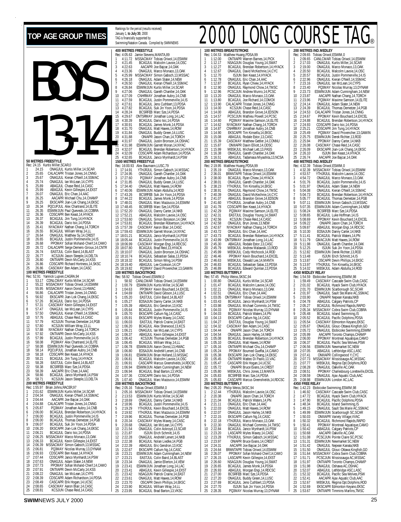### Rankings for the period (results received) January 1, **to July 30**, 2000 TAG is BOYS **50 METRES FREESTYLE** 13-14 Rec: 24.15 Kurtis Miller, SCAR, 0<br>1 24.15 ONAGJUL Kurtis 24.15 ONAGJUL Kurtis Miller, 14, SCAR<br>25.65 CALACAPR Tristan Jones, 14, CNN<br>25.67 ONAGJUL Kieran O'Neill, 14, SSM 2 25.65 CALACAPR Tristan Jones,14,CNNG 3 25.67 ONAGJUL Kieran O'Neill,14,SSMAC 25.74 ONAGJUL Ian McLean,14,CYPS<br>25.89 ABAGJUL Chase Reid,14,CASC<br>25.99 ABAGJUL Kevin Gillespie,14,EX:<br>26.07 ONAGJUL Eric Chan,14,AAC 5 25.89 ABAGJUL Chase Reid,14,CASC 6 25.99 ABAGJUL Kevin Gillespie,14,EXST 7 26.07 ONAGJUL Eric Chan,14,AAC 26.25 AACAPR Michael Chu,14,CHAMP<br>26.25 EKSCAPR Jian-Lok Chang,14,EKSC 9 26.25 EKSCAPR Jian-Lok Chang,14,EKSC 10 26.34 PQCUPJUL Alex Chartrand,14,ELITE 11 26.35 ESWIMJUN Paul Quevedo,14,COBRA 12 26.36 CDSCAPR Ben Keast,14,HYACK 13 26.37 BCAGJUL Jim Tung,14,HYACK 14 26.39 BCAGJUL Dario Isic,14,PDSA 15 26.41 NYACMAY Nathan Chang, 14, 10RCH<br>16 26.55 BOAGJUL William Wray, 14, 1.<br>17 26.64 DNAGJUL Matthew Sy, 14, CREST<br>18 26.65 BCAGJUL Justin Pormerville, 14, IS<br>19 26.68 PPOMAY Sofian Mohand-Cherif, 14, CAVI<br>20 26.77 KCSJ 23 26.80 ONTIIAPR Devin McCarty,14,KSS 24 26.86 CDSCAPR Richard Hortness,14,SKSC 25 26.86 CASCMAY Ben Adam,14,CASC **100 METRES FREESTYLE** Rec: 52.91 Yannick Lupien,CAGRA,94 1 53.17 CDNLCMAY Kurtis Miller,14,SCAR 55.22 MSSACMAY Tobias Oriwol, 14, ESWIM<br>55.95 MSSACMAY Aaron Donst, 13, HWAC 33.22 MSSACMAY REGISS STREET, 13, HWAC<br>55.95 MSSACMAY Aaron Donst, 13, HWAC<br>56.86 CALACAPR Tristan Jones, 14, CNNG 56.86 CALACAPR Tristan Jones, 14, CNNG<br>56.92 EKSCAPR Jian-Lok Chang, 14, EKS<br>57.26 BCAGJUL Dario Isic, 14, PDSA 56.92 EKSCAPR Jian-Lok Chang,14,EKSC<br>6 57.26 BCAGJUL Dario Isic,14,PDSA<br>7 57.31 CASCMAY Kevin Gillespie,14,EXST<br>8 57.47 ONAGJUL Ian McLean,14,CYPS<br>9 57.50 ONAGJUL Kieran O'Neill,14,SSMAC 10 17.47<br>
10 57.76 **CONAGJUL Kieran O'Neill,14,SSN**<br>
10 57.76 **ABAGJUL Chase Reid,14,CASC**<br>
12 57.90 KCSJUN Thomas Demeter,141<br>
13 57.88 NYACMAY Nathan Chang,14,TO KCSJUN Thomas Demetzer,14,PGB<br>KCSJUN William Wray,13,LL 12 57.80 KCSJUN William Wray, 13.11.<br>13 57.88 NYACMAY Nathan Chang, 14.7 10RCH<br>14 57.92 ONTIIAPR Devin McCarty, 14.KSS<br>15 57.99 BCAGJUL Justin Pommerville, 14.IST<br>17 58.08 FSWIMJUN Paul Quevedo, 14.COBRA 18 58.14 POCUPJUL Jonathan Aubry, 14, CNB<br>19 58.18 COSCAPR Ben Keast, 14, 14YACK<br>20 58.21 BCAGJUL Jim Tung, 14, HYACK<br>21 58.28 EASTJUL Colin Baird, 14, BLAST<br>23 58.39 AACARP Eric Chan, 14, AAC<br>58.66 BCAGJUL Janco Mynhardt, 25 58.71 KCSJUN Jason Steeple,13,DELTA **200 METRES FREESTYLE**<br>Rec: 1:55.97 Brian Johns, R<br>1 2:01.62 ESWIMJUN Rec: 1:55.97 Brian Johns,RACER,97<br>1 2:01.62 ESWIMJUN Kurtis Miller,14,SCAR<br>2 2:04.34 ONAGJUL Kieran O'Neill,14,SSMAC 3 2:04.44 AACAPR Joe Bajcar,14,OAK 4 2:04.88 CALACAPR Tristan Jones,14,CNNG 5 2:05.87 PQ3MAY Jonathan Aubry,14,CNB 6 2:06.00 BCAGJUL Brendan Robertson,14,HYACK 2:06.00 BCAGJUL Brendan Robertson, 14, HY<br>2:06.00 BCAGJUL Justin Pommerville, 14, IS<br>2:06.00 BCAGJUL Thomas Demetzer 14 PGF 8 2:06.00 BCAGJUL Thomas Demetzer,14,PGB 9 2:06.07 BCAGJUL Suk Jin Yoon,14,PDSA 10 2:06.20 EKSCAPR Jian-Lok Chang,14,EKSC 11 2:06.21 BCAGJUL Dario Isic,14,PDSA 12 2:06.25 MSSACMAY Marco Monaco,13,OAK 13 2:06.33 BCAGJUL Kevin Gillespie,14,EXST 14 2:06.39 MSSACMAY Simon Gabsch,13,MSSAC 15 2:06.81 PQ3MAY Nicolas Murray,13,DYNAM 16 2:06.93 CDSCAPR Ben Keast, 14, HYACK<br>17 2:07.44 CDSCAPR Janco Mynhardt, 14, P<br>18 2:07.63 ONAGJUL Adam Slater, 14, NEW 17 2:07.44 CDSCAPR Janco Mynhardt,14,PSW 18 2:07.63 ONAGJUL Adam Slater,14,NEW **400 M**  $Rer: 4$ Rec: 1<br>1 17<br>2 17<br>3 17<br>4 17<br>5 17<br>5 17<br>9 17<br>9 17  $100 N$ Rec: 5 200 M Rec: 2

|                                    |                         | January 1, <b>to Jury Jo</b> , 2000<br>TAG is financially supported by       |                                                                                                                                                                     |
|------------------------------------|-------------------------|------------------------------------------------------------------------------|---------------------------------------------------------------------------------------------------------------------------------------------------------------------|
|                                    |                         |                                                                              | Swimming/Natation Canada. Compiled by SWIMNEWS                                                                                                                      |
|                                    |                         | 400 METRES FREESTYLE                                                         |                                                                                                                                                                     |
| 1                                  | Rec: 4:05.63<br>4:11.72 | Jamie Stevens, MANTA, 89                                                     | MSSACMAY Tobias Oriwol, 14, ESWIM                                                                                                                                   |
| $\overline{c}$                     | 4:21.45                 |                                                                              | BCAGJUL Malcolm Lavoie, 14, OSC                                                                                                                                     |
| 3<br>4                             | 4:22.63<br>4:23.36      |                                                                              | AACAPR Joe Bajcar, 14, OAK<br>ONAGJUL Marco Monaco, 13, OAK                                                                                                         |
| 5                                  | 4:25.99                 |                                                                              | MSSACMAY Simon Gabsch, 13, MSSAC                                                                                                                                    |
| 6<br>7                             | 4:26.18<br>4:26.50      |                                                                              | ONAGJUL Adam Slater, 14, NEW<br>ONAGJUL Kieran O'Neill, 14, SSMAC                                                                                                   |
| 8                                  | 4:26.84                 |                                                                              | ESWIMJUN Kurtis Miller, 14, SCAR                                                                                                                                    |
| 9<br>10                            | 4:27.06<br>4:27.09      |                                                                              |                                                                                                                                                                     |
| 11                                 | 4:27.59                 |                                                                              |                                                                                                                                                                     |
| 12<br>13                           | 4:27.61<br>4:27.82      |                                                                              |                                                                                                                                                                     |
| 14                                 | 4:28.24                 |                                                                              | BCSRFEB Marc Sze, 14, PDSA                                                                                                                                          |
| 15                                 | 4:29.67<br>4:30.39      |                                                                              | ONTSRMAY Jonathan Long, 14, LAC<br>BCAGJUL Dario Isic, 14, PDSA                                                                                                     |
| $\frac{16}{17}$                    | 4:30.91                 |                                                                              | BCAGJUL James Monk, 14, PDSA<br>ONAGJUL Matt Hawes, 14, ROW                                                                                                         |
| 18                                 | 4:31.70<br>4:31.84      |                                                                              | ONAGJUL Buddy Green, 14, LUSC                                                                                                                                       |
| 19<br>20<br>21                     | 4:31.88                 |                                                                              | ONIAPR Jason Chan, 14, TORCH                                                                                                                                        |
| $\frac{22}{5}$                     | 4:31.97<br>4:31.98      |                                                                              | ONAGJUL Justin Bronson, 14, OSHAC<br>ESWIMJUN Garrett Moran, 14, NYAC                                                                                               |
|                                    | 4:32.01                 |                                                                              | BCAGJUL Brendan Robertson, 14, HYACK                                                                                                                                |
| 23<br>24<br>25                     | 4:32.09<br>4:32.65      |                                                                              | CDSCAPR Adam Richardson, 14, PDSA<br>BCAGJUL Janco Mynhardt, 14, PSW                                                                                                |
|                                    |                         | 1500 METRES FREESTYLE                                                        |                                                                                                                                                                     |
| 1                                  | 17:14.91                | Rec: 16:00.93 Alex Baumann, LUSC, 79                                         | YTHJRJUL Simon Gabsch, 14, MSSAC                                                                                                                                    |
| $\overline{c}$                     | 17:24.95                |                                                                              | ONAGJUL Gareth Chantler, 14, OAK                                                                                                                                    |
| 3<br>4                             | 17:27.60<br>17:31.85    |                                                                              | PO3MAY Jonathan Aubry 14, CNB<br>ONAGJUL Buddy Green, 14, LUSC                                                                                                      |
| 5                                  | 17:34.40                |                                                                              | ONAGJUL Matt Hawes, 14, ROW                                                                                                                                         |
| 6<br>7                             | 17:40.06<br>17:43.26    |                                                                              | ESWIMJUN Adam Abdulla, 14, ROD<br>BCSRFEB Suk Jin Yoon, 14, PDSA                                                                                                    |
| 8                                  | 17:44.22                |                                                                              | BCAGJUL James Monk, 14, PDSA<br>ONAGJUL Marc Mazzucco, 14, ESWIM                                                                                                    |
| 9                                  | 17:48.01<br>10 17:48.45 |                                                                              | BCSRFEB Marc Sze, 14, PDSA                                                                                                                                          |
| 11                                 | 17:52.20                |                                                                              | ONAGJUL Danny Carter, 14, NKB                                                                                                                                       |
| 13                                 | 12 17:52.21<br>17:53.60 |                                                                              | ABAGJUL Malcolm Lavoie, 14, OSC<br>ONAGJUL Simon Borjeson, 14, OAK                                                                                                  |
| 14                                 | 17:53.81                |                                                                              | BCAGJUL Brendan Robertson, 14, HYACK<br>CASCMAY Aaron Blair, 14, CASC                                                                                               |
| 15<br>16                           | 17:57.39<br>17:59.43    |                                                                              | ESWIMJUN Garrett Moran, 14, NYAC                                                                                                                                    |
| 17                                 | 18:01.21                |                                                                              | BCAGJUL Janco Mynhardt, 14, PSW                                                                                                                                     |
| 18<br>19                           | 18:05.44<br>18:06.99    | AGJUL:<br>BC                                                                 | Justin Pommerville, 14, IS                                                                                                                                          |
|                                    | 20 18:07.80             |                                                                              | CASCMAY Morgan Engi, 14, RDC<br>BCAGJUL Brad Reid, 13, HYACK                                                                                                        |
| $\frac{21}{22}$<br>$\frac{23}{24}$ | 18:10.07<br>18:10.74    |                                                                              | ONAGJUL Justin Bronson, 14, OSHAC<br>BCAGJUL Sebastian Salas, 13, PDSA<br>BCAGJUL Simon Wing, 14, PSW<br>ABAGJUL Lee Cookson, 14, CP<br>ABAGJUL Lee Cookson, 14, CP |
|                                    | 18:18.32                |                                                                              |                                                                                                                                                                     |
| 25                                 | 18:19.40<br>18:19.82    | PQ3MAY                                                                       | David Provencher, 13, GAMIN                                                                                                                                         |
|                                    |                         | 100 METRES BACKSTROKE                                                        |                                                                                                                                                                     |
| 1                                  | Rec: 58.92<br>58.92     |                                                                              | Tobias Oriwol, ESWIM, 0<br>2 CANLCMAR Tobias Oriwol, 14, ESWIM                                                                                                      |
| $\overline{c}$                     | 1:00.79                 |                                                                              | ESWIMJUN Kurtis Miller, 14, SCAR                                                                                                                                    |
| 3<br>4                             | 1:04.63<br>1:04.69      |                                                                              | PPOMAY Kevin Bouchard, 14, EXCEL<br>ONTIIAPR David Gibson, 14, LUSC                                                                                                 |
| 5                                  | 1:05.20                 |                                                                              | EASTJUL Colin Baird, 14, BLAST                                                                                                                                      |
| 6<br>7                             | 1:05.27<br>1:05.39      |                                                                              | EOSAJUN Danny Carter, 14, NKB<br>ABAGJUL Eric Gendron, 13, KSC                                                                                                      |
| 8<br>9                             | 1:05.64<br>1:05.70      |                                                                              | BCAGJUL Justin Pommerville, 14, IS<br>EKSCAPR Callum Ng, 14, CASC                                                                                                   |
| 10                                 | 1:05.91                 |                                                                              | EKSCAPR Myles Maxey, 14, CASC                                                                                                                                       |
| 11<br>12                           | 1:06.03<br>1:06.20      |                                                                              | EASTJUL Patrick Craine, 14, EAST<br>BCAGJUL Alex Sherwood, 13, KCS                                                                                                  |
| 13                                 | 1:06.21                 |                                                                              | ONAGJUL lan McLean, 14, CYPS                                                                                                                                        |
| 14<br>15                           | 1:06.37<br>1:06.42      |                                                                              | ABAGJUL Kevin Gillespie, 14, EXST<br>KCSJUN Thomas Demetzer, 14, PGB                                                                                                |
| 16                                 | 1:06.45                 |                                                                              | BCAGJUL William Wray, 14, LL                                                                                                                                        |
| 17<br>18                           | 1:06.78<br>1:06.80      |                                                                              | ESWIMJUN Aaron Donst, 13, HWAC<br>EOSAJUN AndreW Lenert, 14, CNB                                                                                                    |
| 19                                 | 1:06.81                 |                                                                              | ESWIMJUN Brian Holland, 13, MSSAC                                                                                                                                   |
| 20<br>21                           | 1:06.81<br>1:06.91      |                                                                              | BCAGJUL Malcolm Lavoie, 14, OSC                                                                                                                                     |
| $\overline{2}$                     | 1:06.94                 |                                                                              | CASCAPR Marcus Greenshields, 14, RDCSC<br>CSWIMJUN Adam Cunningham, 14, NEW<br>BCAGJUL Brad Barton, 13, VKSC                                                        |
| 23                                 | 1:06.94                 |                                                                              | CDSCAPR Dario Isic, 14, PDSA                                                                                                                                        |
|                                    |                         | 24 1:07.36 CDSCAPR D<br>25 1:07.40 ONAGJUL N<br><b>200 METRES BACKSTROKE</b> | ONAGJUL Marc Mazzucco, 14, ESWIM                                                                                                                                    |
|                                    | Rec: 2:05.16            | Tobias Oriwol, ESWIM, 0                                                      |                                                                                                                                                                     |
| 1                                  | 2:05.16                 |                                                                              | MSSACMAY Tobias Oriwol, 14, ESWIM<br>ESWIMJUN Kurtis Miller, 14, SCAR                                                                                               |
| $\frac{2}{3}$                      | 2:13.53<br>2:18.69      |                                                                              | ONAGJUL Danny Carter, 14, NKB                                                                                                                                       |
| 4<br>5                             | 2:18.96                 |                                                                              | BCAGJUL Justin Pommerville, 14, IS<br>YTHJRJUL Kevin Bouchard, 14, EXCEL                                                                                            |
| 6                                  | 2:19.29<br>2:19.92      |                                                                              | YTHJRJUL Marc Mazzucco, 14, ESWIM                                                                                                                                   |
| 7<br>8                             | 2:19.96<br>2:20.34      |                                                                              | BCAGJUL Thomas Demetzer, 14, PGB<br>CASCMAY Myles Maxey, 14, CASC                                                                                                   |
| 9                                  | 2:20.68                 |                                                                              | ONAGJUL lan McLean, 14, CYPS                                                                                                                                        |
| 10<br>11                           | 2:21.54                 |                                                                              | ONAGJUL Colin Ackroyd, 13, SCAR<br>ISJUN Erich Schmitt, 14, IS                                                                                                      |
| 12                                 | 2:21.87<br>2:22.28      |                                                                              | ONAGJUL AndreW Lenert, 14, NKB                                                                                                                                      |
| 13<br>14                           | 2:22.38<br>2:22.39      |                                                                              | BCAGJUL Nolan Liedke, 14, PGB                                                                                                                                       |
| 15                                 | 2:22.67                 |                                                                              | ABAGJUL Eric Gendron, 13, KSC<br>EKSCAPR Callum Ng, 14, CASC                                                                                                        |
| 16<br>17                           | 2:23.21                 |                                                                              | ESWIMJUN Adam Cunningham, 14, NEW                                                                                                                                   |
| 18                                 | 2:23.21<br>2:23.34      |                                                                              | EASTJUL Colin Baird, 14, BLAST<br>ONAGJUL Jamie Ellerton, 14, VEW<br>ESWIMJUN Jonathan Long, 14, LAC                                                                |
| 19                                 | 2:23.41                 |                                                                              | ABAGJUL Kevin Gillespie, 14, EXST                                                                                                                                   |
| 20<br>21                           | 2:23.41<br>2:23.42      |                                                                              | NSAGJUN Patrick Craine, 14, EAST                                                                                                                                    |
| 22<br>23                           | 2:23.61                 |                                                                              | ONAGJUL Matt Hawes, 14, ROW                                                                                                                                         |
| 24                                 | 2:23.70<br>2:23.90      |                                                                              | OSCAPR Devin Phillips, 14, EKSC<br>BCAGJUL William Wray, 14, LL<br>BCAGJUL Brad Barton, 13, VKSC                                                                    |
| 25                                 | 2:23.95                 |                                                                              |                                                                                                                                                                     |

## TOP AGE GROUP TIMES **FOR A SANCH CONGREGIATE CONGREGIATE**

|                                         | Rec: 1:04.53            | <b>100 METRES BREASTSTROKE</b><br>Matthew Huang, PDSA, 99 |                                                                                                                                                                                                                                            |                 | 200 ME<br>Rec: 2:09            |
|-----------------------------------------|-------------------------|-----------------------------------------------------------|--------------------------------------------------------------------------------------------------------------------------------------------------------------------------------------------------------------------------------------------|-----------------|--------------------------------|
| 1                                       | 1:12.00                 |                                                           | ONTIIAPR Warren Barnes, 14, PICK                                                                                                                                                                                                           | 1               | 2:09                           |
| 2                                       | 1:12.17                 |                                                           | NSAGJUN Douglas Young, 14, SWAT                                                                                                                                                                                                            | 2               | 2:17                           |
| 3                                       | 1:12.27                 |                                                           | BCAGJUL Brendan Robertson, 14, HYACK                                                                                                                                                                                                       | 3               | 2:19                           |
| 4<br>5                                  | 1:12.67                 |                                                           | ONAGJUL David McKechnie,14,CYC<br>ISJUN Ben Keast,14,HYACK                                                                                                                                                                                 | 4<br>5          | 2:20                           |
| 6                                       | 1:12.70<br>1:12.78      |                                                           | ONAGJUL Eric Chan, 14, AAC                                                                                                                                                                                                                 | 6               | 2:20<br>2:22                   |
| 7                                       | 1:12.87                 |                                                           | BCAGJUL Ryan Chiew, 14, HYACK                                                                                                                                                                                                              | 7               | 2:23                           |
| 8                                       | 1:12.90                 |                                                           | ONAGJUL Raymond Chow,14,TMSC                                                                                                                                                                                                               | 8               | 2:23                           |
| 9<br>10                                 | 1:12.96<br>1:13.20      |                                                           | PCSCJUN Andrew Munro,14,PCSC                                                                                                                                                                                                               | 9<br>10         | 2:2:<br>2:23                   |
| 11                                      | 1:13.80                 |                                                           | ONAGJUL Marco Monaco, 13, OAK<br>BCAGJUL Joe Richard, 14, COMOX                                                                                                                                                                            | 11              | 2:2:                           |
| 12                                      | 1:13.90                 |                                                           | CALACAPR Tristan Jones, 14, CNNG                                                                                                                                                                                                           | 12              | 2:24                           |
| 13                                      | 1:14.00                 |                                                           | KCSJUN Chase Reid, 14, CASC                                                                                                                                                                                                                | 13              | 2:24                           |
| 14                                      | 1:14.00                 |                                                           | ABAGJUL Brandon Grove, 14, EDSON                                                                                                                                                                                                           | 14              | 2:24                           |
| 15<br>16                                | 1:14.57<br>1:14.60      |                                                           | PCSCJUN Mathieu Powell, 14, PCSC                                                                                                                                                                                                           | 15<br>16        | 2:24<br>2:24                   |
| 17                                      | 1:14.62                 |                                                           |                                                                                                                                                                                                                                            | 17              | 2:24                           |
| 18                                      | 1:14.87                 |                                                           | POSMAN Maxime Samson, 14, ELITE<br>NYACMAY Maxime Samson, 14, ELITE<br>NYACMAY Maxime Samson, 14, CNB<br>CNHRMAY Jonathan Albry, 14, CNB<br>EKSCAPR Tim Kinsella, 14, EKSC<br>ABAGJUL Rodale Estor, 13, CASC<br>CASCMAY Matthew Gettler, 1 | 18              | 2:25                           |
| 19                                      | 1:14.90                 |                                                           |                                                                                                                                                                                                                                            | 19              | 2:25                           |
| 20<br>21                                | 1:15.08<br>1:15.39      |                                                           |                                                                                                                                                                                                                                            | 20<br>21        | 2:25<br>2:25                   |
| 22                                      | 1:15.87                 |                                                           |                                                                                                                                                                                                                                            | 22              | 2:26                           |
| 23                                      | 1:15.99                 |                                                           | ONIIIAPR Davin Elliott, 14, ODSC<br>MBSKJUL Michael Lett, 13, PASS                                                                                                                                                                         | 23              | 2:26                           |
| 24                                      | 1:16.38                 |                                                           | ONAGJUL Gareth Chantler, 14, OAK<br>ABAGJUL Tadamasa Miyashita, 13, NCSA                                                                                                                                                                   | 24              | 2:26                           |
| 25                                      | 1:16.51                 |                                                           |                                                                                                                                                                                                                                            | 25              | 2:26                           |
|                                         | Rec: 2:19.95            | <b>200 METRES BREASTSTROKE</b><br>Matthew Huang, PDSA, 99 |                                                                                                                                                                                                                                            |                 | 400 ME<br>Rec: 4:32            |
| 1                                       | 2:35.19                 |                                                           | ONAGJUL Marco Monaco, 13, OAK                                                                                                                                                                                                              | 1               | 4:32                           |
| $\overline{a}$                          | 2:36.01                 |                                                           | BRANTAPR Tobias Oriwol, 14, ESWIM                                                                                                                                                                                                          | 2               | 4:5.                           |
| 3                                       | 2:38.00                 |                                                           | BCAGJUL Ryan Chiew, 14, HYACK                                                                                                                                                                                                              | 3               | 4:54                           |
| 4<br>5                                  | 2:38.01<br>2:38.23      |                                                           | ONAGJUL Gareth Chantler, 14, OAK<br>YTHJRJUL Tim Kinsella,14,EKSC                                                                                                                                                                          | 4<br>5          | $5:0^{\circ}$<br>$5:0^{\circ}$ |
| 6                                       | 2:38.91                 |                                                           | ONAGJUL Raymond Chow, 14, TMSC                                                                                                                                                                                                             | 6               | 5:04                           |
| 7                                       | 2:40.39                 |                                                           | ONAGJUL David McKechnie, 14, CYC                                                                                                                                                                                                           | 7               | 5:04                           |
| 8                                       | 2:41.07                 |                                                           | ABAGJUL Brandon Grove, 14, EDSON                                                                                                                                                                                                           | 8               | 5:05                           |
| 9<br>10                                 | 2:41.60<br>2:41.78      |                                                           | YTHJRJUL Jonathan Aubry, 14, CNB<br>CDSCAPR Ben Keast, 14, HYACK                                                                                                                                                                           | 9<br>10         | 5:0<br>5:07                    |
| 11                                      | 2:42.29                 |                                                           | PQ3MAY Maxime Samson, 14, ELITE                                                                                                                                                                                                            | 11              | 5:08                           |
| 12                                      | 2:42.31                 |                                                           | EASTJUL Douglas Young, 14, SWAT                                                                                                                                                                                                            | 12              | 5:08                           |
| 13                                      | 2:42.56                 |                                                           | KCSJUN Chase Reid, 14, CASC                                                                                                                                                                                                                | 13              | 5:08                           |
| 14<br>15                                | 2:42.58<br>2:42.67      |                                                           | ONAGJUL Bryn Jones, 13, NEW                                                                                                                                                                                                                | 14              | 5:09<br>5:09                   |
| 16                                      | 2:43.72                 |                                                           | NYACMAY Nathan Chang, 14, TORCH<br>ONAGJUL Eric Chan, 14, AAC                                                                                                                                                                              | 15<br>16        | 5:10                           |
| 17                                      | 2:43.73                 |                                                           | BCAGJUL Brendan Robertson, 14, HYACK                                                                                                                                                                                                       | 17              | 5:11                           |
| 18                                      | 2:43.99                 |                                                           | ONTSRMAY Jonathan Long, 14, LAC<br>ABAGJUL Rodale Estor, 13, CASC                                                                                                                                                                          | 18              | 5:11                           |
| 19                                      | 2:45.30                 |                                                           | MBSKJUL Andrew Malawski, 13, ROD                                                                                                                                                                                                           | 19              | 5:11<br>5:12                   |
| 20                                      | 2:45.79<br>2:45.99      |                                                           |                                                                                                                                                                                                                                            | 20<br>21        |                                |
| $\begin{array}{c} 21 \\ 22 \end{array}$ | 2:46.46                 |                                                           | MBSKJUL Cody Hitchcock, 14, ROD<br>PPOMAY Kevin Bouchard, 14, EXCEL                                                                                                                                                                        | $\overline{22}$ | 5:12<br>5:13<br>5:13<br>5:13   |
| 23                                      | 2:46.63                 |                                                           | MBSKJUL Oswald Lee, 14, MANTA<br>BCAGJUL Sebastian Salas, 13, PDSA                                                                                                                                                                         | 23              |                                |
| 24                                      | 2:46.83                 |                                                           |                                                                                                                                                                                                                                            | 24              |                                |
| 25                                      | 2:46.89                 | 100 METRES BUTTERFLY                                      | BCAGJUL Edward Quinlan, 13, PDSA                                                                                                                                                                                                           | 25              | 5:14<br>4X50 MI                |
|                                         |                         | Rec: 57.45 Philip Weiss, SKSC, 94                         |                                                                                                                                                                                                                                            |                 | Rec: 1:54                      |
| 1                                       | 1:00.80                 |                                                           | ONAGJUL Kurtis Miller,14,SCAR                                                                                                                                                                                                              | 1               | 1:59                           |
| 2<br>3                                  | 1:01.47<br>1:02.21      |                                                           | BCAGJUL Malcolm Lavoie, 14, OSC                                                                                                                                                                                                            | $\frac{2}{3}$   | $2:0^{\circ}$<br>$2:0^{\circ}$ |
| 4                                       | 1:02.51                 |                                                           | ONAGJUL Marco Monaco, 13, OAK                                                                                                                                                                                                              | 4               | $2:0^{\circ}$                  |
| 5                                       | 1:03.05                 |                                                           | ONAGJUL Eric Chan, 14, AAC<br>ONTSRMAY Tobias Oriwol, 14, ESWIM                                                                                                                                                                            | 5               | 2:0.3                          |
| 6                                       | 1:03.43                 |                                                           | BCAGJUL Janco Mynhardt, 14, PSW                                                                                                                                                                                                            | 6               | 2:04                           |
| 7<br>8                                  | 1:03.98<br>1:04.03      |                                                           | ONAGJUL Michael Commito, 14, TMSC<br>PQ3MAY Nicolas Murray, 13, DYNAM                                                                                                                                                                      | 7<br>8          | 2:05<br>2:05                   |
| 9                                       | 1:04.03                 |                                                           | BCAGJUL Patrick Waters, 14, PN                                                                                                                                                                                                             | 9               | 2:05                           |
| 10                                      | 1:04.13                 |                                                           | EKSCAPR Callum Ng, 14, CASC                                                                                                                                                                                                                | 10              | 2:05                           |
| 11                                      | 1:04.27                 |                                                           | EASTJUL Douglas Young, 14, SWAT                                                                                                                                                                                                            | 11              | 2:05                           |
| 12<br>13                                | 1:04.32<br>1:04.44      |                                                           | CASCMAY Ben Adam, 14, CASC<br>ONIAPR Jason Chan, 14, TORCH                                                                                                                                                                                 | 12<br>13        | 2:05<br>2:05                   |
| 14                                      | 1:04.54                 |                                                           | ONAGJUL Jason Harley, 14, NKB                                                                                                                                                                                                              | 14              | 2:05                           |
| 15                                      | 1:05.08                 |                                                           | BCAGJUL Brendan Robertson, 14, HYACK                                                                                                                                                                                                       | 15              | 2:06                           |
| 16                                      | 1:05.10                 |                                                           | ONAGJUL Matt Hawes, 14, ROW                                                                                                                                                                                                                | 16              | 2:06                           |
| 17                                      | 1.0516                  |                                                           | ONTIIAPR Michael Chu, 14, CHAMP                                                                                                                                                                                                            | 17              | 2.06                           |
| 18<br>19                                | 1:05.24<br>1:05.38      |                                                           | PPOMAY Boumed Gueffai, 14, CAMO<br>EKSCAPR Jian-Lok Chang, 14, EKSC                                                                                                                                                                        | 18<br>19        | 2:07<br>2:07                   |
| 20                                      | 1:05.45                 |                                                           | ONTIIAPR Matteo Di Paolo, 13, VAC                                                                                                                                                                                                          | 20              | 2:07                           |
| 21                                      | 1:05.47                 |                                                           | CASCAPR Erik Hogan, 14, UCSC                                                                                                                                                                                                               | 21              | 2:0                            |
| 22<br>23                                | 1:05.72<br>1:05.80      |                                                           | ONIAPR Bruce Evans, 14, CREST<br>MBSKJUL Chris Jones, 13, MANTA                                                                                                                                                                            | 22<br>23        | 2:08<br>2:08                   |
| 24                                      | 1:05.83                 |                                                           | BCSRFEB Marc Sze, 14, PDSA                                                                                                                                                                                                                 | 24              | 2:08                           |
| 25                                      | 1:05.83                 |                                                           | CASCAPR Marcus Greenshields, 14, RDCSC                                                                                                                                                                                                     | 25              | 2:08                           |
|                                         |                         | 200 METRES BUTTERFLY                                      |                                                                                                                                                                                                                                            |                 | 4X50 FF                        |
| 1                                       | Rec: 2:05.20<br>2:12.44 | Philip Weiss, SKSC, 94                                    |                                                                                                                                                                                                                                            | 1               | Rec: 1:42<br>1:46              |
| 2                                       | 2:20.38                 |                                                           | YTHJRJUL Malcolm Lavoie, 14, OSC ONIAPR Jason Chan, 14, TORCH                                                                                                                                                                              | 2               | 1:47                           |
| 3                                       | 2:21.04                 |                                                           | BCAGJUL Patrick Waters, 14, PN                                                                                                                                                                                                             | 3               | 1:47                           |
| 4                                       | 2:21.11                 |                                                           | ONAGJUL Eric Chan, 14, AAC                                                                                                                                                                                                                 | 4               | 1:48                           |
| 5<br>6                                  | 2:22.03<br>2:22.07      |                                                           | ONAGJUL Matt Hawes, 14, ROW<br>ONAGJUL Jason Harley, 14, NKB                                                                                                                                                                               | 5<br>6          | 1:49<br>1:49                   |
| 7                                       | 2:22.15                 |                                                           | EKSCAPR Callum Ng,14,CASC                                                                                                                                                                                                                  | 7               | 1:50                           |
| 8                                       | 2:22.18                 |                                                           | YTHJRJUL Marco Monaco,13,0AK                                                                                                                                                                                                               | 8               | 1:50                           |
| 9                                       | 2:22.30                 |                                                           | ONAGJUL Michael Commito, 14, TMSC                                                                                                                                                                                                          | 9               | 1:50                           |
| 10<br>11                                | 2:22.84<br>2:23.20      |                                                           | BCAGJUL Janco Mynhardt, 14, PSW<br>LASCAPR Myles Maxey, 14, CASC                                                                                                                                                                           | 10<br>11        | 1:50<br>1:50                   |
| 12                                      | 2:23.28                 |                                                           | YTHJRJUL Simon Gabsch, 14, MSSAC                                                                                                                                                                                                           | 12              | $1:5^{\circ}$                  |
| 13                                      | 2:23.97                 |                                                           | ONIAPR Bruce Evans, 14, CREST                                                                                                                                                                                                              | 13              | $1:5^{\circ}$                  |
| 14                                      | 2:24.31                 |                                                           | AACAPR Joe Bajcar, 14, OAK                                                                                                                                                                                                                 | 14              | $1:5^{\circ}$                  |
| 15<br>16                                | 2:24.64<br>2:26.07      |                                                           | BRANTAPR Tobias Oriwol, 14, ESWIM<br>PPOMAY Sofian Mohand-Cherif, 14, CAMO                                                                                                                                                                 | 15<br>16        | $1:5^{\circ}$<br>$1:5^{\circ}$ |
| 17                                      | 2:26.15                 |                                                           | LASCAPR Kevin Gillespie, 14, EXST                                                                                                                                                                                                          | 17              | $1:5^{\circ}$                  |
| 18                                      | 2:26.60                 |                                                           | NSAGJUN Douglas Young, 14, SWAT                                                                                                                                                                                                            | 18              | $1:5^{\circ}$                  |
| 19                                      | 2:26.65                 |                                                           | BCAGJUL James Monk, 14, PDSA                                                                                                                                                                                                               | 19              | $1:5^{\circ}$                  |
| 20<br>21                                | 2:26.93<br>2:27.00      |                                                           | ABAGJUL Morgan Engi, 14, RDCSC<br>BCSRFEB Marc Sze, 14, PDSA                                                                                                                                                                               | 20<br>21        | 1:52<br>1:52                   |
| 22                                      | 2:27.20                 |                                                           | ONAGJUL Buddy Green, 14, LUSC                                                                                                                                                                                                              | 22              | 1:52                           |
| 23                                      | 2:27.69                 |                                                           | BCAGJUL Jens Cuthbert, 13, PDSA                                                                                                                                                                                                            | 23              | 1:52                           |
| 24<br>25                                | 2:27.70<br>2:28.35      |                                                           | ISJUN Suk Jin Yoon, 14, PDSA<br>PQ3MAY Nicolas Murray, 13, DYNAM                                                                                                                                                                           | 24<br>25        | 1:52<br>1:53                   |
|                                         |                         |                                                           |                                                                                                                                                                                                                                            |                 |                                |

|                     |                               |                         | ®                                                                                                                                                                                                                                                  |
|---------------------|-------------------------------|-------------------------|----------------------------------------------------------------------------------------------------------------------------------------------------------------------------------------------------------------------------------------------------|
|                     |                               | 200 METRES IND.MEDLEY   |                                                                                                                                                                                                                                                    |
| 1                   | Rec: 2:09.65<br>2:09.65       | Tobias Oriwol, ESWIM, 0 |                                                                                                                                                                                                                                                    |
| $\overline{a}$<br>3 | 2:17.03<br>2:19.00            |                         | CANLCMAR Tobias Oriwol, 14, ESWIM<br>ONAGJUL Kurtis Miller, 14, SCAR<br>ONAGJUL Marco Monaco,13,0AK                                                                                                                                                |
| 4                   | 2:20.50                       |                         | BCAGJUL Malcolm Lavoie, 14, OSC                                                                                                                                                                                                                    |
| 5<br>6              | 2:20.57<br>2:22.96            |                         | BCAGJUL Justin Pommerville, 14, IS<br>ONAGJUL Kieran O'Neill, 14, SSMAC                                                                                                                                                                            |
| 7                   | 2:23.16                       |                         | ONAGJUL Tan McLean,14,CYPS                                                                                                                                                                                                                         |
| 8<br>9              | 2:23.40<br>2:23.73            |                         | PQ3MAY Nicolas Murray, 13, DYNAM<br>ESWIMJUN Adam Cunningham, 14, NEW                                                                                                                                                                              |
| 10<br>11            | 2:23.87<br>2:23.96            |                         | AACAPR Nathan Chang, 14, TORCH<br>PQ3MAY Maxime Samson, 14, ELITE                                                                                                                                                                                  |
| 12                  | 2:24.14                       |                         | ONAGJUL Adam Slater, 14, NEW                                                                                                                                                                                                                       |
| 13<br>14            | 2:24.39<br>2:24.53            |                         | BCAGJUL Thomas Demetzer, 14, PGB<br>CALACAPR Tristan Jones, 14, CNNG                                                                                                                                                                               |
| 15<br>16            | 2:24.67<br>2:24.88            |                         | PPOMAY Kevin Bouchard, 14, EXCEL<br>BCAGJUL Brendan Robertson, 14, HYACK                                                                                                                                                                           |
| 17                  | 2:24.93                       |                         | CDSCAPR Dario Isic, 14, PDSA                                                                                                                                                                                                                       |
| 18<br>19            | 2:25.21<br>2:25.49            |                         | CDSCAPR Jim Tung, 14, HYACK<br>PQ3MAY David Provencher, 13, GAMIN                                                                                                                                                                                  |
| 20                  | 2:25.75                       |                         | <b>ESWIMJUN Derek Richter, 13, ROD<br/> PPOMAY Danny Carter, 14, NKB<br/> CASCMAY Chase Reid, 14, CASC<br/> EKSCAPR Jian-Lok Chang, 14, EKSC<br/> ASSEMBLE RESS, 14, HYACK<br/> ASSEMBLE RESS, 14, HYACK</b>                                       |
| 21<br>22            | 2:25.94<br>2:26.08            |                         |                                                                                                                                                                                                                                                    |
| 23<br>24            | 2:26.09<br>2:26.10            |                         |                                                                                                                                                                                                                                                    |
| 25                  | 2:26.74                       |                         | AACAPR Joe Bajcar, 14, OAK                                                                                                                                                                                                                         |
|                     |                               | 400 METRES IND.MEDLEY   |                                                                                                                                                                                                                                                    |
| 2                   | Rec: 4:32.39<br>1 4:32.39     |                         | Tobias Oriwol, ESWIM, 0<br>MSSACMAY Tobias Oriwol, 14, ESWIM<br>YTHJRJUL Malcolm Lavoie, 14, OSC                                                                                                                                                   |
| 3                   | 4:53.57<br>4:54.72            |                         | ONAGJUL Marco Monaco, 13, OAK                                                                                                                                                                                                                      |
| 4<br>5              | 5:01.76<br>5:01.97            |                         | BCAGJUL Justin Pommerville, 14, IS<br>ONAGJUL Adam Slater, 14, NEW                                                                                                                                                                                 |
| 6                   | 5:04.08                       |                         | ONAGJUL Kieran O'Neill, 14, SSMAC                                                                                                                                                                                                                  |
| 7<br>8              | 5:04.73<br>5:05.77            |                         | BCAGJUL Brendan Robertson,14,HYACK<br>BCAGJUL Thomas Demetzer, 14, PGB                                                                                                                                                                             |
| 9                   | 5:07.11                       |                         | ESWIMJUN Simon Gabsch, 13, MSSAC                                                                                                                                                                                                                   |
| 10<br>11            | 5:07.35<br>5:08.24            |                         | ESWIMJUN Adam Cunningham,14,NEW<br>BCSRFEB Marc Sze, 14, PDSA                                                                                                                                                                                      |
| 12                  | 5:08.65                       |                         | BCAGJUL Luke Hoffman, 14, IS                                                                                                                                                                                                                       |
| 13<br>14            | 5:08.69<br>5:09.22            |                         | PPOMAY Kevin Bouchard, 14, EXCEL<br>ONIAPR Jason Chan,14,TORCH                                                                                                                                                                                     |
| 15<br>16            | 5:09.87<br>5:10.30            |                         | ABAGJUL Morgan Engi, 14, RDCSC                                                                                                                                                                                                                     |
| 17                  | 5:11.41                       |                         | EOSAJUN Danny Carter, 14, NKB<br><b>BCAGJUL Patrick Waters, 14, PN</b>                                                                                                                                                                             |
| 18<br>19            | 5:11.79<br>5:11.98            |                         | GMACJUN Matt Hawes, 14, ROW                                                                                                                                                                                                                        |
| 20                  | 5:12.25                       |                         | ONAGJUL Gareth Chantler, 14, OAK<br>ISJUN Suk Jin Yoon, 14, PDSA                                                                                                                                                                                   |
| 21<br>22            | 5:12.82<br>5:13.48            |                         | ESWIMJUN Derek Richter, 13, ROD<br>ISJUN Erich Schmitt, 14, IS                                                                                                                                                                                     |
| 23                  | 5:13.87                       |                         | OSCAPR Devin Phillips, 14, EKSC                                                                                                                                                                                                                    |
| 24<br>25            | 5:13.97<br>5:14.02            |                         | YTHJRJUL Tim Kinsella,14,EKSC<br>MBSKJUL Adam Abdulla, 14, ROD                                                                                                                                                                                     |
| Rec:                | 4X50 MEDLEY RELAY<br>1:54.59  |                         | Etobicoke Swimming, ESWIM, 98                                                                                                                                                                                                                      |
| 1                   | 1:59.49                       |                         | CASCMAY Cascade Swinn, 98<br>BCAGJUL Hyack Swim Club, HYACK<br>ESWIMJUN Scarborough SC, SCAR<br>ONAGJUL Sault Ste.Marie AC, SSMAC                                                                                                                  |
| $\frac{2}{3}$       | 2:01.02<br>2:01.70            |                         |                                                                                                                                                                                                                                                    |
| 4                   | 2:01.97                       |                         | SSMAC                                                                                                                                                                                                                                              |
| 5<br>6              | 2:03.90<br>2:04.78            |                         | ONIAPR Nepean Kanata, NKB                                                                                                                                                                                                                          |
| 7<br>8              | 2:05.27<br>2:05.34            |                         | ABAGJUL Calgary Patriots, CP<br>BCAGJUL Richmond Rapids, RAPID<br>MSSACMAY Cobra Swim Club, COBRA                                                                                                                                                  |
| 9                   | 2:05.48                       |                         | BCAGJUL Island Swimming, IS                                                                                                                                                                                                                        |
| 10<br>11            | 2:05.52<br>2:05.54            |                         | BCAGJUL Pacific Dolphins, PDSA                                                                                                                                                                                                                     |
| 12                  | 2:05.67                       |                         |                                                                                                                                                                                                                                                    |
| 13<br>14            |                               |                         | CASCMAY Edmonton Keyano, EKSC<br>ONAGJUL Glouc-Ottawa Kingfish, GO                                                                                                                                                                                 |
|                     | 2:05.72                       |                         | ONAGJUL Etobicoke Swimming, ESWIM                                                                                                                                                                                                                  |
| 15                  | 2:05.99<br>2:06.00            |                         | AACAPR Toronto Champs, CHAMP<br>PPOMAY Montreal Aquatique CAMO                                                                                                                                                                                     |
| 16<br>17            | 2:06.37<br>2:06.56            |                         | BCAGJUL Pacific Sea Wolves, PSW                                                                                                                                                                                                                    |
| 18                  | 2:07.05                       |                         | ESWIMJUN Newmarket SC, NEW<br>ABAGJUL Lethbridge ASC,LASC                                                                                                                                                                                          |
| 19<br>20            | 2:07.41<br>2:07.73            |                         | ONIIIAPR Collingwood Y,CYC<br>MSSACMAY Mississauga AC, MSSAC                                                                                                                                                                                       |
| 21                  | 2:07.77                       |                         | MBSKJUL Regina Opt.Dolphins,ROD                                                                                                                                                                                                                    |
| 22<br>23            | 2:08.28<br>2:08.51            |                         | ONAGJUL Oakville AC,OAK<br>PPOMAY Charlesbourg-Loretteville, EXCEL                                                                                                                                                                                 |
| 24                  | 2:08.59                       |                         | ONAGJUL Ajax Aquatic Club, AAC                                                                                                                                                                                                                     |
| 25                  | 2:08.98<br>4X50 FREE RELAY    |                         | ESWIMJUN London AC,LAC                                                                                                                                                                                                                             |
| 1                   | Rec: 1:42.23<br>1:46.92       |                         | Etobicoke Swimming, ESWIM, 98                                                                                                                                                                                                                      |
|                     | 1:47.72                       |                         |                                                                                                                                                                                                                                                    |
| $\frac{2}{3}$<br>4  | 1:47.90<br>1:48.34            |                         |                                                                                                                                                                                                                                                    |
| 5                   | 1:49.15                       |                         |                                                                                                                                                                                                                                                    |
| 6<br>7              | 1:49.99<br>1:50.03            |                         |                                                                                                                                                                                                                                                    |
| 8<br>9              | 1:50.32                       |                         |                                                                                                                                                                                                                                                    |
| 10                  | 1:50.41<br>1:50.42            |                         |                                                                                                                                                                                                                                                    |
| 11<br>12            | 1:50.68<br>1:51.08            |                         | tobicole Swimming ESVIM, 98<br>CASCMAY Cascade Swim Club, CASC<br>BCAGULL Hyack Swim Club, HYACK<br>BCAGULL Pacific Dolphins, PDSA<br>BCAGULL Siand Swimming IS<br>DOAGULL Saint Swimming IS<br>CSVIM, DUS Cabon COMENT CONTROL<br>COMENTAING MORE |
| 13                  | 1:51.31                       |                         | PCSCJUN Pointe Claire SC, PCSC<br>ESWIMJUN Newmarket SC, NEW                                                                                                                                                                                       |
| 14<br>15            | 1:51.42<br>1:51.50            |                         | ONAGJUL Nepean Kanata, NKB<br>ONAGJUL Glouc-Ottawa Kingfish,GO                                                                                                                                                                                     |
| 16                  | 1:51.64                       |                         | MSSACMAY Cobra Swim Club,COBRA                                                                                                                                                                                                                     |
| 17<br>18            | 1:51.71<br>1:51.97            |                         | PCSCJUN Mississauga AC, MSSAC<br>ONTIIAPR Toronto Champs, CHAMP                                                                                                                                                                                    |
| 19                  | 1:51.98                       |                         | ONAGJUL Oshawa AC,OSHAC                                                                                                                                                                                                                            |
| 20<br>21            | 1:52.07<br>1:52.32            |                         | ABAGJUL Lethbridge ASC,LASC<br>BCAGJUL Pacific Sea Wolves, PSW                                                                                                                                                                                     |
| 22<br>23<br>24      | 1:52.41<br>1:52.67<br>1:52.69 |                         | AACAPR Ajax Aquatic Club, AAC<br>MBSKJUL Regina Opt.Dolphins,ROD<br>EKSCAPR Edmonton Keyano, EKSC                                                                                                                                                  |

**SWIM**NEWS JULY 2000 25

19 2:07.73 PPOMAY Sofian Mohand-Cherif,14,CAMO<br>20 2:07.73 PPOMAY Sofian Mohand-Cherif,14,CAMO 20 2:07.91 ONTIIAPR Devin McCarty,14,KSS 21 2:08.22 ONAGJUL Ian McLean,14,CYPS 22 2:08.39 CDSCAPR Adam Richardson,14,PDSA 23 2:08.49 CASCAPR Erik Hogan,14,UCSC 24 2:08.65 CASCMAY Aaron Blair,14,CASC 25 2:08.81 KCSJUN Chase Reid,14,CASC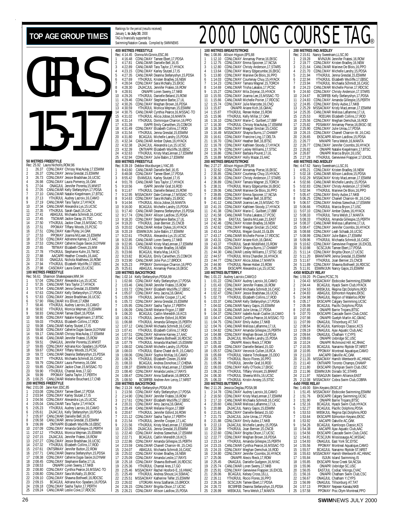# GIRLS 15-17 **50 METRES FREESTYLE**

|                                         | <b>JU IVIE I RE</b><br>Rec: 25.92        | <b>DIREESITLE</b><br>Laura Nicholls, ROW, 96 |                                                                                                                                                                                                                                                  | ŏ<br>R        |
|-----------------------------------------|------------------------------------------|----------------------------------------------|--------------------------------------------------------------------------------------------------------------------------------------------------------------------------------------------------------------------------------------------------|---------------|
| 1                                       | 26.37                                    |                                              | CDNLCMAY Chrissy MacAulay, 17, ESWIM<br>CDNLCMAY Jenna Gresdal, 15, ESWIM<br>CDNLCMAY Jessie Bradshaw, 16, UCSC                                                                                                                                  | 1             |
| $\frac{2}{3}$                           | 26.37                                    |                                              |                                                                                                                                                                                                                                                  | $\frac{2}{3}$ |
| $\frac{1}{2}$                           | 26.73                                    |                                              | CDNLCMAY Laura Pomeroy, 16, OAK                                                                                                                                                                                                                  |               |
| 5                                       | 26.98<br>27.04                           |                                              |                                                                                                                                                                                                                                                  | $\frac{4}{5}$ |
|                                         | 27.05                                    |                                              | CONGUL Jennifer Porenta, 15, MMST<br>CANLCMAR Kelly Stefanyshyn, 17, PDSA<br>CANLCMAR Natalie Kiegelmann, 17, BTSC<br>YTHJRJUL Audrey Lacroix, 16, CAMO<br>CANLCMAR Tara Taylor, 17, HYACK                                                       |               |
| $\frac{6}{7}$                           |                                          |                                              |                                                                                                                                                                                                                                                  | $\frac{6}{7}$ |
| 8                                       | 27.10<br>27.13<br>27.19                  |                                              |                                                                                                                                                                                                                                                  | 8             |
| 9<br>10                                 |                                          |                                              |                                                                                                                                                                                                                                                  | 9             |
| 11                                      | 27.34<br>27.35                           |                                              | CANLCMAR Alexandra Lys, 15, UCSC                                                                                                                                                                                                                 | 1<br>1        |
| 12                                      | 27.41                                    |                                              | YTHJRJUL Sarah Gault, 15, CAC<br>ABAGJUL Michaela Schmidt, 16, CASC                                                                                                                                                                              | 1             |
| 13                                      | 27.45<br>27.50                           |                                              | TSCMAR Jackie Garay, 15, TSC<br>YTHJRJUL Jackie Chan, 15, MSSAC-TO<br>PPOMAY Tiffany Woods, 15, PCSC<br>CDNLCMAY Kate Plyley, 14, OAK                                                                                                            | 1             |
| 14                                      |                                          |                                              |                                                                                                                                                                                                                                                  | 1             |
| 15<br>16                                | 27.51<br>27.51                           |                                              |                                                                                                                                                                                                                                                  | 1             |
| 17                                      | 27.53                                    |                                              |                                                                                                                                                                                                                                                  | 1<br>1        |
| 18                                      | 27.53                                    |                                              | CDNLCMAY Kateryjey, 14,000<br>CDNLCMAY Joanna McLean, 1,6,ESWIM<br>CDNLCMAY Joanna McLean, 1,5,TAAC<br>CDNLCMAY Calterine Dugas-Saveic 1,6,DYNAM<br>TETMAY Elizabeth Cleven, 1,5,TMSC<br>AACAPR Heather Crowdts, 1,6,ACC<br>AMACAPR Heather Crow | 1             |
| 19                                      | 27.53                                    |                                              |                                                                                                                                                                                                                                                  | 1             |
| 20                                      | 27.65                                    |                                              |                                                                                                                                                                                                                                                  |               |
| $\begin{array}{c} 21 \\ 22 \end{array}$ | 27.78<br>27.88                           |                                              |                                                                                                                                                                                                                                                  |               |
| 23                                      | 27.93                                    |                                              |                                                                                                                                                                                                                                                  |               |
| 24                                      | 27.94                                    |                                              | ONAGJUL Nichola Matthews, 16, ROW<br>YTHJRJUL Elizabeth Wycliffe, 17, EBSC                                                                                                                                                                       |               |
| 25                                      | 27.98                                    |                                              | CASCMAY Laura Grant, 15, UCSC                                                                                                                                                                                                                    | 222221        |
|                                         | Rec: 56.61                               | 100 METRES FREESTYLE                         |                                                                                                                                                                                                                                                  |               |
| 1                                       |                                          |                                              | Shannon Shakespeare, MM, 94                                                                                                                                                                                                                      | R<br>1        |
|                                         |                                          |                                              |                                                                                                                                                                                                                                                  |               |
| 2<br>3<br>4                             | 57.04<br>57.35<br>57.54                  |                                              |                                                                                                                                                                                                                                                  |               |
|                                         | 57.63                                    |                                              | CDNLCMAY Alexandra Lys, 15, UCSC<br>CANLCMAR Tara Taylor, 17, HYACK<br>CANLCMAR Jenna Gresdal, 15, ESWIM<br>CDNLCMAY Kelly Stefanyshyn, 17, PDSA                                                                                                 | 234567        |
| 567                                     | 57.83<br>57.90                           |                                              | CDNLCMAY Jessie Bradshaw, 16, UCSC<br>FRALCMAR Iris Elliott, 17, KBM                                                                                                                                                                             |               |
|                                         | 58.46                                    |                                              |                                                                                                                                                                                                                                                  |               |
| 8                                       | 58.92                                    |                                              | THERIJL Audrey Lacroix, 16, CAMO<br>YTHJRJUL Monica Wejman, 15, ESWIM<br>CAMLCMAR Tamee Ebert, 16, PDSA<br>CONLCMAR Tamee Ebert, 16, PDSA<br>YTHJRJUL Elizabeth Collins, 17, ROD<br>YTHJRJUL Elizabeth Collins, 17, ROD<br>YTHJRJUL Elizab       | 8             |
| 9                                       | 58.93                                    |                                              |                                                                                                                                                                                                                                                  | 9             |
| 10<br>11                                | 58.95<br>59.03                           |                                              |                                                                                                                                                                                                                                                  | 1             |
| 12                                      | 59.08                                    |                                              | CANLCMAR Karley Stutzel, 17, IS                                                                                                                                                                                                                  | 1<br>1        |
| 13                                      | 59.08                                    |                                              | CDNLCMAY Catherine Dugas-Savoie, 16, DYNAM                                                                                                                                                                                                       | 1             |
| 14                                      | 59.17                                    |                                              | CANLCMAR Chrissy MacAulay, 17, ESWIM<br>CANLCMAR Jennifer Fratesi, 15, ROW                                                                                                                                                                       | 1             |
| 15                                      | 59.46                                    |                                              |                                                                                                                                                                                                                                                  | 1             |
| $\frac{16}{17}$                         | 59.51<br>59.65                           |                                              | ONAGJUL Jennifer Porenta, 15, MMST<br>CDNLCMAY Adriana Koc-Spadaro, 16, PDSA<br>CDNLCMAY Tiffany Woods, 15, PCSC                                                                                                                                 | 1             |
| 18                                      | 59.67                                    |                                              |                                                                                                                                                                                                                                                  | 1<br>1        |
| 19                                      | 59.72                                    |                                              | CANLCMAR Deanna Stefanyshyn, 15, PDSA                                                                                                                                                                                                            | 1             |
| 20                                      | 59.77                                    |                                              | YTHJRJUL Michaela Schmidt, 16, CASC                                                                                                                                                                                                              | 222222R       |
| 21                                      | 59.79<br>59.85                           |                                              | CONLCMAY Laura Pomeroy, 16, OAK<br>CONLCMAY Jackie Chan, 15, MSSAC-TO<br>YTHJRJUL Chantal Ares, 17, GO<br>PPOMAY Sasha Taylor, 17, PERTH<br>CAND CALL CAN BAN AND MAY SASHA TAYLOR                                                               |               |
| $\frac{22}{1}$<br>23                    | 59.90                                    |                                              |                                                                                                                                                                                                                                                  |               |
| 24                                      |                                          |                                              |                                                                                                                                                                                                                                                  |               |
| 25                                      | 59.99<br>1:00.25                         |                                              | CANLCMAR Melanie Bouchard, 17, CNB                                                                                                                                                                                                               |               |
|                                         |                                          | 200 METRES FREESTYLE                         |                                                                                                                                                                                                                                                  |               |
| 1                                       | Rec: 2:01.08<br>2:03.08                  | Jane Kerr, ESC, 85                           |                                                                                                                                                                                                                                                  |               |
|                                         | 2:03.94                                  |                                              | Jame Kein, Esse, Joseph Chemic Control Control Control Control Control Control Control Control Control Control Control Control Control Control Control Control Control Control Control Control Control Control Control Control                   | 1234567       |
| $\frac{2}{3}$                           | 2:04.56                                  |                                              |                                                                                                                                                                                                                                                  |               |
| 4                                       | 2:05.04                                  |                                              |                                                                                                                                                                                                                                                  |               |
| 5                                       | 2:05.23<br>2:05.61                       |                                              |                                                                                                                                                                                                                                                  |               |
| $\frac{6}{7}$                           | 2:05.97                                  |                                              | CANLCMAR Danielle Bell, 16, IS                                                                                                                                                                                                                   |               |
| 8                                       | 2:06.58                                  |                                              | CANLCMAR Jenna Gresdal, 15, ESWIM                                                                                                                                                                                                                | 8             |
| 9                                       | 2:06.99                                  |                                              |                                                                                                                                                                                                                                                  | 9             |
| 10<br>11                                | 2:07.09                                  |                                              |                                                                                                                                                                                                                                                  | 1<br>1        |
| 12                                      |                                          |                                              |                                                                                                                                                                                                                                                  | 1             |
| 13                                      |                                          |                                              |                                                                                                                                                                                                                                                  | 1             |
| 14                                      | 2:07.12<br>2:07.15<br>2:07.27<br>2:07.32 |                                              | CONTINUAL STRING THE CONTROL ON THE CONTROL CONTRACT CONTRACT CONTRACT THE TRANSPORT CONTRACT THAT THE TRANSPORT CONTRACT CONTRACT CONTRACT CONTRACT CONTRACT CONTRACT CONTRACT CONTRACT CONTRACT CONTRACT CONTRACT CONTRACT C                   | 1             |
| 15                                      | 2:07.61                                  |                                              | ONTSRMAY Jennifer Button, 22, ROW                                                                                                                                                                                                                | 1             |
| 16<br>17                                | 2:07.71<br>2:08.38                       |                                              | CANLCMAR Deanna Stefanyshyn, 15, PDSA                                                                                                                                                                                                            | 1<br>1        |
| 18                                      | 2:08.45                                  |                                              | CDNLCMAY Catherine Dugas-Savoie, 16, DYNAM<br>CDNLCMAY Stephanie Barbe, 17, UL                                                                                                                                                                   | 1             |
| 19                                      | 2:08.53                                  |                                              |                                                                                                                                                                                                                                                  | 1             |
| 20                                      | 2:08.80                                  |                                              | CONCORRED SURFACE SURFACE CONCORRED CONCORRED CONCORRED CONCORRED CONCORRED CONCORRED CONCORRED CONCORRED CONCORRED CONCORRED CONCORRED CONCORRED CONCORRED CONCORRED CONCORRED CONCORRED CONCORRED CONCORRED CONCORRED CONCOR                   |               |
| 21<br>22                                | 2:08.80<br>2:09.10                       |                                              |                                                                                                                                                                                                                                                  |               |
| 23                                      | 2:09.15                                  |                                              |                                                                                                                                                                                                                                                  | 2222222       |
| $\frac{24}{25}$                         | 2:09.18                                  |                                              | BCAGJUL Adriana Koc-Spadaro, 16, PDSA<br>CDNLCMAY Sasha Taylor, 17, PERTH<br>CANLCMAR Leslie Cove, 17, RDCSC                                                                                                                                     |               |
|                                         | 2:09.24                                  |                                              |                                                                                                                                                                                                                                                  |               |

|                     |                         | Rankings for the period (results received)                     |                                                                                                                                                                                                                                                  |
|---------------------|-------------------------|----------------------------------------------------------------|--------------------------------------------------------------------------------------------------------------------------------------------------------------------------------------------------------------------------------------------------|
|                     |                         | January 1, to July 30, 2000<br>TAG is financially supported by |                                                                                                                                                                                                                                                  |
|                     |                         |                                                                | Swimming/Natation Canada. Compiled by SWIMNEWS                                                                                                                                                                                                   |
|                     |                         |                                                                |                                                                                                                                                                                                                                                  |
|                     | Rec: 4:14.45            | <b>400 METRES FREESTYLE</b><br>Donna McGinnis, ESC, 86         |                                                                                                                                                                                                                                                  |
| 1                   | 4:16.48                 |                                                                | CDNLCMAY Tamee Ebert, 17, PDSA                                                                                                                                                                                                                   |
| 2                   | 4:17.81                 |                                                                | CANLCMAR Danielle Bell, 16, IS                                                                                                                                                                                                                   |
| 3<br>4              | 4:22.89                 |                                                                | CANLCMAR Tara Taylor, 17, HYACK<br>CDNLCMAY Karley Stutzel, 17, IS                                                                                                                                                                               |
| 5                   | 4:23.15<br>4:27.35      |                                                                | CANLCMAR Deanna Stefanyshyn, 15, PDSA                                                                                                                                                                                                            |
| 6                   | 4:27.69                 |                                                                | YTHJRJUL Kristen Bradley, 16, NEW                                                                                                                                                                                                                |
| 7                   | 4:28.04                 |                                                                | CDNLCMAY Sara McNally, 15, EKSC<br>ZAJACJUL Jennifer Fratesi, 16, ROW                                                                                                                                                                            |
| 8<br>9              | 4:28.30<br>4:28.91      |                                                                |                                                                                                                                                                                                                                                  |
| 10                  | 4:29.26                 |                                                                | ONIAPR Loren Sweny, 17, NKB<br>YTHJRJUL Danielle Beland, 15, ROW                                                                                                                                                                                 |
| 11                  | 4:29.46                 |                                                                | CDNLCMAY Stephanie Barbe, 17, UL                                                                                                                                                                                                                 |
| 12<br>13            | 4:30.26<br>4:30.59      |                                                                | CDNLCMAY Meghan Brown, 16, PDSA<br>YTHJRJUL Monica Wejman, 15, ESWIM                                                                                                                                                                             |
| 14                  | 4:30.75                 |                                                                |                                                                                                                                                                                                                                                  |
| 15                  | 4:31.02                 |                                                                |                                                                                                                                                                                                                                                  |
| 16<br>17            | 4:31.14<br>4:31.39      |                                                                | CANLCMAR Cynthia Pearce, 16, MSSAC-TO<br>YTHJRJUL Alicia Jobse, 16, MSSAC-TO<br>YTHJRJUL Alicia Jobse, 16, MANTA<br>YTHJRJUL Dominique Charron, 16, PPO<br>ISAPR Emily Carwithen, 15, COMOX                                                      |
| 18                  | 4:31.49                 |                                                                | CDNLCMAY Elizabeth Collins, 17, ROD                                                                                                                                                                                                              |
| 19                  | 4:31.54                 |                                                                | YTHJRJUL Jenna Gresdal, 15, ESWIM<br>BCAGJUL Michelle Landry, 15, PDSA                                                                                                                                                                           |
| 20<br>21            | 4:31.80<br>4:32.34      |                                                                | CANLCMAR Amber Dykes, 16, HYACK                                                                                                                                                                                                                  |
| 22                  | 4:32.38                 |                                                                | ZAJACJUL Alexandra Lys,15,UCSC                                                                                                                                                                                                                   |
| 23                  | 4:32.39                 |                                                                | ONTIIAPR Elizabeth Wycliffe, 16, EBSC                                                                                                                                                                                                            |
| 24<br>25            | 4:32.63<br>4:32.94      |                                                                | YTHJRJUL Kristy MacLennan,17,ESWIM<br>CDNLCMAY Julie Babin, 17, ESWIM                                                                                                                                                                            |
|                     |                         | 800 METRES FREESTYLE                                           |                                                                                                                                                                                                                                                  |
|                     | Rec: 8:39.19            |                                                                | Debbie Wurzburger, LYAC, 85                                                                                                                                                                                                                      |
| 1<br>$\overline{a}$ | 8:43.60<br>8:48.08      |                                                                | CANLCMAR Danielle Bell, 16, IS<br>CDNLCMAY Tamee Ebert, 17, PDSA                                                                                                                                                                                 |
| 3                   | 8:55.42                 |                                                                |                                                                                                                                                                                                                                                  |
| 4                   | 9:01.78                 |                                                                | EVANSJUL Karley Stutzel, 17, IS<br>CANLCMAR Tara Taylor, 17, HYACK                                                                                                                                                                               |
| 5<br>6              | 9:10.56<br>9:11.67      |                                                                | ISAPR Jennifer Graf, 16, ROD<br>YTHJRJUL Danielle Beland, 15, ROW                                                                                                                                                                                |
| 7                   | 9:12.95                 |                                                                | MSSACMAY Dale Colman, 17, MSSAC-TO                                                                                                                                                                                                               |
| 8                   | 9:14.63                 |                                                                | CONLCMAY Sara McNally, 15, EKSC<br>YTHJRJUL Alicia Jobse, 16, MANTA                                                                                                                                                                              |
| 9<br>10             | 9:14.94<br>9:16.00      |                                                                | BCAGJUL Michelle Landry, 15, PDSA                                                                                                                                                                                                                |
| 11                  |                         |                                                                | CANLCMAR Deanna Stefanyshyn, 15, PDSA                                                                                                                                                                                                            |
| 12                  | 9:17.40<br>9:17.74      |                                                                |                                                                                                                                                                                                                                                  |
| 13<br>14            | 9:18.20                 |                                                                |                                                                                                                                                                                                                                                  |
| 15                  | 9:19.20<br>9:20.02      |                                                                |                                                                                                                                                                                                                                                  |
| 16                  | 9:20.19                 |                                                                |                                                                                                                                                                                                                                                  |
| 17<br>18            | 9:22.61                 |                                                                |                                                                                                                                                                                                                                                  |
| 19                  | 9:22.85<br>9:22.95      |                                                                |                                                                                                                                                                                                                                                  |
| 20                  | 9:23.33                 |                                                                | CANLCOMAR Deanna Stelanyshyn, 15, PDSA<br>CONLCOMAY Stephanie Barbe, 17, UL<br>CONLCOMAY Stephanie Barbe, 17, UL<br>CANLCOMAY Stephanie Barbe, 17, UL<br>CANLCOMAR Amber Dykes, 16, HYACK<br>ESWIMJUN Julie Babin, 17, ESWIM<br>CANLCOMAR Kirsty |
| 21<br>22            | 9:23.66                 |                                                                | BCAGJUL Marla May,14,KCS                                                                                                                                                                                                                         |
| 23                  | 9:23.82                 |                                                                |                                                                                                                                                                                                                                                  |
|                     |                         |                                                                |                                                                                                                                                                                                                                                  |
| 24                  | 9:23.90<br>9:25.23      |                                                                | BCAGJUL Emily Carwithen, 15, COMOX<br>CANLCMAR Jolie Pun, 17, BROCK<br>PPOMAY Dominique Charron, 16, PPO                                                                                                                                         |
| 25                  | 9:25.61                 |                                                                | ABAGJUL Annamay Pierse, 16, EKSC                                                                                                                                                                                                                 |
|                     |                         | <b>100 METRES BACKSTROKE</b>                                   |                                                                                                                                                                                                                                                  |
| 1                   | Rec: 1:02.14<br>1:02.66 |                                                                | Kelly Stefanyshyn, PDSA, 99<br>CDŃLCMAY Kelly Stefanyshyn, 17, PDSA                                                                                                                                                                              |
| $\overline{a}$      | 1:03.46                 |                                                                |                                                                                                                                                                                                                                                  |
| 3<br>4              | 1:03.72                 |                                                                | CANLCMAR Jennifer Fratesi, 15, ROW<br>CDNLCMAY Elizabeth Wycliffe, 17, EBSC                                                                                                                                                                      |
| 5                   | 1:05.07<br>1:05.59      |                                                                | CDNLCMAY Amy Jacina 16, GMAC<br>YTHJRJUL Jennifer Cooper,17,LAC                                                                                                                                                                                  |
| 6                   | 1:05.72                 |                                                                |                                                                                                                                                                                                                                                  |
| 7<br>8              | 1:05.95                 |                                                                | CDNLCMAY Jenna Gresdal, 15, ESWIM<br>CDNLCMAY Sasha Taylor, 17, PERTH                                                                                                                                                                            |
| 9                   | 1:06.09<br>1:06.20      |                                                                | CANLCMAR Melanie Frigon, 17, BBF                                                                                                                                                                                                                 |
| 10                  | 1:06.21                 |                                                                | BCAGJUL Caitlin Meredith, 16, KCS<br>YTHJRJUL Jennifer Esford,16,ROW                                                                                                                                                                             |
| 11                  | 1:06.88                 |                                                                | YTHJRJUL Amanda Gillespie, 15, PERTH                                                                                                                                                                                                             |
| 12<br>13            | 1:07.12<br>1:07.41      |                                                                | CANLCMAR Michaela Schmidt, 16, CASC<br>YTHJRJUL Elizabeth Collins, 17, ROI                                                                                                                                                                       |
| 14                  | 1:07.51                 |                                                                |                                                                                                                                                                                                                                                  |
| 15<br>16            | 1:07.64                 |                                                                |                                                                                                                                                                                                                                                  |
| 17                  | 1:07.79<br>1:08.02      |                                                                | CONLOMAY Adrienne Karney, 17, AAC<br>CANLCMAR Shawna Bothwell, 16, RDCSC<br>YTHJRJUL Amanda MacNeill, 15, ESWIM                                                                                                                                  |
| 18                  | 1:08.03                 |                                                                |                                                                                                                                                                                                                                                  |
| 19<br>20            | 1:08.06<br>1:08.25      |                                                                |                                                                                                                                                                                                                                                  |
| 21                  |                         |                                                                |                                                                                                                                                                                                                                                  |
| 22                  | 1:08.33<br>1:08.37      |                                                                |                                                                                                                                                                                                                                                  |
| 23                  | 1:08.40                 |                                                                |                                                                                                                                                                                                                                                  |
| 24<br>25            | 1:08.47<br>1:08.50      |                                                                |                                                                                                                                                                                                                                                  |
|                     |                         | 200 METRES BACKSTROKE                                          | YTHJRJUL Amanda MacNell1, 15, ESWIM<br>CANLCAMA Michelle Landy, 15, PDSA<br>CTMLCAMA Michel Calel de R., 15, CAMO<br>CDNLCAMAY Sophie McKay, 16, CAMO<br>MCDNLCAMAY Sophie McKay, 16, CAMO<br>BCAGJUL Andrea Donohoe, 17, CHENA<br>ESWIMJUN Kris |
|                     | Rec: 2:13.24            |                                                                | Kelly Stefanyshyn, PDSA, 99                                                                                                                                                                                                                      |
| 1<br>$\overline{a}$ | 2:13.56<br>2:14.90      |                                                                | CDNLCMAY Kelly Stefanyshyn, 17, PDSA                                                                                                                                                                                                             |
| 3                   | 2:17.61                 |                                                                | CDNLCMAY Jennifer Fratesi, 16, ROW<br>CDNLCMAY Elizabeth Wycliffe, 17, EBSC                                                                                                                                                                      |
| 4                   | 2:20.31                 |                                                                | CDNLCMAY Amy Jacina, 16, GMAC                                                                                                                                                                                                                    |
| 5<br>6              | 2:20.49<br>2:20.67      |                                                                | CANLCMAR Melanie Frigon, 17, BBF<br>YTHJRJUL Jennifer Esford, 16, ROW                                                                                                                                                                            |
| 7                   | 2:21.12                 |                                                                | CDNLCMAY Sasha Taylor, 17, PERTH                                                                                                                                                                                                                 |
| 8                   | 2:21.54                 |                                                                | YTHJRJUL Jennifer Cooper,17,LAC                                                                                                                                                                                                                  |
| 9<br>10             | 2:21.56<br>2:22.05      |                                                                | YTHJRJUL Kristy MacLennan, 17, ESWIM                                                                                                                                                                                                             |
| 11                  | 2:22.40                 |                                                                | ZAJACJUL Jenna Gresdal, 15, ESWIM<br>CDNLCMAY Andrea Szewchuk, 17, ESWIM                                                                                                                                                                         |
| 12                  | 2:22.71                 |                                                                | BCAGJUL Caitlin Meredith, 16, KCS                                                                                                                                                                                                                |
| 13<br>14            | 2:22.86<br>2:23.59      |                                                                | CDNLCMAY Amanda Gillespie, 15, PERTH                                                                                                                                                                                                             |
| 15                  | 2:24.07                 |                                                                | CANLCMAR Chanell Charron-W. 15, CAG<br>ABAGJUL Michaela Schmidt, 16, CASC                                                                                                                                                                        |
| 16                  | 2:25.02                 |                                                                |                                                                                                                                                                                                                                                  |
| 17<br>18            | 2:25.09<br>2:25.18      |                                                                |                                                                                                                                                                                                                                                  |
| 19                  | 2:25.36                 |                                                                | CONLOMAY Kristen Bradley, 16, NEW<br>CONLOMAY Amanda Leslie, 17, RAYS<br>CONLOMAY Shawna Bothwell, 16, RDCSC<br>YTHJRJUL Chantal Ares, 17, GO                                                                                                    |
| 20                  | 2:25.46                 |                                                                |                                                                                                                                                                                                                                                  |
| 21<br>22            | 2:25.49<br>2:25.51      |                                                                |                                                                                                                                                                                                                                                  |
| 23<br>24            | 2:26.02<br>2:26.15      |                                                                | THINDUCTURE<br>MSSACMAY Rachel Hosford-E, 16.HWAC<br>YTHJRJUL Andrea Shoust, 14,SSMAC<br>MSSACMAY Katherine Telfer, 15.ESWIM<br>UTORJAN Anna Szaflarski, 15,BROCK<br>CDNLCMAY Brigitta Olson, 17,UCSC<br>CDNLCMAY Brigitta Olson, 17,UCSC        |

## TOP AGE GROUP TIMES **READILY SUBSTAND A 2000** 2000 LONG COURSE TAG

|                     |                               | <b>100 METRES BREASTSTROKE</b>                         |                                                                                                                                                                                                                                     | 200                                        |
|---------------------|-------------------------------|--------------------------------------------------------|-------------------------------------------------------------------------------------------------------------------------------------------------------------------------------------------------------------------------------------|--------------------------------------------|
|                     | Rec: 1:08.86                  | Allison Higson, EPS, 88                                |                                                                                                                                                                                                                                     | Rec:                                       |
| 1                   | 1:12.10<br>1:12.75            |                                                        | CDNLCMAY Annamay Pierse, 16, EKSC<br>CDNLCMAY Annamay Pierse, 16, EKSC                                                                                                                                                              | 1<br>$\overline{a}$                        |
| $\frac{2}{3}$       | 1:12.80                       |                                                        |                                                                                                                                                                                                                                     | $\overline{3}$                             |
| 4<br>5              | 1:13.64<br>1:13.80            |                                                        |                                                                                                                                                                                                                                     | 4<br>5                                     |
| 6                   | 1:14.03                       |                                                        | CONLEMAY Christy Anderson, 17, STARS<br>CONLEMAY Marcy Edgecumbe, 16, EKSC<br>CONLEMAY Marieve De Blois, 16, PPO<br>CONLEMAY Courtenay Chuy, 15, HYACK                                                                              | 6                                          |
| 7                   | 1:14.23                       |                                                        | CDNLCMAY Tamara Wagner, 15, TORCH                                                                                                                                                                                                   | 7                                          |
| 8<br>9              | 1:14.69<br>1:15.27            |                                                        | CANLCMAR Trisha Lakatos, 17, PCSC<br>CDNLCMAY Mila Zvijerac, 15, HYACK                                                                                                                                                              | 8<br>9                                     |
| 10                  | 1:15.55                       |                                                        | CDNLCMAY Joanna Lee, 15, MSSAC-TO                                                                                                                                                                                                   | 10                                         |
| 11<br>12            | 1:15.66<br>1:15.74            |                                                        | CANLCMAR Michelle Poirier, 17, RDCSC                                                                                                                                                                                                | 11                                         |
| 13                  | 1:15.87                       |                                                        | CDNLCMAY Julie Marcotte, 16, CNQ<br>ONIAPR Ariane Kich, 16, GMAC                                                                                                                                                                    | 12<br>13                                   |
| 14                  | 1:15.87                       |                                                        | YTHJRJUL Renee Hober, 15, ROW                                                                                                                                                                                                       | 14                                         |
| 15<br>16            | 1:15.96<br>1:16.10            |                                                        | YTHJRJUL Kelly Millar,17,0AK<br>CDNLCMAY Marie-C. Guilbert, 17, BBF                                                                                                                                                                 | 15<br>16                                   |
| 17                  | 1:16.30                       |                                                        | YTHJRJUL Chrissy MacAulay,17,ESWIM                                                                                                                                                                                                  | 17                                         |
| 18<br>19            | 1:16.38<br>1:16.49            |                                                        | CDNLCMAY Meagan Sinclair, 15, CASC                                                                                                                                                                                                  | 18<br>19                                   |
| 20                  | 1:16.61                       |                                                        | MSSACMAY Shayna Burns, 17, CHAMP<br>CDNLCMAY Francine Ling, 17, DELTA                                                                                                                                                               | 20                                         |
| 21                  | 1:16.70                       |                                                        | CDNLCMAY Heather Bell, 16, BTSC                                                                                                                                                                                                     | 21                                         |
| 22<br>23            | 1:16.78<br>1:16.79            |                                                        | CDNLCMAY Kathleen Stoody, 17, HYACK<br>CDNLCMAY Lesley Williams, 17, STSC                                                                                                                                                           | 22<br>23                                   |
| 24                  | 1:16.86                       |                                                        | CDNLCMAY Barbara Pouret, 17, UL                                                                                                                                                                                                     | 24                                         |
| 25                  | 1:16.89                       | <b>200 METRES BREASTSTROKE</b>                         | MSSACMAY Holly Mazar, 15, AAC                                                                                                                                                                                                       | 25<br>400                                  |
|                     | Rec: 2:27.27                  | Allison Higson, EPS, 88                                |                                                                                                                                                                                                                                     | Rec:                                       |
| 1<br>$\overline{c}$ | 2:32.62<br>2:35.85            |                                                        | CONLCMAY Annamay Pierse, 16, EKSC<br>CONLCMAY Courtenay Chuy, 15, HYACK<br>CONLCMAY Courtenay Chuy, 15, 17, STARS<br>CONLCMAY Tamara Wagner, 15, TORCH<br>YTHJRJUL Marcy Edgecumbe, 16, EKSC<br>CANLCMAR Marciano De Diais 14, BPO  | 1<br>$\overline{c}$                        |
| 3                   | 2:36.30                       |                                                        |                                                                                                                                                                                                                                     |                                            |
| 4                   | 2:36.89                       |                                                        |                                                                                                                                                                                                                                     | $\begin{array}{c} 3 \\ 4 \\ 5 \end{array}$ |
| 5<br>6              | 2:38.31<br>2:39.06            |                                                        |                                                                                                                                                                                                                                     |                                            |
| 7                   | 2:39.85                       |                                                        | CANLCMAR Marieve De Blois, 16, PPO                                                                                                                                                                                                  | 6<br>7                                     |
| 8                   | 2:40.69                       |                                                        | CDNLCMAY Emma Spooner, 17, NCSA<br>CDNLCMAY Heather Bell, 16, BTSC                                                                                                                                                                  | 8                                          |
| 9<br>10             | 2:41.12<br>2:41.15            |                                                        | CANLCMAR Joanna Lee, 15, MSSAC-TO                                                                                                                                                                                                   | 9<br>10                                    |
| 11                  | 2:41.38                       |                                                        | CDNLCMAY Kathleen Stoody, 17, HYACK<br>CDNLCMAY Marie-C. Guilbert, 17, BBF                                                                                                                                                          | 11                                         |
| 12<br>13            | 2:41.58<br>2:42.36            |                                                        | CANLCMAR Trisha Lakatos, 17, PCSC<br>EASTJUL Sandra McLean, 21, EAST                                                                                                                                                                | 12<br>13                                   |
| 14                  | 2:42.46                       |                                                        | CDNLCMAY Kristen Bradley, 16, NEW                                                                                                                                                                                                   | 14                                         |
| 15                  | 2:42.62                       |                                                        | CDNLCMAY Meagan Sinclair, 15, CASC                                                                                                                                                                                                  | 15                                         |
| 16<br>17            | 2:43.14<br>2:43.17            |                                                        | YTHJRJUL Megan Gould,15,GLEN<br>CANLCMAR Michelle Poirier, 17, RDCSC                                                                                                                                                                | 16<br>17                                   |
| 18                  | 2:43.31                       |                                                        | CDNLCMAY Ariane Kich, 16, GMAC                                                                                                                                                                                                      | 18                                         |
| 19<br>20            | 2:43.37<br>2:44.05            |                                                        | YTHJRJUL Sarah Widdifield, 15, ROW<br>CDNLCMAY Shayna Burns, 17, CHAMP                                                                                                                                                              | 19<br>20                                   |
| 21                  | 2:44.30                       |                                                        | CANLCMAR Lesley Williams, 17, STSC-SE                                                                                                                                                                                               | 21                                         |
| 22<br>23            | 2:44.57                       |                                                        | YTHJRJUL Mitra Chandler, 16, HYACK                                                                                                                                                                                                  | 22<br>23                                   |
| 24                  | 2:44.77<br>2:44.90            |                                                        | CDNLCMAY Alicia Jobse, 17, MANTA<br>YTHJRJUL Renee Hober, 15, ROW                                                                                                                                                                   | 24                                         |
| 25                  | 2:45.39                       |                                                        | EKSCAPR Alexandra Lys, 15, UCSC                                                                                                                                                                                                     | 25                                         |
|                     | Rec: 1:01.22                  | <b>100 METRES BUTTERFLY</b><br>Audrey Lacroix, CAMO, 0 |                                                                                                                                                                                                                                     | 4X5<br>Rec:                                |
| 1                   | 1:01.22                       |                                                        | CONLEMAY Audrey Lacroix, 16, CAMO<br>CONLEMAY Jennifer Fratesi, 16, ROW<br>CANLEMAR Michaela Schmidt, 16, CASC<br>CONLEMAR Michaela Schmidt, 16, UCSC<br>YTHJRJUL Elizabeth Collins, 17, ROD<br>YTHJRJUL Elizabeth Collins, 17, ROD | 1                                          |
| $\frac{2}{3}$       | 1:01.43                       |                                                        |                                                                                                                                                                                                                                     | $\frac{2}{3}$                              |
| $\overline{4}$      | 1:02.22<br>1:02.47            |                                                        |                                                                                                                                                                                                                                     | 4                                          |
| 5                   | 1:02.73                       |                                                        |                                                                                                                                                                                                                                     | 5                                          |
| 6<br>$\overline{1}$ | 1:03.37<br>1:04.02            |                                                        |                                                                                                                                                                                                                                     | $\frac{6}{7}$                              |
| 8                   | 1:04.33                       |                                                        | THISTORIC LINEAR (SINCERN)<br>CANLCMAR Nancy Gajos, 15, ESWIM<br>CANLCMAR Nancy Gajos, 15, ESWIM<br>CANLCMAR Julie Unrau, 17, PDSA<br>CDNLCMAY Isabelle Ascan-Coallier, 16, CAMO                                                    | 8                                          |
| 9<br>10             | 1:04.37                       |                                                        |                                                                                                                                                                                                                                     | 9<br>10                                    |
| 11                  | 1:04.47<br>1:04.75            |                                                        | CANLCMAR Cynthia Pearce, 16, MSSAC-TO<br>CDNLCMAY Emily Aubie, 17, NKB                                                                                                                                                              | 11                                         |
| 12                  | 1:04.76                       |                                                        | CANLCMAR Melissa Laflamme, 17, UL                                                                                                                                                                                                   | 12                                         |
| 13<br>14            | 1:04.82<br>1:04.88            |                                                        | CDNLCMAY Amanda Gillespie, 15, PERTH<br>CDNLCMAY Meghan Brown, 16, PDSA<br>ZAJACJUL Michelle Landry, 15, PDSA                                                                                                                       | 13<br>14                                   |
| 15                  | 1:05.05                       |                                                        |                                                                                                                                                                                                                                     | 15                                         |
| 16<br>17            | 1:05.32<br>1:05.49            |                                                        | ONIAPR Alexis Rieck, 17, ROW<br>CDNLCMAY Danielle Beland, 15, GO                                                                                                                                                                    | 16<br>17                                   |
| 18                  | 1:05.57                       |                                                        | CDNLCMAY Veronick Cullen, 16, RCA                                                                                                                                                                                                   | 18                                         |
| 19                  | 1:05.69                       |                                                        | YTHJRJUL Valerie Tcholkayan, 15, DDO                                                                                                                                                                                                | 19                                         |
| 20<br>21            | 1:05.72<br>1:05.96            |                                                        | YTHJRJUL Rocio Flores, 16, PPO<br>YTHJRJUL Jennifer Graf, 16, ROD                                                                                                                                                                   | 20<br>21                                   |
| 22                  | 1:06.03                       |                                                        | CDNLCMAY Kelly O'Toole, 17, EKSC                                                                                                                                                                                                    | 22                                         |
| 23<br>24            | 1:06.23<br>1:06.30            |                                                        | YTHJRJUL Tiffany Vincent, 15, BRANT<br>YTHJRJUL Sheena Mills, 16, UCSC                                                                                                                                                              | 23<br>24                                   |
| 25                  | 1:06.33                       |                                                        | YTHJRJUL Kristin Anstey, 15, STSC                                                                                                                                                                                                   | 25                                         |
|                     |                               | <b>200 METRES BUTTERFLY</b>                            |                                                                                                                                                                                                                                     | 4x5                                        |
| 1                   | Rec: 2:11.26<br>2:14.78       | Jessica Deglau, PDSA, 98                               | CDNLCMAY Audrey Lacroix, 16, CAMO                                                                                                                                                                                                   | Rec:<br>1                                  |
| 2                   | 2:16.50                       |                                                        | CDNLCMAY Kristy MacLennan, 17, ESWIM                                                                                                                                                                                                | $\overline{c}$                             |
| 3<br>4              | 2:17.10<br>2:20.60            |                                                        | CANLCMAR Michaela Schmidt, 16, CASC<br>CANLCMAR Melissa Laflamme, 17, UL                                                                                                                                                            | 3<br>4                                     |
| 5                   | 2:20.88                       |                                                        | ZAJACJUL Nancy Gajos, 15, ESWIM<br>CDNLCMAY Danielle Beland, 15, GO                                                                                                                                                                 | 5                                          |
| 6                   |                               |                                                        |                                                                                                                                                                                                                                     | 6                                          |
| 7<br>8              | 2:21.61                       |                                                        |                                                                                                                                                                                                                                     |                                            |
|                     | 2:21.73                       | ZAJACJUL                                               | Julie Unrau, 17, PDSA                                                                                                                                                                                                               | 7                                          |
| 9                   | 2:21.88<br>2:22.13            |                                                        | CDNLCMAY Emily Aubie, 17, NKB<br>ZAJACJUL Michelle Landry, 15, PDSA                                                                                                                                                                 | 8<br>9                                     |
| 10                  | 2:22.39                       |                                                        |                                                                                                                                                                                                                                     | 10                                         |
| 11<br>12            | 2:22.60                       |                                                        |                                                                                                                                                                                                                                     | 11<br>12                                   |
| 13                  | 2:22.77<br>2:23.14            |                                                        | YTHJRJUL Joan Bernier, 15, CNCB<br>CDNLCMAY Brigitta Olson, 17, UCSC<br>CDNLCMAY Meghan Brown, 16, PDSA<br>VTH IR ILIL Amanda Gillesnie 15, PER<br>YTHJRJUL Amanda Gillespie,15,PERTH                                               | 13                                         |
| 14                  | 2:23.15                       |                                                        |                                                                                                                                                                                                                                     | 14                                         |
| 15<br>16            | 2:24.15<br>2:24.80            |                                                        | CANLCMAR Cynthia Pearce, 16, MSSAC-TO<br>CDNLCMAY Meghan Demchuk, 16, ROD                                                                                                                                                           | 15<br>16                                   |
| 17                  | 2:25.06                       |                                                        | CDNLCMAY Jennifer Coombs, 16, HYACK<br>ONIAPR Alexis Rieck, 17, ROW                                                                                                                                                                 | 17                                         |
| 18<br>19            | 2:25.45<br>2:25.74            |                                                        | ONAGJUL Danielle Gudgeon, 16, NYAC<br>CANLCMAR Loren Sweny, 17, NKB                                                                                                                                                                 | 18<br>19                                   |
| 20                  | 2:25.91                       |                                                        | CDNLCMAY Genevieve Frappier, 16, EXCEL                                                                                                                                                                                              | 20                                         |
| 21                  | 2:26.06                       |                                                        | BCAGJUL Kelsey Cross, 16, LL                                                                                                                                                                                                        | 21                                         |
| 22<br>23<br>24      | 2:26.11<br>2:26.16<br>2:26.72 |                                                        | YTHJRJUL Rocio Flores, 16, PPO<br>SCSCJUN Tamee Ebert, 17, PDSA<br>BCSRFEB Deanna Stefanyshyn, 15, PDSA                                                                                                                             | 22<br>23<br>24                             |

|                     |                                 |                              | œ,                                                                                                                                                                                                                                              |
|---------------------|---------------------------------|------------------------------|-------------------------------------------------------------------------------------------------------------------------------------------------------------------------------------------------------------------------------------------------|
|                     |                                 | 200 METRES IND.MEDLEY        |                                                                                                                                                                                                                                                 |
| 1                   | Rec: 2:15.61<br>2:19.28         | Nancy Sweetnam, LLSC, 90     | MVNJUN Jennifer Fratesi, 16, ROW                                                                                                                                                                                                                |
| $\overline{2}$<br>3 | 2:19.77<br>2:21.64              |                              | CDNLCMAY Kristen Bradley, 16, NEW<br>CANLCMAR Marieve De Blois, 16, PPO                                                                                                                                                                         |
| 4                   | 2:21.70                         |                              | CDNLCMAY Michelle Landry, 15, PDSA<br>YTHJRJUL Jenna Gresdal, 15, ESWIM                                                                                                                                                                         |
| 5<br>6              | 2:21.94<br>2:22.94              |                              | YTHJRJUL Elizabeth Wycliffe, 17, EBSC                                                                                                                                                                                                           |
| 7<br>8              | 2:23.94<br>2:24.23              |                              | YTHJRJUL Michaela Schmidt, 16, CASC<br>CANLCMAR Michelle Poirier, 17, RDCSC                                                                                                                                                                     |
| 9<br>10             | 2:24.60                         |                              | CDNLCMAY Christy Anderson, 17, STARS<br>BCSRFEB Kelly Stefanyshyn, 17, PDSA                                                                                                                                                                     |
| 11                  | 2:24.67<br>2:24.83              |                              | <b>CONLCMAY Amanda Gillespie, 15, PERTH</b><br>CONLCMAY Emily Aubie, 17, NKB<br>MSSACMAY Kristy MacLennan, 17, ESWIM<br>CANLCMAR Melissa Laflamme, 17, UL                                                                                       |
| 12<br>13            | 2:24.85<br>2:25.29              |                              |                                                                                                                                                                                                                                                 |
| 14<br>15            | 2:25.35<br>2:25.53              |                              |                                                                                                                                                                                                                                                 |
| 16                  | 2:25.56                         |                              | RODJAN Elizabeth Collins, 17, ROD<br>CDNLCMAY Meghan Demchuk, 16, ROD<br>PDSAMAY Annamay Pierse, 16, EKSC-SE                                                                                                                                    |
| 17<br>18            | 2:25.82<br>2:25.90              |                              |                                                                                                                                                                                                                                                 |
| 19<br>20            | 2:26.15<br>2:26.65              |                              | CDNLCMAY Julie Unrau, 17, PDSA<br>CDNLCMAY Chanell Charron-W., 16, CAG<br>EKSCAPR Allison Laidlow, 15, PDSA                                                                                                                                     |
| 21                  | 2:26.77                         |                              | MMAPR Terra Welsh,16,MANTA                                                                                                                                                                                                                      |
| 22<br>23            | 2:26.77<br>2:26.82              |                              | CDNLCMAY Jennifer Coombs, 16, HYACK<br>ONIAPR Natalie Kiegelmann, 17, BTSC                                                                                                                                                                      |
| 24<br>25            | 2:26.87<br>2:27.28              |                              | ONIAPR Marcia Bryon, 16, USC<br>YTHJRJUL Genevieve Frappier,17,EXCEL                                                                                                                                                                            |
|                     | Rec: 4:47.62                    | <b>400 METRES IND.MEDLEY</b> |                                                                                                                                                                                                                                                 |
| 1                   | 4:55.21                         |                              | Nancy Sweetnam, LLSC, 91<br>CDNLCMAY Kristen Bradley, 16, NEW                                                                                                                                                                                   |
| $\overline{a}$<br>3 | 5:02.18<br>5:02.29              |                              | CANLCMAR Allison Laidlow, 15, PDSA<br>MSSACMAY Kristy MacLennan,17,ESWIM                                                                                                                                                                        |
| 4<br>5              | 5:02.66<br>5:02.83              |                              | CANLCMAR Michelle Landry, 15, PDSA<br>CDNLCMAY Christy Anderson, 17, STARS                                                                                                                                                                      |
| 6<br>7              | 5:02.94                         |                              | YTHJRJUL Marieve De Blois, 16, PPO                                                                                                                                                                                                              |
| 8                   | 5:05.47<br>5:06.25              |                              | CDNLCMAY Emily Aubie, 17, NKB<br>CDNLCMAY Chanell Charron-W. 16, CAG                                                                                                                                                                            |
| 9<br>10             | 5:06.57<br>5:06.66              |                              | CDNLCMAY Andrea Szewchuk, 17, ESWIM                                                                                                                                                                                                             |
| 11<br>12            | 5:07.10<br>5:08.33              |                              |                                                                                                                                                                                                                                                 |
| 13                  | 5:08.33                         |                              | <b>YTHJRJUL Marcia Bryon, 17, USC<br/>CDNLCMAY Amber Dykes, 16, HYACK<br/>YTHJRJUL Terra Welsh, 17, MANTA<br/>YTHJRJUL Amanda Gillespie, 15, PERTH</b>                                                                                          |
| 14<br>15            | 5:08.37<br>5:08.47              |                              | CANLCMAR Melissa Laflamme, 17, UL                                                                                                                                                                                                               |
| 16<br>17            | 5:08.68<br>5:08.99              |                              |                                                                                                                                                                                                                                                 |
| 18                  | 5:09.96                         |                              |                                                                                                                                                                                                                                                 |
| 19<br>20            | 5:10.62<br>5:10.98              |                              | CONLEMAY Vennifer Coombs, 16, HVACK<br>CONLEMAY Leah Schaab, 16, UCSC<br>CONLEMAY Leah Schaab, 16, UCSC<br>VTHJRULL Michaela Schmidt, 16, CASC<br>VTHJRULL Michaela Schmidt, 16, CASC<br>SCSCJUN Tamee Ebert, 17, PDSA<br>CONLEMAY Deneite Off, |
| 21<br>22            | 5:11.14<br>5:11.20              |                              | CDNLCMAY Brigitta Olson, 17, UCSC<br>BRANTAPR Jenna Gresdal, 15, ESWIM                                                                                                                                                                          |
| 23<br>24            | 5:11.67<br>5:11.89              |                              | YTHJRJUL Joan Bernier, 15, CNCB<br>CDNLCMAY Shawna Bothwell, 16, RDCSC                                                                                                                                                                          |
| 25                  | 5:11.91<br>4X50 MEDLEY RELAY    |                              | ESWIMJUN Nancy Gajos,15,ESWIM                                                                                                                                                                                                                   |
| 1                   | Rec: 1:59.20<br>2:04.43         | Pt-Claire, PCSC, 76          | MSSACMAY Etobicoke Swimming,ESWIM                                                                                                                                                                                                               |
| $\overline{a}$      | 2:04.44                         |                              | BCAGJUL Hyack Swim Club, HYACK                                                                                                                                                                                                                  |
| 3<br>4              | 2:04.53<br>2:04.83              |                              | MBSKJUL Regina Opt.Dolphins,ROD<br>ABAGJUL Edmonton Keyano,EKSC                                                                                                                                                                                 |
| 5<br>6              | 2:04.98<br>2:05.17              |                              | ONAGJUL Region of Waterloo, ROW<br>EKSCAPR Calgary Swimming,UCSC                                                                                                                                                                                |
| 7<br>8              | 2:05.99<br>2:07.65              |                              | <b>BCAGJUL Pacific Dolphins, PDSA</b><br>ONIAPR Barrie Trojans, BTSC                                                                                                                                                                            |
| 9                   | 2:07.70                         |                              | EKSCAPR Cascade Swim Club, CASC                                                                                                                                                                                                                 |
| 10<br>11            | 2:07.98<br>2:07.99              | ONAGJUL                      | ONIAPR Guelph Marlin AC, GMAC<br>Tillsonburg AT, TAT                                                                                                                                                                                            |
| 12<br>13            | 2:08.54<br>2:09.19              |                              | BCAGJUL Kamloops Classic, KCS<br>ONAGJUL Ajax Aquatic Club, AAC                                                                                                                                                                                 |
| 14<br>15            | 2:09.64                         |                              | ONAGJUL Chatham Y, CYPS<br>ONIAPR Uxbridge                                                                                                                                                                                                      |
| 16                  | 2:09.6<br>2:10.24               |                              | ONIAPR Richmond Hill AC, RHAC                                                                                                                                                                                                                   |
| 17<br>18            | 2:10.35<br>2:10.95              |                              | BCAGJUL Nanaimo Riptide ST, NRST<br>PPOMAY Montreal Aquatique, CAMO                                                                                                                                                                             |
| 19<br>20            | 2:11.03<br>2:11.35              |                              | Promary munities exploration of the MCAPR Oskylle AC, OAK<br>MSSACMAY Hamilt-Wentworth AC, HWAC<br>ONTIIAPR Toronto Champs, CHAMP<br>EKSCAPR Olympian Swim Club, OSC<br>ESMIMJUN Dorado SC, STARS<br>NEAC IUM Expromation of AST                |
| 21                  | 2:11.40                         |                              |                                                                                                                                                                                                                                                 |
| 22<br>23            | 2:11.80<br>2:11.96              |                              |                                                                                                                                                                                                                                                 |
| 24<br>25            | 2:11.97<br>2:12.08              |                              | NSAGJUN Eastern Alliance, EAST<br>MSSACMAY Cobra Swim Club,COBRA                                                                                                                                                                                |
|                     | 4x50 FREE RELAY<br>Rec: 1:49.00 | Edm.Keyano,EKSC,87           |                                                                                                                                                                                                                                                 |
| 1<br>2              | 1:51.45<br>1:51.76              |                              | MSSACMAY Etobicoke Swimming,ESWIM<br>EKSCAPR Calgary Swimming, ÜCSC                                                                                                                                                                             |
| 3                   | 1:51.90                         |                              | ONIAPR Barrie Trojans, BTSC                                                                                                                                                                                                                     |
| 4<br>5              | 1:52.16<br>1:52.27              |                              | BCAGJUL Hyack Swim Club, HYACK<br>BCAGJUL Pacific Dolphins, PDSA                                                                                                                                                                                |
| 6<br>7              | 1:53.53<br>1:53.64              |                              | MBSKJUL Regina Opt.Dolphins,ROD<br>EKSCAPR Edmonton Keyano, EKSC                                                                                                                                                                                |
| 8<br>9              | 1:53.92<br>1:54.26              |                              | AACAPR Oakville AC, OAK                                                                                                                                                                                                                         |
| 10                  | 1:54.38                         |                              | <b>BCAGJUL Kamloops Classic, KCS</b><br>AACAPR Ajax Aquatic Club, AAC                                                                                                                                                                           |
| 11<br>12            | 1:54.56<br>1:54.81              |                              | EKSCAPR Cascade Swim Club,CASC<br>PCSCJUN Mississauga AC,MSSAC                                                                                                                                                                                  |
| 13<br>14            | 1:54.93<br>1:55.56              |                              | ONAGJUL East York SC, EYSC<br>PPOMAY Montreal Aquatique,CAMO                                                                                                                                                                                    |
| 15                  | 1:55.57                         |                              | BCAGJUL Nanaimo Riptide ST, NRST                                                                                                                                                                                                                |
| 16<br>17            | 1:55.63<br>1:55.84              |                              | MSSACMAY Hamilt-Wentworth AC, HWAC<br>ISJUN Island Swimming, IS                                                                                                                                                                                 |
| 18<br>19            | 1:55.85<br>1:55.96              |                              | EKSCAPR Nose Creek SA, NCSA<br>ONIAPR Uxbridge SC,USC                                                                                                                                                                                           |
| 20<br>21            | 1:56.05<br>1:56.16              |                              | <b>EASTJUL Codiac Vikings, CVAC<br/> ONIAPR Chatham Swim Club, CSC<br/> ONAGJUL Chatham Y, CYPS<br/> ONAGJUL Tillsonburg AT, TAT</b>                                                                                                            |
| 22                  | 1:56.67                         |                              |                                                                                                                                                                                                                                                 |
| 23<br>24            | 1:56.99<br>1:57.13              |                              | PPOMAY Nepean Kanata, NKB<br>PPOMAY Pisc.Olym Montreal, PPO                                                                                                                                                                                     |
| 25                  | 1:57.58                         |                              |                                                                                                                                                                                                                                                 |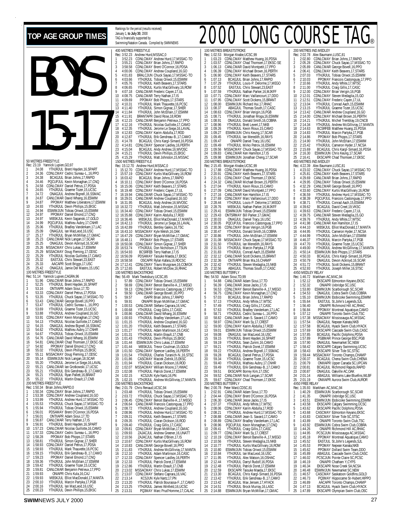## TOP AGE GROUP TIMES **FOR DESCRIPPED AGE GROUP TIMES** Rankings for the period (results received) January 1, **to July 30**, 2000 BOYS 15-17 50 METRES FREESTYLE Rec: 23.19 Yannick Lupien, GO, 97<br>1 24.08 YTHJR JUL Brent F 24.08 YTHJRJUL Brent Hayden,16,SPART<br>24.36 CDNLCMAY Cedric Sureau-L.,16,PP<br>24.38 BCAGJUL Brian Johns,17,RAPID 2 24.36 CDNLCMAY Cedric Sureau-L.,16,PPO 3 24.38 BCAGJUL Brian Johns,17,RAPID 24.46 PQCUPJUL Kevin Monaghan, 17, CNQ 5 24.58 CDNLCMAY Daniel Petrus,17,PDSA 6 24.65 YTHJRJUL Graeme Tozer,15,UCSC 24.72 ONAGJUL Andrew Bignell,16,SSMAC<br>24.87 CANLCMAR David Whang,16,ESWIM 8 24.87 CANLCMAR David Whang,16,ESWIM 9 24.87 PPOMAY Matthew Liberatore,17,ESWIM 10 24.93 YTHJRJUL Devin Phillips,15,EKSC 11 24.94 ESWIMJUN Tobias Oriwol,15,ESWIM 12 24.97 PPOMAY Daniel Emond,17,CNQ 13 24.97 MBSKJUL Kevin Saganski,17,GOLD 14 24.99 PQCUPJUL Mathieu Aubry,17,CNHR 15 25.06 YTHJRJUL Bradley Vanderkam,17,LAC 16 25.09 ONAGJUL Ian MacLeod,16,USC 17 25.17 YTHJRJUL Bryan McMillan,17,GMAC 18 25.23 CANLCMAR Nick Langan,17,SCAR 19 25.25 ONAGJUL Devon Ackroyd,16,SCAR 20 25.26 MSSACMAY Chris Lukas,17,ESWIM 21 25.29 MSSACMAY Doug Fleming,17,ODSC 22 25.29 YTHJRJUL Nicolas Guillotte,17,CAMO 23 25.32 EASTJUL Chris Stewart,23,EAST 24 25.33 AACAPR Scott Briggs,17,USC 25 25.42 ONAGJUL Jamie Del Mastro,15,USC 100 METRES FREESTYLE Rec: 51.14 Yannick Lupien,CAGRA,96 1 51.96 CANLCMAR Brian Johns,17,RAPID 2 52.25 YTHJRJUL Brent Hayden,16,SPART 3 53.16 ONTIIAPR Adam Sioui,17,TD 53.16 ONTIIAPR Adam Sioui,17,TD<br>53.33 CDNLCMAY Daniel Petrus,17,PDSA<br>53.35 YTHIRIIII Chuck Savao 17 MSSA 5 53.35 YTHJRJUL Chuck Sayao,17,MSSAC-TO 6 53.43 CANLCMAR George Bovell,16,PPO 7 53.47 YTHJRJUL Cedric Sureau-L.,16,PPO 8 53.69 YTHJRJUL Graeme Tozer,15,UCSC 9 53.88 YTHJRJUL Andrew Coupland,16,GO 10 53.91 CDNLCMAY Kevin Monaghan,17,CNQ 11 54.13 YTHJRJUL Nicolas Guillotte,17,CAMO 12 54.15 ONAGJUL Andrew Bignell,16,SSMAC 13 54.62 YTHJRJUL Mathieu Aubry,17,CNHR 14 54.67 YTHJRJUL Tobias Oriwol,15,ESWIM 15 54.76 CANLCMAR David Whang,16,ESWIM 16 54.81 CANLCMAR Chad Thomsen,17,EKSC-SE 17 54.92 PPOMAY Daniel Emond,17,CNQ 18 55.02 YTHJRJUL Devin Phillips,15,EKSC<br>19 55.11 MSSACMAY Doug Fleming,17,0DS<br>20 55.14 ESWIMJUN Nick Langan,18,SCAR 19 55.11 MSSACMAY Doug Fleming,17,ODSC<br>20 55.14 ESWIMJUN Nick Langan,18,SCAR<br>21 55.20 YTHJRJUL Jerome Le Siege,16,LAVAL<br>22 55.21 CANLCMAR Ian Grotkowski,17,UCSC<br>23 55.21 YTHJRJUL Erik Gendreau-B.,17,CAMO 24 55.21 YTHJRJUL Ryan Pallett, 16, BRANT<br>25 55.22 YTH IR II II Martin Foault 17 CNR 25 55.22 YTHJRJUL Martin Enault,17,CNB 200 METRES FREESTYLE<br>Rec: 1:50.34 Brian Johns<br>1 1:50.34 CDNLCMA Rec: 1:50.34 Brian Johns,RAPID,0 1 1:50.34 CDNLCMAY Brian Johns,17,RAPID 2 1:53.38 CDNLCMAY Andrew Coupland,16,GO 3 1:53.99 YTHJRJUL Andrew Hurd,17,MSSAC-TO 4 1:55.53 YTHJRJUL Chuck Sayao,17,MSSAC-TO 5 1:55.94 YTHJRJUL Tobias Oriwol,15,ESWIM 6 1:56.01 PDSAMAY Brent O'Connor,16,PDSA 7 1:56.01 ONTIIAPR Adam Sioui,17,TD 8 1:56.87 CANLCMAR Terry Nathan,17,IS 9 1:56.91 YTHJRJUL Brent Hayden,16,SPART 10 1:57.23 CANLCMAR Nicolas Guillotte,16,CAMO 11 1:57.33 CDNLCMAY Cedric Sureau-L.,16,PPO 12 1:58.28 PPOMAY Bob Phipps,17,STARS 13 1:58.81 YTHJRJUL Simon Gignac,17,SHER 14 1:58.93 CDNLCMAY Daniel Petrus,17,PDSA 15 1:58.93 YTHJRJUL Mark Thauvette,16,PCSC 16 1:59.15 YTHJRJUL Erik Gendreau-B.,17,CAMO 17 1:59.23 PPOMAY Daniel Emond,17,CNQ 18 1:59.36 YTHJRJUL John McErlain,17,ESWIM 19 1:59.42 YTHJRJUL Graeme Tozer,15,UCSC 20 1:59.81 CANLCMAR Benjamin Petrieux,17,PPO

TAG is financially supported by Swimming/Natation Canada. Compiled by SWIMNEWS 400 METRES FREESTYLE Rec: 3:52.23 Andrew Hurd, MSSAC, 0 1 3:52.23 CDNLCMAY Andrew Hurd,17,MSSAC-TO 2 3:55.21 CDNLCMAY Brian Johns,17,RAPID 3 3:58.58 CDNLCMAY Brent O'Connor, 16, PDSA<br>4 4:00:06 CDNLCMAY Andrew Countand 16:GO 4 4:00.06 CDNLCMAY Andrew Coupland,16,GO 5 4:01.83 BRALCJUN Chuck Sayao,17,MSSAC-TO 6 4:03.66 YTHJRJUL Tobias Oriwol,15,ESWIM 7 4:05.76 YTHJRJUL Keith Beavers,17,STARS  $\begin{tabular}{ll} 8 & 4:06.65 & YHHBUU KurtS MacGillivary, 16, ROW \\ 9 & 4:07.18 & CANLCMAR Frederic Cayen, 17.1L \\ 10 & 4:08.75 & CANLCMAR Terry Nathan, 17.15 \\ 11 & 4:09.69 & PPOMAP, 180rhipp, 17.51ARS \\ 12 & 4:10.31 & YHURUU L Mark Thawette, 16, PCSC \\ 13 & 4:11.40 & YHURUU L Simor Gignac, 17.5HHR \\ 14 & 4:11.84 & YHURUU L Nionh Mc$ 20 4:12.87 YTHJRJUL Erik Gendreau-B.,17,CAMO 21 4:14.78 BCAGJUL Chris Kargl-Simard,16,PDSA 22 4:14.81 CDNLCMAY Spencer Laidley,16,PERTH 23 4:15.04 BCAGJUL Andy Andrew,16,WVOSC 24 4:15.21 YTHJRJUL Devin Phillips,15,EKSC 25 4:15.29 YTHJRJUL Matt Johnston,15,MSSAC 1500 METRES FREESTYLE Rec: 15:12.70 Andrew Hurd,MSSAC,0 1 15:12.70 CDNLCMAY Andrew Hurd,17,MSSAC-TO 2 15:57.19 CDNLCMAY Kurtis MacGillivary,16,ROW 3 16:03.42 BCAGJUL Brian Johns,17,RAPID 4 16:10.11 CDNLCMAY Brent O'Connor,16,PDSA 5 16:15.06 CDNLCMAY Keith Beavers,17,STARS 6 16:19.48 CDNLCMAY Frederic Cayen,17,UL 7 16:19.94 CANLCMAR Chuck Sayao,17,MSSAC-TO 8 16:29.01 CANLCMAR Andrew Coupland,16,GO 9 16:31.95 BCAGJUL Andy Andrew,16,WVOSC 10 16:32.72 YTHJRJUL Matt Johnston,15,MSSAC 11 16:34.40 CDNLCMAY Tobias Oriwol,15,ESWIM 12 16:35.88 CDNLCMAY Karim Abdulla,17,ROD<br>13 16:36.46 MBSKUL Elliot MacDonald,17,MANTA<br>14 16:42.13 YTHJRJUL Jerome Le Siege,16,LAVAL<br>15 16:42.89 YTHJRJUL Bentley Gaikis,16,TSC<br>16 16:43.10 MSSACMAY Bryan McMillan,17,GMAC<br>17 18 16:48.11 PPOMAY Bob Phipps,17,STARS 19 16:50.08 CDNLCMAY Simon Gignac,17,SHER 20 16:53.74 YTHJRJUL Don Nicholson,17,TSUN 21 16:54.93 BCSRFEB Terry Nathan,17,IS 22 16:56.09 PDSAMAY Taisuke Maeda,17,EKSC 23 16:58.58 OSCAPR Rylan Kafara,16,RDCSC 24 17:12.41 CDNLCMAY Travis Musgrave,16,COMOX 25 17:12.65 EASTJUL Robert McDow,16,RHAC 100 METRES BACKSTROKE Rec: 56.49 Mark Tewksbury,UCSC,85 1 57.89 CDNLCMAY Tobias Oriwol,15,ESWIM 2 58.69 CDNLCMAY Benoit Banville-A.,17,MEGO 3 59.13 CDNLCMAY Francois Castonguay,17,PPO 4 59.50 CANLCMAR George Bovell,16,PPO 5 59.57 ISAPR Brian Johns,17,RAPID 6 59.91 ONIAPR Bryan McMillan,17,GMAC 7 1:00.53 CANLCMAR Stefano Caprara,16,VAC 8 1:00.68 YTHJRJUL Craig Gillis,17,CASC 9 1:00.86 CANLCMAR David Whang,16,ESWIM 10 1:00.93 YTHJRJUL Bradley Vanderkam,17,LAC 11 1:01.15 YTHJRJUL Andrew Coupland,16,GO 12 1:01.20 YTHJRJUL Keith Beavers,17,STARS 13 1:01.27 YTHJRJUL Adam Martinson,16,CASC 14 1:01.31 YTHJRJUL Martin Enault,17,CNB 15 1:01.43 YTHJRJUL Devin Phillips,15,EKSC 16 1:01.44 ESWIMJUN Chris Lukas,17,ESWIM 17 1:01.44 MBSKJUL Trevor Coulman,15,GOLD 18 1:01.50 CDNLCMAY Spencer Laidley,16,PERTH 19 1:01.54 YTHJRJUL Charles Turanich-N.,16,STSC 20 1:01.86 CASCMAY Maciek Zielnik, 15, EKSC<br>21 1:01.94 YTHJRJUL Ciaran Dickson, 16, ROD<br>22 1:02.07 MSSACMAY William Moore, 17, HWA 21 1:01.94 YTHJRJUL Ciaran Dickson,16,ROD 22 1:02.07 MSSACMAY William Moore,17,HWAC 23 1:02.08 YTHJRJUL Patrick Doret, 17, ESWIM<br>24 1:02.15 KCSJUN Kyle Nartz, 16, PN<br>25 1:02.15 YTHJRJUL Andrew McGillivray, 17, N 24 1:02.15 KCSJUN Kyle Nartz,16,PN 25 1:02.15 YTHJRJUL Andrew McGillivray,17,MANTA 200 METRES BACKSTROKE<br>Rec: 2:01.79 Chris Renaud, 2:01.79 Chris Renaud, UCSC, 94<br>2:03.48 YTHJRJUL Tobias Or 1 2:03:48 YTHJRJUL Tobias Oriwol, 15, ESWIM<br>2 2:03:72 YTHJRJUL Chuck Sayao, 17, MSSAC-TO<br>3 2:06:45 CDNLCMAY Benoit Banville-A., 17, MEGO<br>4 2:06:64 CANLCMAR Francois Castonguay, 17, PPO<br>5 2:08:72 YTHJRJUL Andrew Purd, 17, M 7 2:09:31 YTHJRJUL Keith Beavers,17,STARS<br>8 2:09:35 YTHJRJUL Ciaran Dickson,16,ROD<br>9 2:09:40 YTHJRJUL Craig Gillis,17,CASC<br>10 2:09:81 CDNLCMAY Bryan McMillan,17,GMAC<br>11 2:09:93 ZAJACJUL Nathan O'Brien,17,JS<br>12 2:10:56 ZAJA 13 2:10.67 CDNLCMAY Kurtis MacGillivary,16,ROW 14 2:10.83 CANLCMAR George Bovell,16,PPO 15 2:11.83 YTHJRJUL Andrew McGillivray,17,MANTA 16 2:12.10 YTHJRJUL Adam Martinson,16,CASC 17 2:12.33 CDNLCMAY Spencer Laidley,16,PERTH 18 2:12.33 YTHJRJUL Patrick Doret,17,ESWIM 19 2:12.86 YTHJRJUL Martin Enault,17,CNB 20 2:13.02 MSSACMAY Chris Lukas,17,ESWIM 21 2:13.07 CDNLCMAY Stefano Caprara,16,VAC 22 2:13.14 KCSJUN Kyle Nartz,17,PN 23 2:13.20 YTHJRJUL Patrick Bourassa-F.,17,CAMO 24 2:13.25 YTHJRJUL James Winfield,16,UCSC 25 2:13.31 PQ3MAY Marc Prud'Homme,17,CALAC

## 100 METRES BREASTSTROKE Rec: 1:02.53 Morgan Knabe,UCSC,99 1 1:03.23 CDNLCMAY Matthew Huang,16,PDSA 2 1:03.57 CDNLCMAY Chad Thomsen,17,EKSC-SE 3 1:06.13 CANLCMAR David Montpetit,17,PPO 4 1:06.39 CDNLCMAY Michael Brown,16,PERTH 5 1:06.90 CDNLCMAY Keith Beavers,17,STARS 6 1:07.13 BCAGJUL Brian Johns,17,RAPID<br>7 1:07.29 YTHJRJUL Louis-P. Delorme,17,MEGO<br>8 1:07.52 EASTJUL Chris Stewart,23,EAST 9 1:07.59 YTHJRJUL Nathan Parker,16,MJKFF 10 1:07.71 CDNLCMAY Marc Vaillancourt,17,DDO 11 1:07.95 CDNLCMAY Scott Dickens,15,BRANT 12 1:08.00 ESWIMJUN Richard Hui,17,RHAC 13 1:08.37 ABAGJUL Thomas South,17,CASC 14 1:08.63 CDNLCMAY Brian Verigin,16,PGB 15 1:08.71 YTHJRJUL Jonathan Moga,16,ESWIM 16 1:08.91 ONAGJUL Donald Smith,16,COBRA 17 1:08.96 YTHJRJUL Brett Levert,17,NKB 18 1:09.26 YTHJRJUL Kevin Rioux,15,CAMO 19 1:09.27 ESWIMJUN Chris Keung,17,SCAR 20 1:09.45 YTHJRJUL Ian Meredith,16,RAYS<br>21 1:09.47 ONIAPR Daniel Tracy,16,USC<br>22 1:09.49 YTHJRJUL Mirko Petrov,16,ESWIM<br>23 1:09.56 MSSACMAY Chuck Sayao,17,MSSAC-TO<br>24 1:09.83 CANLCMAR Ken Hamilton,17,IS 25 1:09.98 ESWIMJUN Jonathan Cheng,17,SCAR 200 METRES BREASTSTROKE Rec: 2:15.45 Morgan Knabe,UCSC,99 1 2:17.88 CDNLCMAY Matthew Huang,16,PDSA 2 2:20.91 CDNLCMAY Keith Beavers,17,STARS 3 2:21.61 CDNLCMAY Chad Thomsen,17,EKSC 4 2:24.32 CANLCMAR Michael Brown,15,PERTH 5 2:27.04 YTHJRJUL Kevin Rioux,15,CAMO 6 2:27.09 CANLCMAR David Montpetit,17,PPO 7 2:27.16 CANLCMAR Ken Hamilton,17,IS 8 2:27.69 CDNLCMAY Marc Vaillancourt,17,DDO 9 2:28.44 YTHJRJUL Louis-P. Delorme,17,MEGO 10 2:28.76 MBSKJUL Nathan Parker,16,MJKFF 11 2:29.41 ESWIMJUN Tobias Oriwol,15,ESWIM 12 2:29.43 ONTSRMAY Bill Parker, 17, GMAC<br>13 2:30.03 ONAGJUL Daniel Tracy, 16, USC<br>14 2:30.05 PQCUPJUL Francois Castonguay 13 2:30.03 ONAGJUL Daniel Tracy,16,USC 14 2:30.05 PQCUPJUL Francois Castonguay,17,PPO 15 2:30.36 CDNLCMAY Brian Verigin,16,PGB 16 2:30.47 YTHJRJUL Donald Smith,16,COBRA 17 2:30.86 YTHJRJUL John McErlain,17,ESWIM 18 2:31.08 MSSACMAY Chuck Sayao,17,MSSAC-TO 19 2:31.50 YTHJRJUL Ian Meredith,16,RAYS 20 2:31.53 YTHJRJUL Marcin Partyka,17,PGB 21 2:31.83 YTHJRJUL Conrad Aach,15,ESWIM 22 2:32.12 CANLCMAR Scott Dickens,15,BRANT 23 2:32.36 ONTIIAPR Brian Ma,16,CHAMP 24 2:32.42 YTHJRJUL Steven Medaglia,15,NKB 25 2:32.56 ABAGJUL Thomas South,17,CASC 100 METRES BUTTERFLY Rec: 54.50 Adam Sioui,TD,99 1 54.88 CANLCMAR Adam Sioui,17,TD 2 56.39 CANLCMAR Jesse Jacks,17,IS 3 56.53 CDNLCMAY Benoit Banville-A.,17,MEGO 4 56.75 CDNLCMAY Kevin Monaghan,17,CNQ 5 57.03 BCAGJUL Brian Johns,17,RAPID 6 57.13 YTHJRJUL Andy White, 17, WTSC<br>7 57.49 YTHJRJUL Craig Gillis, 17, CASC<br>8 57.63 YTHJRJUL Bradley Vanderkam, 17, LAC<br>9 58.82 CANLCMAR Jean-S. Savard, 17, CAMO<br>10 58.82 CONLCMAR Jean-S. Savard, 17, CAST<br>11 58.97 CDNLCM 15 59.15 YTHJRJUL Brent Hayden,16,SPART 16 59.19 YTHJRJUL Sean Zunini,16,CAMO 17 59.21 YTHJRJUL Patrick Doret,17,ESWIM 18 59.22 YTHJRJUL Andrew Bignell,17,SSMAC 19 59.28 BCAGJUL Daniel Petrus,17,PDSA 20 59.34 YTHJRJUL Graeme Tozer,15,UCSC<br>21 59.40 YTHJRJUL Mathieu Aubry,17,CNH<br>22 59.49 YTHJRJUL Erik Gendreau-B.,17,C/ 21 59.40 YTHJRJUL Mathieu Aubry,17,CNHR 22 59.49 YTHJRJUL Erik Gendreau-B.,17,CAMO 23 59.51 EKSCAPR Borrey Kim,17,OSC 24 59.52 CANLCMAR Nick Langan,17,SCAR 25 59.67 CDNLCMAY Chad Thomsen,17,EKSC 200 METRES BUTTERFLY<br>Rec: 2:00.78 Peter Ward, 2:00.78 Peter Ward, CDSC, 81<br>2:02.91 CANLCMAR Adam 2:02.91 CANLCMAR Adam Sioui,17,TD<br>2:04.44 CDNLCMAY Brent O'Connor 16 2 2:04.44 CDNLCMAY Brent O'Connor,16,PDSA 3 2:06.30 CANLCMAR Jesse Jacks,17,IS 4 2:07.37 YTHJRJUL Andy White, 17, WTSC 5 2:08.06 CDNLCMAY Karim Abdulla,17,ROD 6 2:08.21 YTHJRJUL Andrew Hurd,17,MSSAC-TO 7 2:08.88 CANLCMAR Jean-S. Savard,17,CAMO 8 2:08.89 CDNLCMAY Bradley Vanderkam,17,LAC 9 2:08.96 PQCUPJUL Kevin Monaghan,17,CNQ 10 2:09.41 YTHJRJUL Craig Gillis,17,CASC 11 2:09.77 CDNLCMAY Mark Sy,17,CREST 12 2:10.19 CDNLCMAY Benoit Banville-A.,17,MEGO 13 2:10.56 YTHJRJUL Steven Medaglia,15,NKB 14 2:10.77 YTHJRJUL Kurtis MacGillivary,16,ROW 15 2:10.80 ESWIMJUN Tobias Oriwol, 15, ÉSWIM<br>16 2:10.84 YTHJRJUL Ian MacLeod, 16, USC<br>17 2:11.95 YTHJRJUL Alex Watson, 16, OSHAC 16 2:10.84 YTHJRJUL Ian MacLeod,16,USC 17 2:11.95 YTHJRJUL Alex Watson,16,OSHAC 18 2:12.44 YTHJRJUL Darryl Rudolf,16,PDSA 19 2:12.48 YTHJRJUL Patrick Doret,17,ESWIM 20 2:12.59 EKSCAPR Taisuke Maeda,17,EKSC 21 2:13.30 BCAGJUL Chris Kargl-Simard,16,PDSA 22 2:13.42 YTHJRJUL Erik Gendreau-B.,17,CAMO 23 2:13.42 DEMINIUL Erik Gendreau-B.,17,C/<br>23 2:13.42 BCAGJUL Max Jensen,17,HYACK<br>24 2:14.51 YTHJRJUL Brock Murray,16,LASC<br>25 2:14.88 ESWIMJUN Brvan McMillan.17.GM 24 2:14.51 YTHJRJUL Brock Murray,16,LASC 25 2:14.88 ESWIMJUN Bryan McMillan,17,GMAC

|                     |                            |                        | ®                                                                                                           |
|---------------------|----------------------------|------------------------|-------------------------------------------------------------------------------------------------------------|
|                     |                            | 200 METRES IND.MEDLEY  |                                                                                                             |
| 1                   | Rec: 2:02.78<br>2:02.80    | Alex Baumann, LUSC, 81 |                                                                                                             |
| $\overline{a}$<br>3 | 2:05.28<br>2:05.89         |                        | CDNLCMAY Brian Johns, 17, RAPID<br>CDNLCMAY Chuck Sayao, 17, MSSAC-TO<br>CANLCMAR George Bovell, 16, PPO    |
| 4                   | 2:06.41                    |                        | CDNLCMAY Keith Beavers, 17, STARS                                                                           |
| 5<br>6              | 2:07.03<br>2:10.03         |                        | YTHJRJUL Tobias Oriwol,15,ESWIM<br>PPOMAY Francois Castonguay, 17, PPO                                      |
| 7<br>8              | 2:10.66                    |                        | YTHJRJUL Andy White,17,WTSC<br>YTHJRJUL Craig Gillis, 17, CASC                                              |
| 9                   | 2:11.00<br>2:12.00         |                        | CDNLCMAY Brian Verigin, 16, PGB                                                                             |
| 10<br>11            | 2:12.01<br>2:12.51         |                        | CDNLCMAY Steven Medaglia, 15, GO<br>CDNLCMAY Frederic Cayen, 17, UL                                         |
| 12<br>13            | 2:13.04                    |                        | YTHJRJUL Conrad Aach, 15, ESWIM                                                                             |
| 14                  | 2:13.15<br>2:13.42         |                        | YTHJRJUL Graeme Tozer, 15, UCSC<br>CANLCMAR Andrew Coupland, 16, GO                                         |
| 15<br>16            | 2:14.00<br>2:14.21         |                        | CDNLCMAY Michael Brown, 16, PERTH<br>YTHJRJUL Michel Tremblay, 19, CNCB                                     |
| 17                  | 2:14.34                    |                        | YTHJRJUL Andrew McGillivray, 17, MANTA                                                                      |
| 18<br>19            | 2:14.63<br>2:14.83         |                        | BCSRFEB Matthew Huang, 15, PDSA                                                                             |
| 20<br>21            | 2:14.86<br>2:14.90         |                        | YTHJRJUL Marcin Partyka, 17, PGB<br>PPOMAY Bob Phipps, 17, STARS<br>YTHJRJUL John McErlain, 17, ESWIM       |
| $\overline{22}$     | 2:15.42                    |                        | THIRJUL Cameron Hyder, 17, NCSA<br>  BCAGJUL Chris Kargl-Simard, 16, PDSA<br>  SCAGJUL Chris Karing 17 SCAR |
| 23<br>24            | 2:15.69<br>2:16.30         |                        | ESWIMJUN Chris Keung, 17, SCAR<br>EKSCAPR Chad Thomsen, 17, EKSC                                            |
| 25                  | 2:16.41                    | 400 METRES IND.MEDLEY  |                                                                                                             |
|                     | Rec: 4:22.39               |                        |                                                                                                             |
| 1<br>2              | 4:23.02<br>4:25.81         |                        | Alex Baumann, LUSC, 81<br>CDNLCMAY Chuck Sayao, 17, MSSAC-TO<br>CDNLCMAY Keith Beavers, 17, STARS           |
| 3                   | 4:29.69                    |                        | CANLCMAR Brian Johns, 17, RAPID                                                                             |
| 4<br>5              | 4:29.95<br>4:32.29         |                        | CDNLCMAY Tobias Oriwol, 15, ESWIM<br>CANLCMAR George Bovell, 16, PPO                                        |
| 6<br>7              | 4:33.60<br>4:36.59         |                        | CDNLCMAY Kurtis MacGillivary, 16, ROW<br>YTHJRJUL Andrew Hurd, 17, MSSAC-TO                                 |
| 8                   | 4:38.39                    |                        | PQCUPJUL Francois Castonguay, 17, PPO                                                                       |
| 9<br>10             | 4:38.71<br>4:39.62         |                        | YTHJRJUL Conrad Aach,15,ESWIM<br>BCAGJUL David Creel, 19, VKSC                                              |
| 11                  | 4:39.63<br>4:39.75         |                        | CDNLCMAY Frederic Cayen, 17, UL<br>CANLCMAR Steven Medaglia, 15, GO                                         |
| 12<br>13            | 4:39.76                    |                        | YTHJRJUL Andy White,17,WTSC                                                                                 |
| 14<br>15            | 4:41.98<br>4:44.10         |                        | CANLCMAR Ken Hamilton, 17, IS<br>MBSKJUL Elliot MacDonald, 17, MANTA                                        |
| 16                  | 4:44.95                    |                        | YTHJRJUL Cameron Hyder, 17, NCSA<br>YTHJRJUL John McErlain, 17, ESWIM                                       |
| 17<br>18            | 4:44.99<br>4:46.37         |                        | YTHJRJUL Marcin Partyka, 17, PGB                                                                            |
| 19<br>20            | 4:47.70<br>4:49.00         |                        | YTHJRJUL Graeme Tozer, 15, UCSC<br>YTHJRJUL Andrew McGillivray, 17, MANTA                                   |
| 21                  | 4:50.14                    |                        |                                                                                                             |
| 22<br>23            | 4:50.33<br>4:50.79         |                        | ESWIMJUN Bob Phipps, 17, STARS<br>BCAGJUL Chris Kargl-Simard, 16, PDSA<br>ONAGJUL Devon Ackroyd, 16, SCAR   |
| 24<br>25            | 4:51.72<br>4:52.93         |                        | YTHJRJUL Scott Dickens, 15, BRANT<br>YTHJRJUL Joseph Miller, 16, STSC                                       |
|                     | 4X50 MEDLEY RELAY          |                        |                                                                                                             |
| 1                   | Rec: 1:46.72<br>1:52.12    | Markham AC, MAC, 94    | EKSCAPR Edmonton Keyano, EKSC                                                                               |
| $\frac{2}{3}$       | 1:52.32<br>1:53.80         |                        | ONIAPR Uxbridge SC,USC<br>ESWIMJUN Scarborough SC,SCAR                                                      |
| 4                   | 1:54.53                    |                        | ONAGJUL Cobra Swim Club,COBRA<br>ESWIMJUN Etobicoke Swimming,ESWIM                                          |
| 5<br>6              | 1:55.10<br>1:55.64         |                        |                                                                                                             |
| 7<br>8              | 1:56.40<br>1:56.84         |                        | EASTJUL St.John's Legends, SJL<br>ONIAPR Richmond Hill AC, RHAC<br>PPOMAY Montreal Aquatique, CAMO          |
| 9                   | 1:57.12                    |                        | ONIAPR Toronto Swim Club, TSC<br>MSSACMAY Mississauga AC, MSSAC                                             |
| 10<br>11            | 1:57.38<br>1:57.54         |                        | ONAGJUL Nepean Kanata, NKB                                                                                  |
| 12                  | 1:57.58                    |                        | BCAGJUL Hyack Swim Club, HYACK                                                                              |
| 13<br>14            | 1:57.69<br>1:57.85         |                        | EKSCAPR Cascade Swim Club, CASC<br><b>BCAGJUL Pacific Dolphins, PDSA</b>                                    |
| 15<br>16            | 1:57.89<br>1:57.90         |                        | PGBMAR Prince George BSC, PGB<br>ONAGJUL Newmarket ŠC, NEW                                                  |
| 17                  | 1:58.42                    |                        | EKSCAPR Calgary Swimming,UCSC<br>EKSCAPR Silver Tide SC,STSC                                                |
| 18<br>19            | 1:58.43<br>1:59.44         |                        | MSSACMAY Toronto Champs, CHAMP                                                                              |
| 20<br>21            | 2:00.37<br>2:00.79         |                        | BCAGJUL Chena Swim Club, CHENA<br>ONIIIAPR Upper Canada SC, UPCAN                                           |
| 22                  | 2:00.81                    |                        | BCAGJUL Richmond Rapids, RAPID                                                                              |
| 23<br>24            | 2:00.87<br>2:01.14         |                        | ONAGJUL Oakville AC, OAK<br>ABAGJUL Williams Lake Bluefins, WLBF                                            |
| 25                  | 2:01.19<br>4X50 FREE RELAY |                        | ONIIIAPR Aurora Swim Club, AUROR                                                                            |
|                     | Rec: 1:35.93               | Markham AC, MAC, 94    |                                                                                                             |
| 1                   | 1:40.29<br>1:41.35         |                        | ESWIMJUN Scarborough SC, SCAR<br>ONIAPR Uxbridge SC, USC                                                    |
| $\frac{2}{3}$<br>4  | 1:43.51<br>1:43.58         |                        | ESWIMJUN Etobicoke Swimming, ESWIM<br>EKSCAPR Calgary Swimming, UCSC                                        |
| 5                   | 1:43.62                    |                        |                                                                                                             |
| 6<br>7              | 1:43.68<br>1:43.83         |                        | EKSCAPR Pacific Dolphins, PDSA<br>CASCMAY Edmonton Keyano, EKSC<br>CASCMAY Silver Tide SC, STSC             |
| 8                   | 1:43.89                    |                        | ONIAPR Toronto Swim Club, TSC<br>ESWIMJUN Cobra Swim Club, COBRA                                            |
| 9<br>10             | 1:43.92<br>1:44.26         |                        | ONIAPR Richmond Hill AC, RHAC                                                                               |
| 11<br>12            | 1:44.95<br>1:45.18         |                        | PCSCJUN Mississauga AC, MSSAC<br>PPOMAY Montreal Aquatique, CAMO                                            |
| 13                  | 1:45.52                    |                        | EASTJUL St.John's Legends, SJL<br>PPOMAY Nepean Kanata, NKB                                                 |
| 14<br>15            | 1:45.53<br>1:45.62         |                        | PPOMAY Dollard Swim Team, DDO                                                                               |
| 16<br>17            | 1:45.89<br>1:46.02         |                        | ABAGJUL Cascade Swim Club, CASC<br>PCSCJUN Pointe Claire SC, PCSC                                           |
| 18                  | 1:46.19                    |                        | ONIAPR Chatham Y, CYPS                                                                                      |
| 19<br>20            | 1:46.34<br>1:46.48         |                        | <b>EKSCAPR Nose Creek SA, NCSA</b><br>ESWIMJUN Newmarket SC, NEW                                            |
| 21                  | 1:46.57                    |                        | CASCMAY Saskatoon Goldfins, GOLD                                                                            |
| 22<br>23            | 1:46.73<br>1:46.89         |                        | PO3MAY Hippocame St-Hubert, HIPPO<br>AACAPR Toronto Champs, CHAMP                                           |
| 24<br>25            | 1:47.13<br>1:47.89         |                        | BCAGJUL Hyack Swim Club, HYACK<br>EKSCAPR Olympian Swim Club, OSC                                           |

#### **SWIM**NEWS JULY 2000 27

21 1:59.93 ONIAPR Chris Kula,16,CAJ 22 1:59.93 MBSKJUL Elliot MacDonald,17,MANTA 23 2:00.10 YTHJRJUL Marcin Partyka,17,PGB 22 1:59.93 MBSKJUL Elliot MacDonald, 17,<br>23 2:00.10 YTHJRJUL Marcin Partyka, 17, PC<br>24 2:00.16 YTHJRJUL Ian MacLeod, 16, USC<br>25 2:00.16 YTHJRJUL Ian MacLeod, 16, USC

25 2:00.23 YTHJRJUL Devin Phillips,15,EKSC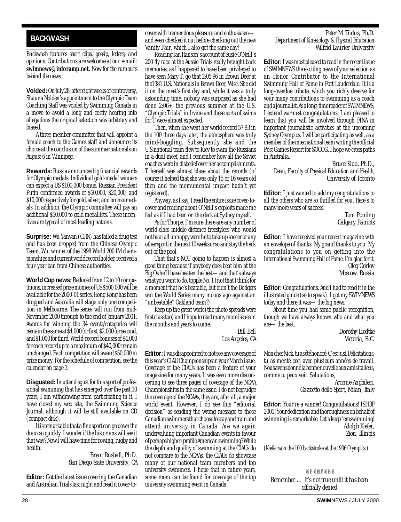#### <span id="page-27-0"></span>**BACKWASH**

*Backwash features short clips, gossip, letters, and opinions. Contributions are welcome at our e-mail:* **swimnews@inforamp.net.** *Now for the rumours behind the news.*

**Voided:** On July 28, after eight weeks of controversy, Shauna Nolden's appointment to the Olympic Team Coaching Staff was voided by Swimming Canada in a move to avoid a long and costly hearing into allegations the original selection was arbitrary and biased.

A three-member committee that will appoint a female coach to the Games staff and announce its choice at the conclusion of the summer nationals on August 6 in Winnipeg.

**Rewards:**Russia announces big financial rewards for Olympic medals. Individual gold-medal winners can expect a US \$100,000 bonus. Russian President Putin confirmed awards of \$50,000, \$20,000, and \$10,000 respectively for gold, silver, and bronze medals. In addition, the Olympic committee will pay an additional \$50,000 to gold medallists. These incentives are typical of most leading nations.

**Surprise:** Wu Yanyan (CHN) has failed a drug test and has been dropped from the Chinese Olympic Team. Wu, winner of the 1998 World 200 IM championships and current world record holder, received a four-year ban from Chinese authorities.

**World Cup news:** Reduced from 12 to 10 competitions, increased prize monies of US \$500,000 will be available for the 2000-01 series. Hong Kong has been dropped and Australia will stage only one competition in Melbourne. The series will run from mid-November 2000 through to the end of January 2001. Awards for winning the 34 events/categories will remain the same at \$4,000 for first, \$2,000 for second, and \$1,000 for third. World-record bonuses of \$4,000 for each record up to a maximum of \$40,000 remain unchanged. Each competition will award \$50,000 in prize money. For the schedule of competition, see the calendar on page 3.

**Disgusted:** In utter disgust for this sport of professional swimming that has emerged over the past 10 years, I am withdrawing from participating in it. I have closed my web site, the Swimming Science Journal, although it will be still available on CD (compact disk).

It is remarkable that a fine sport can go down the drain so quickly. I wonder if the historians will see it that way? Now I will have time for rowing, rugby and health.

> *Brent Rushall, Ph.D. San Diego State University, CA*

**Editor:** Got the latest issue covering the Canadian and Australian Trials last night and read it cover-tocover with tremendous pleasure and enthusiasm and even checked it out before checking out the new *Vanity Fair,* which I also got the same day!

Reading Ian Hanson's account of Susie O'Neill's 200 fly race at the Aussie Trials really brought back memories, as I happened to have been privileged to have seen Mary T. go that 2:05.96 in Brown Deer at the1981 U.S. Nationals in Brown Deer, Wisc. She did it on the meet's first day and, while it was a truly astounding time, nobody was surprised as she had done 2:06+ the previous summer at the U.S. "Olympic Trials" in Irvine and these sorts of swims for T were almost expected.

Then, when she went her world record 57.93 in the 100 three days later, the atmosphere was truly mind-boggling. Subsequently she and the U.S.national team flew to Kiev to swim the Russians in a dual meet, and I remember how all the Soviet coaches were in disbelief over her accomplishments. T herself was almost blase about the records (of course it helped that she was only 15 or 16 years old then and the momumental impact hadn't yet registered).

Anyway, as I say, I read the entire issue cover-tocover and reading about O'Neill's exploits made me feel as if I had been on the deck at Sydney myself.

As for Thorpe, I'm sure there are any number of world-class middle-distance freestylers who would not be at all unhappy were he to take up soccer or any other sport in the next 10 weeks or so and stay the heck out of the pool.

That that's NOT going to happen is almost a good thing because if anybody does beat him at the Big Os he'll have beaten the best—and that's always what you want to do, topple No. 1 (not that I think for a moment that he's beatable, but didn't the Dodgers win the World Series many moons ago against an "unbeatable" Oakland team?)

Keep up the great work (the photo spreads were first class too) and I hope to read many more issues in the months and years to come.

> *Bill Bell Los Angeles, CA*

**Editor:**I was disappointed to not see any coverage of this year's CIAU Championships in your March issue. Coverage of the CIAUs has been a feature of your magazine for many years. It was even more disconcerting to see three pages of coverage of the NCAA Championships in the same issue. I do not begrudge the coverage of the NCAAs, they are, after all, a major world event. However, I do see this "editorial decision" as sending the wrong message to those Canadian swimmers that choose to stay and train and attend university in Canada. Are we again undervaluing important Canadian events in favour of perhaps higher-profile American swimming? While the depth and quality of swimming at the CIAUs do not compare to the NCAAs, the CIAUs do showcase many of our national team members and top university swimmers. I hope that in future years, some room can be found for coverage of the top university swimming event in Canada.

*Peter M. Tiidus, Ph.D. Department of Kinesiology & Physical Education Wilfrid Laurier University*

**Editor:**I was most pleased to read in the recent issue of SWIMNEWS the exciting news of your selection as an Honor Contributor to the International Swimming Hall of Fame in Fort Lauderdale. It is a long-overdue tribute, which you richly deserve for your many contributions to swimming as a coach and a journalist. As a long-time reader of SWIMNEWS, I extend warmest congratulations. I am pleased to learn that you will be involved through FINA in important journalistic activities at the upcoming Sydney Olympics. I will be participating as well, as a member of the international team writing the official Post Games Report for SOCOG. I hope we cross paths in Australia.

*Bruce Kidd, Ph.D., Dean, Faculty of Physical Education and Health, University of Toronto*

**Editor:** I just wanted to add my congratulations to all the others who are so thrilled for you. Here's to many more years of success!

> *Tom Ponting Calgary Patriots*

**Editor:** I have received your recent magazine with an envelope of thanks. My grand thanks to you. My congratulations to you on getting into the International Swimming Hall of Fame. I'm glad for it. *Oleg Gorlov Moscow, Russia*

**Editor:** Congratulations. And I had to read it in the illustrated guide (so to speak). I got my SWIMNEWS today and there it was—the big news.

About time you had some public recognition, though we have always known who and what you are—the best.

> *Dorothy Liedtke Victoria, B.C.*

Mon cher Nick, tu as été honoré. C'est just. Félicitations, tu as merité ceci avec plusieurs années de travail. Nous avons donné la bonne nouvelle aux amis italiens, comme tu peux voir. Salutations,

> *Aronne Anghileri, Gazzetto dello Sport, Milan, Italy*

**Editor:** Your're a winner! Congratulations! ISHOF 2001! Your dedication and thoroughness on behalf of swimming is remarkable. Let's keep 'emswimming! *Adolph Kiefer, Zion, Illinois*

(Kiefer won the 100 backstroke at the 1936 Olympics.)

✌✌✌✌✌✌✌✌ *Remember … It's not true until it has been officially denied*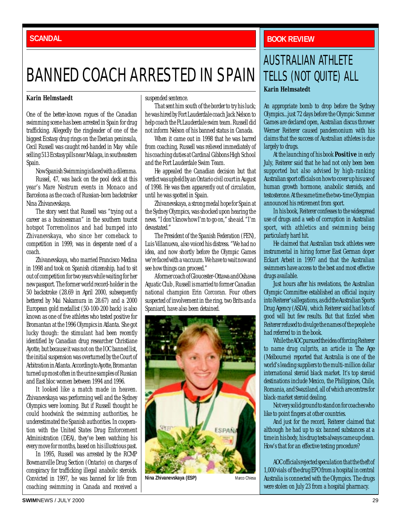## BANNED COACH ARRESTED IN SPAIN

#### **Karin Helmstaedt**

One of the better-known rogues of the Canadian swimming scene has been arrested in Spain for drug trafficking. Allegedly the ringleader of one of the biggest Ecstasy drug rings on the Iberian peninsula, Cecil Russell was caught red-handed in May while selling 513 Ecstasy pills near Malaga, in southeastern Spain.

Now Spanish Swimming is faced with a dilemma.

Russel, 47, was back on the pool deck at this year's Mare Nostrum events in Monaco and Barcelona as the coach of Russian-born backstroker Nina Zhivanevskaya.

The story went that Russell was "trying out a career as a businessman" in the southern tourist hotspot Torremolinos and had bumped into Zhivanevskaya, who since her comeback to competition in 1999, was in desperate need of a coach.

Zhivanevskaya, who married Francisco Medina in 1998 and took on Spanish citizenship, had to sit out of competition for two years while waiting for her new passport. The former world record-holder in the 50 backstroke (28.69 in April 2000, subsequently bettered by Mai Nakamura in 28.67) and a 2000 European gold medallist (50-100-200 back) is also known as one of five athletes who tested positive for Bromantan at the 1996 Olympics in Atlanta. She got lucky though: the stimulant had been recently identified by Canadian drug researcher Christiane Ayotte, but because it was not on the IOC banned list, the initial suspension was overturned by the Court of Arbitration in Atlanta. According to Ayotte, Bromantan turned up most often in the urine samples of Russian and East bloc women between 1994 and 1996.

It looked like a match made in heaven. Zhivanevskaya was performing well and the Sydney Olympics were looming. But if Russell thought he could hoodwink the swimming authorities, he underestimated the Spanish authorities. In cooperation with the United States Drug Enforcement Administration (DEA), they've been watching his every move for months, based on his illustrious past.

In 1995, Russell was arrested by the RCMP Bowmanville Drug Section (Ontario) on charges of conspiracy for trafficking illegal anabolic steroids. Convicted in 1997, he was banned for life from coaching swimming in Canada and received a suspended sentence.

That sent him south of the border to try his luck; he was hired by Fort Lauderdale coach Jack Nelson to help coach the Ft.Lauderdale swim team. Russell did not inform Nelson of his banned status in Canada.

When it came out in 1998 that he was barred from coaching, Russell was relieved immediately of his coaching duties at Cardinal Gibbons High School and the Fort Lauderdale Swim Team.

He appealed the Canadian decision but that verdict was upheld by an Ontario civil court in August of 1998. He was then apparently out of circulation, until he was spotted in Spain.

Zhivanevskaya, a strong medal hope for Spain at the Sydney Olympics, was shocked upon hearing the news. "I don't know how I'm to go on," she aid. "I'm devastated."

The President of the Spanish Federation (FEN), Luis Villanueva, also voiced his distress. "We had no idea, and now shortly before the Olympic Games we're faced with a vaccuum. We have to wait now and see how things can proceed."

A former coach of Gloucester-Ottawa and Oshawa Aquatic Club , Russell is married to former Canadian national champion Erin Corcoran. Four others suspected of involvement in the ring, two Brits and a Spaniard, have also been detained.



**Nina Zhivanevskaya (ESP)** Marco Chiesa

### <span id="page-28-0"></span>**BACANDAL BACKWASH <b>SCANDAL BOOK REVIEW**

## **Karin Helmsatedt** AUSTRALIAN ATHLETE TELLS (NOT QUITE) ALL

An appropriate bomb to drop before the Sydney Olympics...just 72 days before the Olympic Summer Games are declared open, Australian discus thrower Werner Reiterer caused pandemonium with his claims that the success of Australian athletes is due largely to drugs.

At the launching of his book *Positive* in early July, Reiterer said that he had not only been been supported but also advised by high-ranking Australian sport officials on how to cover up his use of human growth hormone, anabolic steroids, and testosterone. At the same time the two-time Olympian announced his retirement from sport.

In his book, Reiterer confesses to the widespread use of drugs and a web of corruption in Australian sport, with athletics and swimming being particularly hard hit.

He claimed that Australian track athletes were instrumental in hiring former East German doper Eckart Arbeit in 1997 and that the Australian swimmers have access to the best and most effective drugs available.

Just hours after his revelations, the Australian Olympic Committee established an official inquiry into Reiterer's allegations, as did the Australian Sports Drug Agency (ASDA), which Reiterer said had lots of good will but few results. But that fizzled when Reiterer refused to divulge the names of the people he had referred to in the book.

While the AOC pursued the idea of forcing Reiterer to name drug culprits, an article in *The Age* (Melbourne) reported that Australia is one of the world's leading suppliers to the multi-million dollar international steroid black market. It's top steroid destinations include Mexico, the Philippines, Chile, Romania, and Swaziland, all of which are centres for black-market steroid dealing.

Not very solid ground to stand on for coaches who like to point fingers at other countries.

And just for the record, Reiterer claimed that although he had up to six banned substances at a time in his body, his drug tests always came up clean. How's that for an effective testing procedure?

AOC officials rejected speculation that the theft of 1,000 vials of the drug EPO from a hospital in central Australia is connected with the Olympics. The drugs were stolen on July 23 from a hospital pharmacy.